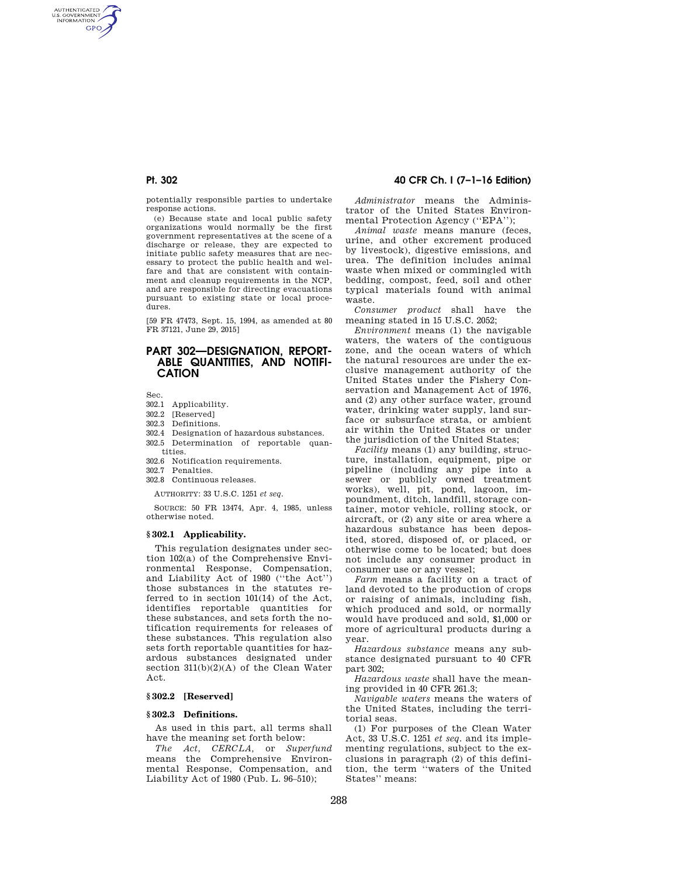AUTHENTICATED<br>U.S. GOVERNMENT<br>INFORMATION **GPO** 

> potentially responsible parties to undertake response actions.

> (e) Because state and local public safety organizations would normally be the first government representatives at the scene of a discharge or release, they are expected to initiate public safety measures that are necessary to protect the public health and welfare and that are consistent with containment and cleanup requirements in the NCP, and are responsible for directing evacuations pursuant to existing state or local procedures.

> [59 FR 47473, Sept. 15, 1994, as amended at 80 FR 37121, June 29, 2015]

## **PART 302—DESIGNATION, REPORT-ABLE QUANTITIES, AND NOTIFI-CATION**

Sec.

- 302.1 Applicability.
- 302.2 [Reserved]
- 302.3 Definitions.
- 302.4 Designation of hazardous substances.
- 302.5 Determination of reportable quantities.
- 302.6 Notification requirements.
- 302.7 Penalties.
- 302.8 Continuous releases.

AUTHORITY: 33 U.S.C. 1251 *et seq.* 

SOURCE: 50 FR 13474, Apr. 4, 1985, unless otherwise noted.

### **§ 302.1 Applicability.**

This regulation designates under section 102(a) of the Comprehensive Environmental Response, Compensation, and Liability Act of 1980 (''the Act'') those substances in the statutes referred to in section 101(14) of the Act, identifies reportable quantities for these substances, and sets forth the notification requirements for releases of these substances. This regulation also sets forth reportable quantities for hazardous substances designated under section 311(b)(2)(A) of the Clean Water Act.

### **§ 302.2 [Reserved]**

### **§ 302.3 Definitions.**

As used in this part, all terms shall have the meaning set forth below:

*The Act, CERCLA,* or *Superfund*  means the Comprehensive Environmental Response, Compensation, and Liability Act of 1980 (Pub. L. 96–510);

## **Pt. 302 40 CFR Ch. I (7–1–16 Edition)**

*Administrator* means the Administrator of the United States Environmental Protection Agency (''EPA'');

*Animal waste* means manure (feces, urine, and other excrement produced by livestock), digestive emissions, and urea. The definition includes animal waste when mixed or commingled with bedding, compost, feed, soil and other typical materials found with animal waste.

*Consumer product* shall have the meaning stated in 15 U.S.C. 2052;

*Environment* means (1) the navigable waters, the waters of the contiguous zone, and the ocean waters of which the natural resources are under the exclusive management authority of the United States under the Fishery Conservation and Management Act of 1976, and (2) any other surface water, ground water, drinking water supply, land surface or subsurface strata, or ambient air within the United States or under the jurisdiction of the United States;

*Facility* means (1) any building, structure, installation, equipment, pipe or pipeline (including any pipe into a sewer or publicly owned treatment works), well, pit, pond, lagoon, impoundment, ditch, landfill, storage container, motor vehicle, rolling stock, or aircraft, or (2) any site or area where a hazardous substance has been deposited, stored, disposed of, or placed, or otherwise come to be located; but does not include any consumer product in consumer use or any vessel;

*Farm* means a facility on a tract of land devoted to the production of crops or raising of animals, including fish, which produced and sold, or normally would have produced and sold, \$1,000 or more of agricultural products during a year.

*Hazardous substance* means any substance designated pursuant to 40 CFR part 302;

*Hazardous waste* shall have the meaning provided in 40 CFR 261.3;

*Navigable waters* means the waters of the United States, including the territorial seas.

(1) For purposes of the Clean Water Act, 33 U.S.C. 1251 *et seq.* and its implementing regulations, subject to the exclusions in paragraph (2) of this definition, the term ''waters of the United States'' means: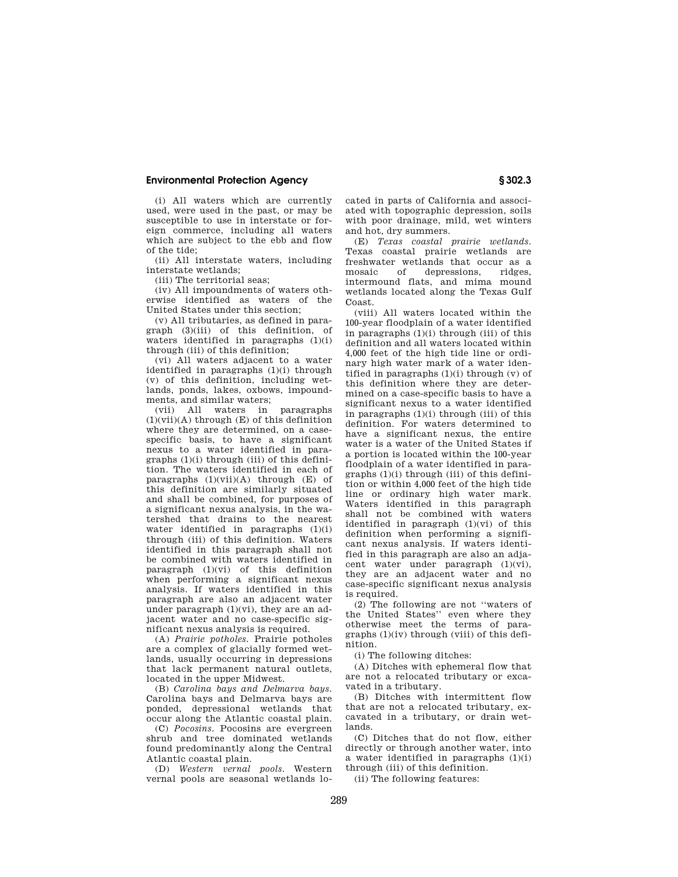(i) All waters which are currently used, were used in the past, or may be susceptible to use in interstate or foreign commerce, including all waters which are subject to the ebb and flow of the tide;

(ii) All interstate waters, including interstate wetlands;

(iii) The territorial seas;

(iv) All impoundments of waters otherwise identified as waters of the United States under this section;

 $(v)$  All tributaries, as defined in paragraph (3)(iii) of this definition, of waters identified in paragraphs (1)(i) through (iii) of this definition;

(vi) All waters adjacent to a water identified in paragraphs (1)(i) through (v) of this definition, including wetlands, ponds, lakes, oxbows, impoundments, and similar waters;

(vii) All waters in paragraphs  $(1)(vii)(A)$  through  $(E)$  of this definition where they are determined, on a casespecific basis, to have a significant nexus to a water identified in paragraphs (1)(i) through (iii) of this definition. The waters identified in each of paragraphs  $(1)(vii)(A)$  through  $(E)$  of this definition are similarly situated and shall be combined, for purposes of a significant nexus analysis, in the watershed that drains to the nearest water identified in paragraphs (1)(i) through (iii) of this definition. Waters identified in this paragraph shall not be combined with waters identified in paragraph (1)(vi) of this definition when performing a significant nexus analysis. If waters identified in this paragraph are also an adjacent water under paragraph (1)(vi), they are an adjacent water and no case-specific significant nexus analysis is required.

(A) *Prairie potholes.* Prairie potholes are a complex of glacially formed wetlands, usually occurring in depressions that lack permanent natural outlets, located in the upper Midwest.

(B) *Carolina bays and Delmarva bays.*  Carolina bays and Delmarva bays are ponded, depressional wetlands that occur along the Atlantic coastal plain.

(C) *Pocosins.* Pocosins are evergreen shrub and tree dominated wetlands found predominantly along the Central Atlantic coastal plain.

(D) *Western vernal pools.* Western vernal pools are seasonal wetlands located in parts of California and associated with topographic depression, soils with poor drainage, mild, wet winters and hot, dry summers.

(E) *Texas coastal prairie wetlands.*  Texas coastal prairie wetlands are freshwater wetlands that occur as a mosaic of depressions, ridges, intermound flats, and mima mound wetlands located along the Texas Gulf Coast.

(viii) All waters located within the 100-year floodplain of a water identified in paragraphs  $(1)(i)$  through  $(iii)$  of this definition and all waters located within 4,000 feet of the high tide line or ordinary high water mark of a water identified in paragraphs  $(1)(i)$  through  $(v)$  of this definition where they are determined on a case-specific basis to have a significant nexus to a water identified in paragraphs (1)(i) through (iii) of this definition. For waters determined to have a significant nexus, the entire water is a water of the United States if a portion is located within the 100-year floodplain of a water identified in paragraphs (1)(i) through (iii) of this definition or within 4,000 feet of the high tide line or ordinary high water mark. Waters identified in this paragraph shall not be combined with waters identified in paragraph (1)(vi) of this definition when performing a significant nexus analysis. If waters identified in this paragraph are also an adjacent water under paragraph (1)(vi), they are an adjacent water and no case-specific significant nexus analysis is required.

(2) The following are not ''waters of the United States'' even where they otherwise meet the terms of paragraphs (1)(iv) through (viii) of this definition.

(i) The following ditches:

(A) Ditches with ephemeral flow that are not a relocated tributary or excavated in a tributary.

(B) Ditches with intermittent flow that are not a relocated tributary, excavated in a tributary, or drain wetlands.

(C) Ditches that do not flow, either directly or through another water, into a water identified in paragraphs (1)(i) through (iii) of this definition.

(ii) The following features: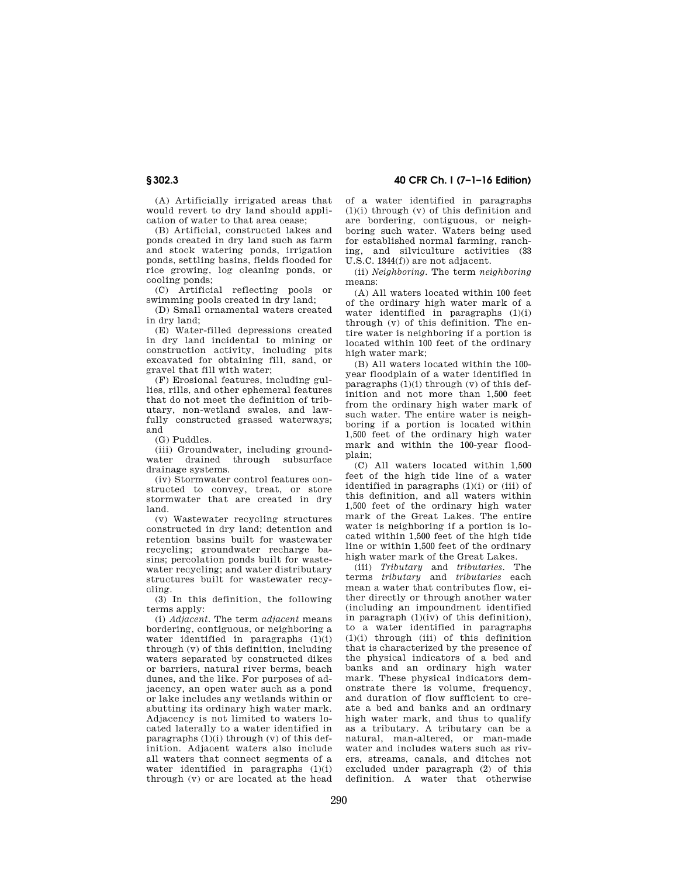(A) Artificially irrigated areas that would revert to dry land should application of water to that area cease;

(B) Artificial, constructed lakes and ponds created in dry land such as farm and stock watering ponds, irrigation ponds, settling basins, fields flooded for rice growing, log cleaning ponds, or cooling ponds;

(C) Artificial reflecting pools or swimming pools created in dry land;

(D) Small ornamental waters created in dry land;

(E) Water-filled depressions created in dry land incidental to mining or construction activity, including pits excavated for obtaining fill, sand, or gravel that fill with water;

(F) Erosional features, including gullies, rills, and other ephemeral features that do not meet the definition of tributary, non-wetland swales, and lawfully constructed grassed waterways; and

(G) Puddles.

(iii) Groundwater, including groundwater drained through subsurface drainage systems.

(iv) Stormwater control features constructed to convey, treat, or store stormwater that are created in dry land.

(v) Wastewater recycling structures constructed in dry land; detention and retention basins built for wastewater recycling; groundwater recharge basins; percolation ponds built for wastewater recycling; and water distributary structures built for wastewater recycling.

(3) In this definition, the following terms apply:

(i) *Adjacent.* The term *adjacent* means bordering, contiguous, or neighboring a water identified in paragraphs (1)(i) through (v) of this definition, including waters separated by constructed dikes or barriers, natural river berms, beach dunes, and the like. For purposes of adjacency, an open water such as a pond or lake includes any wetlands within or abutting its ordinary high water mark. Adjacency is not limited to waters located laterally to a water identified in paragraphs  $(1)(i)$  through  $(v)$  of this definition. Adjacent waters also include all waters that connect segments of a water identified in paragraphs (1)(i) through (v) or are located at the head

**§ 302.3 40 CFR Ch. I (7–1–16 Edition)** 

of a water identified in paragraphs (1)(i) through (v) of this definition and are bordering, contiguous, or neighboring such water. Waters being used for established normal farming, ranching, and silviculture activities (33 U.S.C. 1344(f)) are not adjacent.

(ii) *Neighboring.* The term *neighboring*  means:

(A) All waters located within 100 feet of the ordinary high water mark of a water identified in paragraphs  $(1)(i)$ through (v) of this definition. The entire water is neighboring if a portion is located within 100 feet of the ordinary high water mark;

(B) All waters located within the 100 year floodplain of a water identified in paragraphs (1)(i) through (v) of this definition and not more than 1,500 feet from the ordinary high water mark of such water. The entire water is neighboring if a portion is located within 1,500 feet of the ordinary high water mark and within the 100-year floodplain;

(C) All waters located within 1,500 feet of the high tide line of a water identified in paragraphs (1)(i) or (iii) of this definition, and all waters within 1,500 feet of the ordinary high water mark of the Great Lakes. The entire water is neighboring if a portion is located within 1,500 feet of the high tide line or within 1,500 feet of the ordinary high water mark of the Great Lakes.

(iii) *Tributary* and *tributaries.* The terms *tributary* and *tributaries* each mean a water that contributes flow, either directly or through another water (including an impoundment identified in paragraph  $(1)(iv)$  of this definition), to a water identified in paragraphs (1)(i) through (iii) of this definition that is characterized by the presence of the physical indicators of a bed and banks and an ordinary high water mark. These physical indicators demonstrate there is volume, frequency, and duration of flow sufficient to create a bed and banks and an ordinary high water mark, and thus to qualify as a tributary. A tributary can be a natural, man-altered, or man-made water and includes waters such as rivers, streams, canals, and ditches not excluded under paragraph (2) of this definition. A water that otherwise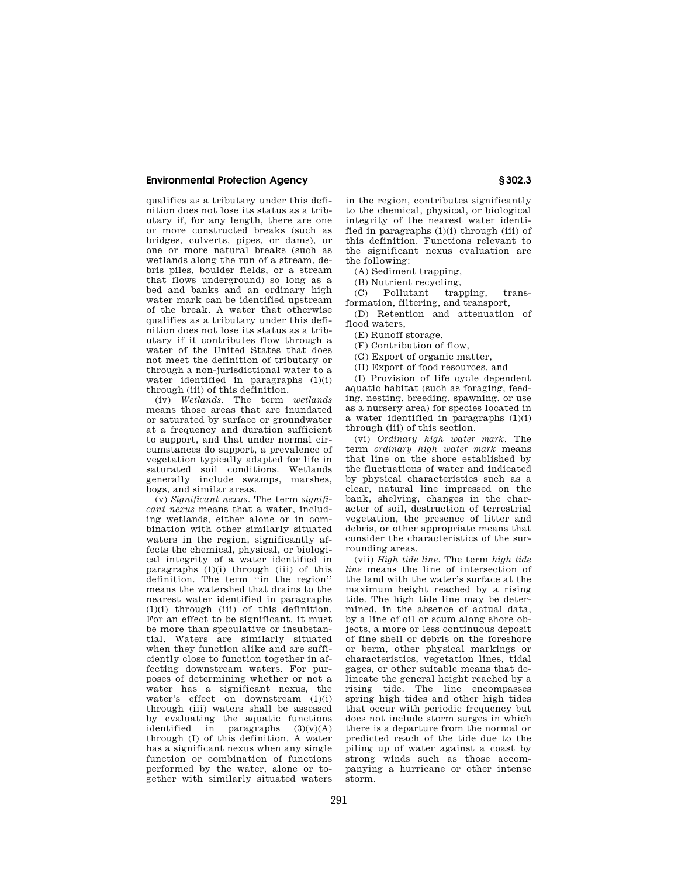qualifies as a tributary under this definition does not lose its status as a tributary if, for any length, there are one or more constructed breaks (such as bridges, culverts, pipes, or dams), or one or more natural breaks (such as wetlands along the run of a stream, debris piles, boulder fields, or a stream that flows underground) so long as a bed and banks and an ordinary high water mark can be identified upstream of the break. A water that otherwise qualifies as a tributary under this definition does not lose its status as a tributary if it contributes flow through a water of the United States that does not meet the definition of tributary or through a non-jurisdictional water to a water identified in paragraphs (1)(i) through (iii) of this definition.

(iv) *Wetlands.* The term *wetlands*  means those areas that are inundated or saturated by surface or groundwater at a frequency and duration sufficient to support, and that under normal circumstances do support, a prevalence of vegetation typically adapted for life in saturated soil conditions. Wetlands generally include swamps, marshes, bogs, and similar areas.

(v) *Significant nexus.* The term *significant nexus* means that a water, including wetlands, either alone or in combination with other similarly situated waters in the region, significantly affects the chemical, physical, or biological integrity of a water identified in paragraphs (1)(i) through (iii) of this definition. The term ''in the region'' means the watershed that drains to the nearest water identified in paragraphs (1)(i) through (iii) of this definition. For an effect to be significant, it must be more than speculative or insubstantial. Waters are similarly situated when they function alike and are sufficiently close to function together in affecting downstream waters. For purposes of determining whether or not a water has a significant nexus, the water's effect on downstream (1)(i) through (iii) waters shall be assessed by evaluating the aquatic functions<br>identified in paragraphs  $(3)(y)(A)$ paragraphs  $(3)(v)(A)$ through (I) of this definition. A water has a significant nexus when any single function or combination of functions performed by the water, alone or together with similarly situated waters

in the region, contributes significantly to the chemical, physical, or biological integrity of the nearest water identified in paragraphs  $(1)(i)$  through  $(iii)$  of this definition. Functions relevant to the significant nexus evaluation are the following:

(A) Sediment trapping,

(B) Nutrient recycling,

(C) Pollutant trapping, transformation, filtering, and transport,

(D) Retention and attenuation of flood waters,

(E) Runoff storage,

(F) Contribution of flow,

(G) Export of organic matter,

(H) Export of food resources, and

(I) Provision of life cycle dependent aquatic habitat (such as foraging, feeding, nesting, breeding, spawning, or use as a nursery area) for species located in a water identified in paragraphs  $(1)(i)$ through (iii) of this section.

(vi) *Ordinary high water mark.* The term *ordinary high water mark* means that line on the shore established by the fluctuations of water and indicated by physical characteristics such as a clear, natural line impressed on the bank, shelving, changes in the character of soil, destruction of terrestrial vegetation, the presence of litter and debris, or other appropriate means that consider the characteristics of the surrounding areas.

(vii) *High tide line.* The term *high tide line* means the line of intersection of the land with the water's surface at the maximum height reached by a rising tide. The high tide line may be determined, in the absence of actual data, by a line of oil or scum along shore objects, a more or less continuous deposit of fine shell or debris on the foreshore or berm, other physical markings or characteristics, vegetation lines, tidal gages, or other suitable means that delineate the general height reached by a rising tide. The line encompasses spring high tides and other high tides that occur with periodic frequency but does not include storm surges in which there is a departure from the normal or predicted reach of the tide due to the piling up of water against a coast by strong winds such as those accompanying a hurricane or other intense storm.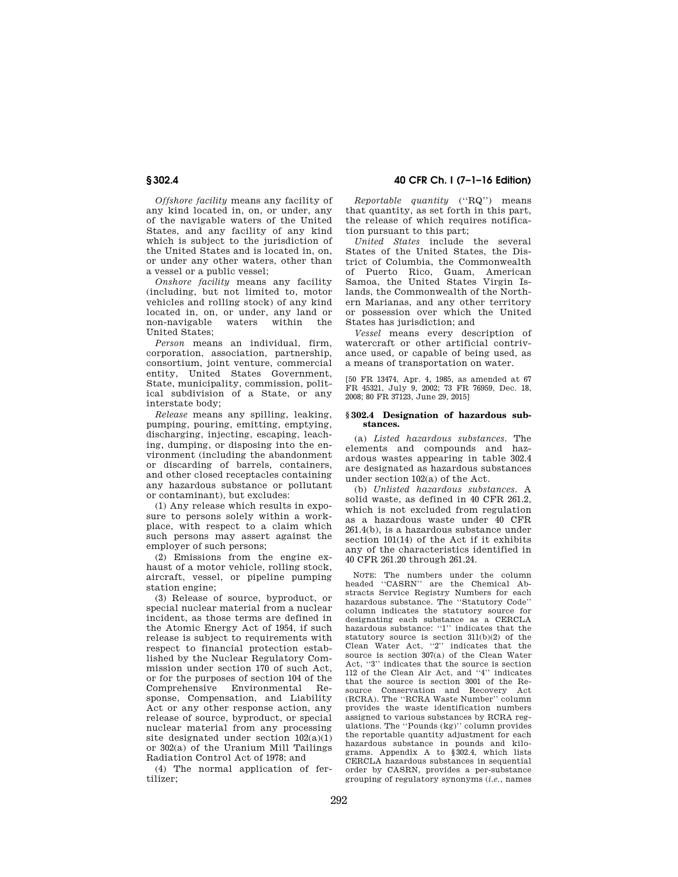*Offshore facility* means any facility of any kind located in, on, or under, any of the navigable waters of the United States, and any facility of any kind which is subject to the jurisdiction of the United States and is located in, on, or under any other waters, other than a vessel or a public vessel;

*Onshore facility* means any facility (including, but not limited to, motor vehicles and rolling stock) of any kind located in, on, or under, any land or waters within the United States;

*Person* means an individual, firm, corporation, association, partnership, consortium, joint venture, commercial entity, United States Government, State, municipality, commission, political subdivision of a State, or any interstate body;

*Release* means any spilling, leaking, pumping, pouring, emitting, emptying, discharging, injecting, escaping, leaching, dumping, or disposing into the environment (including the abandonment or discarding of barrels, containers, and other closed receptacles containing any hazardous substance or pollutant or contaminant), but excludes:

(1) Any release which results in exposure to persons solely within a workplace, with respect to a claim which such persons may assert against the employer of such persons;

(2) Emissions from the engine exhaust of a motor vehicle, rolling stock, aircraft, vessel, or pipeline pumping station engine;

(3) Release of source, byproduct, or special nuclear material from a nuclear incident, as those terms are defined in the Atomic Energy Act of 1954, if such release is subject to requirements with respect to financial protection established by the Nuclear Regulatory Commission under section 170 of such Act, or for the purposes of section 104 of the Comprehensive Environmental Response, Compensation, and Liability Act or any other response action, any release of source, byproduct, or special nuclear material from any processing site designated under section  $102(a)(1)$ or 302(a) of the Uranium Mill Tailings Radiation Control Act of 1978; and

(4) The normal application of fertilizer;

## **§ 302.4 40 CFR Ch. I (7–1–16 Edition)**

*Reportable quantity* (''RQ'') means that quantity, as set forth in this part, the release of which requires notification pursuant to this part;

*United States* include the several States of the United States, the District of Columbia, the Commonwealth of Puerto Rico, Guam, American Samoa, the United States Virgin Islands, the Commonwealth of the Northern Marianas, and any other territory or possession over which the United States has jurisdiction; and

*Vessel* means every description of watercraft or other artificial contrivance used, or capable of being used, as a means of transportation on water.

[50 FR 13474, Apr. 4, 1985, as amended at 67 FR 45321, July 9, 2002; 73 FR 76959, Dec. 18, 2008; 80 FR 37123, June 29, 2015]

### **§ 302.4 Designation of hazardous substances.**

(a) *Listed hazardous substances.* The elements and compounds and hazardous wastes appearing in table 302.4 are designated as hazardous substances under section 102(a) of the Act.

(b) *Unlisted hazardous substances.* A solid waste, as defined in 40 CFR 261.2, which is not excluded from regulation as a hazardous waste under 40 CFR 261.4(b), is a hazardous substance under section 101(14) of the Act if it exhibits any of the characteristics identified in 40 CFR 261.20 through 261.24.

NOTE: The numbers under the column headed ''CASRN'' are the Chemical Abstracts Service Registry Numbers for each hazardous substance. The ''Statutory Code'' column indicates the statutory source for designating each substance as a CERCLA hazardous substance: "1" indicates that the statutory source is section 311(b)(2) of the Clean Water Act, ''2'' indicates that the source is section 307(a) of the Clean Water Act, ''3'' indicates that the source is section 112 of the Clean Air Act, and ''4'' indicates that the source is section 3001 of the Resource Conservation and Recovery Act (RCRA). The ''RCRA Waste Number'' column provides the waste identification numbers assigned to various substances by RCRA regulations. The ''Pounds (kg)'' column provides the reportable quantity adjustment for each hazardous substance in pounds and kilograms. Appendix A to §302.4, which lists CERCLA hazardous substances in sequential order by CASRN, provides a per-substance grouping of regulatory synonyms (*i.e.*, names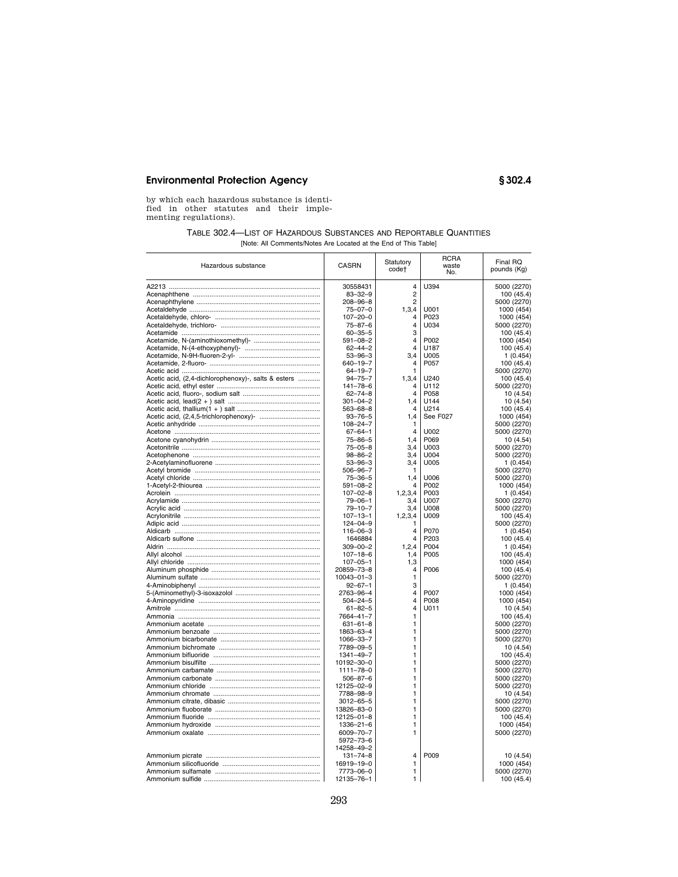by which each hazardous substance is identified in other statutes and their implementing regulations).

### TABLE 302.4—LIST OF HAZARDOUS SUBSTANCES AND REPORTABLE QUANTITIES [Note: All Comments/Notes Are Located at the End of This Table]

Hazardous substance **CASRN** Statutory<br>code† RCRA waste No. Final RQ pounds (Kg) A2213 .................................................................................. 30558431 4 U394 5000 (2270) Acenaphthene ..................................................................... 83–32–9 2 100 (45.4) Acenaphthylene ................................................................... 208–96–8 2 5000 (2270) Acetaldehyde ....................................................................... 75–07–0 1,3,4 U001 1000 (454) Acetaldehyde, chloro- ......................................................... 107–20–0 4 P023 1000 (454) Acetaldehyde, trichloro- ...................................................... 75–87–6 4 U034 5000 (2270) Acetamide ........................................................................... 60–35–5 3 100 (45.4) Acetamide, N-(aminothioxomethyl)- .................................... 591–08–2 4 P002 1000 (454) Acetamide, N-(4-ethoxyphenyl)- ......................................... 62–44–2 4 U187 100 (45.4) Acetamide, N-9H-fluoren-2-yl- ............................................ 53–96–3 3,4 U005 1 (0.454) Acetamide, 2-fluoro- ............................................................ 640–19–7 4 P057 100 (45.4) Acetic acid ........................................................................... 64–19–7 1 5000 (2270) Acetic acid, (2,4-dichlorophenoxy)-, salts & esters ............ 94–75–7 1,3,4 U240 100 (45.4) Acetic acid, ethyl ester ........................................................ 141–78–6 4 U112 5000 (2270) Acetic acid, fluoro-, sodium salt .......................................... 62–74–8 4 P058 10 (4.54) Acetic acid, lead(2 + ) salt .................................................. 301–04–2 1,4 U144 10 (4.54) Acetic acid, thallium(1 + ) salt ............................................. 563–68–8 4 U214 100 (45.4) Acetic acid, (2,4,5-trichlorophenoxy)- ................................. 93–76–5 1,4 See F027 1000 (454) Acetic anhydride .................................................................. 108–24–7 1 5000 (2270) Acetone ............................................................................... 67–64–1 4 U002 5000 (2270) Acetone cyanohydrin ........................................................... 75–86–5 1,4 P069 10 (4.54) Acetonitrile ........................................................................... 75–05–8 3,4 U003 5000 (2270) Acetophenone ..................................................................... 98–86–2 3,4 U004 5000 (2270) 2-Acetylaminofluorene ......................................................... 53–96–3 3,4 U005 1 (0.454) Acetyl bromide .................................................................... 506–96–7 1 5000 (2270) Acetyl chloride ..................................................................... 75–36–5 1,4 U006 5000 (2270) 1-Acetyl-2-thiourea .............................................................. 591–08–2 4 P002 1000 (454) Acrolein ............................................................................... 107–02–8 1,2,3,4 P003 1 (0.454) Acrylamide ........................................................................... 79–06–1 3,4 U007 5000 (2270) Acrylic acid .......................................................................... 79–10–7 3,4 U008 5000 (2270) Acrylonitrile .......................................................................... 107–13–1 1,2,3,4 U009 100 (45.4) Adipic acid ........................................................................... 124–04–9 1 5000 (2270) Aldicarb ............................................................................... 116–06–3 4 P070 1 (0.454) Aldicarb sulfone ................................................................... 1646884 4 P203 100 (45.4) Aldrin ................................................................................... 309–00–2 1,2,4 P004 1 (0.454) Allyl alcohol ......................................................................... 107–18–6 1,4 P005 100 (45.4) Allyl chloride ........................................................................ 107–05–1 1,3 1000 (454) Aluminum phosphide ........................................................... 20859–73–8 4 P006 100 (45.4) Aluminum sulfate ................................................................. 10043–01–3 1 5000 (2270) 4-Aminobiphenyl .................................................................. 92–67–1 3 1 (0.454) 5-(Aminomethyl)-3-isoxazolol .............................................. 2763–96–4 4 P007 1000 (454) 4-Aminopyridine .................................................................. 504–24–5 4 P008 1000 (454) Amitrole ............................................................................... 61–82–5 4 U011 10 (4.54) Ammonia ............................................................................. 7664–41–7 1 100 (45.4) Ammonium acetate ............................................................. 631–61–8 1 5000 (2270) Ammonium benzoate .......................................................... 1863–63–4 1 5000 (2270) Ammonium bicarbonate ...................................................... 1066–33–7 1 5000 (2270) Ammonium bichromate ....................................................... 7789–09–5 1 10 (4.54) Ammonium bifluoride .......................................................... 1341–49–7 1 100 (45.4) Ammonium bisulfilte ............................................................ 10192–30–0 1 5000 (2270) Ammonium carbamate ........................................................ 1111–78–0 1 5000 (2270) Ammonium carbonate ......................................................... 506–87–6 1 5000 (2270) Ammonium chloride ............................................................ 12125–02–9 1 5000 (2270) Ammonium chromate .......................................................... 7788–98–9 1 10 (4.54) Ammonium citrate, dibasic .................................................. 3012–65–5 1 5000 (2270) Ammonium fluoborate ......................................................... 13826–83–0 1 5000 (2270) Ammonium fluoride ............................................................. 12125–01–8 1 100 (45.4) Ammonium hydroxide ......................................................... 1336–21–6 1 1000 (454) ....<br>Ammonium oxalate ... 5972–73–6 14258–49–2 5000 (2270) Ammonium picrate .............................................................. 131–74–8 4 P009 10 (4.54) Ammonium silicofluoride ..................................................... 16919–19–0 1 1000 (454) Ammonium sulfamate ......................................................... 7773–06–0 1 5000 (2270) Ammonium sulfide ............................................................... 12135–76–1 1 100 (45.4)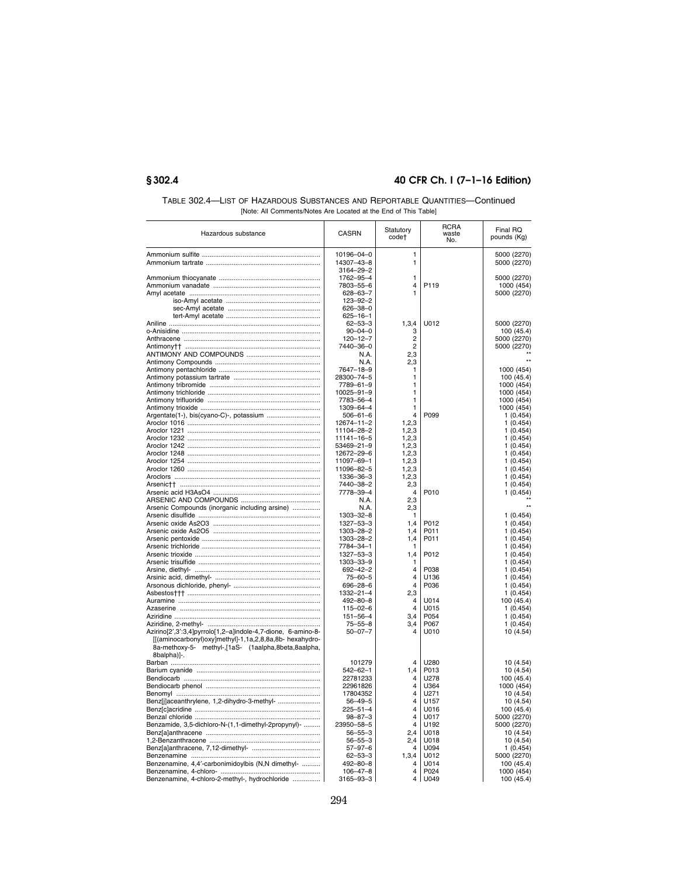| TABLE 302.4—LIST OF HAZARDOUS SUBSTANCES AND REPORTABLE QUANTITIES—Continued |
|------------------------------------------------------------------------------|
| [Note: All Comments/Notes Are Located at the End of This Table]              |

| Hazardous substance                                                                                                     | <b>CASRN</b>                | Statutory<br>code†    | <b>RCRA</b><br>waste<br>No. | Final RQ<br>pounds (Kg)    |
|-------------------------------------------------------------------------------------------------------------------------|-----------------------------|-----------------------|-----------------------------|----------------------------|
|                                                                                                                         | 10196-04-0                  | 1                     |                             | 5000 (2270)                |
|                                                                                                                         | 14307-43-8                  | $\mathbf{1}$          |                             | 5000 (2270)                |
|                                                                                                                         | 3164-29-2                   |                       |                             |                            |
|                                                                                                                         | 1762-95-4                   | 1                     |                             | 5000 (2270)                |
|                                                                                                                         | 7803-55-6                   | $\Delta$              | P119                        | 1000 (454)                 |
|                                                                                                                         | 628-63-7<br>$123 - 92 - 2$  | 1                     |                             | 5000 (2270)                |
|                                                                                                                         | $626 - 38 - 0$              |                       |                             |                            |
|                                                                                                                         | $625 - 16 - 1$              |                       |                             |                            |
|                                                                                                                         | $62 - 53 - 3$               | 1,3,4                 | U012                        | 5000 (2270)                |
|                                                                                                                         | $90 - 04 - 0$               | 3                     |                             | 100 (45.4)                 |
|                                                                                                                         | $120 - 12 - 7$              | $\overline{2}$        |                             | 5000 (2270)                |
|                                                                                                                         | 7440-36-0<br>N.A.           | $\overline{2}$<br>2,3 |                             | 5000 (2270)                |
|                                                                                                                         | N A                         | 2,3                   |                             |                            |
|                                                                                                                         | 7647-18-9                   | 1                     |                             | 1000 (454)                 |
|                                                                                                                         | 28300-74-5                  | 1                     |                             | 100 (45.4)                 |
|                                                                                                                         | 7789-61-9                   | 1                     |                             | 1000 (454)                 |
|                                                                                                                         | 10025-91-9                  | 1                     |                             | 1000 (454)                 |
|                                                                                                                         | 7783-56-4                   | 1                     |                             | 1000 (454)                 |
|                                                                                                                         | 1309-64-4<br>$506 - 61 - 6$ | 1<br>4                | P099                        | 1000 (454)<br>1(0.454)     |
|                                                                                                                         | 12674-11-2                  | 1,2,3                 |                             | 1(0.454)                   |
|                                                                                                                         | 11104-28-2                  | 1,2,3                 |                             | 1(0.454)                   |
|                                                                                                                         | 11141-16-5                  | 1,2,3                 |                             | 1(0.454)                   |
|                                                                                                                         | 53469-21-9                  | 1,2,3                 |                             | 1(0.454)                   |
|                                                                                                                         | 12672-29-6                  | 1,2,3                 |                             | 1(0.454)                   |
|                                                                                                                         | 11097-69-1                  | 1,2,3                 |                             | 1(0.454)                   |
|                                                                                                                         | 11096-82-5<br>1336-36-3     | 1,2,3<br>1,2,3        |                             | 1 (0.454)<br>1(0.454)      |
|                                                                                                                         | 7440-38-2                   | 2,3                   |                             | 1(0.454)                   |
|                                                                                                                         | 7778-39-4                   | 4                     | P010                        | 1(0.454)                   |
|                                                                                                                         | N.A.                        | 2.3                   |                             |                            |
| Arsenic Compounds (inorganic including arsine)                                                                          | N.A.                        | 2,3                   |                             |                            |
|                                                                                                                         | 1303-32-8                   | 1                     |                             | 1(0.454)                   |
|                                                                                                                         | 1327-53-3                   | 1,4                   | P012                        | 1(0.454)                   |
|                                                                                                                         | 1303-28-2<br>1303-28-2      | 1,4<br>1,4            | P011<br>P011                | 1(0.454)<br>1(0.454)       |
|                                                                                                                         | 7784-34-1                   | 1                     |                             | 1(0.454)                   |
|                                                                                                                         | 1327-53-3                   | 1,4                   | P012                        | 1(0.454)                   |
|                                                                                                                         | 1303-33-9                   | 1                     |                             | 1(0.454)                   |
|                                                                                                                         | 692-42-2                    | $\overline{4}$        | P038                        | 1(0.454)                   |
|                                                                                                                         | 75-60-5                     | $\Delta$              | U136                        | 1(0.454)                   |
|                                                                                                                         | 696-28-6<br>1332-21-4       | $\Delta$<br>2,3       | P036                        | 1(0.454)                   |
|                                                                                                                         | $492 - 80 - 8$              | 4                     | U014                        | 1(0.454)<br>100 (45.4)     |
|                                                                                                                         | $115 - 02 - 6$              | $\overline{4}$        | U015                        | 1(0.454)                   |
|                                                                                                                         | $151 - 56 - 4$              | 3.4                   | P054                        | 1(0.454)                   |
|                                                                                                                         | $75 - 55 - 8$               | 3,4                   | P067                        | 1(0.454)                   |
| Azirino[2',3':3,4]pyrrolo[1,2-a]indole-4,7-dione, 6-amino-8-<br>[[(aminocarbonyl)oxy]methyl]-1,1a,2,8,8a,8b- hexahydro- | $50 - 07 - 7$               | 4                     | U010                        | 10 (4.54)                  |
| 8a-methoxy-5- methyl-,[1aS- (1aalpha,8beta,8aalpha,                                                                     |                             |                       |                             |                            |
| 8balpha)]-.                                                                                                             | 101279                      | 4                     | U280                        | 10 (4.54)                  |
|                                                                                                                         | $542 - 62 - 1$              | 1,4                   | P013                        | 10 (4.54)                  |
|                                                                                                                         | 22781233                    | 4                     | U278                        | 100 (45.4)                 |
|                                                                                                                         | 22961826                    | 4                     | U364                        | 1000 (454)                 |
|                                                                                                                         | 17804352                    | 4                     | U271                        | 10(4.54)                   |
| Benz[j]aceanthrylene, 1,2-dihydro-3-methyl-                                                                             | $56 - 49 - 5$               | 4                     | U157                        | 10 (4.54)                  |
|                                                                                                                         | $225 - 51 - 4$              | 4                     | U016                        | 100 (45.4)                 |
| Benzamide, 3,5-dichloro-N-(1,1-dimethyl-2propynyl)-                                                                     | $98 - 87 - 3$<br>23950-58-5 | 4<br>4                | U017<br>U192                | 5000 (2270)<br>5000 (2270) |
|                                                                                                                         | $56 - 55 - 3$               | 2,4                   | U018                        | 10 (4.54)                  |
|                                                                                                                         | $56 - 55 - 3$               | 2,4                   | U018                        | 10 (4.54)                  |
|                                                                                                                         | $57 - 97 - 6$               | 4                     | U094                        | 1 (0.454)                  |
|                                                                                                                         | $62 - 53 - 3$               | 1,3,4                 | U012                        | 5000 (2270)                |
| Benzenamine, 4,4'-carbonimidoylbis (N,N dimethyl-                                                                       | $492 - 80 - 8$              | 4                     | U014                        | 100 (45.4)                 |
|                                                                                                                         | $106 - 47 - 8$              | 4                     | P024                        | 1000 (454)                 |
| Benzenamine, 4-chloro-2-methyl-, hydrochloride                                                                          | 3165-93-3                   | 4                     | U049                        | 100 (45.4)                 |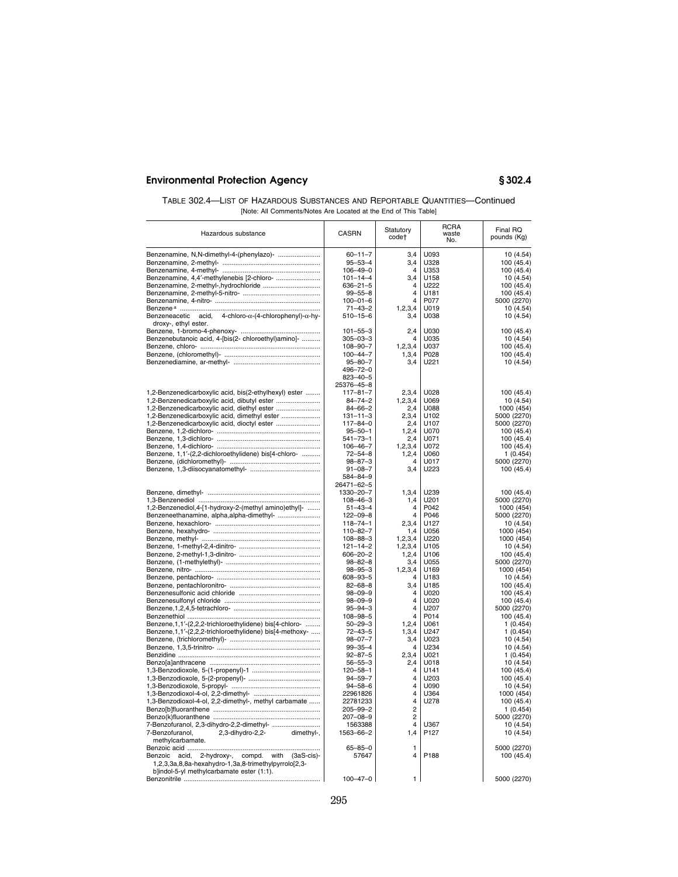| TABLE 302.4—LIST OF HAZARDOUS SUBSTANCES AND REPORTABLE QUANTITIES—Continued |  |
|------------------------------------------------------------------------------|--|
| [Note: All Comments/Notes Are Located at the End of This Table]              |  |

| Hazardous substance                                                                                                   | CASRN                           | Statutory<br>code†               | <b>RCRA</b><br>waste<br>No. | Final RQ<br>pounds (Kg)  |
|-----------------------------------------------------------------------------------------------------------------------|---------------------------------|----------------------------------|-----------------------------|--------------------------|
| Benzenamine, N,N-dimethyl-4-(phenylazo)-                                                                              | $60 - 11 - 7$                   | 3.4                              | U093                        | 10 (4.54)                |
|                                                                                                                       | $95 - 53 - 4$                   | 3,4                              | U328                        | 100 (45.4)               |
|                                                                                                                       | $106 - 49 - 0$                  | $\Delta$                         | U353                        | 100 (45.4)               |
| Benzenamine, 4,4'-methylenebis [2-chloro-                                                                             | $101 - 14 - 4$                  | 3,4                              | U158                        | 10(4.54)                 |
|                                                                                                                       | $636 - 21 - 5$                  | 4                                | U222                        | 100 (45.4)               |
|                                                                                                                       | $99 - 55 - 8$                   | 4                                | U181                        | 100 (45.4)               |
|                                                                                                                       | $100 - 01 - 6$                  | $\overline{4}$                   | P077                        | 5000 (2270)              |
| Benzeneacetic acid, $4\text{-chloro-}\alpha$ - $(4\text{-chlorophenyl})$ - $\alpha$ -hy-                              | $71 - 43 - 2$<br>$510 - 15 - 6$ | 1,2,3,4<br>3,4                   | U019<br>U038                | 10(4.54)<br>10 (4.54)    |
| droxy-, ethyl ester.                                                                                                  |                                 |                                  |                             |                          |
|                                                                                                                       | $101 - 55 - 3$                  | 2,4                              | U030                        | 100 (45.4)               |
| Benzenebutanoic acid, 4-[bis(2- chloroethyl)amino]-                                                                   | $305 - 03 - 3$                  | $\overline{\mathbf{A}}$          | U035                        | 10 (4.54)                |
|                                                                                                                       | $108 - 90 - 7$                  | 1,2,3,4                          | U037                        | 100 (45.4)               |
|                                                                                                                       | $100 - 44 - 7$                  | 1,3,4                            | P028                        | 100 (45.4)               |
|                                                                                                                       | $95 - 80 - 7$                   | 3,4                              | U221                        | 10 (4.54)                |
|                                                                                                                       | 496-72-0                        |                                  |                             |                          |
|                                                                                                                       | $823 - 40 - 5$                  |                                  |                             |                          |
| 1,2-Benzenedicarboxylic acid, bis(2-ethylhexyl) ester                                                                 | 25376-45-8<br>$117 - 81 - 7$    | 2.3.4                            | U028                        | 100 (45.4)               |
| 1,2-Benzenedicarboxylic acid, dibutyl ester                                                                           | $84 - 74 - 2$                   | 1,2,3,4                          | U069                        | 10 (4.54)                |
| 1,2-Benzenedicarboxylic acid, diethyl ester                                                                           | $84 - 66 - 2$                   | 2,4                              | U088                        | 1000 (454)               |
| 1,2-Benzenedicarboxylic acid, dimethyl ester                                                                          | $131 - 11 - 3$                  | 2,3,4                            | U <sub>102</sub>            | 5000 (2270)              |
| 1,2-Benzenedicarboxylic acid, dioctyl ester                                                                           | $117 - 84 - 0$                  | 2,4                              | U <sub>107</sub>            | 5000 (2270)              |
|                                                                                                                       | $95 - 50 - 1$                   | 1,2,4                            | U070                        | 100 (45.4)               |
|                                                                                                                       | 541-73-1                        | 2,4                              | U071                        | 100 (45.4)               |
|                                                                                                                       | $106 - 46 - 7$                  | 1,2,3,4                          | U072                        | 100 (45.4)               |
| Benzene, 1,1'-(2,2-dichloroethylidene) bis[4-chloro-                                                                  | $72 - 54 - 8$                   | 1,2,4                            | U060                        | 1(0.454)                 |
|                                                                                                                       | $98 - 87 - 3$                   | 4                                | U017                        | 5000 (2270)              |
|                                                                                                                       | $91 - 08 - 7$<br>584-84-9       | 3,4                              | U223                        | 100 (45.4)               |
|                                                                                                                       | 26471-62-5                      |                                  |                             |                          |
|                                                                                                                       | 1330-20-7                       | 1,3,4                            | U239                        | 100 (45.4)               |
|                                                                                                                       | $108 - 46 - 3$                  | 1,4                              | U201                        | 5000 (2270)              |
| 1,2-Benzenediol,4-[1-hydroxy-2-(methyl amino)ethyl]-                                                                  | $51 - 43 - 4$                   | 4                                | P042                        | 1000 (454)               |
| Benzeneethanamine, alpha, alpha-dimethyl-                                                                             | $122 - 09 - 8$                  | 4                                | P046                        | 5000 (2270)              |
|                                                                                                                       | $118 - 74 - 1$                  | 2,3,4                            | U127                        | 10 (4.54)                |
|                                                                                                                       | $110 - 82 - 7$                  | 1,4                              | U056                        | 1000 (454)               |
|                                                                                                                       | $108 - 88 - 3$                  | 1, 2, 3, 4                       | U220                        | 1000 (454)               |
|                                                                                                                       | $121 - 14 - 2$                  | 1,2,3,4<br>1,2,4                 | U105<br>U106                | 10 (4.54)<br>100 (45.4)  |
|                                                                                                                       | $606 - 20 - 2$<br>$98 - 82 - 8$ | 3,4                              | U055                        | 5000 (2270)              |
|                                                                                                                       | $98 - 95 - 3$                   | 1, 2, 3, 4                       | U <sub>169</sub>            | 1000 (454)               |
|                                                                                                                       | 608-93-5                        | $\overline{a}$                   | U183                        | 10(4.54)                 |
|                                                                                                                       | $82 - 68 - 8$                   | 3,4                              | U185                        | 100 (45.4)               |
|                                                                                                                       | $98 - 09 - 9$                   | 4                                | U020                        | 100 (45.4)               |
|                                                                                                                       | $98 - 09 - 9$                   | $\overline{4}$                   | U020                        | 100 (45.4)               |
|                                                                                                                       | $95 - 94 - 3$                   | 4                                | U207                        | 5000 (2270)              |
|                                                                                                                       | $108 - 98 - 5$                  | $\overline{4}$                   | P014                        | 100 (45.4)               |
| Benzene, 1, 1'-(2,2,2-trichloroethylidene) bis[4-chloro-<br>Benzene, 1, 1'-(2,2,2-trichloroethylidene) bis[4-methoxy- | $50 - 29 - 3$<br>$72 - 43 - 5$  | 1, 2, 4                          | U061<br>U247                | 1(0.454)                 |
|                                                                                                                       | $98 - 07 - 7$                   | 1,3,4<br>3,4                     | U023                        | 1(0.454)<br>10 (4.54)    |
|                                                                                                                       | $99 - 35 - 4$                   | 4                                | U234                        | 10 (4.54)                |
|                                                                                                                       | $92 - 87 - 5$                   | 2,3,4                            | U021                        | 1(0.454)                 |
|                                                                                                                       | $56 - 55 - 3$                   | 2,4                              | U018                        | 10 (4.54)                |
|                                                                                                                       | $120 - 58 - 1$                  | $\overline{4}$                   | U <sub>141</sub>            | 100 (45.4)               |
|                                                                                                                       | $94 - 59 - 7$                   | $\overline{4}$                   | U203                        | 100 (45.4)               |
|                                                                                                                       | $94 - 58 - 6$                   | $\overline{4}$                   | U090                        | 10 (4.54)                |
|                                                                                                                       | 22961826                        | $\overline{\mathbf{4}}$          | U364                        | 1000 (454)               |
| 1,3-Benzodioxol-4-ol, 2,2-dimethyl-, methyl carbamate                                                                 | 22781233                        | $\overline{4}$<br>$\overline{2}$ | U278                        | 100 (45.4)               |
|                                                                                                                       | $205 - 99 - 2$                  | $\overline{2}$                   |                             | 1(0.454)                 |
| 7-Benzofuranol, 2,3-dihydro-2,2-dimethyl-                                                                             | $207 - 08 - 9$<br>1563388       | $\overline{4}$                   | U367                        | 5000 (2270)<br>10 (4.54) |
| 7-Benzofuranol,<br>2,3-dihydro-2,2- dimethyl-,                                                                        | 1563-66-2                       | 1,4                              | P127                        | 10 (4.54)                |
| methylcarbamate.                                                                                                      |                                 |                                  |                             |                          |
|                                                                                                                       | $65 - 85 - 0$                   | 1                                |                             | 5000 (2270)              |
| Benzoic acid, 2-hydroxy-, compd. with (3aS-cis)-                                                                      | 57647                           | 4                                | P188                        | 100 (45.4)               |
| 1,2,3,3a,8,8a-hexahydro-1,3a,8-trimethylpyrrolo[2,3-                                                                  |                                 |                                  |                             |                          |
| b]indol-5-yl methylcarbamate ester (1:1).                                                                             |                                 |                                  |                             |                          |
|                                                                                                                       | $100 - 47 - 0$                  | 1                                |                             | 5000 (2270)              |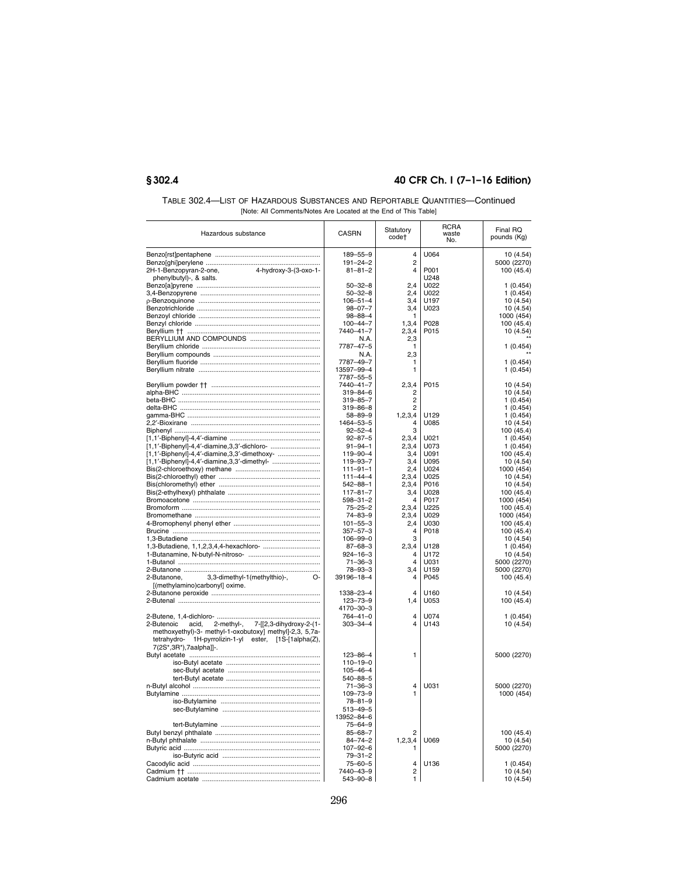| TABLE 302.4—LIST OF HAZARDOUS SUBSTANCES AND REPORTABLE QUANTITIES—Continued |
|------------------------------------------------------------------------------|
| [Note: All Comments/Notes Are Located at the End of This Table]              |

| Hazardous substance                                                                                              | CASRN                           | Statutory<br>code†      | <b>RCRA</b><br>waste<br>No. | Final RQ<br>pounds (Kg)  |
|------------------------------------------------------------------------------------------------------------------|---------------------------------|-------------------------|-----------------------------|--------------------------|
|                                                                                                                  | $189 - 55 - 9$                  | 4                       | U064                        | 10 (4.54)                |
|                                                                                                                  | $191 - 24 - 2$                  | $\overline{c}$          |                             | 5000 (2270)              |
| 4-hydroxy-3-(3-oxo-1-<br>2H-1-Benzopyran-2-one,                                                                  | $81 - 81 - 2$                   | $\overline{4}$          | P001                        | 100 (45.4)               |
| phenylbutyl)-, & salts.                                                                                          |                                 |                         | U248                        |                          |
|                                                                                                                  | $50 - 32 - 8$                   | 2.4                     | U022                        | 1(0.454)                 |
|                                                                                                                  | $50 - 32 - 8$                   | 2,4                     | 11022                       | 1(0.454)                 |
|                                                                                                                  | $106 - 51 - 4$                  | 3,4                     | U <sub>197</sub>            | 10 (4.54)                |
|                                                                                                                  | $98 - 07 - 7$                   | 3,4                     | U023                        | 10 (4.54)                |
|                                                                                                                  | $98 - 88 - 4$<br>$100 - 44 - 7$ | $\mathbf{1}$<br>1,3,4   | P028                        | 1000 (454)<br>100 (45.4) |
|                                                                                                                  | 7440-41-7                       | 2,3,4                   | P015                        | 10 (4.54)                |
|                                                                                                                  | N.A.                            | 2,3                     |                             |                          |
|                                                                                                                  | 7787-47-5                       | 1                       |                             | 1(0.454)                 |
|                                                                                                                  | N.A.                            | 2,3                     |                             |                          |
|                                                                                                                  | 7787-49-7                       | 1                       |                             | 1(0.454)                 |
|                                                                                                                  | 13597-99-4                      | 1                       |                             | 1(0.454)                 |
|                                                                                                                  | 7787-55-5                       |                         |                             |                          |
|                                                                                                                  | 7440-41-7                       | 2,3,4                   | P015                        | 10 (4.54)                |
|                                                                                                                  | 319-84-6                        | 2                       |                             | 10 (4.54)                |
|                                                                                                                  | $319 - 85 - 7$                  | $\overline{c}$          |                             | 1(0.454)                 |
|                                                                                                                  | $319 - 86 - 8$                  | $\overline{2}$          |                             | 1(0.454)                 |
|                                                                                                                  | $58 - 89 - 9$                   | 1,2,3,4                 | U129                        | 1(0.454)                 |
|                                                                                                                  | 1464-53-5                       | 4                       | U085                        | 10 (4.54)                |
|                                                                                                                  | $92 - 52 - 4$                   | 3                       |                             | 100 (45.4)               |
|                                                                                                                  | $92 - 87 - 5$                   | 2,3,4                   | U021                        | 1(0.454)                 |
|                                                                                                                  | $91 - 94 - 1$                   | 2,3,4                   | U073                        | 1(0.454)                 |
| [1,1'-Biphenyl]-4,4'-diamine,3,3'-dimethoxy-                                                                     | 119-90-4<br>119-93-7            | 3,4<br>3,4              | U091<br>U095                | 100 (45.4)<br>10 (4.54)  |
|                                                                                                                  | $111 - 91 - 1$                  | 2,4                     | U024                        | 1000 (454)               |
|                                                                                                                  | $111 - 44 - 4$                  | 2,3,4                   | U025                        | 10 (4.54)                |
|                                                                                                                  | $542 - 88 - 1$                  | 2,3,4                   | P016                        | 10(4.54)                 |
|                                                                                                                  | $117 - 81 - 7$                  | 3,4                     | U028                        | 100 (45.4)               |
|                                                                                                                  | $598 - 31 - 2$                  | 4                       | P017                        | 1000 (454)               |
|                                                                                                                  | $75 - 25 - 2$                   | 2,3,4                   | U225                        | 100 (45.4)               |
|                                                                                                                  | 74-83-9                         | 2,3,4                   | U029                        | 1000 (454)               |
|                                                                                                                  | $101 - 55 - 3$                  | 2,4                     | U030                        | 100 (45.4)               |
|                                                                                                                  | $357 - 57 - 3$                  | 4                       | P018                        | 100 (45.4)               |
|                                                                                                                  | $106 - 99 - 0$                  | з                       |                             | 10(4.54)                 |
|                                                                                                                  | $87 - 68 - 3$                   | 2,3,4                   | U128                        | 1(0.454)                 |
|                                                                                                                  | $924 - 16 - 3$                  | 4                       | U172                        | 10 (4.54)                |
|                                                                                                                  | $71 - 36 - 3$                   | 4                       | U031                        | 5000 (2270)              |
|                                                                                                                  | $78 - 93 - 3$                   | 3,4                     | U159                        | 5000 (2270)              |
| 3,3-dimethyl-1(methylthio)-,<br>2-Butanone,<br>∩-<br>[(methylamino)carbonyl] oxime.                              | 39196-18-4                      | $\overline{4}$          | P045                        | 100 (45.4)               |
|                                                                                                                  | 1338-23-4                       | 4                       | U160                        | 10(4.54)                 |
|                                                                                                                  | $123 - 73 - 9$<br>4170-30-3     | 1,4                     | U053                        | 100 (45.4)               |
|                                                                                                                  | 764-41-0                        | 4                       | U074                        | 1(0.454)                 |
| 2-Butenoic<br>acid,<br>2-methyl-, 7-[[2,3-dihydroxy-2-(1-                                                        | $303 - 34 - 4$                  | 4                       | U143                        | 10 (4.54)                |
| methoxyethyl)-3- methyl-1-oxobutoxy] methyl]-2,3, 5,7a-<br>tetrahydro- 1H-pyrrolizin-1-yl ester, [1S-[1alpha(Z), |                                 |                         |                             |                          |
| 7(2S*,3R*),7aalpha]]-.                                                                                           |                                 |                         |                             |                          |
|                                                                                                                  | $123 - 86 - 4$                  | 1                       |                             | 5000 (2270)              |
|                                                                                                                  | $110 - 19 - 0$                  |                         |                             |                          |
|                                                                                                                  | $105 - 46 - 4$                  |                         |                             |                          |
|                                                                                                                  | 540-88-5                        |                         |                             |                          |
|                                                                                                                  | $71 - 36 - 3$                   | $\overline{4}$          | U031                        | 5000 (2270)              |
|                                                                                                                  | $109 - 73 - 9$                  | 1                       |                             | 1000 (454)               |
|                                                                                                                  | $78 - 81 - 9$                   |                         |                             |                          |
|                                                                                                                  | 513-49-5<br>13952-84-6          |                         |                             |                          |
|                                                                                                                  | $75 - 64 - 9$                   |                         |                             | 100 (45.4)               |
|                                                                                                                  | $85 - 68 - 7$<br>$84 - 74 - 2$  | 1,2,3,4                 | U069                        | 10 (4.54)                |
|                                                                                                                  | $107 - 92 - 6$                  | 1                       |                             | 5000 (2270)              |
|                                                                                                                  | $79 - 31 - 2$                   |                         |                             |                          |
|                                                                                                                  | $75 - 60 - 5$                   | $\overline{\mathbf{A}}$ | U136                        | 1(0.454)                 |
|                                                                                                                  | 7440-43-9                       | $\overline{2}$          |                             | 10 (4.54)                |
|                                                                                                                  | $543 - 90 - 8$                  | $\mathbf{1}$            |                             | 10 (4.54)                |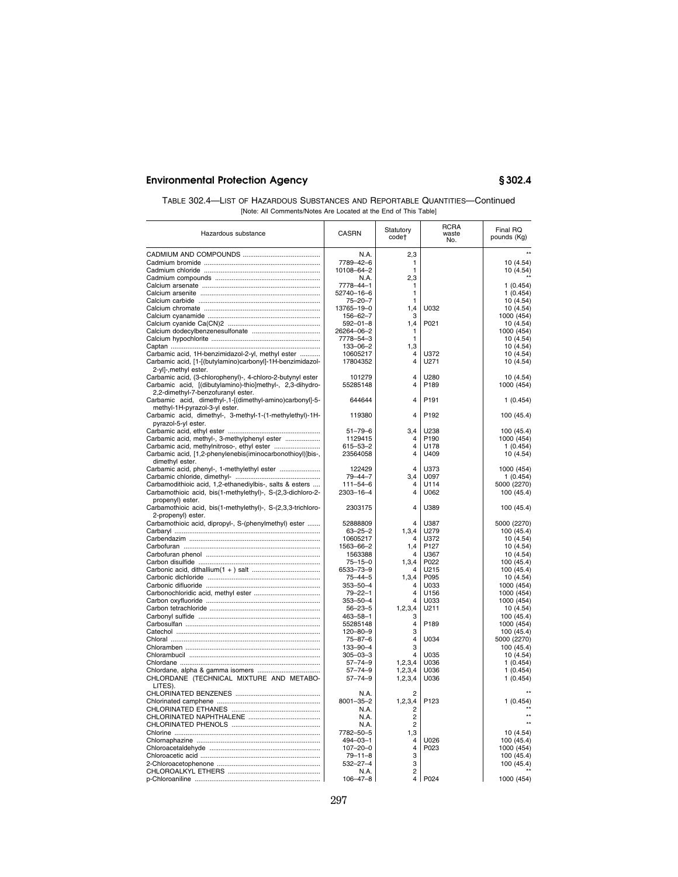| TABLE 302.4—LIST OF HAZARDOUS SUBSTANCES AND REPORTABLE QUANTITIES—Continued |
|------------------------------------------------------------------------------|
| [Note: All Comments/Notes Are Located at the End of This Table]              |

| Hazardous substance                                          | CASRN           | Statutory<br>code†      | <b>RCRA</b><br>waste<br>No. | Final RQ<br>pounds (Kg) |
|--------------------------------------------------------------|-----------------|-------------------------|-----------------------------|-------------------------|
|                                                              | N.A.            | 2,3                     |                             |                         |
|                                                              | 7789-42-6       | 1                       |                             | 10 (4.54)               |
|                                                              | 10108-64-2      | 1                       |                             | 10 (4.54)               |
|                                                              | N.A.            | 2,3                     |                             |                         |
|                                                              | 7778-44-1       | 1                       |                             | 1(0.454)                |
|                                                              | 52740-16-6      | 1                       |                             | 1(0.454)                |
|                                                              | $75 - 20 - 7$   | 1                       |                             | 10 (4.54)               |
|                                                              | 13765-19-0      | 1,4                     | U032                        | 10 (4.54)               |
|                                                              | $156 - 62 - 7$  | 3                       |                             | 1000 (454)              |
|                                                              | $592 - 01 - 8$  | 1,4                     | P021                        | 10 (4.54)               |
|                                                              | 26264-06-2      | $\mathbf{1}$            |                             | 1000 (454)              |
|                                                              | 7778-54-3       | $\mathbf{1}$            |                             | 10 (4.54)               |
|                                                              | 133-06-2        | 1,3                     |                             | 10 (4.54)               |
| Carbamic acid, 1H-benzimidazol-2-yl, methyl ester            | 10605217        | $\overline{4}$          | U372                        | 10 (4.54)               |
| Carbamic acid, [1-[(butylamino)carbonyl]-1H-benzimidazol-    | 17804352        | 4                       | U271                        | 10 (4.54)               |
| 2-yl]-,methyl ester.                                         |                 |                         |                             |                         |
| Carbamic acid, (3-chlorophenyl)-, 4-chloro-2-butynyl ester   | 101279          | $\overline{4}$          | U280                        | 10 (4.54)               |
| Carbamic acid, [(dibutylamino)-thio]methyl-, 2,3-dihydro-    | 55285148        | 4                       | P189                        | 1000 (454)              |
| 2,2-dimethyl-7-benzofuranyl ester.                           |                 |                         |                             |                         |
| Carbamic acid, dimethyl-, 1-[(dimethyl-amino)carbonyl]-5-    | 644644          | 4                       | P191                        | 1(0.454)                |
| methyl-1H-pyrazol-3-yl ester.                                |                 |                         |                             |                         |
| Carbamic acid, dimethyl-, 3-methyl-1-(1-methylethyl)-1H-     | 119380          | $\overline{4}$          | P192                        | 100 (45.4)              |
| pyrazol-5-yl ester.                                          |                 |                         |                             |                         |
|                                                              | $51 - 79 - 6$   | 3,4                     | U238                        | 100 (45.4)              |
| Carbamic acid, methyl-, 3-methylphenyl ester                 | 1129415         | 4                       | P190                        | 1000 (454)              |
|                                                              | $615 - 53 - 2$  | $\overline{4}$          | U178                        | 1(0.454)                |
| Carbamic acid, [1,2-phenylenebis(iminocarbonothioyl)]bis-,   | 23564058        | 4                       | U409                        | 10 (4.54)               |
| dimethyl ester.                                              | 122429          | 4                       | U373                        |                         |
|                                                              | $79 - 44 - 7$   | 3.4                     |                             | 1000 (454)              |
| Carbamodithioic acid, 1,2-ethanediylbis-, salts & esters     | $111 - 54 - 6$  | 4                       | U097<br>U114                | 1(0.454)<br>5000 (2270) |
| Carbamothioic acid, bis(1-methylethyl)-, S-(2,3-dichloro-2-  | 2303-16-4       | 4                       | U062                        | 100 (45.4)              |
| propenyl) ester.                                             |                 |                         |                             |                         |
| Carbamothioic acid, bis(1-methylethyl)-, S-(2,3,3-trichloro- | 2303175         | 4                       | U389                        | 100 (45.4)              |
| 2-propenyl) ester.                                           |                 |                         |                             |                         |
| Carbamothioic acid, dipropyl-, S-(phenylmethyl) ester        | 52888809        | 4                       | U387                        | 5000 (2270)             |
|                                                              | $63 - 25 - 2$   | 1,3,4                   | U279                        | 100 (45.4)              |
|                                                              | 10605217        | 4                       | U372                        | 10 (4.54)               |
|                                                              | 1563-66-2       | 1,4                     | P127                        | 10 (4.54)               |
|                                                              | 1563388         | $\overline{4}$          | U367                        | 10 (4.54)               |
|                                                              | $75 - 15 - 0$   | 1,3,4                   | P022                        | 100 (45.4)              |
|                                                              | 6533-73-9       | 4                       | U215                        | 100 (45.4)              |
|                                                              | $75 - 44 - 5$   | 1,3,4                   | P095                        | 10(4.54)                |
|                                                              | $353 - 50 - 4$  | 4                       | U033                        | 1000 (454)              |
|                                                              | $79 - 22 - 1$   | 4                       | U156                        | 1000 (454)              |
|                                                              | $353 - 50 - 4$  | 4                       | U033                        | 1000 (454)              |
|                                                              | $56 - 23 - 5$   | 1,2,3,4                 | U211                        | 10 (4.54)               |
|                                                              | $463 - 58 - 1$  | з                       |                             | 100 (45.4)              |
|                                                              | 55285148        | $\overline{4}$          | P189                        | 1000 (454)              |
|                                                              | 120-80-9        | 3                       |                             | 100 (45.4)              |
|                                                              | $75 - 87 - 6$   | $\overline{4}$          | U034                        | 5000 (2270)             |
|                                                              | 133-90-4        | 3                       |                             | 100 (45.4)              |
|                                                              | $305 - 03 - 3$  | 4                       | U035                        | 10(4.54)                |
|                                                              | $57 - 74 - 9$   | 1,2,3,4                 | U036                        | 1(0.454)                |
|                                                              | $57 - 74 - 9$   | 1,2,3,4                 | U036                        | 1(0.454)                |
| CHLORDANE (TECHNICAL MIXTURE AND METABO-<br>LITES).          | $57 - 74 - 9$   | 1,2,3,4                 | U036                        | 1(0.454)                |
|                                                              | N.A.            | 2                       |                             |                         |
|                                                              | $8001 - 35 - 2$ | 1,2,3,4                 | P123                        | 1 (0.454)               |
|                                                              | N.A.            | 2                       |                             |                         |
|                                                              | N.A.            | $\overline{2}$          |                             |                         |
|                                                              | N.A.            | $\overline{2}$          |                             |                         |
|                                                              | 7782-50-5       | 1,3                     |                             | 10 (4.54)               |
|                                                              | $494 - 03 - 1$  | $\overline{\mathbf{4}}$ | U026                        | 100 (45.4)              |
|                                                              | $107 - 20 - 0$  | 4                       | P023                        | 1000 (454)              |
|                                                              | $79 - 11 - 8$   | 3                       |                             | 100 (45.4)              |
|                                                              | $532 - 27 - 4$  | 3                       |                             | 100 (45.4)              |
|                                                              | N.A.            | $\overline{c}$          |                             |                         |
|                                                              | $106 - 47 - 8$  | 4                       | P024                        | 1000 (454)              |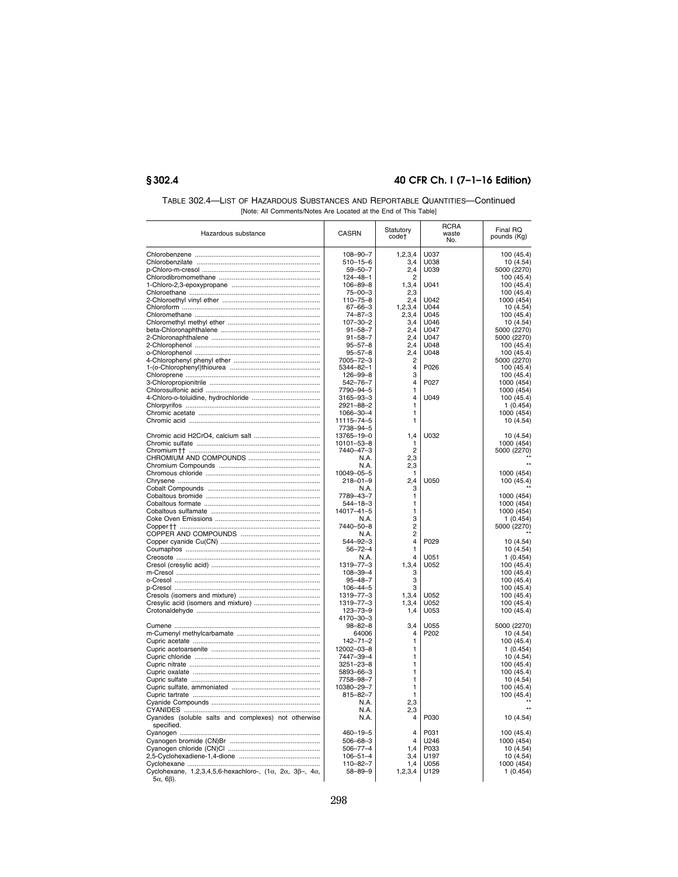| TABLE 302.4—LIST OF HAZARDOUS SUBSTANCES AND REPORTABLE QUANTITIES—Continued |
|------------------------------------------------------------------------------|
| [Note: All Comments/Notes Are Located at the End of This Table]              |

| Hazardous substance                                                              | CASRN           | Statutory<br>code <sup>+</sup> | RCRA<br>waste<br>No. | Final RQ<br>pounds (Kg) |
|----------------------------------------------------------------------------------|-----------------|--------------------------------|----------------------|-------------------------|
|                                                                                  | $108 - 90 - 7$  | 1,2,3,4                        | U037                 | 100 (45.4)              |
|                                                                                  | $510 - 15 - 6$  | 3,4                            | U038                 | 10 (4.54)               |
|                                                                                  | $59 - 50 - 7$   | 2,4                            | U039                 | 5000 (2270)             |
|                                                                                  | $124 - 48 - 1$  | 2                              |                      | 100(45.4)               |
|                                                                                  | $106 - 89 - 8$  | 1,3,4                          | U041                 | 100(45.4)               |
|                                                                                  | $75 - 00 - 3$   | 2,3                            |                      | 100 (45.4)              |
|                                                                                  | $110 - 75 - 8$  | 2.4                            | U042                 | 1000 (454)              |
|                                                                                  | $67 - 66 - 3$   | 1,2,3,4                        |                      | 10 (4.54)               |
|                                                                                  | $74 - 87 - 3$   | 2,3,4                          | U044<br>U045         | 100(45.4)               |
|                                                                                  | $107 - 30 - 2$  | 3,4                            | U046                 | 10 (4.54)               |
|                                                                                  |                 |                                |                      |                         |
|                                                                                  | $91 - 58 - 7$   | 2,4                            | U047                 | 5000 (2270)             |
|                                                                                  | $91 - 58 - 7$   | 2,4                            | U047                 | 5000 (2270)             |
|                                                                                  | $95 - 57 - 8$   | 2,4                            | U048                 | 100 (45.4)              |
|                                                                                  | $95 - 57 - 8$   | 2,4                            | U048                 | 100 (45.4)              |
|                                                                                  | 7005-72-3       | $\overline{2}$                 |                      | 5000 (2270)             |
|                                                                                  | $5344 - 82 - 1$ | $\overline{\mathbf{4}}$        | P026                 | 100 (45.4)              |
|                                                                                  | 126-99-8        | 3                              |                      | 100 (45.4)              |
|                                                                                  | $542 - 76 - 7$  | $\overline{4}$                 | P027                 | 1000 (454)              |
|                                                                                  | 7790-94-5       | $\mathbf{1}$                   |                      | 1000 (454)              |
|                                                                                  | 3165-93-3       | 4                              | U049                 | 100 (45.4)              |
|                                                                                  | $2921 - 88 - 2$ | 1                              |                      | 1(0.454)                |
|                                                                                  | 1066-30-4       | 1                              |                      | 1000 (454)              |
|                                                                                  | 11115-74-5      | 1                              |                      | 10 (4.54)               |
|                                                                                  | 7738-94-5       |                                |                      |                         |
|                                                                                  | 13765-19-0      | 1,4                            | U032                 | 10 (4.54)               |
|                                                                                  | 10101-53-8      | 1                              |                      | 1000 (454)              |
|                                                                                  | 7440-47-3       | $\overline{2}$                 |                      | 5000 (2270)             |
|                                                                                  | N.A.            | 2,3                            |                      |                         |
|                                                                                  | N.A.            | 2,3                            |                      |                         |
|                                                                                  | 10049-05-5      | 1                              |                      | 1000 (454)              |
|                                                                                  | $218 - 01 - 9$  | 2,4                            | U050                 | 100 (45.4)              |
|                                                                                  | N.A.            | 3                              |                      |                         |
|                                                                                  | 7789-43-7       | 1                              |                      | 1000 (454)              |
|                                                                                  | $544 - 18 - 3$  | 1                              |                      | 1000 (454)              |
|                                                                                  | 14017-41-5      | 1                              |                      | 1000 (454)              |
|                                                                                  | N.A.            | 3                              |                      | 1(0.454)                |
|                                                                                  | 7440-50-8       | $\overline{2}$                 |                      | 5000 (2270)             |
|                                                                                  | N.A.            | $\overline{2}$                 |                      |                         |
|                                                                                  | $544 - 92 - 3$  | 4                              | P029                 | 10 (4.54)               |
|                                                                                  | $56 - 72 - 4$   | $\mathbf{1}$                   |                      | 10 (4.54)               |
|                                                                                  | N.A.            | 4                              | U051                 | 1(0.454)                |
|                                                                                  | 1319-77-3       | 1,3,4                          | U052                 | 100 (45.4)              |
|                                                                                  | 108-39-4        | 3                              |                      | 100 (45.4)              |
|                                                                                  | $95 - 48 - 7$   | 3                              |                      | 100(45.4)               |
|                                                                                  | $106 - 44 - 5$  | з                              |                      | 100(45.4)               |
|                                                                                  | 1319-77-3       | 1,3,4                          | U052                 | 100 (45.4)              |
|                                                                                  | 1319-77-3       | 1,3,4                          | U052                 | 100 (45.4)              |
|                                                                                  | 123-73-9        | 1,4                            | U053                 | 100 (45.4)              |
|                                                                                  | 4170-30-3       |                                |                      |                         |
|                                                                                  | $98 - 82 - 8$   | 3,4                            | U055                 | 5000 (2270)             |
|                                                                                  | 64006           | $\overline{4}$                 | P202                 | 10 (4.54)               |
|                                                                                  | $142 - 71 - 2$  | $\mathbf{1}$                   |                      | 100 (45.4)              |
|                                                                                  | 12002-03-8      | 1                              |                      | 1(0.454)                |
|                                                                                  | 7447-39-4       | 1                              |                      | 10 (4.54)               |
|                                                                                  | $3251 - 23 - 8$ | 1                              |                      | 100 (45.4)              |
|                                                                                  | 5893-66-3       | 1                              |                      | 100 (45.4)              |
|                                                                                  | 7758-98-7       | 1                              |                      |                         |
|                                                                                  | 10380-29-7      | 1                              |                      | 10(4.54)<br>100 (45.4)  |
|                                                                                  |                 |                                |                      |                         |
|                                                                                  | $815 - 82 - 7$  | 1                              |                      | 100 (45.4)              |
|                                                                                  | N.A.            | 2,3                            |                      |                         |
|                                                                                  | N.A.            | 2,3                            |                      |                         |
| Cyanides (soluble salts and complexes) not otherwise                             | N.A.            | 4                              | P030                 | 10 (4.54)               |
| specified.                                                                       |                 |                                |                      |                         |
|                                                                                  | $460 - 19 - 5$  | 4                              | P031                 | 100 (45.4)              |
|                                                                                  | $506 - 68 - 3$  | $\overline{4}$                 | U246                 | 1000 (454)              |
|                                                                                  | $506 - 77 - 4$  | 1,4                            | P033                 | 10 (4.54)               |
|                                                                                  | $106 - 51 - 4$  | 3,4                            | U197                 | 10 (4.54)               |
|                                                                                  | $110 - 82 - 7$  | 1,4                            | U056                 | 1000 (454)              |
| Cyclohexane, 1,2,3,4,5,6-hexachloro-, $(1\alpha, 2\alpha, 3\beta$ -, $4\alpha$ , | $58 - 89 - 9$   | 1,2,3,4                        | U129                 | 1(0.454)                |
| $5\alpha$ , $6\beta$ ).                                                          |                 |                                |                      |                         |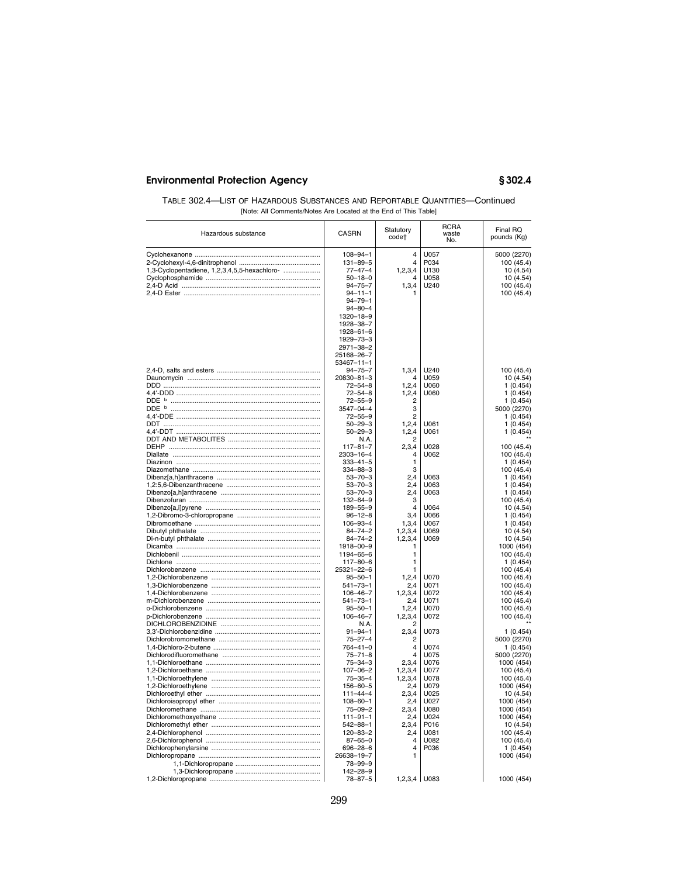| TABLE 302.4—LIST OF HAZARDOUS SUBSTANCES AND REPORTABLE QUANTITIES—Continued |
|------------------------------------------------------------------------------|
| [Note: All Comments/Notes Are Located at the End of This Table]              |

| Hazardous substance                          | <b>CASRN</b>                                                                                                               | Statutory<br>code†                   | <b>RCRA</b><br>waste<br>No.          | Final RQ<br>pounds (Kg)                                                         |
|----------------------------------------------|----------------------------------------------------------------------------------------------------------------------------|--------------------------------------|--------------------------------------|---------------------------------------------------------------------------------|
| 1,3-Cyclopentadiene, 1,2,3,4,5,5-hexachloro- | $108 - 94 - 1$<br>$131 - 89 - 5$<br>$77 - 47 - 4$<br>$50 - 18 - 0$<br>$94 - 75 - 7$<br>$94 - 11 - 1$<br>94–79–1<br>94-80-4 | 4<br>4<br>1,2,3,4<br>4<br>1,3,4<br>1 | U057<br>P034<br>U130<br>U058<br>U240 | 5000 (2270)<br>100 (45.4)<br>10 (4.54)<br>10 (4.54)<br>100 (45.4)<br>100 (45.4) |
|                                              | 1320-18-9<br>1928-38-7<br>$1928 - 61 - 6$<br>1929-73-3<br>2971-38-2<br>25168-26-7<br>$53467 - 11 - 1$                      |                                      |                                      |                                                                                 |
|                                              | $94 - 75 - 7$                                                                                                              | 1,3,4                                | U240                                 | 100 (45.4)                                                                      |
|                                              | 20830-81-3                                                                                                                 | 4                                    | U059                                 | 10 (4.54)                                                                       |
|                                              | 72–54–8                                                                                                                    | 1,2,4                                | U060                                 | 1(0.454)                                                                        |
|                                              | 72–54–8<br>72-55-9                                                                                                         | 1,2,4<br>2                           | U060                                 | 1(0.454)                                                                        |
|                                              | 3547-04-4                                                                                                                  | 3                                    |                                      | 1(0.454)<br>5000 (2270)                                                         |
|                                              | $72 - 55 - 9$                                                                                                              | 2                                    |                                      | 1(0.454)                                                                        |
|                                              | $50 - 29 - 3$                                                                                                              | 1,2,4                                | U061                                 | 1(0.454)                                                                        |
|                                              | $50 - 29 - 3$                                                                                                              | 1,2,4                                | U061                                 | 1(0.454)                                                                        |
|                                              | N.A.                                                                                                                       | 2                                    |                                      |                                                                                 |
|                                              | $117 - 81 - 7$                                                                                                             | 2,3,4                                | U028                                 | 100 (45.4)                                                                      |
|                                              | 2303-16-4<br>$333 - 41 - 5$                                                                                                | 4<br>1                               | U062                                 | 100 (45.4)                                                                      |
|                                              | $334 - 88 - 3$                                                                                                             | 3                                    |                                      | 1(0.454)<br>100 (45.4)                                                          |
|                                              | $53 - 70 - 3$                                                                                                              | 2,4                                  | U063                                 | 1(0.454)                                                                        |
|                                              | $53 - 70 - 3$                                                                                                              | 2,4                                  | U063                                 | 1(0.454)                                                                        |
|                                              | $53 - 70 - 3$                                                                                                              | 2,4                                  | U063                                 | 1(0.454)                                                                        |
|                                              | $132 - 64 - 9$                                                                                                             | 3                                    |                                      | 100 (45.4)                                                                      |
|                                              | 189-55-9                                                                                                                   | $\overline{4}$                       | U064                                 | 10 (4.54)                                                                       |
|                                              | $96 - 12 - 8$                                                                                                              | 3,4                                  | U066                                 | 1(0.454)                                                                        |
|                                              | $106 - 93 - 4$<br>$84 - 74 - 2$                                                                                            | 1,3,4<br>1,2,3,4                     | U067<br>U069                         | 1(0.454)<br>10(4.54)                                                            |
|                                              | $84 - 74 - 2$                                                                                                              | 1,2,3,4                              | U069                                 | 10(4.54)                                                                        |
|                                              | 1918-00-9                                                                                                                  | 1                                    |                                      | 1000 (454)                                                                      |
|                                              | 1194-65-6                                                                                                                  | 1                                    |                                      | 100(45.4)                                                                       |
|                                              | $117 - 80 - 6$                                                                                                             | 1                                    |                                      | 1(0.454)                                                                        |
|                                              | 25321-22-6                                                                                                                 | 1                                    |                                      | 100 (45.4)                                                                      |
|                                              | $95 - 50 - 1$                                                                                                              | 1,2,4                                | U070                                 | 100 (45.4)                                                                      |
|                                              | $541 - 73 - 1$<br>$106 - 46 - 7$                                                                                           | 2,4<br>1,2,3,4                       | U071<br>U072                         | 100 (45.4)<br>100 (45.4)                                                        |
|                                              | $541 - 73 - 1$                                                                                                             | 2,4                                  | U071                                 | 100 (45.4)                                                                      |
|                                              | $95 - 50 - 1$                                                                                                              | 1,2,4                                | U070                                 | 100 (45.4)                                                                      |
|                                              | $106 - 46 - 7$                                                                                                             | 1,2,3,4                              | U072                                 | 100 (45.4)                                                                      |
|                                              | N.A.                                                                                                                       | 2                                    |                                      |                                                                                 |
|                                              | $91 - 94 - 1$                                                                                                              | 2,3,4                                | U073                                 | 1(0.454)                                                                        |
|                                              | $75 - 27 - 4$<br>764-41-0                                                                                                  | $\overline{2}$<br>4                  | U074                                 | 5000 (2270)                                                                     |
|                                              | $75 - 71 - 8$                                                                                                              | 4                                    | U075                                 | 1(0.454)<br>5000 (2270)                                                         |
|                                              | 75-34-3                                                                                                                    | 2,3,4                                | U076                                 | 1000 (454)                                                                      |
|                                              | $107 - 06 - 2$                                                                                                             | 1,2,3,4                              | U077                                 | 100(45.4)                                                                       |
|                                              | $75 - 35 - 4$                                                                                                              | 1,2,3,4                              | U078                                 | 100 (45.4)                                                                      |
|                                              | $156 - 60 - 5$                                                                                                             | 2.4                                  | U079                                 | 1000 (454)                                                                      |
|                                              | $111 - 44 - 4$                                                                                                             | 2,3,4                                | U025                                 | 10 (4.54)                                                                       |
|                                              | $108 - 60 - 1$<br>$75 - 09 - 2$                                                                                            | 2.4                                  | U027                                 | 1000 (454)                                                                      |
|                                              | $111 - 91 - 1$                                                                                                             | 2,3,4<br>2,4                         | U080<br>U024                         | 1000 (454)                                                                      |
|                                              | 542-88-1                                                                                                                   | 2,3,4                                | P016                                 | 1000 (454)<br>10(4.54)                                                          |
|                                              | $120 - 83 - 2$                                                                                                             | 2,4                                  | U081                                 | 100 (45.4)                                                                      |
|                                              | $87 - 65 - 0$                                                                                                              | 4                                    | U082                                 | 100 (45.4)                                                                      |
|                                              | $696 - 28 - 6$                                                                                                             | 4                                    | P036                                 | 1(0.454)                                                                        |
|                                              | 26638-19-7                                                                                                                 | 1                                    |                                      | 1000 (454)                                                                      |
|                                              | 78-99-9                                                                                                                    |                                      |                                      |                                                                                 |
|                                              | 142-28-9                                                                                                                   | 1,2,3,4 U083                         |                                      |                                                                                 |
|                                              | 78-87-5                                                                                                                    |                                      |                                      | 1000 (454)                                                                      |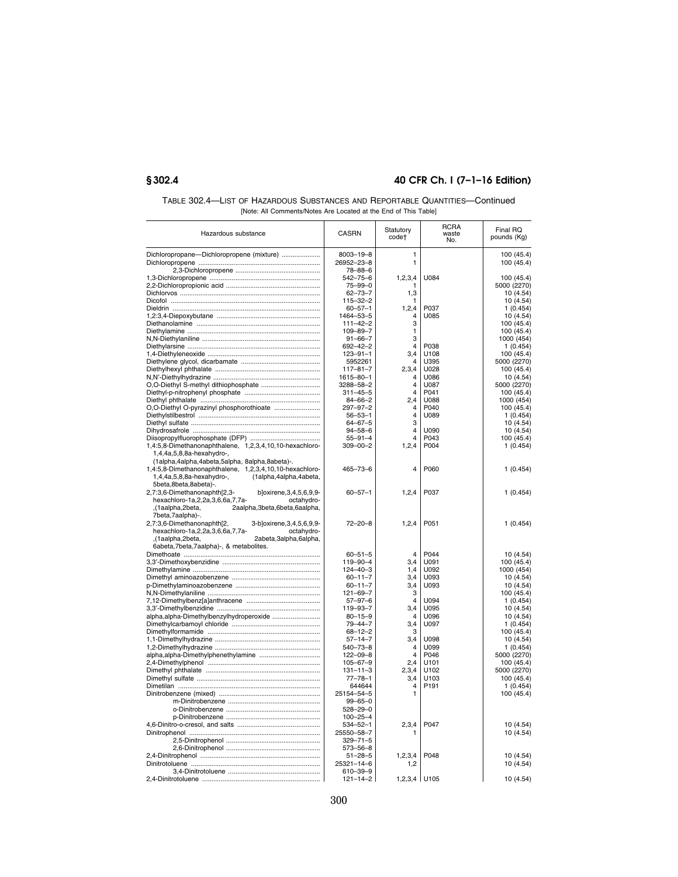| TABLE 302.4—LIST OF HAZARDOUS SUBSTANCES AND REPORTABLE QUANTITIES—Continued |
|------------------------------------------------------------------------------|
| [Note: All Comments/Notes Are Located at the End of This Table]              |

| Hazardous substance                                          | CASRN                            | Statutory<br>code†      | <b>RCRA</b><br>waste<br>No. | Final RQ<br>pounds (Kg)  |
|--------------------------------------------------------------|----------------------------------|-------------------------|-----------------------------|--------------------------|
| Dichloropropane-Dichloropropene (mixture)                    | $8003 - 19 - 8$<br>26952-23-8    | 1<br>1                  |                             | 100 (45.4)<br>100 (45.4) |
|                                                              | 78-88-6                          |                         |                             |                          |
|                                                              | $542 - 75 - 6$                   | 1,2,3,4                 | U084                        | 100 (45.4)               |
|                                                              | 75-99-0                          |                         |                             | 5000 (2270)              |
|                                                              | $62 - 73 - 7$                    | 1,3                     |                             | 10 (4.54)                |
|                                                              | 115-32-2                         | 1                       |                             | 10 (4.54)                |
|                                                              | $60 - 57 - 1$                    | 1,2,4                   | P037                        | 1(0.454)                 |
|                                                              | 1464-53-5                        | $\overline{4}$          | U085                        | 10(4.54)                 |
|                                                              | $111 - 42 - 2$                   | 3                       |                             | 100 (45.4)               |
|                                                              | $109 - 89 - 7$                   | $\mathbf{1}$            |                             | 100 (45.4)               |
|                                                              | $91 - 66 - 7$                    | 3                       |                             | 1000 (454)               |
|                                                              | $692 - 42 - 2$                   | $\overline{\mathbf{4}}$ | P038                        | 1(0.454)                 |
|                                                              | $123 - 91 - 1$                   | 3,4<br>4                | U <sub>108</sub>            | 100 (45.4)               |
|                                                              | 5952261<br>$117 - 81 - 7$        | 2,3,4                   | U395<br>U028                | 5000 (2270)              |
|                                                              | 1615-80-1                        | 4                       | U086                        | 100 (45.4)<br>10 (4.54)  |
|                                                              | 3288-58-2                        | $\overline{4}$          | U087                        | 5000 (2270)              |
|                                                              | $311 - 45 - 5$                   | 4                       | P041                        | 100 (45.4)               |
|                                                              | $84 - 66 - 2$                    | 2,4                     | U088                        | 1000 (454)               |
|                                                              | $297 - 97 - 2$                   | 4                       | P040                        | 100 (45.4)               |
|                                                              | $56 - 53 - 1$                    | $\overline{4}$          | U089                        | 1(0.454)                 |
|                                                              | $64 - 67 - 5$                    | 3                       |                             | 10 (4.54)                |
|                                                              | $94 - 58 - 6$                    | $\overline{4}$          | U090                        | 10 (4.54)                |
|                                                              | $55 - 91 - 4$                    | $\overline{4}$          | P043                        | 100 (45.4)               |
| 1,4:5,8-Dimethanonaphthalene, 1,2,3,4,10,10-hexachloro-      | $309 - 00 - 2$                   | 1,2,4                   | P004                        | 1(0.454)                 |
| 1,4,4a,5,8,8a-hexahydro-,                                    |                                  |                         |                             |                          |
| (1alpha,4alpha,4abeta,5alpha, 8alpha,8abeta)-.               |                                  |                         |                             |                          |
| 1,4:5,8-Dimethanonaphthalene, 1,2,3,4,10,10-hexachloro-      | $465 - 73 - 6$                   | 4                       | P060                        | 1(0.454)                 |
| 1,4,4a,5,8,8a-hexahydro-,<br>(1alpha,4alpha,4abeta,          |                                  |                         |                             |                          |
| 5beta,8beta,8abeta)-.                                        |                                  |                         |                             |                          |
| 2,7:3,6-Dimethanonaphth[2,3-<br>b]oxirene, 3, 4, 5, 6, 9, 9- | $60 - 57 - 1$                    | 1, 2, 4                 | P037                        | 1(0.454)                 |
| hexachloro-1a,2,2a,3,6,6a,7,7a-<br>octahydro-                |                                  |                         |                             |                          |
| ,(1aalpha,2beta,<br>2aalpha, 3beta, 6beta, 6aalpha,          |                                  |                         |                             |                          |
| 7beta, 7aalpha)-.                                            |                                  |                         |                             |                          |
| 3-b]oxirene, 3, 4, 5, 6, 9, 9-<br>2,7:3,6-Dimethanonaphth[2, | $72 - 20 - 8$                    | 1,2,4                   | P051                        | 1(0.454)                 |
| hexachloro-1a,2,2a,3,6,6a,7,7a-<br>octahydro-                |                                  |                         |                             |                          |
| 2abeta,3alpha,6alpha,<br>,(1aalpha,2beta,                    |                                  |                         |                             |                          |
| 6abeta, 7beta, 7aalpha)-, & metabolites.                     | $60 - 51 - 5$                    | 4                       | P044                        |                          |
|                                                              | 119-90-4                         | 3.4                     | U091                        | 10 (4.54)<br>100 (45.4)  |
|                                                              | $124 - 40 - 3$                   | 1,4                     | U092                        | 1000 (454)               |
|                                                              | $60 - 11 - 7$                    | 3,4                     | U093                        | 10 (4.54)                |
|                                                              | $60 - 11 - 7$                    | 3,4                     | U093                        | 10(4.54)                 |
|                                                              | $121 - 69 - 7$                   | 3                       |                             | 100 (45.4)               |
|                                                              | $57 - 97 - 6$                    | $\overline{4}$          | U094                        | 1(0.454)                 |
|                                                              | 119-93-7                         | 3,4                     | U095                        | 10 (4.54)                |
| alpha, alpha-Dimethylbenzylhydroperoxide                     | $80 - 15 - 9$                    | $\overline{4}$          | U096                        | 10 (4.54)                |
|                                                              | $79 - 44 - 7$                    | 3,4                     | U097                        | 1(0.454)                 |
|                                                              | $68 - 12 - 2$                    | з                       |                             | 100 (45.4)               |
|                                                              | $57 - 14 - 7$                    | 3,4                     | U098                        | 10 (4.54)                |
|                                                              | $540 - 73 - 8$                   | 4                       | U099                        | 1(0.454)                 |
|                                                              | $122 - 09 - 8$                   | 4                       | P046                        | 5000 (2270)              |
|                                                              | $105 - 67 - 9$                   | 2,4                     | U101                        | 100 (45.4)               |
|                                                              | $131 - 11 - 3$                   | 2,3,4                   | U102                        | 5000 (2270)              |
|                                                              | $77 - 78 - 1$                    | 3,4                     | U103                        | 100 (45.4)               |
|                                                              | 644644                           | 4                       | P191                        | 1(0.454)                 |
|                                                              | 25154-54-5                       | 1                       |                             | 100 (45.4)               |
|                                                              | $99 - 65 - 0$                    |                         |                             |                          |
|                                                              | $528 - 29 - 0$                   |                         |                             |                          |
|                                                              | $100 - 25 - 4$<br>$534 - 52 - 1$ |                         | P047                        | 10 (4.54)                |
|                                                              | 25550-58-7                       | 2,3,4                   |                             |                          |
|                                                              | $329 - 71 - 5$                   |                         |                             | 10 (4.54)                |
|                                                              | $573 - 56 - 8$                   |                         |                             |                          |
|                                                              | $51 - 28 - 5$                    | 1,2,3,4                 | P048                        | 10 (4.54)                |
|                                                              | 25321-14-6                       | 1,2                     |                             | 10 (4.54)                |
|                                                              | $610 - 39 - 9$                   |                         |                             |                          |
|                                                              | $121 - 14 - 2$                   | 1,2,3,4                 | U105                        | 10 (4.54)                |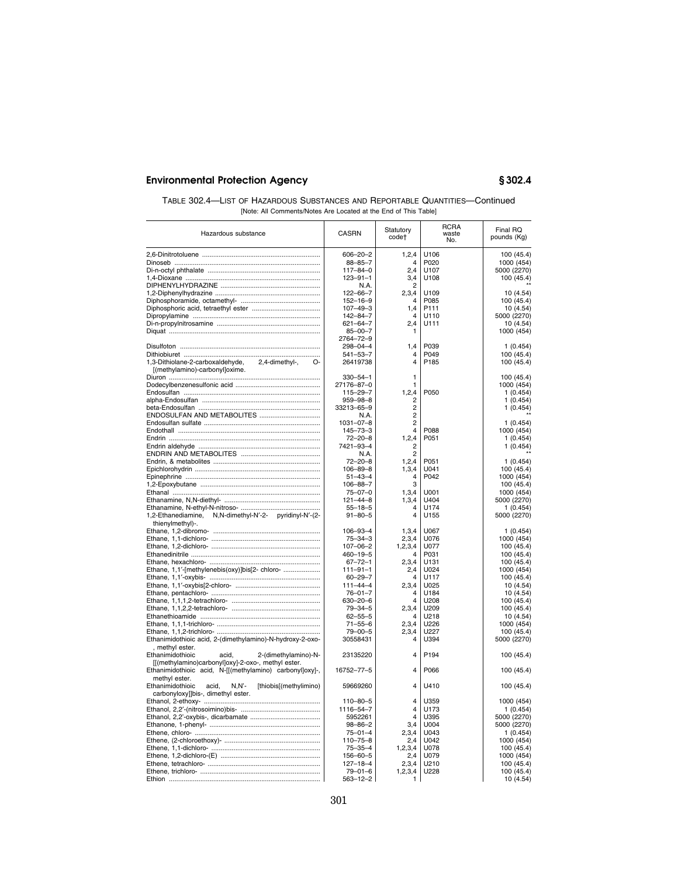| TABLE 302.4—LIST OF HAZARDOUS SUBSTANCES AND REPORTABLE QUANTITIES—Continued |
|------------------------------------------------------------------------------|
| [Note: All Comments/Notes Are Located at the End of This Table]              |

| Hazardous substance                                                                                    | <b>CASRN</b>                      | Statutory<br>code†               | <b>RCRA</b><br>waste<br>No. | Final RQ<br>pounds (Kg)    |
|--------------------------------------------------------------------------------------------------------|-----------------------------------|----------------------------------|-----------------------------|----------------------------|
|                                                                                                        | $606 - 20 - 2$                    | 1,2,4                            | U106                        | 100 (45.4)                 |
|                                                                                                        | $88 - 85 - 7$                     | $\overline{\mathbf{4}}$          | P020                        | 1000 (454)                 |
|                                                                                                        | $117 - 84 - 0$                    | 2,4                              | U107                        | 5000 (2270)                |
|                                                                                                        | $123 - 91 - 1$                    | 3,4                              | U108                        | 100 (45.4)                 |
|                                                                                                        | N.A.                              | $\overline{2}$                   |                             |                            |
|                                                                                                        | $122 - 66 - 7$                    | 2,3,4<br>4                       | U109                        | 10 (4.54)                  |
|                                                                                                        | $152 - 16 - 9$<br>$107 - 49 - 3$  | 1,4                              | P085<br>P111                | 100 (45.4)<br>10 (4.54)    |
|                                                                                                        | $142 - 84 - 7$                    | 4                                | U110                        | 5000 (2270)                |
|                                                                                                        | $621 - 64 - 7$                    | 2,4                              | U111                        | 10 (4.54)                  |
|                                                                                                        | $85 - 00 - 7$                     | 1                                |                             | 1000 (454)                 |
|                                                                                                        | 2764-72-9                         |                                  |                             |                            |
|                                                                                                        | $298 - 04 - 4$                    | 1,4                              | P039                        | 1(0.454)                   |
| 1,3-Dithiolane-2-carboxaldehyde, 2,4-dimethyl-,<br>∩-                                                  | $541 - 53 - 7$<br>26419738        | 4<br>4                           | P049<br>P185                | 100 (45.4)<br>100 (45.4)   |
| [(methylamino)-carbonyl]oxime.                                                                         |                                   |                                  |                             |                            |
|                                                                                                        | $330 - 54 - 1$                    | 1                                |                             | 100 (45.4)                 |
|                                                                                                        | 27176-87-0                        | 1                                |                             | 1000 (454)                 |
|                                                                                                        | 115-29-7                          | 1,2,4                            | P050                        | 1(0.454)                   |
|                                                                                                        | $959 - 98 - 8$                    | 2                                |                             | 1(0.454)                   |
|                                                                                                        | 33213-65-9                        | 2                                |                             | 1(0.454)                   |
| ENDOSULFAN AND METABOLITES                                                                             | N.A.                              | $\overline{2}$<br>$\overline{2}$ |                             |                            |
|                                                                                                        | $1031 - 07 - 8$<br>$145 - 73 - 3$ | $\overline{\mathbf{A}}$          | P088                        | 1(0.454)<br>1000 (454)     |
|                                                                                                        | $72 - 20 - 8$                     | 1,2,4                            | P051                        | 1(0.454)                   |
|                                                                                                        | 7421-93-4                         | 2                                |                             | 1(0.454)                   |
|                                                                                                        | N.A.                              | $\overline{2}$                   |                             |                            |
|                                                                                                        | $72 - 20 - 8$                     | 1,2,4                            | P051                        | 1(0.454)                   |
|                                                                                                        | $106 - 89 - 8$                    | 1,3,4                            | U041                        | 100 (45.4)                 |
|                                                                                                        | $51 - 43 - 4$                     | 4                                | P042                        | 1000 (454)                 |
|                                                                                                        | $106 - 88 - 7$<br>$75 - 07 - 0$   | 3<br>1,3,4                       | U001                        | 100 (45.4)<br>1000 (454)   |
|                                                                                                        | $121 - 44 - 8$                    | 1,3,4                            | U404                        | 5000 (2270)                |
|                                                                                                        | $55 - 18 - 5$                     | 4                                | U174                        | 1(0.454)                   |
| 1,2-Ethanediamine, N,N-dimethyl-N'-2- pyridinyl-N'-(2-<br>thienylmethyl)-.                             | $91 - 80 - 5$                     | 4                                | U155                        | 5000 (2270)                |
|                                                                                                        | $106 - 93 - 4$                    | 1,3,4                            | U067                        | 1(0.454)                   |
|                                                                                                        | $75 - 34 - 3$                     | 2,3,4                            | U076                        | 1000 (454)                 |
|                                                                                                        | $107 - 06 - 2$                    | 1,2,3,4                          | U077                        | 100(45.4)                  |
|                                                                                                        | 460-19-5<br>$67 - 72 - 1$         | 4<br>2,3,4                       | P031<br>U131                | 100 (45.4)<br>100 (45.4)   |
| Ethane, 1,1'-[methylenebis(oxy)]bis[2- chloro-                                                         | $111 - 91 - 1$                    | 2,4                              | U024                        | 1000 (454)                 |
|                                                                                                        | $60 - 29 - 7$                     | 4                                | U117                        | 100 (45.4)                 |
|                                                                                                        | $111 - 44 - 4$                    | 2,3,4                            | U025                        | 10 (4.54)                  |
|                                                                                                        | $76 - 01 - 7$                     | 4                                | U184                        | 10 (4.54)                  |
|                                                                                                        | $630 - 20 - 6$                    | 4                                | U208                        | 100 (45.4)                 |
|                                                                                                        | $79 - 34 - 5$                     | 2,3,4                            | U209                        | 100 (45.4)                 |
|                                                                                                        | $62 - 55 - 5$                     | 4                                | U218                        | 10 (4.54)                  |
|                                                                                                        | $71 - 55 - 6$<br>$79 - 00 - 5$    | 2,3,4<br>2,3,4                   | U226<br>U227                | 1000 (454)<br>100 (45.4)   |
| Ethanimidothioic acid, 2-(dimethylamino)-N-hydroxy-2-oxo-                                              | 30558431                          | 4                                | U394                        | 5000 (2270)                |
| , methyl ester.                                                                                        |                                   |                                  |                             |                            |
| Ethanimidothioic<br>acid,<br>2-(dimethylamino)-N-                                                      | 23135220                          | 4                                | P194                        | 100 (45.4)                 |
| [[(methylamino)carbonyl]oxy]-2-oxo-, methyl ester.                                                     |                                   |                                  |                             |                            |
| Ethanimidothioic acid, N-[[(methylamino) carbonyl]oxy]-,<br>methyl ester.                              | 16752-77-5                        | 4                                | P066                        | 100 (45.4)                 |
| Ethanimidothioic<br>$N, N'$ -<br>[thiobis[(methylimino)<br>acid,<br>carbonyloxy]]bis-, dimethyl ester. | 59669260                          | 4                                | U410                        | 100 (45.4)                 |
|                                                                                                        | $110 - 80 - 5$                    | 4                                | U359                        | 1000 (454)                 |
|                                                                                                        | 1116-54-7                         | 4<br>4                           | U173                        | 1(0.454)                   |
|                                                                                                        | 5952261<br>$98 - 86 - 2$          | 3.4                              | U395<br>U004                | 5000 (2270)<br>5000 (2270) |
|                                                                                                        | $75 - 01 - 4$                     | 2,3,4                            | U043                        | 1(0.454)                   |
|                                                                                                        | $110 - 75 - 8$                    | 2,4                              | U042                        | 1000 (454)                 |
|                                                                                                        | $75 - 35 - 4$                     | 1,2,3,4                          | U078                        | 100 (45.4)                 |
|                                                                                                        | 156-60-5                          | 2,4                              | U079                        | 1000 (454)                 |
|                                                                                                        | $127 - 18 - 4$                    | 2,3,4                            | U210                        | 100 (45.4)                 |
|                                                                                                        | $79 - 01 - 6$                     | 1,2,3,4                          | U228                        | 100 (45.4)                 |
|                                                                                                        | $563 - 12 - 2$                    | 1                                |                             | 10(4.54)                   |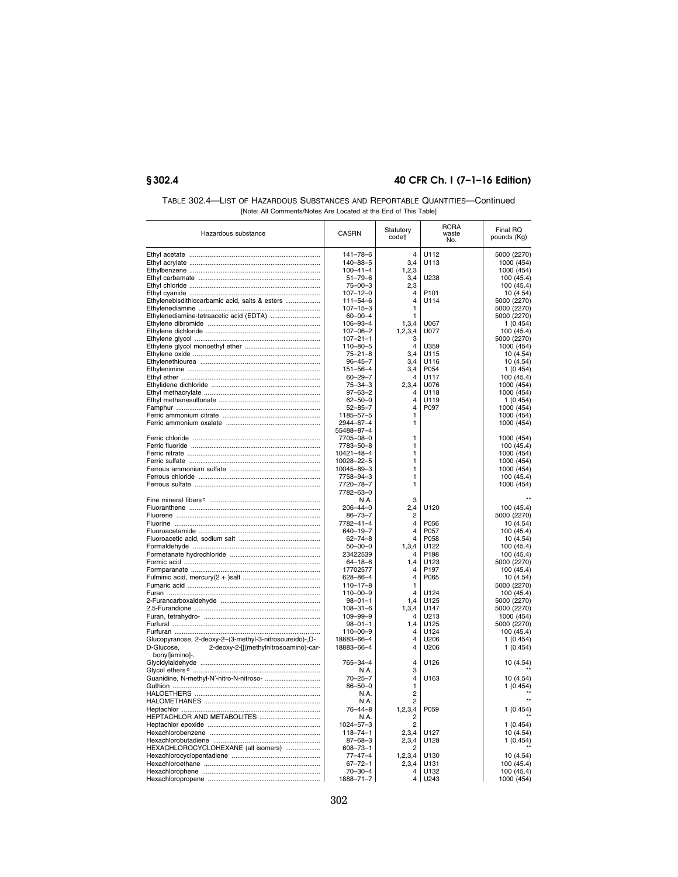| TABLE 302.4—LIST OF HAZARDOUS SUBSTANCES AND REPORTABLE QUANTITIES—Continued |
|------------------------------------------------------------------------------|
| [Note: All Comments/Notes Are Located at the End of This Table]              |

| Hazardous substance                                     | <b>CASRN</b>               | Statutory<br>code†             | <b>RCRA</b><br>waste<br>No. | Final RQ<br>pounds (Kg)   |
|---------------------------------------------------------|----------------------------|--------------------------------|-----------------------------|---------------------------|
|                                                         | $141 - 78 - 6$             | 4                              | U112                        | 5000 (2270)               |
|                                                         | 140-88-5                   | 3,4                            | U113                        | 1000 (454)                |
|                                                         | $100 - 41 - 4$             | 1,2,3                          |                             | 1000 (454)                |
|                                                         | $51 - 79 - 6$              | 3,4                            | U238                        | 100 (45.4)                |
|                                                         | 75-00-3                    | 2,3                            |                             | 100 (45.4)                |
|                                                         | $107 - 12 - 0$             | 4                              | P <sub>101</sub>            | 10 (4.54)                 |
| Ethylenebisdithiocarbamic acid, salts & esters          | $111 - 54 - 6$             | $\overline{\mathbf{A}}$        | U114                        | 5000 (2270)               |
|                                                         | $107 - 15 - 3$             | 1                              |                             | 5000 (2270)               |
|                                                         | $60 - 00 - 4$              | 1                              |                             | 5000 (2270)               |
|                                                         | $106 - 93 - 4$             | 1,3,4                          | U067                        | 1(0.454)                  |
|                                                         | $107 - 06 - 2$             | 1, 2, 3, 4                     | U077                        | 100 (45.4)                |
|                                                         | $107 - 21 - 1$             | 3                              |                             | 5000 (2270)               |
|                                                         | $110 - 80 - 5$             | 4                              | U359                        | 1000 (454)                |
|                                                         | $75 - 21 - 8$              | 3,4                            | U115                        | 10 (4.54)                 |
|                                                         | $96 - 45 - 7$              | 3,4                            | U116                        | 10 (4.54)                 |
|                                                         | $151 - 56 - 4$             | 3,4                            | P054                        | 1(0.454)                  |
|                                                         | $60 - 29 - 7$              | Δ                              | U117                        | 100 (45.4)                |
|                                                         | 75-34-3                    | 2,3,4                          | U076                        | 1000 (454)                |
|                                                         | $97 - 63 - 2$              | 4                              | U118                        | 1000 (454)                |
|                                                         | $62 - 50 - 0$              | 4                              | U119                        | 1(0.454)                  |
|                                                         | $52 - 85 - 7$              | 4                              | P097                        | 1000 (454)                |
|                                                         | 1185-57-5                  | 1                              |                             | 1000 (454)                |
|                                                         | 2944-67-4                  | 1                              |                             | 1000 (454)                |
|                                                         | 55488-87-4                 |                                |                             |                           |
|                                                         | 7705-08-0                  | 1                              |                             | 1000 (454)                |
|                                                         | 7783-50-8                  | 1                              |                             | 100 (45.4)                |
|                                                         | 10421-48-4                 | 1                              |                             | 1000 (454)                |
|                                                         | 10028-22-5                 | 1                              |                             | 1000 (454)                |
|                                                         | 10045-89-3                 | 1                              |                             | 1000 (454)                |
|                                                         | 7758-94-3                  | 1                              |                             | 100 (45.4)                |
|                                                         | 7720-78-7                  | 1                              |                             | 1000 (454)                |
|                                                         | 7782-63-0                  |                                |                             |                           |
|                                                         | N.A.                       | 3                              |                             |                           |
|                                                         | $206 - 44 - 0$             | 2,4                            | U120                        | 100 (45.4)                |
|                                                         | $86 - 73 - 7$              | $\overline{2}$                 |                             | 5000 (2270)               |
|                                                         | 7782-41-4                  | $\overline{\mathbf{4}}$        | P056                        | 10(4.54)                  |
|                                                         | $640 - 19 - 7$             | $\overline{4}$                 | P057                        | 100 (45.4)                |
|                                                         | $62 - 74 - 8$              | 4                              | P058                        | 10 (4.54)                 |
|                                                         | $50 - 00 - 0$              | 1,3,4<br>4                     | U122                        | 100 (45.4)                |
|                                                         | 23422539                   |                                | P198<br>U <sub>123</sub>    | 100 (45.4)                |
|                                                         | $64 - 18 - 6$<br>17702577  | 1,4<br>$\overline{\mathbf{4}}$ | P <sub>197</sub>            | 5000 (2270)               |
|                                                         |                            | 4                              |                             | 100 (45.4)                |
|                                                         | 628-86-4<br>$110 - 17 - 8$ | 1                              | P065                        | 10 (4.54)                 |
|                                                         | $110 - 00 - 9$             | 4                              | U124                        | 5000 (2270)<br>100 (45.4) |
|                                                         | $98 - 01 - 1$              | 1,4                            | U125                        | 5000 (2270)               |
|                                                         | $108 - 31 - 6$             | 1,3,4                          | U147                        | 5000 (2270)               |
|                                                         | $109 - 99 - 9$             | 4                              | U213                        | 1000 (454)                |
|                                                         | $98 - 01 - 1$              | 1,4                            | U125                        | 5000 (2270)               |
|                                                         | 110-00-9                   | 4                              | U124                        | 100 (45.4)                |
| Glucopyranose, 2-deoxy-2-(3-methyl-3-nitrosoureido)-,D- | 18883-66-4                 | 4                              | U206                        | 1(0.454)                  |
| D-Glucose,<br>2-deoxy-2-[[(methylnitrosoamino)-car-     | 18883-66-4                 | 4                              | U206                        | 1(0.454)                  |
| bonyl]amino]-.                                          |                            |                                |                             |                           |
|                                                         | 765-34-4                   | $\overline{4}$                 | U126                        | 10 (4.54)                 |
|                                                         | N.A.                       | 3                              |                             |                           |
| Guanidine, N-methyl-N'-nitro-N-nitroso-                 | $70 - 25 - 7$              | 4                              | U163                        | 10 (4.54)                 |
|                                                         | $86 - 50 - 0$              | $\mathbf{1}$                   |                             | 1(0.454)                  |
|                                                         | N.A.                       | 2                              |                             |                           |
|                                                         | N.A.                       | 2                              |                             |                           |
|                                                         | $76 - 44 - 8$              | 1,2,3,4                        | P059                        | 1(0.454)                  |
| HEPTACHLOR AND METABOLITES                              | N.A.                       | $\overline{2}$                 |                             |                           |
|                                                         | $1024 - 57 - 3$            | 2                              |                             | 1(0.454)                  |
|                                                         | $118 - 74 - 1$             | 2,3,4                          | U127                        | 10 (4.54)                 |
|                                                         | $87 - 68 - 3$              | 2,3,4                          | U128                        | 1 (0.454)                 |
| HEXACHLOROCYCLOHEXANE (all isomers)                     | $608 - 73 - 1$             | $\overline{c}$                 |                             |                           |
|                                                         | $77 - 47 - 4$              | 1, 2, 3, 4                     | U130                        | 10 (4.54)                 |
|                                                         | $67 - 72 - 1$              | 2,3,4                          | U131                        | 100 (45.4)                |
|                                                         | $70 - 30 - 4$              | 4                              | U132                        | 100 (45.4)                |
|                                                         | 1888-71-7                  | 4                              | U243                        | 1000 (454)                |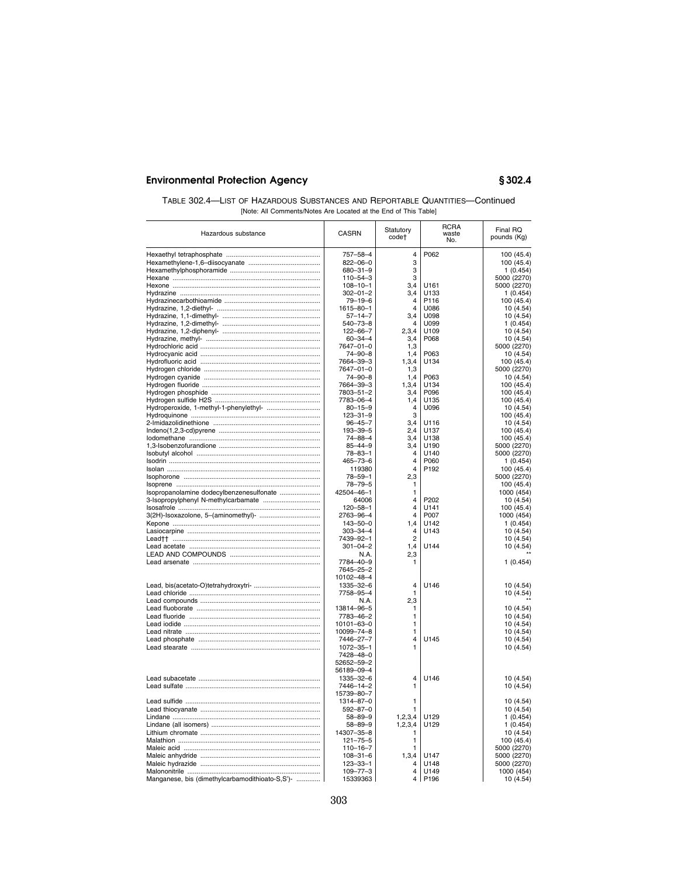| TABLE 302.4—LIST OF HAZARDOUS SUBSTANCES AND REPORTABLE QUANTITIES—Continued |
|------------------------------------------------------------------------------|
| [Note: All Comments/Notes Are Located at the End of This Table]              |

| Hazardous substance                             | CASRN           | Statutory<br>code†      | <b>RCRA</b><br>waste<br>No. | Final RQ<br>pounds (Kg) |
|-------------------------------------------------|-----------------|-------------------------|-----------------------------|-------------------------|
|                                                 | 757-58-4        | 4                       | P062                        | 100 (45.4)              |
|                                                 | 822-06-0        | 3                       |                             | 100 (45.4)              |
|                                                 | 680-31-9        | 3                       |                             | 1(0.454)                |
|                                                 | 110-54-3        | 3                       |                             | 5000 (2270)             |
|                                                 | $108 - 10 - 1$  | 3,4                     | U161                        | 5000 (2270)             |
|                                                 | 302-01-2        | 3,4                     | U133                        | 1(0.454)                |
|                                                 | 79-19-6         | $\Delta$                | P116                        | 100 (45.4)              |
|                                                 | 1615-80-1       | $\overline{\mathbf{4}}$ | U086                        | 10 (4.54)               |
|                                                 | $57 - 14 - 7$   | 3,4                     | U098                        | 10(4.54)                |
|                                                 | 540–73–8        | 4                       | U099                        | 1(0.454)                |
|                                                 | 122-66-7        | 2,3,4                   | U109                        | 10(4.54)                |
|                                                 | $60 - 34 - 4$   | 3,4                     | P068                        | 10 (4.54)               |
|                                                 | 7647-01-0       | 1,3                     |                             | 5000 (2270)             |
|                                                 | $74 - 90 - 8$   | 1,4                     | P063                        | 10(4.54)                |
|                                                 | 7664-39-3       | 1,3,4                   | U134                        | 100 (45.4)              |
|                                                 | 7647-01-0       | 1,3                     |                             | 5000 (2270)             |
|                                                 | $74 - 90 - 8$   | 1,4                     | P063                        | 10 (4.54)               |
|                                                 | 7664-39-3       | 1,3,4                   | U134                        | 100 (45.4)              |
|                                                 | 7803-51-2       | 3,4                     | P096                        | 100 (45.4)              |
|                                                 | 7783-06-4       | 1,4                     | U135                        | 100 (45.4)              |
| Hydroperoxide, 1-methyl-1-phenylethyl-          | $80 - 15 - 9$   | $\overline{4}$          | U096                        | 10 (4.54)               |
|                                                 | $123 - 31 - 9$  | 3                       |                             | 100 (45.4)              |
|                                                 | $96 - 45 - 7$   | 3,4                     | U116                        | 10 (4.54)               |
|                                                 | 193-39-5        | 2,4                     | U137                        | 100 (45.4)              |
|                                                 | 74-88-4         | 3,4                     | U138                        | 100 (45.4)              |
|                                                 | $85 - 44 - 9$   | 3,4                     | U190                        | 5000 (2270)             |
|                                                 | $78 - 83 - 1$   | $\overline{4}$          | U140                        | 5000 (2270)             |
|                                                 | 465-73-6        | $\overline{4}$          | P060                        | 1(0.454)                |
|                                                 | 119380          | 4                       | P <sub>192</sub>            | 100 (45.4)              |
|                                                 | 78-59-1         | 2,3                     |                             | 5000 (2270)             |
|                                                 | 78-79-5         | 1                       |                             | 100 (45.4)              |
| Isopropanolamine dodecylbenzenesulfonate        | 42504-46-1      | 1                       |                             | 1000 (454)              |
|                                                 | 64006           | 4                       | P202                        | 10 (4.54)               |
|                                                 | $120 - 58 - 1$  | $\overline{4}$          | U141                        | 100 (45.4)              |
| 3(2H)-Isoxazolone, 5-(aminomethyl)-             | 2763-96-4       | 4                       | P007                        | 1000 (454)              |
|                                                 | 143-50-0        | 1,4                     | U142                        | 1(0.454)                |
|                                                 | $303 - 34 - 4$  | 4                       | U143                        | 10 (4.54)               |
|                                                 | 7439-92-1       | $\overline{c}$          |                             | 10 (4.54)               |
|                                                 | $301 - 04 - 2$  | 1,4                     | U144                        | 10 (4.54)               |
|                                                 | N.A.            | 2,3                     |                             |                         |
|                                                 | 7784-40-9       | 1                       |                             | 1(0.454)                |
|                                                 | 7645-25-2       |                         |                             |                         |
|                                                 | 10102-48-4      |                         |                             |                         |
|                                                 | 1335-32-6       | 4                       | U146                        | 10 (4.54)               |
|                                                 | 7758-95-4       | 1                       |                             | 10 (4.54)               |
|                                                 | N.A.            | 2,3                     |                             |                         |
|                                                 | 13814-96-5      | 1                       |                             | 10 (4.54)               |
|                                                 | 7783-46-2       | 1                       |                             | 10 (4.54)               |
|                                                 | 10101-63-0      | $\mathbf{1}$            |                             | 10 (4.54)               |
|                                                 | 10099-74-8      | 1                       |                             | 10 (4.54)               |
|                                                 | 7446-27-7       | 4                       | U145                        | 10 (4.54)               |
|                                                 | $1072 - 35 - 1$ | 1                       |                             | 10 (4.54)               |
|                                                 | 7428-48-0       |                         |                             |                         |
|                                                 | 52652-59-2      |                         |                             |                         |
|                                                 | 56189-09-4      |                         |                             |                         |
|                                                 | 1335-32-6       | 4                       | U146                        | 10 (4.54)               |
|                                                 | 7446-14-2       | 1                       |                             | 10 (4.54)               |
|                                                 | 15739-80-7      |                         |                             |                         |
|                                                 | 1314-87-0       | 1                       |                             | 10 (4.54)               |
|                                                 | $592 - 87 - 0$  | 1                       |                             | 10 (4.54)               |
|                                                 | $58 - 89 - 9$   | 1,2,3,4                 | U129                        | 1(0.454)                |
|                                                 | $58 - 89 - 9$   | 1,2,3,4                 | U129                        | 1(0.454)                |
|                                                 | 14307-35-8      | 1                       |                             | 10 (4.54)               |
|                                                 | $121 - 75 - 5$  | 1                       |                             | 100 (45.4)              |
|                                                 | $110 - 16 - 7$  | 1                       |                             | 5000 (2270)             |
|                                                 | $108 - 31 - 6$  | 1,3,4                   | U147                        | 5000 (2270)             |
|                                                 | $123 - 33 - 1$  | 4                       | U148                        | 5000 (2270)             |
|                                                 | $109 - 77 - 3$  | 4                       | U149                        | 1000 (454)              |
| Manganese, bis (dimethylcarbamodithioato-S,S')- | 15339363        | 4                       | P <sub>196</sub>            | 10 (4.54)               |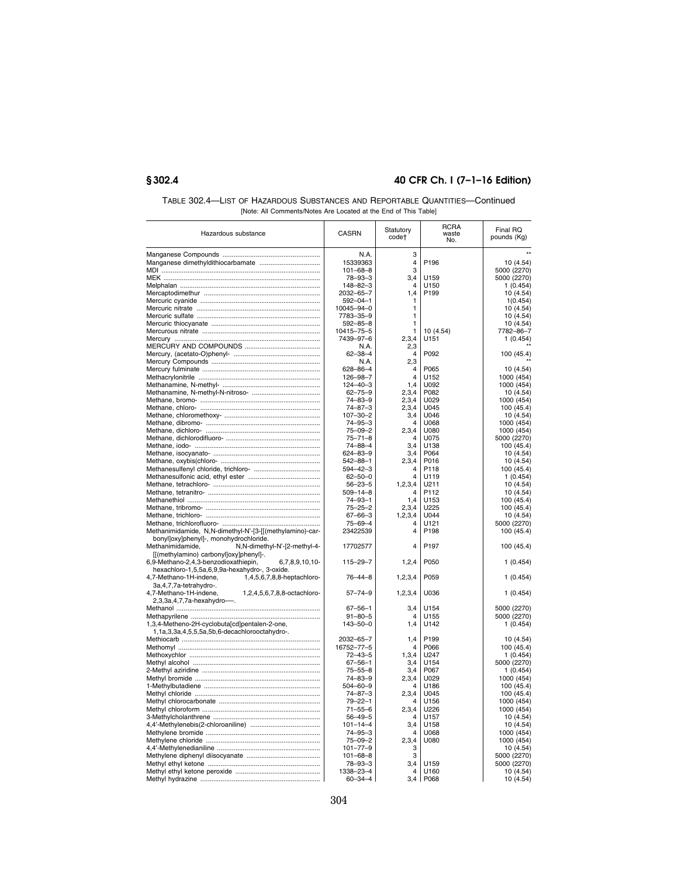| TABLE 302.4—LIST OF HAZARDOUS SUBSTANCES AND REPORTABLE QUANTITIES—Continued |
|------------------------------------------------------------------------------|
| [Note: All Comments/Notes Are Located at the End of This Table]              |

| Hazardous substance                                                                                     | <b>CASRN</b>                    | Statutory<br>code†      | <b>RCRA</b><br>waste<br>No. | Final RQ<br>pounds (Kg) |
|---------------------------------------------------------------------------------------------------------|---------------------------------|-------------------------|-----------------------------|-------------------------|
|                                                                                                         | N.A.                            | З                       |                             |                         |
|                                                                                                         | 15339363                        | 4                       | P196                        | 10 (4.54)               |
|                                                                                                         | $101 - 68 - 8$                  | 3                       |                             | 5000 (2270)             |
|                                                                                                         | 78-93-3                         | 3,4                     | U159                        | 5000 (2270)             |
|                                                                                                         | 148-82-3                        | 4                       | U150                        | 1(0.454)                |
|                                                                                                         | 2032-65-7                       | 1,4                     | P <sub>199</sub>            | 10(4.54)                |
|                                                                                                         | $592 - 04 - 1$                  | 1                       |                             | 1(0.454)                |
|                                                                                                         | 10045-94-0                      | 1                       |                             | 10(4.54)                |
|                                                                                                         | 7783-35-9                       | $\mathbf{1}$            |                             | 10 (4.54)               |
|                                                                                                         | $592 - 85 - 8$                  | 1                       |                             | 10 (4.54)               |
|                                                                                                         | 10415-75-5                      | 1                       | 10 (4.54)                   | 7782-86-7               |
|                                                                                                         | 7439-97-6                       | 2,3,4                   | U151                        | 1(0.454)                |
|                                                                                                         | N.A.                            | 2,3                     |                             |                         |
|                                                                                                         | $62 - 38 - 4$                   | $\overline{4}$          | P092                        | 100 (45.4)              |
|                                                                                                         | N.A.                            | 2,3                     |                             |                         |
|                                                                                                         | 628-86-4                        | 4                       | P065                        | 10 (4.54)               |
|                                                                                                         | $126 - 98 - 7$                  | 4                       | U152                        | 1000 (454)              |
|                                                                                                         | $124 - 40 - 3$<br>$62 - 75 - 9$ | 1,4                     | U092<br>P082                | 1000 (454)              |
|                                                                                                         | $74 - 83 - 9$                   | 2,3,4<br>2,3,4          | U029                        | 10(4.54)<br>1000 (454)  |
|                                                                                                         | $74 - 87 - 3$                   | 2,3,4                   | U045                        | 100 (45.4)              |
|                                                                                                         | $107 - 30 - 2$                  | 3,4                     | U046                        | 10(4.54)                |
|                                                                                                         | $74 - 95 - 3$                   | $\overline{4}$          | U068                        | 1000 (454)              |
|                                                                                                         | $75 - 09 - 2$                   | 2,3,4                   | U080                        | 1000 (454)              |
|                                                                                                         | $75 - 71 - 8$                   | 4                       | U075                        | 5000 (2270)             |
|                                                                                                         | $74 - 88 - 4$                   | 3.4                     | U138                        | 100 (45.4)              |
|                                                                                                         | 624-83-9                        | 3,4                     | P064                        | 10 (4.54)               |
|                                                                                                         | 542-88-1                        | 2,3,4                   | P016                        | 10(4.54)                |
|                                                                                                         | $594 - 42 - 3$                  | 4                       | P <sub>118</sub>            | 100 (45.4)              |
|                                                                                                         | $62 - 50 - 0$                   | 4                       | U119                        | 1(0.454)                |
|                                                                                                         | $56 - 23 - 5$                   | 1,2,3,4                 | U211                        | 10(4.54)                |
|                                                                                                         | $509 - 14 - 8$                  | 4                       | P112                        | 10 (4.54)               |
|                                                                                                         | $74 - 93 - 1$                   | 1,4                     | U153                        | 100 (45.4)              |
|                                                                                                         | $75 - 25 - 2$                   | 2,3,4                   | U225                        | 100 (45.4)              |
|                                                                                                         | $67 - 66 - 3$                   | 1,2,3,4                 | U044                        | 10 (4.54)               |
|                                                                                                         | 75-69-4                         | 4                       | U121                        | 5000 (2270)             |
| Methanimidamide, N,N-dimethyl-N'-[3-[[(methylamino)-car-                                                | 23422539                        | 4                       | P198                        | 100 (45.4)              |
| bonyl]oxy]phenyl]-, monohydrochloride.<br>Methanimidamide,<br>N,N-dimethyl-N'-[2-methyl-4-              | 17702577                        | $\overline{\mathbf{A}}$ | P197                        | 100 (45.4)              |
| [[(methylamino) carbonyl]oxy]phenyl]-.                                                                  |                                 |                         |                             |                         |
| 6,9-Methano-2,4,3-benzodioxathiepin,<br>6,7,8,9,10,10-<br>hexachloro-1,5,5a,6,9,9a-hexahydro-, 3-oxide. | $115 - 29 - 7$                  | 1,2,4                   | P050                        | 1(0.454)                |
| 4,7-Methano-1H-indene,<br>1,4,5,6,7,8,8-heptachloro-<br>3a,4,7,7a-tetrahydro-.                          | 76–44–8                         | 1,2,3,4                 | P059                        | 1 (0.454)               |
| 1,2,4,5,6,7,8,8-octachloro-<br>4,7-Methano-1H-indene,                                                   | $57 - 74 - 9$                   | 1,2,3,4                 | U036                        | 1(0.454)                |
| 2,3,3a,4,7,7a-hexahydro----.                                                                            |                                 |                         |                             |                         |
|                                                                                                         | $67 - 56 - 1$                   | 3,4                     | U154                        | 5000 (2270)             |
|                                                                                                         | $91 - 80 - 5$                   | $\overline{4}$          | U155                        | 5000 (2270)             |
| 1,3,4-Metheno-2H-cyclobuta[cd]pentalen-2-one,<br>1,1a,3,3a,4,5,5,5a,5b,6-decachlorooctahydro-.          | $143 - 50 - 0$                  | 1,4                     | U142                        | 1(0.454)                |
|                                                                                                         | 2032-65-7                       | 1,4                     | P199                        | 10 (4.54)               |
|                                                                                                         | 16752-77-5                      | 4                       | P066                        | 100 (45.4)              |
|                                                                                                         | $72 - 43 - 5$                   | 1,3,4                   | U247                        | 1(0.454)                |
|                                                                                                         | $67 - 56 - 1$                   | 3.4                     | U154<br>P067                | 5000 (2270)             |
|                                                                                                         | $75 - 55 - 8$<br>74-83-9        | 3,4<br>2,3,4            | U029                        | 1(0.454)<br>1000 (454)  |
|                                                                                                         | $504 - 60 - 9$                  | 4                       | U186                        | 100 (45.4)              |
|                                                                                                         | 74-87-3                         | 2,3,4                   | U045                        | 100 (45.4)              |
|                                                                                                         | 79-22-1                         | 4                       | U156                        | 1000 (454)              |
|                                                                                                         | $71 - 55 - 6$                   | 2,3,4                   | U226                        | 1000 (454)              |
|                                                                                                         | $56 - 49 - 5$                   | $\overline{4}$          | U157                        | 10(4.54)                |
|                                                                                                         | $101 - 14 - 4$                  | 3,4                     | U158                        | 10(4.54)                |
|                                                                                                         | $74 - 95 - 3$                   | 4                       | U068                        | 1000 (454)              |
|                                                                                                         | $75 - 09 - 2$                   | 2,3,4                   | U080                        | 1000 (454)              |
|                                                                                                         | $101 - 77 - 9$                  | 3                       |                             | 10 (4.54)               |
|                                                                                                         | $101 - 68 - 8$                  | 3                       |                             | 5000 (2270)             |
|                                                                                                         | 78-93-3                         | 3,4                     | U159                        | 5000 (2270)             |
|                                                                                                         | 1338-23-4                       | 4                       | U160                        | 10 (4.54)               |
|                                                                                                         | $60 - 34 - 4$                   | 3.4 l                   | P068                        | 10 (4.54)               |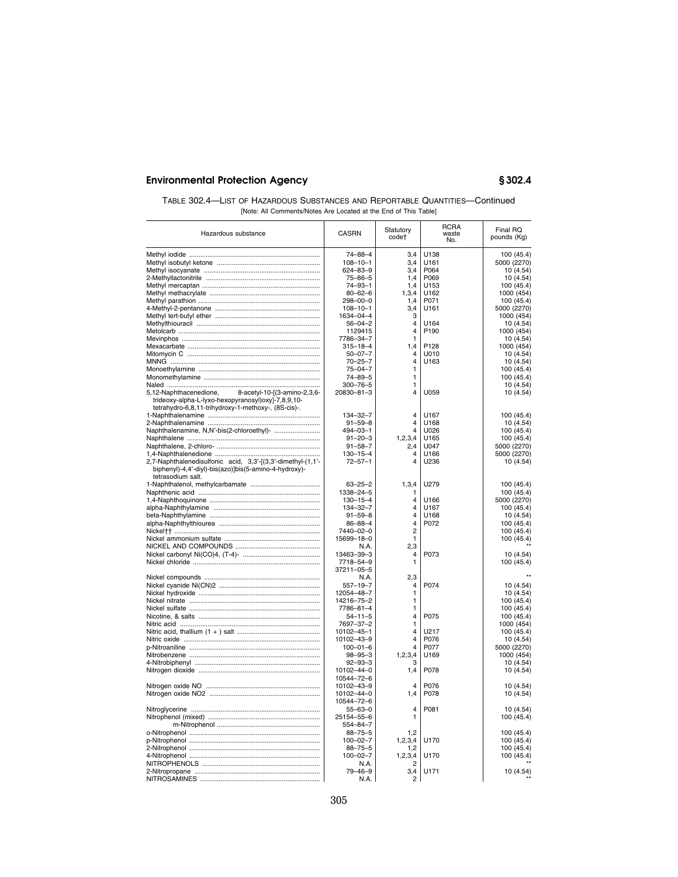| TABLE 302.4—LIST OF HAZARDOUS SUBSTANCES AND REPORTABLE QUANTITIES—Continued |
|------------------------------------------------------------------------------|
| [Note: All Comments/Notes Are Located at the End of This Table]              |

| Hazardous substance                                                                                                                                              | CASRN          | Statutory<br>code†      | <b>RCRA</b><br>waste<br>No. | Final RQ<br>pounds (Kg) |
|------------------------------------------------------------------------------------------------------------------------------------------------------------------|----------------|-------------------------|-----------------------------|-------------------------|
|                                                                                                                                                                  | $74 - 88 - 4$  | 3.4                     | U138                        | 100 (45.4)              |
|                                                                                                                                                                  |                |                         |                             |                         |
|                                                                                                                                                                  | $108 - 10 - 1$ | 3.4                     | U161                        | 5000 (2270)             |
|                                                                                                                                                                  | 624-83-9       | 3,4                     | P064                        | 10 (4.54)               |
|                                                                                                                                                                  | $75 - 86 - 5$  | 1,4                     | P069                        | 10 (4.54)               |
|                                                                                                                                                                  | $74 - 93 - 1$  | 1,4                     | U153                        | 100 (45.4)              |
|                                                                                                                                                                  | $80 - 62 - 6$  | 1,3,4                   | U162                        | 1000 (454)              |
|                                                                                                                                                                  | 298-00-0       | 1,4                     | P071                        | 100 (45.4)              |
|                                                                                                                                                                  | $108 - 10 - 1$ | 3,4                     | U161                        | 5000 (2270)             |
|                                                                                                                                                                  | 1634-04-4      | 3                       |                             | 1000 (454)              |
|                                                                                                                                                                  | $56 - 04 - 2$  | 4                       | U164                        | 10 (4.54)               |
|                                                                                                                                                                  | 1129415        | $\overline{4}$          | P <sub>190</sub>            | 1000 (454)              |
|                                                                                                                                                                  | 7786-34-7      | 1                       |                             | 10 (4.54)               |
|                                                                                                                                                                  | 315-18-4       | 1,4                     | P128                        | 1000 (454)              |
|                                                                                                                                                                  | $50 - 07 - 7$  | 4                       | U010                        | 10(4.54)                |
|                                                                                                                                                                  |                |                         |                             |                         |
|                                                                                                                                                                  | $70 - 25 - 7$  | $\overline{4}$          | U163                        | 10 (4.54)               |
|                                                                                                                                                                  | $75 - 04 - 7$  | 1                       |                             | 100 (45.4)              |
|                                                                                                                                                                  | $74 - 89 - 5$  | 1                       |                             | 100 (45.4)              |
|                                                                                                                                                                  | 300-76-5       | 1                       |                             | 10 (4.54)               |
| 5,12-Naphthacenedione, 8-acetyl-10-[(3-amino-2,3,6-<br>trideoxy-alpha-L-lyxo-hexopyranosyl)oxy]-7,8,9,10-<br>tetrahydro-6,8,11-trihydroxy-1-methoxy-, (8S-cis)-. | 20830-81-3     | 4                       | U059                        | 10 (4.54)               |
|                                                                                                                                                                  | 134-32-7       | 4                       | U167                        | 100 (45.4)              |
|                                                                                                                                                                  | $91 - 59 - 8$  | 4                       | U168                        | 10(4.54)                |
| Naphthalenamine, N,N'-bis(2-chloroethyl)-                                                                                                                        | 494-03-1       | 4                       | U026                        | 100 (45.4)              |
|                                                                                                                                                                  | $91 - 20 - 3$  | 1,2,3,4                 | U165                        | 100 (45.4)              |
|                                                                                                                                                                  |                |                         | U047                        |                         |
|                                                                                                                                                                  | $91 - 58 - 7$  | 2,4                     |                             | 5000 (2270)             |
|                                                                                                                                                                  | $130 - 15 - 4$ | 4                       | U166                        | 5000 (2270)             |
| 2,7-Naphthalenedisulfonic acid, 3,3'-[(3,3'-dimethyl-(1,1'-<br>biphenyl)-4,4'-diyl)-bis(azo)]bis(5-amino-4-hydroxy)-<br>tetrasodium salt.                        | $72 - 57 - 1$  | $\overline{4}$          | U236                        | 10 (4.54)               |
|                                                                                                                                                                  | $63 - 25 - 2$  | 1,3,4                   | U279                        | 100 (45.4)              |
|                                                                                                                                                                  | 1338-24-5      | 1                       |                             | 100 (45.4)              |
|                                                                                                                                                                  | $130 - 15 - 4$ | 4                       | U166                        | 5000 (2270)             |
|                                                                                                                                                                  | $134 - 32 - 7$ | 4                       | U167                        | 100 (45.4)              |
|                                                                                                                                                                  | $91 - 59 - 8$  | 4                       | U168                        | 10(4.54)                |
|                                                                                                                                                                  | $86 - 88 - 4$  | $\overline{\mathbf{4}}$ | P072                        | 100 (45.4)              |
|                                                                                                                                                                  |                | $\overline{2}$          |                             |                         |
|                                                                                                                                                                  | 7440-02-0      |                         |                             | 100 (45.4)              |
|                                                                                                                                                                  | 15699-18-0     | 1                       |                             | 100 (45.4)              |
|                                                                                                                                                                  | N.A.           | 2,3                     |                             |                         |
|                                                                                                                                                                  | 13463-39-3     | 4                       | P073                        | 10 (4.54)               |
|                                                                                                                                                                  | 7718-54-9      | 1                       |                             | 100 (45.4)              |
|                                                                                                                                                                  | 37211-05-5     |                         |                             |                         |
|                                                                                                                                                                  | N.A.           | 2,3                     |                             |                         |
|                                                                                                                                                                  | $557 - 19 - 7$ | $\overline{\mathbf{A}}$ | P074                        | 10 (4.54)               |
|                                                                                                                                                                  | 12054-48-7     | $\mathbf{1}$            |                             | 10 (4.54)               |
|                                                                                                                                                                  | 14216-75-2     | 1                       |                             | 100 (45.4)              |
|                                                                                                                                                                  | 7786-81-4      | 1                       |                             | 100 (45.4)              |
|                                                                                                                                                                  |                | 4                       |                             |                         |
|                                                                                                                                                                  | $54 - 11 - 5$  |                         | P075                        | 100(45.4)               |
|                                                                                                                                                                  | 7697-37-2      | 1                       |                             | 1000 (454)              |
|                                                                                                                                                                  | 10102-45-1     | 4                       | U217                        | 100 (45.4)              |
|                                                                                                                                                                  | 10102-43-9     | 4                       | P076                        | 10 (4.54)               |
|                                                                                                                                                                  | $100 - 01 - 6$ | $\overline{\mathbf{A}}$ | P077                        | 5000 (2270)             |
|                                                                                                                                                                  | $98 - 95 - 3$  | 1,2,3,4                 | U169                        | 1000 (454)              |
|                                                                                                                                                                  | $92 - 93 - 3$  | 3                       |                             | 10 (4.54)               |
|                                                                                                                                                                  | 10102-44-0     | 1,4                     | P078                        | 10 (4.54)               |
|                                                                                                                                                                  | 10544-72-6     |                         |                             |                         |
|                                                                                                                                                                  | 10102-43-9     | $\overline{4}$          | P076                        | 10 (4.54)               |
|                                                                                                                                                                  | 10102-44-0     | 1,4                     | P078                        | 10 (4.54)               |
|                                                                                                                                                                  |                |                         |                             |                         |
|                                                                                                                                                                  | 10544-72-6     |                         |                             |                         |
|                                                                                                                                                                  | $55 - 63 - 0$  | 4                       | P081                        | 10 (4.54)               |
|                                                                                                                                                                  | 25154-55-6     | 1                       |                             | 100 (45.4)              |
|                                                                                                                                                                  | $554 - 84 - 7$ |                         |                             |                         |
|                                                                                                                                                                  | $88 - 75 - 5$  | 1,2                     |                             | 100 (45.4)              |
|                                                                                                                                                                  | $100 - 02 - 7$ | 1,2,3,4                 | U170                        | 100 (45.4)              |
|                                                                                                                                                                  | $88 - 75 - 5$  | 1,2                     |                             | 100 (45.4)              |
|                                                                                                                                                                  | $100 - 02 - 7$ | 1,2,3,4                 | U170                        | 100 (45.4)              |
|                                                                                                                                                                  | N.A.           | 2                       |                             |                         |
|                                                                                                                                                                  | $79 - 46 - 9$  | 3,4                     | U171                        |                         |
|                                                                                                                                                                  |                |                         |                             | 10 (4.54)               |
|                                                                                                                                                                  | N.A.           | 2                       |                             |                         |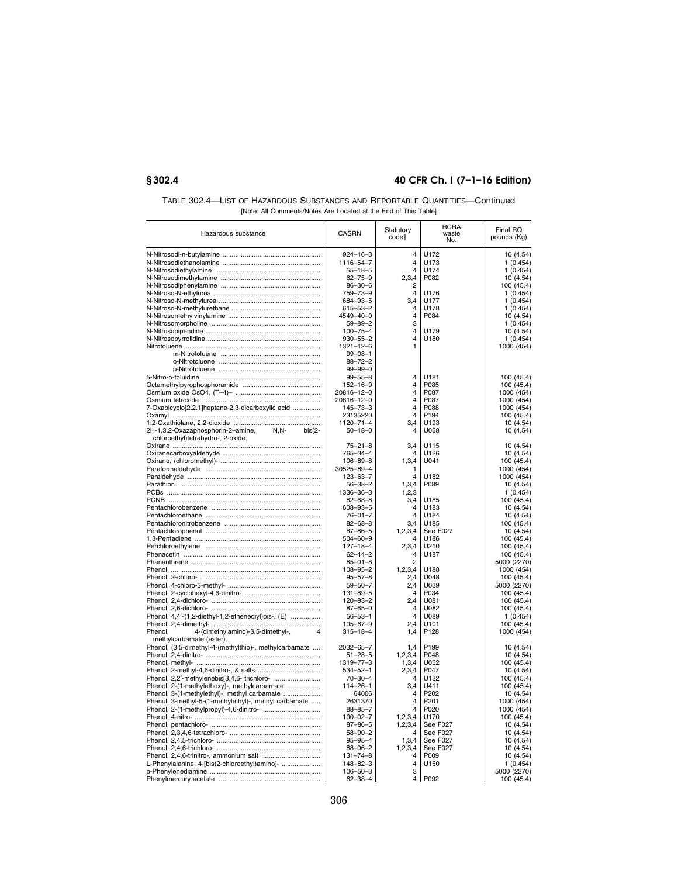| TABLE 302.4—LIST OF HAZARDOUS SUBSTANCES AND REPORTABLE QUANTITIES—Continued |
|------------------------------------------------------------------------------|
| [Note: All Comments/Notes Are Located at the End of This Table]              |

| Hazardous substance                                       | <b>CASRN</b>    | Statutory<br>code†      | <b>RCRA</b><br>waste<br>No. | Final RQ<br>pounds (Kg) |
|-----------------------------------------------------------|-----------------|-------------------------|-----------------------------|-------------------------|
|                                                           | $924 - 16 - 3$  | 4                       | U172                        | 10 (4.54)               |
|                                                           | 1116-54-7       | 4                       | U173                        | 1(0.454)                |
|                                                           | $55 - 18 - 5$   | $\overline{\mathbf{A}}$ | U174                        | 1(0.454)                |
|                                                           | $62 - 75 - 9$   | 2,3,4                   | P082                        | 10(4.54)                |
|                                                           | $86 - 30 - 6$   | 2                       |                             | 100 (45.4)              |
|                                                           | 759-73-9        | 4                       | U176                        | 1(0.454)                |
|                                                           | 684-93-5        | 3,4                     | U177                        | 1(0.454)                |
|                                                           | $615 - 53 - 2$  | 4                       | U178                        | 1(0.454)                |
|                                                           | 4549-40-0       | 4                       | P084                        | 10(4.54)                |
|                                                           | $59 - 89 - 2$   | 3                       |                             | 1(0.454)                |
|                                                           | $100 - 75 - 4$  | 4                       | U179                        | 10 (4.54)               |
|                                                           | $930 - 55 - 2$  | $\overline{\mathbf{4}}$ | U180                        | 1(0.454)                |
|                                                           | $1321 - 12 - 6$ | 1                       |                             | 1000 (454)              |
|                                                           | $99 - 08 - 1$   |                         |                             |                         |
|                                                           | $88 - 72 - 2$   |                         |                             |                         |
|                                                           | $99 - 99 - 0$   |                         |                             |                         |
|                                                           | $99 - 55 - 8$   | 4                       | U181                        | 100 (45.4)              |
|                                                           | $152 - 16 - 9$  | 4                       | P085                        | 100 (45.4)              |
|                                                           | 20816-12-0      | 4                       | P087                        | 1000 (454)              |
|                                                           | 20816-12-0      | $\overline{4}$          | P087                        | 1000 (454)              |
| 7-Oxabicyclo[2.2.1]heptane-2,3-dicarboxylic acid          | $145 - 73 - 3$  | 4                       | P088                        | 1000 (454)              |
|                                                           | 23135220        | 4                       | P194                        | 100 (45.4)              |
|                                                           | 1120-71-4       | 3,4                     | U193                        | 10 (4.54)               |
| $N, N-$<br>2H-1,3,2-Oxazaphosphorin-2-amine,<br>$bis(2 -$ | $50 - 18 - 0$   | 4                       | U058                        | 10 (4.54)               |
| chloroethyl)tetrahydro-, 2-oxide.                         |                 |                         |                             |                         |
|                                                           | $75 - 21 - 8$   | 3,4                     | U115                        | 10 (4.54)               |
|                                                           | 765-34-4        | 4                       | U126                        | 10 (4.54)               |
|                                                           | $106 - 89 - 8$  | 1,3,4                   | U041                        | 100 (45.4)              |
|                                                           | 30525-89-4      | 1                       |                             | 1000 (454)              |
|                                                           | $123 - 63 - 7$  | 4                       | U182                        | 1000 (454)              |
|                                                           | $56 - 38 - 2$   | 1,3,4                   | P089                        | 10 (4.54)               |
|                                                           | 1336-36-3       | 1,2,3                   |                             | 1(0.454)                |
|                                                           | $82 - 68 - 8$   | 3,4                     | U185                        | 100 (45.4)              |
|                                                           | 608-93-5        | 4                       | U183                        | 10(4.54)                |
|                                                           | $76 - 01 - 7$   | $\Delta$                | U184                        | 10 (4.54)               |
|                                                           | $82 - 68 - 8$   | 3,4                     | U185                        | 100 (45.4)              |
|                                                           | $87 - 86 - 5$   | 1,2,3,4                 | See F027                    | 10(4.54)                |
|                                                           | $504 - 60 - 9$  |                         | U186                        | 100 (45.4)              |
|                                                           | $127 - 18 - 4$  | 2,3,4                   | U210                        | 100 (45.4)              |
|                                                           | $62 - 44 - 2$   | 4                       | U187                        | 100 (45.4)              |
|                                                           | $85 - 01 - 8$   | $\overline{2}$          |                             | 5000 (2270)             |
|                                                           | $108 - 95 - 2$  | 1,2,3,4                 | U188                        | 1000 (454)              |
|                                                           | $95 - 57 - 8$   | 2,4                     | U048                        | 100 (45.4)              |
|                                                           | $59 - 50 - 7$   | 2,4                     | U039                        | 5000 (2270)             |
|                                                           | 131-89-5        | 4                       | P034                        | 100 (45.4)              |
|                                                           | $120 - 83 - 2$  | 2,4                     | U081                        | 100 (45.4)              |
|                                                           | $87 - 65 - 0$   | 4                       | U082                        | 100 (45.4)              |
| Phenol, 4,4'-(1,2-diethyl-1,2-ethenediyl)bis-, (E)        | $56 - 53 - 1$   | $\overline{4}$          | U089                        | 1(0.454)                |
|                                                           | $105 - 67 - 9$  | 2.4                     | U <sub>101</sub>            | 100 (45.4)              |
| 4-(dimethylamino)-3,5-dimethyl-,<br>Phenol.               | $315 - 18 - 4$  | 1,4                     | P <sub>128</sub>            | 1000 (454)              |
| methylcarbamate (ester).                                  |                 |                         |                             |                         |
| Phenol, (3,5-dimethyl-4-(methylthio)-, methylcarbamate    | 2032-65-7       | 1,4                     | P199                        | 10 (4.54)               |
|                                                           | $51 - 28 - 5$   | 1,2,3,4                 | P048                        | 10(4.54)                |
|                                                           | 1319-77-3       | 1,3,4                   | U052                        | 100 (45.4)              |
|                                                           | $534 - 52 - 1$  | 2,3,4                   | P047                        | 10 (4.54)               |
|                                                           | $70 - 30 - 4$   | 4                       | U132                        | 100 (45.4)              |
| Phenol, 2-(1-methylethoxy)-, methylcarbamate              | $114 - 26 - 1$  | 3,4                     | U411                        | 100 (45.4)              |
| Phenol, 3-(1-methylethyl)-, methyl carbamate              | 64006           | 4                       | P202                        | 10(4.54)                |
| Phenol, 3-methyl-5-(1-methylethyl)-, methyl carbamate     | 2631370         | 4                       | P201                        | 1000 (454)              |
|                                                           | $88 - 85 - 7$   | 4                       | P020                        | 1000 (454)              |
|                                                           | $100 - 02 - 7$  | 1, 2, 3, 4              | U170                        | 100 (45.4)              |
|                                                           | $87 - 86 - 5$   | 1, 2, 3, 4              | See F027                    | 10 (4.54)               |
|                                                           |                 | 4                       | See F027                    | 10 (4.54)               |
|                                                           | $58 - 90 - 2$   |                         |                             |                         |
|                                                           | $95 - 95 - 4$   | 1,3,4                   | See F027                    | 10 (4.54)               |
|                                                           | $88 - 06 - 2$   | 1,2,3,4                 | See F027                    | 10 (4.54)               |
|                                                           | $131 - 74 - 8$  | 4                       | P009                        | 10 (4.54)               |
| L-Phenylalanine, 4-[bis(2-chloroethyl)amino]-             | $148 - 82 - 3$  | 4                       | U150                        | 1(0.454)                |
|                                                           | $106 - 50 - 3$  | 3                       |                             | 5000 (2270)             |
|                                                           | $62 - 38 - 4$   | 4                       | P092                        | 100 (45.4)              |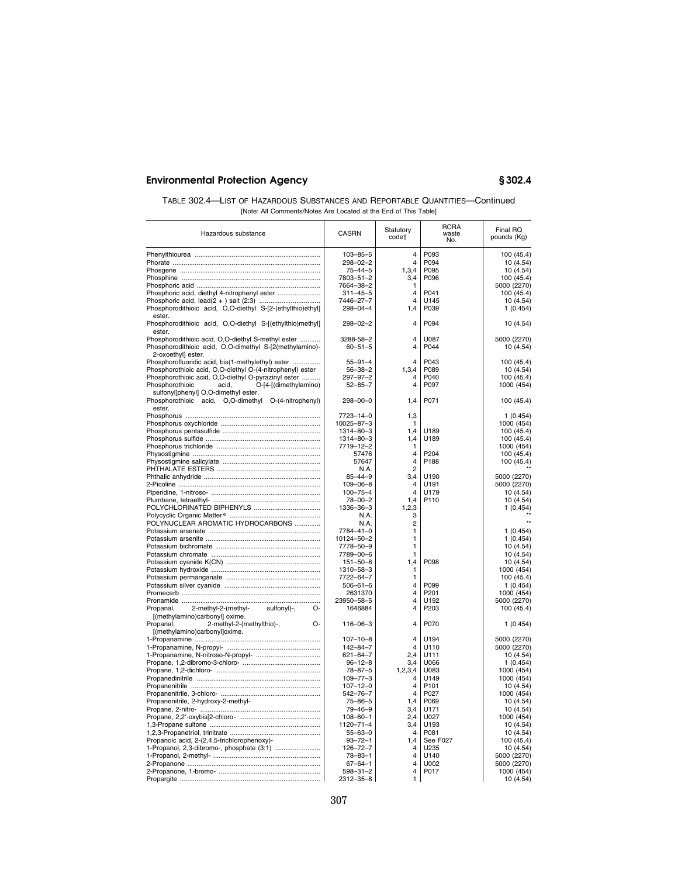| TABLE 302.4—LIST OF HAZARDOUS SUBSTANCES AND REPORTABLE QUANTITIES—Continued |
|------------------------------------------------------------------------------|
| [Note: All Comments/Notes Are Located at the End of This Table]              |

| Hazardous substance                                                 | CASRN           | Statutory<br>code†      | <b>RCRA</b><br>waste<br>No. | Final RQ<br>pounds (Kg) |
|---------------------------------------------------------------------|-----------------|-------------------------|-----------------------------|-------------------------|
|                                                                     | $103 - 85 - 5$  | 4                       | P093                        | 100 (45.4)              |
|                                                                     | 298-02-2        | $\overline{4}$          | P094                        | 10(4.54)                |
|                                                                     | $75 - 44 - 5$   | 1,3,4                   | P095                        | 10 (4.54)               |
|                                                                     | 7803-51-2       | 3,4                     | P096                        |                         |
|                                                                     |                 | 1                       |                             | 100 (45.4)              |
|                                                                     | 7664-38-2       |                         |                             | 5000 (2270)             |
| Phosphoric acid, diethyl 4-nitrophenyl ester                        | $311 - 45 - 5$  | $\overline{4}$          | P041                        | 100 (45.4)              |
|                                                                     | 7446-27-7       | $\overline{\mathbf{4}}$ | U145                        | 10 (4.54)               |
| Phosphorodithioic acid, O,O-diethyl S-[2-(ethylthio)ethyl]          | 298-04-4        | 1,4                     | P039                        | 1(0.454)                |
| ester.<br>Phosphorodithioic acid, O,O-diethyl S-[(ethylthio)methyl] | $298 - 02 - 2$  | 4                       | P094                        | 10 (4.54)               |
| ester.                                                              |                 |                         |                             |                         |
| Phosphorodithioic acid, O,O-diethyl S-methyl ester                  | 3288-58-2       | 4                       | U087                        | 5000 (2270)             |
| Phosphorodithioic acid, O,O-dimethyl S-[2(methylamino)-             | $60 - 51 - 5$   | 4                       | P044                        | 10 (4.54)               |
| 2-oxoethyl] ester.                                                  |                 |                         |                             |                         |
| Phosphorofluoridic acid, bis(1-methylethyl) ester                   | $55 - 91 - 4$   | 4                       | P043                        | 100 (45.4)              |
| Phosphorothioic acid, O,O-diethyl O-(4-nitrophenyl) ester           | $56 - 38 - 2$   | 1,3,4                   | P089                        | 10 (4.54)               |
| Phosphorothioic acid, O,O-diethyl O-pyrazinyl ester                 | 297-97-2        | 4                       | P040                        | 100 (45.4)              |
| O-[4-[(dimethylamino)<br>Phosphorothioic<br>acid,                   | $52 - 85 - 7$   | 4                       | P097                        | 1000 (454)              |
| sulfonyl]phenyl] O,O-dimethyl ester.                                |                 |                         |                             |                         |
| Phosphorothioic acid, O,O-dimethyl O-(4-nitrophenyl)<br>ester.      | 298-00-0        | 1,4                     | P071                        | 100 (45.4)              |
|                                                                     | 7723-14-0       | 1,3                     |                             | 1(0.454)                |
|                                                                     | 10025-87-3      | 1                       |                             | 1000 (454)              |
|                                                                     | 1314-80-3       | 1.4                     | U189                        | 100 (45.4)              |
|                                                                     | 1314-80-3       | 1,4                     | U189                        | 100 (45.4)              |
|                                                                     | 7719-12-2       | 1                       |                             | 1000 (454)              |
|                                                                     | 57476           | $\overline{4}$          | P204                        | 100 (45.4)              |
|                                                                     |                 | $\overline{\mathbf{4}}$ |                             |                         |
|                                                                     | 57647           | $\overline{2}$          | P188                        | 100 (45.4)              |
|                                                                     | N.A.            |                         |                             |                         |
|                                                                     | $85 - 44 - 9$   | 3,4                     | U190                        | 5000 (2270)             |
|                                                                     | $109 - 06 - 8$  | 4                       | U191                        | 5000 (2270)             |
|                                                                     | $100 - 75 - 4$  | $\overline{4}$          | U179                        | 10 (4.54)               |
|                                                                     | $78 - 00 - 2$   | 1,4                     | P110                        | 10 (4.54)               |
|                                                                     | 1336-36-3       | 1,2,3                   |                             | 1(0.454)                |
|                                                                     | N.A.            | 3                       |                             |                         |
| POLYNUCLEAR AROMATIC HYDROCARBONS                                   | N.A.            | $\overline{c}$          |                             |                         |
|                                                                     | 7784-41-0       | 1                       |                             | 1(0.454)                |
|                                                                     | 10124-50-2      | 1                       |                             | 1(0.454)                |
|                                                                     | 7778-50-9       | 1                       |                             | 10(4.54)                |
|                                                                     | 7789-00-6       | 1                       |                             | 10(4.54)                |
|                                                                     | $151 - 50 - 8$  | 1,4                     | P098                        | 10 (4.54)               |
|                                                                     | 1310-58-3       | 1                       |                             | 1000 (454)              |
|                                                                     | 7722-64-7       | 1                       |                             | 100 (45.4)              |
|                                                                     | 506-61-6        | 4                       | P099                        | 1(0.454)                |
|                                                                     | 2631370         | $\overline{\mathbf{4}}$ | P <sub>201</sub>            | 1000 (454)              |
|                                                                     |                 | $\overline{4}$          |                             |                         |
| O-                                                                  | 23950-58-5      | 4                       | U192                        | 5000 (2270)             |
| Propanal,<br>2-methyl-2-(methyl-<br>sulfonyl)-,                     | 1646884         |                         | P203                        | 100 (45.4)              |
| [(methylamino)carbonyl] oxime.                                      |                 |                         |                             |                         |
| Propanal,<br>2-methyl-2-(methylthio)-,<br>∩-                        | $116 - 06 - 3$  | 4                       | P070                        | 1(0.454)                |
| [(methylamino)carbonyl]oxime.                                       |                 |                         |                             |                         |
|                                                                     | $107 - 10 - 8$  | $\overline{\mathbf{4}}$ | U194                        | 5000 (2270)             |
|                                                                     | $142 - 84 - 7$  | 4                       | U110                        | 5000 (2270)             |
|                                                                     | $621 - 64 - 7$  | 2,4                     | U111                        | 10 (4.54)               |
|                                                                     | $96 - 12 - 8$   | 3,4                     | U066                        | 1(0.454)                |
|                                                                     | $78 - 87 - 5$   | 1, 2, 3, 4              | U083                        | 1000 (454)              |
|                                                                     | $109 - 77 - 3$  | $\overline{4}$          | U149                        | 1000 (454)              |
|                                                                     | $107 - 12 - 0$  | $\overline{4}$          | P <sub>101</sub>            | 10(4.54)                |
|                                                                     | $542 - 76 - 7$  | $\Delta$                | P027                        | 1000 (454)              |
| Propanenitrile, 2-hydroxy-2-methyl-                                 | 75-86-5         | 1,4                     | P069                        | 10(4.54)                |
|                                                                     | $79 - 46 - 9$   | 3.4                     | U171                        | 10 (4.54)               |
|                                                                     | $108 - 60 - 1$  | 2,4                     | U027                        | 1000 (454)              |
|                                                                     |                 |                         |                             |                         |
|                                                                     | $1120 - 71 - 4$ | 3,4                     | U193                        | 10 (4.54)               |
|                                                                     | $55 - 63 - 0$   | $\overline{4}$          | P081                        | 10 (4.54)               |
| Propanoic acid, 2-(2,4,5-trichlorophenoxy)-                         | $93 - 72 - 1$   | 1,4                     | See F027                    | 100 (45.4)              |
| 1-Propanol, 2,3-dibromo-, phosphate (3:1)                           | $126 - 72 - 7$  | $\overline{4}$          | U235                        | 10 (4.54)               |
|                                                                     | 78-83-1         | $\overline{4}$          | U140                        | 5000 (2270)             |
|                                                                     | $67 - 64 - 1$   | $\overline{4}$          | U002                        | 5000 (2270)             |
|                                                                     | $598 - 31 - 2$  | 4                       | P017                        | 1000 (454)              |
|                                                                     | 2312-35-8       | 1                       |                             | 10(4.54)                |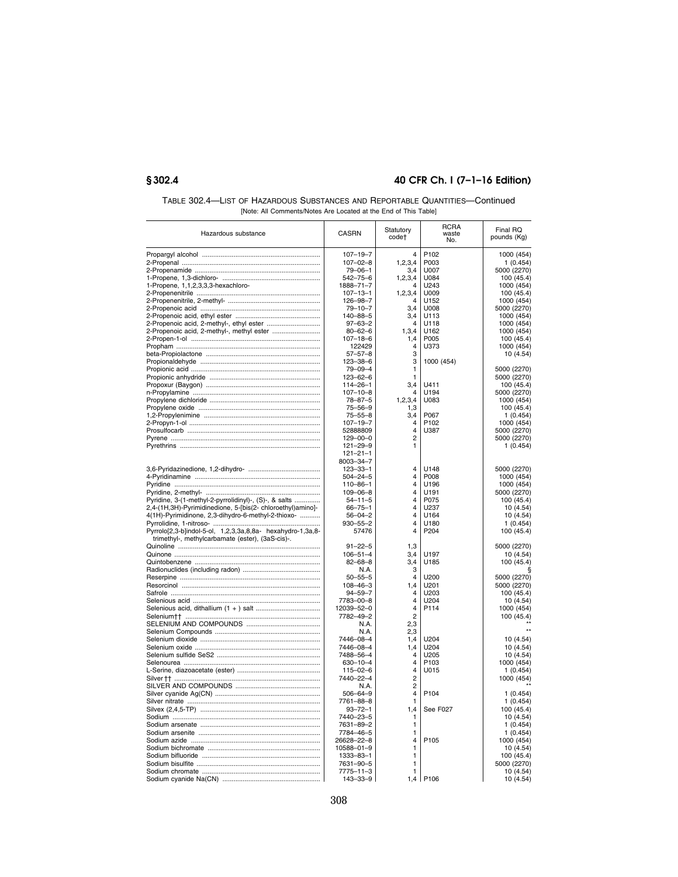| TABLE 302.4—LIST OF HAZARDOUS SUBSTANCES AND REPORTABLE QUANTITIES—Continued |  |
|------------------------------------------------------------------------------|--|
| [Note: All Comments/Notes Are Located at the End of This Table]              |  |

| Hazardous substance                                                                                            | <b>CASRN</b>                     | Statutory<br>code†      | <b>RCRA</b><br>waste<br>No. | Final RQ<br>pounds (Kg) |
|----------------------------------------------------------------------------------------------------------------|----------------------------------|-------------------------|-----------------------------|-------------------------|
|                                                                                                                | $107 - 19 - 7$                   | 4                       | P102                        | 1000 (454)              |
|                                                                                                                | $107 - 02 - 8$                   | 1,2,3,4                 | P003                        | 1(0.454)                |
|                                                                                                                | $79 - 06 - 1$                    | 3,4                     | U007                        | 5000 (2270)             |
|                                                                                                                | $542 - 75 - 6$                   | 1,2,3,4                 | U084                        | 100 (45.4)              |
| 1-Propene, 1,1,2,3,3,3-hexachloro-                                                                             | $1888 - 71 - 7$                  | 4                       | U243                        | 1000 (454)              |
|                                                                                                                | $107 - 13 - 1$                   | 1,2,3,4                 | U009                        | 100 (45.4)              |
|                                                                                                                | $126 - 98 - 7$                   | 4                       | U152                        | 1000 (454)              |
|                                                                                                                | $79 - 10 - 7$                    | 3,4                     | <b>U008</b>                 | 5000 (2270)             |
|                                                                                                                | 140-88-5                         | 3,4                     | U113                        | 1000 (454)              |
| 2-Propenoic acid, 2-methyl-, ethyl ester                                                                       | $97 - 63 - 2$                    | 4                       | U118                        | 1000 (454)              |
| 2-Propenoic acid, 2-methyl-, methyl ester                                                                      | $80 - 62 - 6$                    | 1,3,4                   | U162                        | 1000 (454)              |
|                                                                                                                | $107 - 18 - 6$                   | 1,4                     | P005                        | 100 (45.4)              |
|                                                                                                                | 122429                           | $\overline{4}$          | U373                        | 1000 (454)              |
|                                                                                                                | $57 - 57 - 8$                    | 3                       |                             | 10 (4.54)               |
|                                                                                                                | 123-38-6                         | 3                       | 1000 (454)                  |                         |
|                                                                                                                | 79-09-4                          | 1                       |                             | 5000 (2270)             |
|                                                                                                                | $123 - 62 - 6$                   | 1                       |                             | 5000 (2270)             |
|                                                                                                                | $114 - 26 - 1$                   | 3,4                     | U411                        | 100 (45.4)              |
|                                                                                                                | $107 - 10 - 8$                   | 4                       | U194                        | 5000 (2270)             |
|                                                                                                                | 78-87-5                          | 1,2,3,4                 | U083                        | 1000 (454)              |
|                                                                                                                | 75-56-9                          | 1,3                     |                             | 100 (45.4)              |
|                                                                                                                | 75-55-8                          | 3,4                     | P067                        | 1(0.454)                |
|                                                                                                                | $107 - 19 - 7$                   | 4                       | P <sub>102</sub>            | 1000 (454)              |
|                                                                                                                | 52888809                         | 4<br>2                  | U387                        | 5000 (2270)             |
|                                                                                                                | $129 - 00 - 0$<br>$121 - 29 - 9$ | 1                       |                             | 5000 (2270)<br>1(0.454) |
|                                                                                                                | $121 - 21 - 1$                   |                         |                             |                         |
|                                                                                                                | 8003-34-7                        |                         |                             |                         |
|                                                                                                                | $123 - 33 - 1$                   | 4                       | U148                        | 5000 (2270)             |
|                                                                                                                | $504 - 24 - 5$                   | 4                       | P008                        | 1000 (454)              |
|                                                                                                                | 110-86-1                         | $\overline{\mathbf{4}}$ | U196                        | 1000 (454)              |
|                                                                                                                | $109 - 06 - 8$                   | 4                       | U191                        | 5000 (2270)             |
| Pyridine, 3-(1-methyl-2-pyrrolidinyl)-, (S)-, & salts                                                          | $54 - 11 - 5$                    | $\overline{\mathbf{A}}$ | P075                        | 100 (45.4)              |
| 2,4-(1H,3H)-Pyrimidinedione, 5-[bis(2- chloroethyl)amino]-                                                     | $66 - 75 - 1$                    | $\overline{\mathbf{4}}$ | U237                        | 10 (4.54)               |
| 4(1H)-Pyrimidinone, 2,3-dihydro-6-methyl-2-thioxo-                                                             | $56 - 04 - 2$                    | $\overline{\mathbf{4}}$ | U164                        | 10(4.54)                |
|                                                                                                                | $930 - 55 - 2$                   | 4                       | U180                        | 1(0.454)                |
| Pyrrolo[2,3-b]indol-5-ol, 1,2,3,3a,8,8a- hexahydro-1,3a,8-<br>trimethyl-, methylcarbamate (ester), (3aS-cis)-. | 57476                            | 4                       | P204                        | 100 (45.4)              |
|                                                                                                                | $91 - 22 - 5$                    | 1.3                     |                             | 5000 (2270)             |
|                                                                                                                | $106 - 51 - 4$                   | 3,4                     | U197                        | 10 (4.54)               |
|                                                                                                                | $82 - 68 - 8$                    | 3,4                     | U185                        | 100 (45.4)              |
|                                                                                                                | N.A.                             | 3                       |                             | ş                       |
|                                                                                                                | $50 - 55 - 5$                    | 4                       | U200                        | 5000 (2270)             |
|                                                                                                                | $108 - 46 - 3$                   | 1,4                     | U201                        | 5000 (2270)             |
|                                                                                                                | $94 - 59 - 7$                    | 4                       | U203                        | 100 (45.4)              |
|                                                                                                                | 7783-00-8                        | $\overline{4}$          | U204                        | 10 (4.54)               |
|                                                                                                                | 12039-52-0                       | 4                       | P114                        | 1000 (454)              |
|                                                                                                                | 7782-49-2                        | $\overline{2}$          |                             | 100 (45.4)              |
|                                                                                                                | N.A.                             | 2.3                     |                             |                         |
|                                                                                                                | N.A.<br>7446-08-4                | 2,3<br>1.4              | U204                        |                         |
|                                                                                                                |                                  | 1,4                     | U <sub>204</sub>            | 10 (4.54)               |
|                                                                                                                | 7446-08-4<br>7488-56-4           | $\overline{4}$          | U205                        | 10 (4.54)<br>10 (4.54)  |
|                                                                                                                | 630-10-4                         | $\overline{4}$          | P <sub>103</sub>            | 1000 (454)              |
|                                                                                                                | $115 - 02 - 6$                   | $\overline{4}$          | U015                        | 1(0.454)                |
|                                                                                                                | 7440-22-4                        | $\overline{c}$          |                             | 1000 (454)              |
|                                                                                                                | N.A.                             | $\overline{2}$          |                             |                         |
|                                                                                                                | $506 - 64 - 9$                   | 4                       | P104                        | 1(0.454)                |
|                                                                                                                | 7761-88-8                        | 1                       |                             | 1(0.454)                |
|                                                                                                                | $93 - 72 - 1$                    | 1,4                     | See F027                    | 100 (45.4)              |
|                                                                                                                | 7440-23-5                        | 1                       |                             | 10(4.54)                |
|                                                                                                                | 7631-89-2                        | 1                       |                             | 1(0.454)                |
|                                                                                                                | 7784-46-5                        | 1                       |                             | 1(0.454)                |
|                                                                                                                | 26628-22-8                       | 4                       | P105                        | 1000 (454)              |
|                                                                                                                | 10588-01-9                       | 1                       |                             | 10 (4.54)               |
|                                                                                                                | 1333-83-1                        | 1                       |                             | 100 (45.4)              |
|                                                                                                                | 7631-90-5                        | 1                       |                             | 5000 (2270)             |
|                                                                                                                | 7775-11-3                        | 1                       |                             | 10 (4.54)               |
|                                                                                                                | 143-33-9                         | $1.4 \perp$             | P106                        | 10 (4.54)               |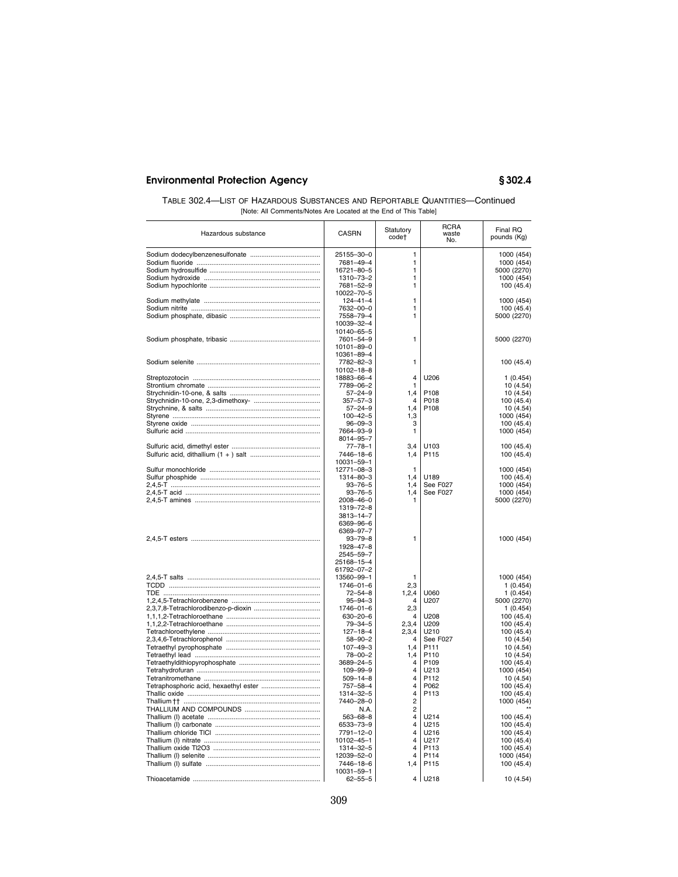| TABLE 302.4—LIST OF HAZARDOUS SUBSTANCES AND REPORTABLE QUANTITIES—Continued |
|------------------------------------------------------------------------------|
| [Note: All Comments/Notes Are Located at the End of This Table]              |

| Hazardous substance | CASRN                           | Statutory<br>code†  | <b>RCRA</b><br>waste<br>No | Final RQ<br>pounds (Kg)  |
|---------------------|---------------------------------|---------------------|----------------------------|--------------------------|
|                     | 25155-30-0                      | 1                   |                            | 1000 (454)               |
|                     | 7681-49-4                       | 1                   |                            | 1000 (454)               |
|                     | 16721-80-5                      | 1                   |                            | 5000 (2270)              |
|                     | 1310-73-2                       | 1                   |                            | 1000 (454)               |
|                     | 7681-52-9                       | 1                   |                            | 100 (45.4)               |
|                     | 10022-70-5                      |                     |                            |                          |
|                     | 124-41-4                        | 1                   |                            | 1000 (454)               |
|                     | 7632-00-0                       | 1<br>1              |                            | 100 (45.4)               |
|                     | 7558-79-4<br>10039-32-4         |                     |                            | 5000 (2270)              |
|                     | 10140-65-5                      |                     |                            |                          |
|                     | 7601-54-9                       | 1                   |                            | 5000 (2270)              |
|                     | 10101-89-0                      |                     |                            |                          |
|                     | 10361-89-4                      |                     |                            |                          |
|                     | 7782-82-3                       | 1                   |                            | 100 (45.4)               |
|                     | 10102-18-8                      |                     |                            |                          |
|                     | 18883-66-4                      | $\overline{4}$      | U206                       | 1(0.454)                 |
|                     | 7789-06-2                       | 1                   |                            | 10 (4.54)                |
|                     | $57 - 24 - 9$<br>$357 - 57 - 3$ | 1,4<br>4            | P108<br>P018               | 10 (4.54)<br>100 (45.4)  |
|                     | $57 - 24 - 9$                   | 1,4                 | P108                       | 10(4.54)                 |
|                     | $100 - 42 - 5$                  | 1,3                 |                            | 1000 (454)               |
|                     | $96 - 09 - 3$                   | 3                   |                            | 100 (45.4)               |
|                     | 7664-93-9                       | $\mathbf{1}$        |                            | 1000 (454)               |
|                     | 8014-95-7                       |                     |                            |                          |
|                     | $77 - 78 - 1$                   | 3.4                 | U <sub>103</sub>           | 100 (45.4)               |
|                     | 7446-18-6                       | 1,4                 | P115                       | 100 (45.4)               |
|                     | 10031-59-1                      |                     |                            |                          |
|                     | 12771-08-3<br>1314-80-3         | $\mathbf{1}$<br>1,4 | U189                       | 1000 (454)<br>100 (45.4) |
|                     | $93 - 76 - 5$                   | 1,4                 | See F027                   | 1000 (454)               |
|                     | $93 - 76 - 5$                   | 1,4                 | See F027                   | 1000 (454)               |
|                     | 2008-46-0                       | 1                   |                            | 5000 (2270)              |
|                     | 1319-72-8                       |                     |                            |                          |
|                     | 3813-14-7                       |                     |                            |                          |
|                     | 6369-96-6                       |                     |                            |                          |
|                     | 6369-97-7                       |                     |                            |                          |
|                     | 93-79-8                         | 1                   |                            | 1000 (454)               |
|                     | 1928-47-8<br>2545-59-7          |                     |                            |                          |
|                     | 25168-15-4                      |                     |                            |                          |
|                     | 61792-07-2                      |                     |                            |                          |
|                     | 13560-99-1                      | 1                   |                            | 1000 (454)               |
|                     | 1746-01-6                       | 2,3                 |                            | 1(0.454)                 |
|                     | 72-54-8                         | 1,2,4               | U060                       | 1 (0.454)                |
|                     | $95 - 94 - 3$                   | 4                   | U207                       | 5000 (2270)              |
|                     | 1746-01-6                       | 2,3                 |                            | 1(0.454)                 |
|                     | $630 - 20 - 6$<br>$79 - 34 - 5$ | 4<br>2.3.4          | U208<br>U209               | 100 (45.4)<br>100 (45.4) |
|                     | $127 - 18 - 4$                  | 2,3,4               | U210                       | 100 (45.4)               |
|                     | $58 - 90 - 2$                   | 4                   | See F027                   | 10 (4.54)                |
|                     | $107 - 49 - 3$                  | 1,4                 | P111                       | 10 (4.54)                |
|                     | 78-00-2                         | 1,4                 | P110                       | 10 (4.54)                |
|                     | 3689-24-5                       | 4                   | P <sub>109</sub>           | 100 (45.4)               |
|                     | $109 - 99 - 9$                  | 4                   | U213                       | 1000 (454)               |
|                     | $509 - 14 - 8$                  | 4                   | P112                       | 10(4.54)                 |
|                     | 757-58-4                        | 4<br>4              | P062                       | 100 (45.4)               |
|                     | 1314-32-5<br>7440-28-0          | $\overline{2}$      | P113                       | 100 (45.4)               |
|                     | N.A.                            | $\overline{2}$      |                            | 1000 (454)               |
|                     | $563 - 68 - 8$                  | 4                   | U214                       | 100 (45.4)               |
|                     | 6533-73-9                       | $\overline{4}$      | U215                       | 100 (45.4)               |
|                     | 7791-12-0                       | 4                   | U216                       | 100 (45.4)               |
|                     | 10102-45-1                      | 4                   | U217                       | 100 (45.4)               |
|                     | 1314-32-5                       | $\overline{4}$      | P113                       | 100 (45.4)               |
|                     | 12039-52-0                      | $\overline{4}$      | P114                       | 1000 (454)               |
|                     | 7446-18-6                       | 1,4                 | P115                       | 100 (45.4)               |
|                     | 10031-59-1                      | 4                   |                            |                          |
|                     | $62 - 55 - 5$                   |                     | U218                       | 10 (4.54)                |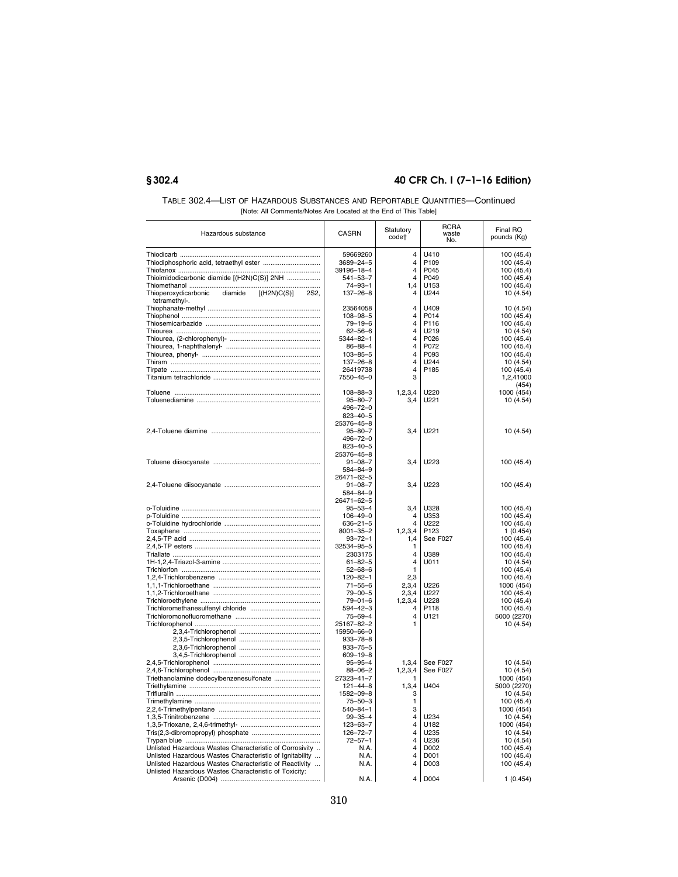| TABLE 302.4-LIST OF HAZARDOUS SUBSTANCES AND REPORTABLE QUANTITIES-Continued |
|------------------------------------------------------------------------------|
| [Note: All Comments/Notes Are Located at the End of This Table]              |

| Hazardous substance                                                                                                | <b>CASRN</b>                     | Statutory<br>code <sup>+</sup>   | RCRA<br>waste<br>No. | Final RQ<br>pounds (Kg)  |
|--------------------------------------------------------------------------------------------------------------------|----------------------------------|----------------------------------|----------------------|--------------------------|
|                                                                                                                    | 59669260                         | $\overline{4}$                   | U410                 | 100 (45.4)               |
|                                                                                                                    | 3689-24-5                        | $\overline{4}$                   | P <sub>109</sub>     | 100 (45.4)               |
|                                                                                                                    | 39196-18-4                       | $\overline{4}$                   | P045                 | 100 (45.4)               |
| Thioimidodicarbonic diamide [(H2N)C(S)] 2NH                                                                        | $541 - 53 - 7$                   | $\overline{4}$                   | P049                 | 100 (45.4)               |
|                                                                                                                    | $74 - 93 - 1$                    | 1,4                              | U153                 | 100 (45.4)               |
| Thioperoxydicarbonic<br>diamide<br>[(H2N)C(S)]<br>2S <sub>2</sub><br>tetramethyl-.                                 | $137 - 26 - 8$                   | 4                                | U244                 | 10(4.54)                 |
|                                                                                                                    | 23564058                         | $\overline{4}$                   | U409                 | 10 (4.54)                |
|                                                                                                                    | $108 - 98 - 5$                   | $\overline{4}$                   | P014                 | 100 (45.4)               |
|                                                                                                                    | $79 - 19 - 6$                    | $\overline{4}$                   | P116                 | 100 (45.4)               |
|                                                                                                                    | $62 - 56 - 6$                    | $\overline{4}$                   | U219                 | 10 (4.54)                |
|                                                                                                                    | $5344 - 82 - 1$                  | 4                                | P026                 | 100 (45.4)               |
|                                                                                                                    | $86 - 88 - 4$                    | $\overline{4}$<br>$\overline{4}$ | P072                 | 100 (45.4)               |
|                                                                                                                    | $103 - 85 - 5$<br>137-26-8       | $\overline{4}$                   | P093<br>U244         | 100 (45.4)<br>10 (4.54)  |
|                                                                                                                    | 26419738                         | $\overline{4}$                   | P185                 | 100 (45.4)               |
|                                                                                                                    | 7550-45-0                        | 3                                |                      | 1,2,41000                |
|                                                                                                                    |                                  |                                  |                      | (454)                    |
|                                                                                                                    | $108 - 88 - 3$                   | 1,2,3,4                          | U220                 | 1000 (454)               |
|                                                                                                                    | $95 - 80 - 7$                    | 3,4                              | U221                 | 10 (4.54)                |
|                                                                                                                    | 496-72-0                         |                                  |                      |                          |
|                                                                                                                    | $823 - 40 - 5$<br>25376-45-8     |                                  |                      |                          |
|                                                                                                                    | $95 - 80 - 7$                    | 3,4                              | U221                 | 10 (4.54)                |
|                                                                                                                    | 496-72-0                         |                                  |                      |                          |
|                                                                                                                    | $823 - 40 - 5$                   |                                  |                      |                          |
|                                                                                                                    | 25376-45-8                       |                                  |                      |                          |
|                                                                                                                    | $91 - 08 - 7$                    | 3,4                              | U223                 | 100 (45.4)               |
|                                                                                                                    | 584-84-9                         |                                  |                      |                          |
|                                                                                                                    | 26471-62-5<br>$91 - 08 - 7$      | 3,4                              | U223                 | 100 (45.4)               |
|                                                                                                                    | 584-84-9                         |                                  |                      |                          |
|                                                                                                                    | 26471-62-5                       |                                  |                      |                          |
|                                                                                                                    | $95 - 53 - 4$                    | 3,4                              | U328                 | 100 (45.4)               |
|                                                                                                                    | $106 - 49 - 0$                   | 4                                | U353                 | 100 (45.4)               |
|                                                                                                                    | $636 - 21 - 5$                   | $\overline{4}$                   | U222                 | 100 (45.4)               |
|                                                                                                                    | $8001 - 35 - 2$<br>$93 - 72 - 1$ | 1,2,3,4<br>1,4                   | P123<br>See F027     | 1(0.454)<br>100 (45.4)   |
|                                                                                                                    | 32534-95-5                       | 1                                |                      | 100 (45.4)               |
|                                                                                                                    | 2303175                          | $\overline{4}$                   | U389                 | 100 (45.4)               |
|                                                                                                                    | $61 - 82 - 5$                    | $\overline{\mathbf{4}}$          | U011                 | 10 (4.54)                |
|                                                                                                                    | $52 - 68 - 6$                    | $\mathbf{1}$                     |                      | 100 (45.4)               |
|                                                                                                                    | $120 - 82 - 1$                   | 2,3                              |                      | 100 (45.4)               |
|                                                                                                                    | $71 - 55 - 6$<br>$79 - 00 - 5$   | 2,3,4<br>2,3,4                   | U226<br>U227         | 1000 (454)<br>100 (45.4) |
|                                                                                                                    | $79 - 01 - 6$                    | 1,2,3,4                          | U228                 | 100 (45.4)               |
|                                                                                                                    | $594 - 42 - 3$                   | 4                                | P118                 | 100 (45.4)               |
|                                                                                                                    | 75-69-4                          | $\overline{\mathbf{4}}$          | U121                 | 5000 (2270)              |
|                                                                                                                    | 25167-82-2                       | 1                                |                      | 10 (4.54)                |
|                                                                                                                    | 15950-66-0                       |                                  |                      |                          |
|                                                                                                                    | $933 - 78 - 8$<br>$933 - 75 - 5$ |                                  |                      |                          |
|                                                                                                                    | $609 - 19 - 8$                   |                                  |                      |                          |
|                                                                                                                    | $95 - 95 - 4$                    | 1,3,4                            | See F027             | 10 (4.54)                |
|                                                                                                                    | $88 - 06 - 2$                    | 1,2,3,4                          | See F027             | 10 (4.54)                |
| Triethanolamine dodecylbenzenesulfonate                                                                            | 27323-41-7                       | 1                                |                      | 1000 (454)               |
|                                                                                                                    | $121 - 44 - 8$                   | 1,3,4                            | U404                 | 5000 (2270)              |
|                                                                                                                    | 1582-09-8<br>$75 - 50 - 3$       | 3<br>$\mathbf{1}$                |                      | 10 (4.54)<br>100 (45.4)  |
|                                                                                                                    | $540 - 84 - 1$                   | 3                                |                      | 1000 (454)               |
|                                                                                                                    | $99 - 35 - 4$                    | 4                                | U234                 | 10 (4.54)                |
|                                                                                                                    | $123 - 63 - 7$                   | 4                                | U182                 | 1000 (454)               |
|                                                                                                                    | $126 - 72 - 7$                   | $\overline{\mathbf{4}}$          | U235                 | 10 (4.54)                |
|                                                                                                                    | $72 - 57 - 1$                    | $\overline{4}$                   | U236                 | 10 (4.54)                |
| Unlisted Hazardous Wastes Characteristic of Corrosivity                                                            | N.A.                             | $\overline{4}$<br>$\overline{4}$ | D002                 | 100 (45.4)               |
| Unlisted Hazardous Wastes Characteristic of Ignitability<br>Unlisted Hazardous Wastes Characteristic of Reactivity | N.A.<br>N.A.                     | 4                                | D001<br>D003         | 100 (45.4)<br>100 (45.4) |
| Unlisted Hazardous Wastes Characteristic of Toxicity:                                                              |                                  |                                  |                      |                          |
|                                                                                                                    | N.A.                             | 4                                | D004                 | 1(0.454)                 |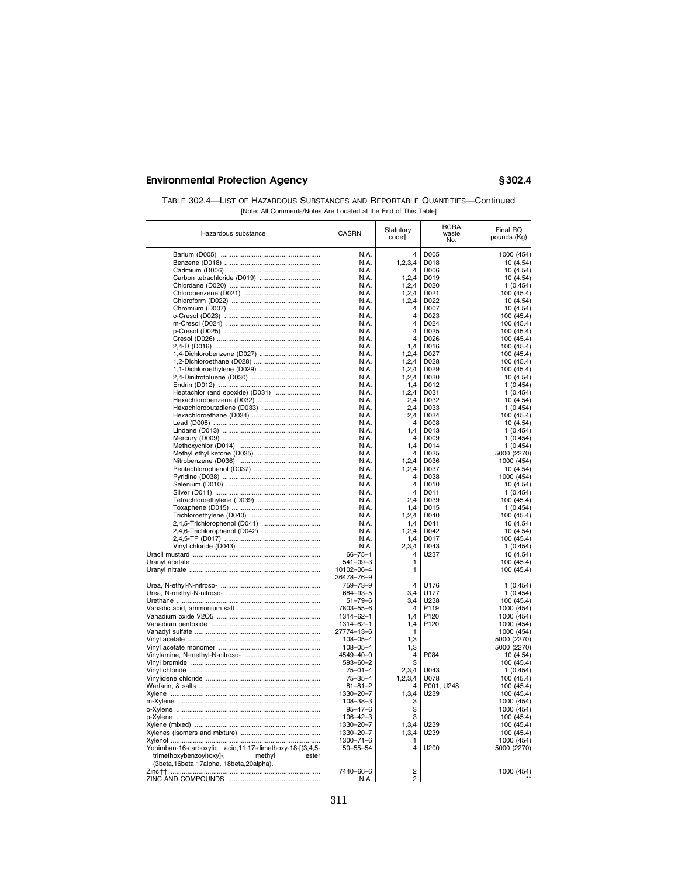| TABLE 302.4—LIST OF HAZARDOUS SUBSTANCES AND REPORTABLE QUANTITIES—Continued |  |
|------------------------------------------------------------------------------|--|
| [Note: All Comments/Notes Are Located at the End of This Table]              |  |

| Hazardous substance                                       | CASRN                      | Statutory<br>code†               | <b>RCRA</b><br>waste<br>No. | Final RQ<br>pounds (Kg)  |
|-----------------------------------------------------------|----------------------------|----------------------------------|-----------------------------|--------------------------|
|                                                           | N.A.                       | 4                                | D005                        | 1000 (454)               |
|                                                           | N.A.                       | 1, 2, 3, 4                       | D018                        | 10 (4.54)                |
|                                                           | N.A.                       | 4                                | D006                        | 10 (4.54)                |
| Carbon tetrachloride (D019)                               | N.A.                       | 1,2,4                            | D019                        | 10 (4.54)                |
|                                                           | N.A.                       | 1,2,4                            | D020                        | 1(0.454)                 |
|                                                           | N.A.                       | 1,2,4                            | D021                        | 100 (45.4)               |
|                                                           | N.A.                       | 1,2,4                            | D022                        | 10 (4.54)                |
|                                                           | N.A.                       | Δ                                | D007                        | 10 (4.54)                |
|                                                           | N.A.                       | 4                                | D023                        | 100 (45.4)               |
|                                                           | N.A.                       | $\overline{\mathbf{A}}$          | D <sub>024</sub>            | 100 (45.4)               |
|                                                           | N.A.                       | 4                                | D <sub>025</sub>            | 100 (45.4)               |
|                                                           | N.A.                       | 4                                | D026                        | 100 (45.4)               |
|                                                           | N.A.                       | 1,4                              | D016                        | 100 (45.4)               |
|                                                           | N.A.                       | 1,2,4                            | D027                        | 100 (45.4)               |
|                                                           | N.A.                       | 1,2,4                            | D028                        | 100 (45.4)               |
| 1,1-Dichloroethylene (D029)                               | N.A.                       | 1,2,4                            | D029                        | 100 (45.4)               |
|                                                           | N.A.                       | 1,2,4                            | D030                        | 10 (4.54)                |
|                                                           | N.A.                       | 1,4                              | D012                        | 1(0.454)                 |
| Heptachlor (and epoxide) (D031)                           | N.A.                       | 1,2,4                            | D031                        | 1(0.454)                 |
|                                                           | N.A.                       | 2,4                              | D032                        | 10 (4.54)                |
| Hexachlorobutadiene (D033)                                | N.A.                       | 2,4                              | D033                        | 1(0.454)                 |
|                                                           | N.A.<br>N.A.               | 2,4<br>4                         | D034<br>D008                | 100 (45.4)<br>10 (4.54)  |
|                                                           | N.A.                       | 1,4                              | D013                        | 1(0.454)                 |
|                                                           | N.A.                       | 4                                | D009                        | 1(0.454)                 |
|                                                           | N.A.                       | 1,4                              | D014                        | 1(0.454)                 |
|                                                           | N.A.                       | $\overline{4}$                   | D035                        | 5000 (2270)              |
|                                                           | N.A.                       | 1,2,4                            | D036                        | 1000 (454)               |
|                                                           | N.A.                       | 1,2,4                            | D037                        | 10 (4.54)                |
|                                                           | N.A.                       | 4                                | D038                        | 1000 (454)               |
|                                                           | N.A.                       | $\overline{4}$                   | D010                        | 10 (4.54)                |
|                                                           | N.A.                       | 4                                | D011                        | 1(0.454)                 |
|                                                           | N.A.                       | 2,4                              | D039                        | 100 (45.4)               |
|                                                           | N.A.                       | 1,4                              | D015                        | 1(0.454)                 |
|                                                           | N.A.                       | 1,2,4                            | D040                        | 100 (45.4)               |
|                                                           | N.A.                       | 1,4                              | D041                        | 10 (4.54)                |
| 2,4,6-Trichlorophenol (D042)                              | N.A.                       | 1,2,4                            | D042                        | 10 (4.54)                |
|                                                           | N.A.                       | 1,4                              | D017                        | 100 (45.4)               |
|                                                           | N.A.                       | 2,3,4                            | D043                        | 1(0.454)                 |
|                                                           | $66 - 75 - 1$              | $\overline{4}$                   | U237                        | 10 (4.54)                |
|                                                           | $541 - 09 - 3$             | 1                                |                             | 100 (45.4)               |
|                                                           | 10102-06-4                 | 1                                |                             | 100 (45.4)               |
|                                                           | 36478-76-9                 |                                  |                             |                          |
|                                                           | 759-73-9                   | $\overline{4}$                   | U176                        | 1(0.454)                 |
|                                                           | 684-93-5                   | 3,4                              | U177                        | 1(0.454)                 |
|                                                           | $51 - 79 - 6$<br>7803-55-6 | 3,4<br>4                         | U238<br>P119                | 100 (45.4)<br>1000 (454) |
|                                                           | 1314-62-1                  | 1.4                              | P <sub>120</sub>            | 1000 (454)               |
|                                                           | 1314-62-1                  | 1,4                              | P120                        | 1000 (454)               |
|                                                           | 27774-13-6                 | 1                                |                             | 1000 (454)               |
|                                                           | $108 - 05 - 4$             | 1,3                              |                             | 5000 (2270)              |
|                                                           | $108 - 05 - 4$             | 1,3                              |                             | 5000 (2270)              |
|                                                           | 4549-40-0                  | 4                                | P084                        | 10 (4.54)                |
|                                                           | $593 - 60 - 2$             | 3                                |                             | 100 (45.4)               |
|                                                           | $75 - 01 - 4$              | 2,3,4                            | U043                        | 1(0.454)                 |
|                                                           | $75 - 35 - 4$              | 1,2,3,4                          | U078                        | 100 (45.4)               |
|                                                           | $81 - 81 - 2$              | 4                                | P001, U248                  | 100 (45.4)               |
|                                                           | 1330-20-7                  | 1,3,4                            | U239                        | 100 (45.4)               |
|                                                           | $108 - 38 - 3$             | 3                                |                             | 1000 (454)               |
|                                                           | $95 - 47 - 6$              | 3                                |                             | 1000 (454)               |
|                                                           | $106 - 42 - 3$             | 3                                |                             | 100(45.4)                |
|                                                           | 1330-20-7                  | 1,3,4                            | U239                        | 100 (45.4)               |
|                                                           | 1330-20-7                  | 1,3,4                            | U239                        | 100 (45.4)               |
|                                                           | $1300 - 71 - 6$            | 1                                |                             | 1000 (454)               |
| Yohimban-16-carboxylic acid, 11, 17-dimethoxy-18-[(3,4,5- | $50 - 55 - 54$             | 4                                | U200                        | 5000 (2270)              |
| trimethoxybenzoyl)oxy]-,<br>methyl<br>ester               |                            |                                  |                             |                          |
| (3beta, 16beta, 17alpha, 18beta, 20alpha).                |                            |                                  |                             |                          |
| Zinc †† …………………………………………………………………                         | 7440-66-6                  | $\overline{2}$<br>$\overline{c}$ |                             | 1000 (454)               |
| ZINC AND COMPOUNDS                                        | N.A.                       |                                  |                             |                          |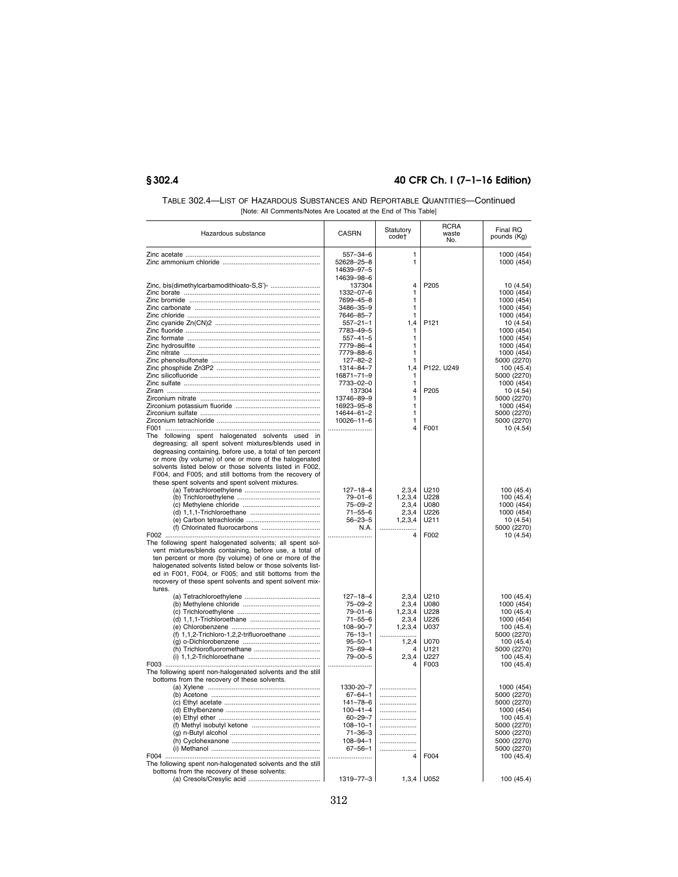| TABLE 302.4—LIST OF HAZARDOUS SUBSTANCES AND REPORTABLE QUANTITIES—Continued |
|------------------------------------------------------------------------------|
| [Note: All Comments/Notes Are Located at the End of This Table]              |

| Hazardous substance                                        | CASRN          | Statutory<br>code†      | <b>RCRA</b><br>waste<br>No. | Final RQ<br>pounds (Kg) |
|------------------------------------------------------------|----------------|-------------------------|-----------------------------|-------------------------|
|                                                            | $557 - 34 - 6$ | 1                       |                             | 1000 (454)              |
|                                                            | 52628-25-8     | 1                       |                             | 1000 (454)              |
|                                                            | 14639-97-5     |                         |                             |                         |
|                                                            | 14639-98-6     |                         |                             |                         |
|                                                            | 137304         | $\overline{\mathbf{A}}$ | P205                        | 10 (4.54)               |
|                                                            | 1332-07-6      | 1                       |                             | 1000 (454)              |
|                                                            | 7699-45-8      | 1                       |                             | 1000 (454)              |
|                                                            | 3486-35-9      | 1                       |                             | 1000 (454)              |
|                                                            | 7646-85-7      | 1                       |                             | 1000 (454)              |
|                                                            | $557 - 21 - 1$ | 1,4                     | P <sub>121</sub>            | 10 (4.54)               |
|                                                            | 7783-49-5      | 1                       |                             | 1000 (454)              |
|                                                            | $557 - 41 - 5$ | 1                       |                             | 1000 (454)              |
|                                                            | 7779-86-4      | 1                       |                             | 1000 (454)              |
|                                                            | 7779-88-6      | 1                       |                             | 1000 (454)              |
|                                                            | $127 - 82 - 2$ | 1                       |                             | 5000 (2270)             |
|                                                            | 1314-84-7      | 1,4                     | P122, U249                  | 100 (45.4)              |
|                                                            | 16871-71-9     | 1                       |                             | 5000 (2270)             |
|                                                            | 7733-02-0      | 1                       |                             | 1000 (454)              |
|                                                            | 137304         | $\overline{\mathbf{A}}$ | P205                        | 10 (4.54)               |
|                                                            | 13746-89-9     | 1                       |                             | 5000 (2270)             |
|                                                            | 16923-95-8     | 1                       |                             | 1000 (454)              |
|                                                            | 14644-61-2     | 1                       |                             | 5000 (2270)             |
|                                                            | 10026-11-6     | 1                       |                             | 5000 (2270)             |
|                                                            |                | 4                       | F001                        | 10 (4.54)               |
| The following spent halogenated solvents used in           |                |                         |                             |                         |
| degreasing; all spent solvent mixtures/blends used in      |                |                         |                             |                         |
| degreasing containing, before use, a total of ten percent  |                |                         |                             |                         |
| or more (by volume) of one or more of the halogenated      |                |                         |                             |                         |
| solvents listed below or those solvents listed in F002,    |                |                         |                             |                         |
| F004, and F005; and still bottoms from the recovery of     |                |                         |                             |                         |
| these spent solvents and spent solvent mixtures.           |                |                         |                             |                         |
|                                                            |                |                         |                             |                         |
|                                                            | $127 - 18 - 4$ | 2,3,4                   | U210                        | 100 (45.4)              |
|                                                            | $79 - 01 - 6$  | 1, 2, 3, 4              | U228                        | 100 (45.4)              |
|                                                            | $75 - 09 - 2$  | 2,3,4                   | U080                        | 1000 (454)              |
|                                                            | $71 - 55 - 6$  | 2,3,4                   | U226                        | 1000 (454)              |
|                                                            | $56 - 23 - 5$  | 1,2,3,4                 | U211                        | 10 (4.54)               |
|                                                            | N.A.           | <br>4                   | F002                        | 5000 (2270)             |
|                                                            |                |                         |                             | 10 (4.54)               |
| The following spent halogenated solvents; all spent sol-   |                |                         |                             |                         |
| vent mixtures/blends containing, before use, a total of    |                |                         |                             |                         |
| ten percent or more (by volume) of one or more of the      |                |                         |                             |                         |
| halogenated solvents listed below or those solvents list-  |                |                         |                             |                         |
| ed in F001, F004, or F005; and still bottoms from the      |                |                         |                             |                         |
| recovery of these spent solvents and spent solvent mix-    |                |                         |                             |                         |
| tures.                                                     |                |                         |                             |                         |
|                                                            | $127 - 18 - 4$ | 2,3,4                   | U210                        | 100 (45.4)              |
|                                                            | $75 - 09 - 2$  | 2,3,4                   | U080                        | 1000 (454)              |
|                                                            | $79 - 01 - 6$  | 1, 2, 3, 4              | U228                        | 100 (45.4)              |
|                                                            | $71 - 55 - 6$  | 2,3,4                   | U226                        | 1000 (454)              |
|                                                            | $108 - 90 - 7$ | 1,2,3,4                 | U037                        | 100 (45.4)              |
| (f) 1,1,2-Trichloro-1,2,2-trifluoroethane                  | $76 - 13 - 1$  |                         |                             | 5000 (2270)             |
|                                                            | $95 - 50 - 1$  | 1,2,4                   | U070                        | 100 (45.4)              |
|                                                            | $75 - 69 - 4$  | $\overline{\mathbf{4}}$ | U121                        | 5000 (2270)             |
|                                                            | 79-00-5        | 2,3,4                   | U227                        | 100 (45.4)              |
|                                                            |                | 4                       | F003                        | 100 (45.4)              |
| The following spent non-halogenated solvents and the still |                |                         |                             |                         |
| bottoms from the recovery of these solvents.               |                |                         |                             |                         |
|                                                            | 1330-20-7      | .                       |                             | 1000 (454)              |
|                                                            | $67 - 64 - 1$  |                         |                             | 5000 (2270)             |
|                                                            | $141 - 78 - 6$ |                         |                             | 5000 (2270)             |
|                                                            | $100 - 41 - 4$ |                         |                             | 1000 (454)              |
|                                                            | $60 - 29 - 7$  |                         |                             | 100 (45.4)              |
|                                                            | $108 - 10 - 1$ |                         |                             | 5000 (2270)             |
|                                                            | $71 - 36 - 3$  |                         |                             | 5000 (2270)             |
|                                                            | $108 - 94 - 1$ |                         |                             | 5000 (2270)             |
|                                                            | $67 - 56 - 1$  | .                       |                             | 5000 (2270)             |
|                                                            |                | $\overline{\mathbf{A}}$ | F004                        | 100 (45.4)              |
| The following spent non-halogenated solvents and the still |                |                         |                             |                         |
| bottoms from the recovery of these solvents:               |                |                         |                             |                         |
|                                                            | 1319-77-3      |                         | $1,3,4$   U052              | 100 (45.4)              |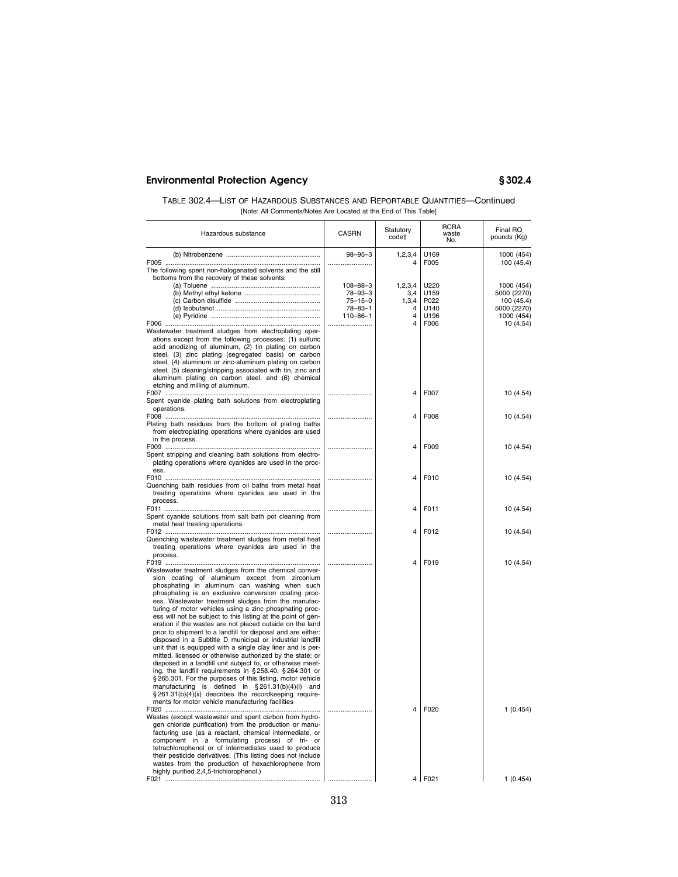| TABLE 302.4—LIST OF HAZARDOUS SUBSTANCES AND REPORTABLE QUANTITIES—Continued |                                                                 |  |
|------------------------------------------------------------------------------|-----------------------------------------------------------------|--|
|                                                                              | [Note: All Comments/Notes Are Located at the End of This Table] |  |

| Hazardous substance                                                                                                                                                                                                                                                                                                                                                                                                                                                                                                                                                                                                                                                                                                                                                                                                                                                                                                                                                                                                                                                                                                                      | CASRN                                                           | Statutory<br>code†                    | <b>RCRA</b><br>waste<br>No.  | Final RQ<br>pounds (Kg)                                              |
|------------------------------------------------------------------------------------------------------------------------------------------------------------------------------------------------------------------------------------------------------------------------------------------------------------------------------------------------------------------------------------------------------------------------------------------------------------------------------------------------------------------------------------------------------------------------------------------------------------------------------------------------------------------------------------------------------------------------------------------------------------------------------------------------------------------------------------------------------------------------------------------------------------------------------------------------------------------------------------------------------------------------------------------------------------------------------------------------------------------------------------------|-----------------------------------------------------------------|---------------------------------------|------------------------------|----------------------------------------------------------------------|
|                                                                                                                                                                                                                                                                                                                                                                                                                                                                                                                                                                                                                                                                                                                                                                                                                                                                                                                                                                                                                                                                                                                                          | $98 - 95 - 3$                                                   | 1, 2, 3, 4<br>$\overline{\mathbf{A}}$ | U169<br>F005                 | 1000 (454)                                                           |
| The following spent non-halogenated solvents and the still<br>bottoms from the recovery of these solvents:                                                                                                                                                                                                                                                                                                                                                                                                                                                                                                                                                                                                                                                                                                                                                                                                                                                                                                                                                                                                                               | <br>$108 - 88 - 3$<br>78-93-3<br>$75 - 15 - 0$<br>$78 - 83 - 1$ | 1,2,3,4<br>3,4<br>1,3,4<br>4          | U220<br>U159<br>P022<br>U140 | 100 (45.4)<br>1000 (454)<br>5000 (2270)<br>100 (45.4)<br>5000 (2270) |
| Wastewater treatment sludges from electroplating oper-<br>ations except from the following processes: (1) sulfuric<br>acid anodizing of aluminum, (2) tin plating on carbon<br>steel, (3) zinc plating (segregated basis) on carbon<br>steel, (4) aluminum or zinc-aluminum plating on carbon<br>steel, (5) cleaning/stripping associated with tin, zinc and<br>aluminum plating on carbon steel, and (6) chemical<br>etching and milling of aluminum.                                                                                                                                                                                                                                                                                                                                                                                                                                                                                                                                                                                                                                                                                   | $110 - 86 - 1$                                                  | $\overline{4}$<br>4                   | U196<br>F006                 | 1000 (454)<br>10 (4.54)                                              |
| Spent cyanide plating bath solutions from electroplating<br>operations.                                                                                                                                                                                                                                                                                                                                                                                                                                                                                                                                                                                                                                                                                                                                                                                                                                                                                                                                                                                                                                                                  |                                                                 | 4                                     | F007                         | 10 (4.54)                                                            |
| Plating bath residues from the bottom of plating baths<br>from electroplating operations where cyanides are used<br>in the process.                                                                                                                                                                                                                                                                                                                                                                                                                                                                                                                                                                                                                                                                                                                                                                                                                                                                                                                                                                                                      |                                                                 | 4                                     | F008                         | 10 (4.54)                                                            |
| Spent stripping and cleaning bath solutions from electro-<br>plating operations where cyanides are used in the proc-<br>ess.                                                                                                                                                                                                                                                                                                                                                                                                                                                                                                                                                                                                                                                                                                                                                                                                                                                                                                                                                                                                             |                                                                 | $\overline{\mathbf{A}}$               | F009                         | 10 (4.54)                                                            |
| Quenching bath residues from oil baths from metal heat<br>treating operations where cyanides are used in the<br>process.                                                                                                                                                                                                                                                                                                                                                                                                                                                                                                                                                                                                                                                                                                                                                                                                                                                                                                                                                                                                                 |                                                                 | 4                                     | F010                         | 10 (4.54)                                                            |
| Spent cyanide solutions from salt bath pot cleaning from<br>metal heat treating operations.                                                                                                                                                                                                                                                                                                                                                                                                                                                                                                                                                                                                                                                                                                                                                                                                                                                                                                                                                                                                                                              |                                                                 | 4                                     | F011                         | 10 (4.54)                                                            |
| Quenching wastewater treatment sludges from metal heat<br>treating operations where cyanides are used in the<br>process.                                                                                                                                                                                                                                                                                                                                                                                                                                                                                                                                                                                                                                                                                                                                                                                                                                                                                                                                                                                                                 |                                                                 | $\overline{\mathbf{A}}$               | F012                         | 10 (4.54)                                                            |
| Wastewater treatment sludges from the chemical conver-<br>sion coating of aluminum except from zirconium<br>phosphating in aluminum can washing when such<br>phosphating is an exclusive conversion coating proc-<br>ess. Wastewater treatment sludges from the manufac-<br>turing of motor vehicles using a zinc phosphating proc-<br>ess will not be subject to this listing at the point of gen-<br>eration if the wastes are not placed outside on the land<br>prior to shipment to a landfill for disposal and are either:<br>disposed in a Subtitle D municipal or industrial landfill<br>unit that is equipped with a single clay liner and is per-<br>mitted, licensed or otherwise authorized by the state; or<br>disposed in a landfill unit subject to, or otherwise meet-<br>ing, the landfill requirements in §258.40, §264.301 or<br>§265.301. For the purposes of this listing, motor vehicle<br>manufacturing is defined in §261.31(b)(4)(i) and<br>§261.31(b)(4)(ii) describes the recordkeeping require-<br>ments for motor vehicle manufacturing facilities<br>Wastes (except wastewater and spent carbon from hydro- |                                                                 | $\overline{\mathbf{A}}$<br>4          | F019<br>F020                 | 10 (4.54)<br>1(0.454)                                                |
| gen chloride purification) from the production or manu-<br>facturing use (as a reactant, chemical intermediate, or<br>component in a formulating process) of tri- or<br>tetrachlorophenol or of intermediates used to produce<br>their pesticide derivatives. (This listing does not include<br>wastes from the production of hexachlorophene from<br>highly purified 2,4,5-trichlorophenol.)                                                                                                                                                                                                                                                                                                                                                                                                                                                                                                                                                                                                                                                                                                                                            |                                                                 |                                       | $4$   F <sub>021</sub>       | 1(0.454)                                                             |
|                                                                                                                                                                                                                                                                                                                                                                                                                                                                                                                                                                                                                                                                                                                                                                                                                                                                                                                                                                                                                                                                                                                                          |                                                                 |                                       |                              |                                                                      |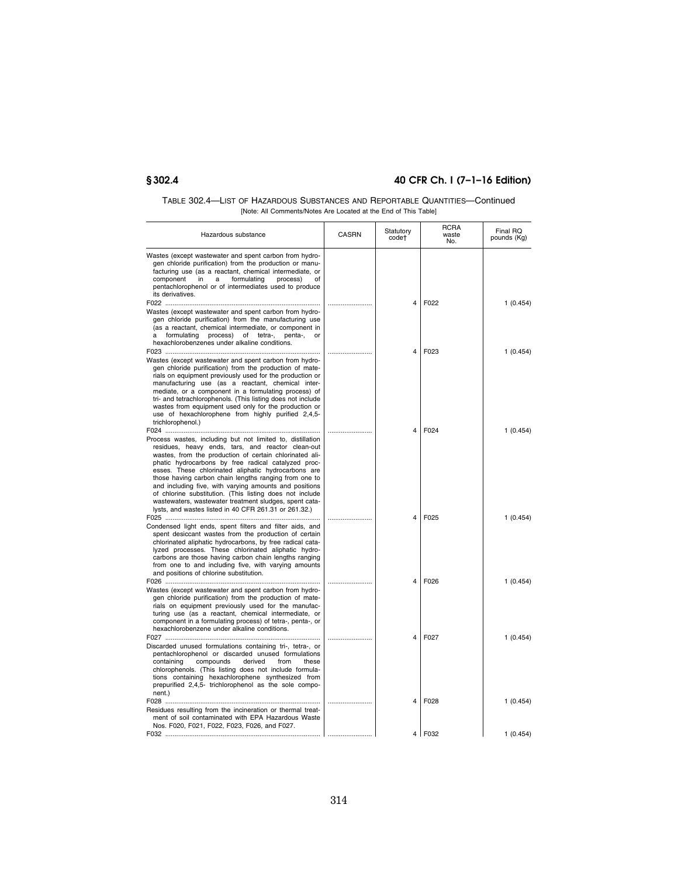| TABLE 302.4—LIST OF HAZARDOUS SUBSTANCES AND REPORTABLE QUANTITIES—Continued |
|------------------------------------------------------------------------------|
| [Note: All Comments/Notes Are Located at the End of This Table]              |

| Hazardous substance                                                                                                                                                                                                                                                                                                                                                                                                                                                                                                                                                                        | <b>CASRN</b> | Statutory<br>code† | RCRA<br>waste<br>No. | Final RQ<br>pounds (Kg) |
|--------------------------------------------------------------------------------------------------------------------------------------------------------------------------------------------------------------------------------------------------------------------------------------------------------------------------------------------------------------------------------------------------------------------------------------------------------------------------------------------------------------------------------------------------------------------------------------------|--------------|--------------------|----------------------|-------------------------|
| Wastes (except wastewater and spent carbon from hydro-<br>gen chloride purification) from the production or manu-<br>facturing use (as a reactant, chemical intermediate, or<br>in<br>formulating<br>component<br>a<br>process)<br>of<br>pentachlorophenol or of intermediates used to produce<br>its derivatives.                                                                                                                                                                                                                                                                         |              | 4                  | F022                 |                         |
| Wastes (except wastewater and spent carbon from hydro-<br>gen chloride purification) from the manufacturing use<br>(as a reactant, chemical intermediate, or component in<br>a<br>formulating<br>process)<br>of tetra-,<br>penta-, or<br>hexachlorobenzenes under alkaline conditions.                                                                                                                                                                                                                                                                                                     |              |                    |                      | 1(0.454)                |
| Wastes (except wastewater and spent carbon from hydro-<br>gen chloride purification) from the production of mate-<br>rials on equipment previously used for the production or<br>manufacturing use (as a reactant, chemical inter-<br>mediate, or a component in a formulating process) of<br>tri- and tetrachlorophenols. (This listing does not include<br>wastes from equipment used only for the production or<br>use of hexachlorophene from highly purified 2,4,5-<br>trichlorophenol.)                                                                                              |              | 4                  | F023                 | 1(0.454)                |
| Process wastes, including but not limited to, distillation<br>residues, heavy ends, tars, and reactor clean-out<br>wastes, from the production of certain chlorinated ali-<br>phatic hydrocarbons by free radical catalyzed proc-<br>esses. These chlorinated aliphatic hydrocarbons are<br>those having carbon chain lengths ranging from one to<br>and including five, with varying amounts and positions<br>of chlorine substitution. (This listing does not include<br>wastewaters, wastewater treatment sludges, spent cata-<br>lysts, and wastes listed in 40 CFR 261.31 or 261.32.) |              | 4                  | F024                 | 1(0.454)                |
| Condensed light ends, spent filters and filter aids, and<br>spent desiccant wastes from the production of certain<br>chlorinated aliphatic hydrocarbons, by free radical cata-<br>lyzed processes. These chlorinated aliphatic hydro-<br>carbons are those having carbon chain lengths ranging<br>from one to and including five, with varying amounts<br>and positions of chlorine substitution.                                                                                                                                                                                          |              | 4                  | F025                 | 1(0.454)                |
| Wastes (except wastewater and spent carbon from hydro-<br>gen chloride purification) from the production of mate-<br>rials on equipment previously used for the manufac-<br>turing use (as a reactant, chemical intermediate, or<br>component in a formulating process) of tetra-, penta-, or<br>hexachlorobenzene under alkaline conditions.                                                                                                                                                                                                                                              | .            | 4                  | F026                 | 1(0.454)                |
| Discarded unused formulations containing tri-, tetra-, or<br>pentachlorophenol or discarded unused formulations<br>containing<br>compounds<br>derived<br>from<br>these<br>chlorophenols. (This listing does not include formula-<br>tions containing hexachlorophene synthesized from<br>prepurified 2,4,5- trichlorophenol as the sole compo-<br>nent.)                                                                                                                                                                                                                                   |              | 4                  | F027                 | 1 (0.454)               |
| Residues resulting from the incineration or thermal treat-<br>ment of soil contaminated with EPA Hazardous Waste<br>Nos. F020, F021, F022, F023, F026, and F027.                                                                                                                                                                                                                                                                                                                                                                                                                           | .            | 4                  | F028                 | 1(0.454)                |
|                                                                                                                                                                                                                                                                                                                                                                                                                                                                                                                                                                                            |              | 4                  | F032                 | 1(0.454)                |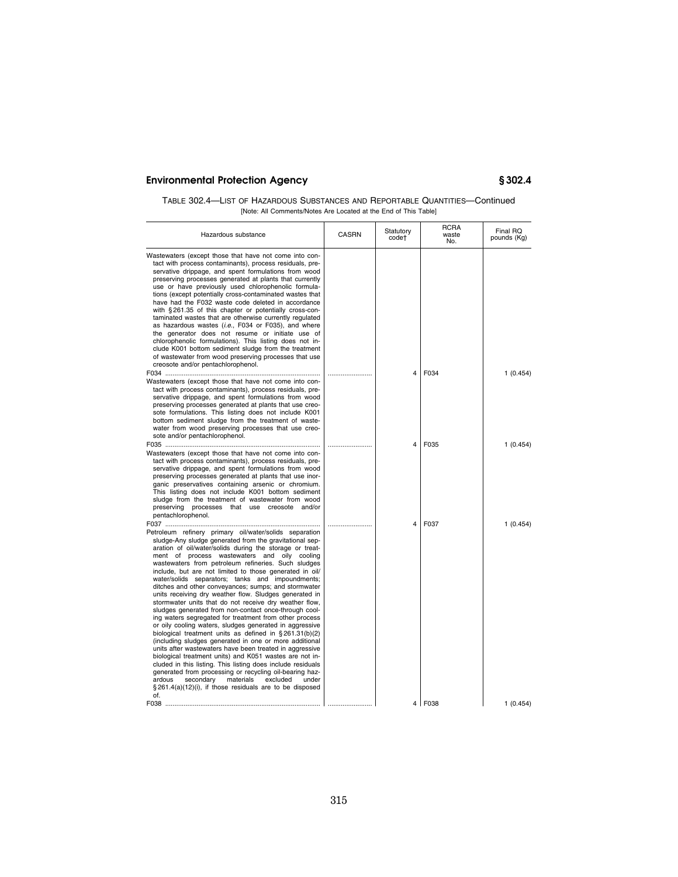|                                                                 | TABLE 302.4—LIST OF HAZARDOUS SUBSTANCES AND REPORTABLE QUANTITIES—Continued |
|-----------------------------------------------------------------|------------------------------------------------------------------------------|
| [Note: All Comments/Notes Are Located at the End of This Table] |                                                                              |

| Wastewaters (except those that have not come into con-<br>tact with process contaminants), process residuals, pre-<br>servative drippage, and spent formulations from wood<br>preserving processes generated at plants that currently<br>use or have previously used chlorophenolic formula-<br>tions (except potentially cross-contaminated wastes that<br>have had the F032 waste code deleted in accordance<br>with §261.35 of this chapter or potentially cross-con-<br>taminated wastes that are otherwise currently regulated<br>as hazardous wastes (i.e., F034 or F035), and where<br>the generator does not resume or initiate use of<br>chlorophenolic formulations). This listing does not in-<br>clude K001 bottom sediment sludge from the treatment<br>of wastewater from wood preserving processes that use<br>creosote and/or pentachlorophenol.<br>F034<br>4<br>Wastewaters (except those that have not come into con-<br>tact with process contaminants), process residuals, pre-<br>servative drippage, and spent formulations from wood<br>preserving processes generated at plants that use creo-<br>sote formulations. This listing does not include K001<br>bottom sediment sludge from the treatment of waste-<br>water from wood preserving processes that use creo-<br>sote and/or pentachlorophenol.<br>4<br>F035<br>Wastewaters (except those that have not come into con-<br>tact with process contaminants), process residuals, pre-<br>servative drippage, and spent formulations from wood<br>preserving processes generated at plants that use inor-<br>ganic preservatives containing arsenic or chromium.<br>This listing does not include K001 bottom sediment<br>sludge from the treatment of wastewater from wood<br>preserving processes that use creosote and/or<br>pentachlorophenol.<br>4<br>F037<br>Petroleum refinery primary oil/water/solids separation<br>sludge-Any sludge generated from the gravitational sep-<br>aration of oil/water/solids during the storage or treat-<br>ment of process wastewaters and oily cooling<br>wastewaters from petroleum refineries. Such sludges<br>include, but are not limited to those generated in oil/<br>water/solids separators; tanks and impoundments;<br>ditches and other conveyances; sumps; and stormwater<br>units receiving dry weather flow. Sludges generated in<br>stormwater units that do not receive dry weather flow,<br>sludges generated from non-contact once-through cool-<br>ing waters segregated for treatment from other process<br>or oily cooling waters, sludges generated in aggressive<br>biological treatment units as defined in $\S 261.31(b)(2)$<br>(including sludges generated in one or more additional<br>units after wastewaters have been treated in aggressive<br>biological treatment units) and K051 wastes are not in-<br>cluded in this listing. This listing does include residuals<br>generated from processing or recycling oil-bearing haz-<br>ardous<br>secondary<br>materials<br>excluded<br>under | Hazardous substance                                          | CASRN | Statutory<br>code† | <b>RCRA</b><br>waste<br>No. | Final RQ<br>pounds (Kg) |
|-----------------------------------------------------------------------------------------------------------------------------------------------------------------------------------------------------------------------------------------------------------------------------------------------------------------------------------------------------------------------------------------------------------------------------------------------------------------------------------------------------------------------------------------------------------------------------------------------------------------------------------------------------------------------------------------------------------------------------------------------------------------------------------------------------------------------------------------------------------------------------------------------------------------------------------------------------------------------------------------------------------------------------------------------------------------------------------------------------------------------------------------------------------------------------------------------------------------------------------------------------------------------------------------------------------------------------------------------------------------------------------------------------------------------------------------------------------------------------------------------------------------------------------------------------------------------------------------------------------------------------------------------------------------------------------------------------------------------------------------------------------------------------------------------------------------------------------------------------------------------------------------------------------------------------------------------------------------------------------------------------------------------------------------------------------------------------------------------------------------------------------------------------------------------------------------------------------------------------------------------------------------------------------------------------------------------------------------------------------------------------------------------------------------------------------------------------------------------------------------------------------------------------------------------------------------------------------------------------------------------------------------------------------------------------------------------------------------------------------------------------------------------------------------------------------------------------------------------------------------------------------------------------------------------------------------------------------------------------------------------------------------------------------------------|--------------------------------------------------------------|-------|--------------------|-----------------------------|-------------------------|
|                                                                                                                                                                                                                                                                                                                                                                                                                                                                                                                                                                                                                                                                                                                                                                                                                                                                                                                                                                                                                                                                                                                                                                                                                                                                                                                                                                                                                                                                                                                                                                                                                                                                                                                                                                                                                                                                                                                                                                                                                                                                                                                                                                                                                                                                                                                                                                                                                                                                                                                                                                                                                                                                                                                                                                                                                                                                                                                                                                                                                                               |                                                              |       |                    |                             |                         |
|                                                                                                                                                                                                                                                                                                                                                                                                                                                                                                                                                                                                                                                                                                                                                                                                                                                                                                                                                                                                                                                                                                                                                                                                                                                                                                                                                                                                                                                                                                                                                                                                                                                                                                                                                                                                                                                                                                                                                                                                                                                                                                                                                                                                                                                                                                                                                                                                                                                                                                                                                                                                                                                                                                                                                                                                                                                                                                                                                                                                                                               |                                                              |       |                    |                             | 1(0.454)                |
|                                                                                                                                                                                                                                                                                                                                                                                                                                                                                                                                                                                                                                                                                                                                                                                                                                                                                                                                                                                                                                                                                                                                                                                                                                                                                                                                                                                                                                                                                                                                                                                                                                                                                                                                                                                                                                                                                                                                                                                                                                                                                                                                                                                                                                                                                                                                                                                                                                                                                                                                                                                                                                                                                                                                                                                                                                                                                                                                                                                                                                               |                                                              |       |                    |                             | 1(0.454)                |
| of.<br>4   F038<br>F038                                                                                                                                                                                                                                                                                                                                                                                                                                                                                                                                                                                                                                                                                                                                                                                                                                                                                                                                                                                                                                                                                                                                                                                                                                                                                                                                                                                                                                                                                                                                                                                                                                                                                                                                                                                                                                                                                                                                                                                                                                                                                                                                                                                                                                                                                                                                                                                                                                                                                                                                                                                                                                                                                                                                                                                                                                                                                                                                                                                                                       | $\S 261.4(a)(12)(i)$ , if those residuals are to be disposed |       |                    |                             | 1(0.454)<br>1(0.454)    |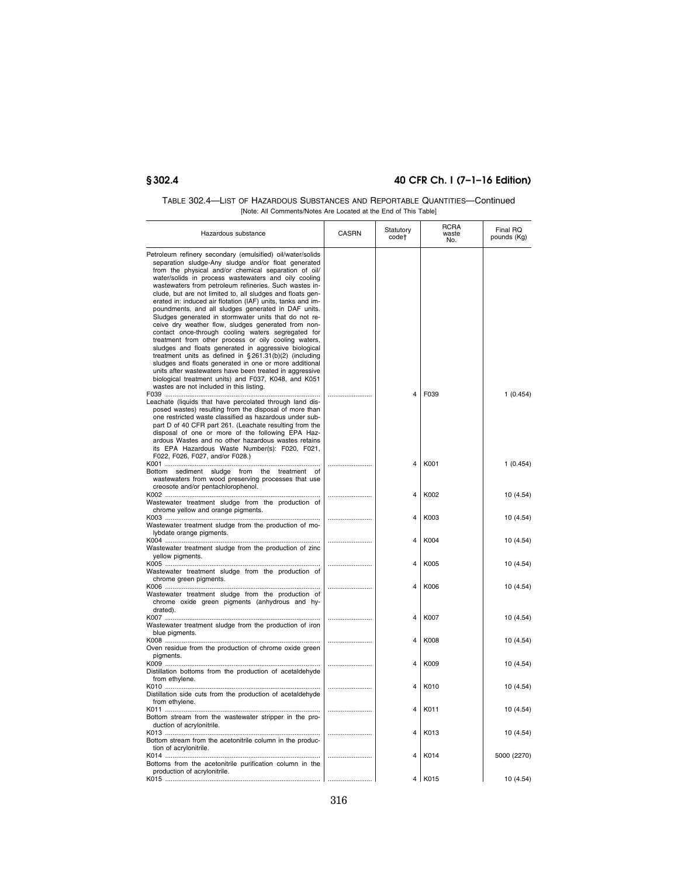| TABLE 302.4—LIST OF HAZARDOUS SUBSTANCES AND REPORTABLE QUANTITIES—Continued |
|------------------------------------------------------------------------------|
| [Note: All Comments/Notes Are Located at the End of This Table]              |

| Hazardous substance                                                                                                                                                                                                                                                                                                                                                                                                                                                                                                                                                                                                                                                                                                                                                                                                                                                                                                                                                                                                                                           | CASRN | Statutory<br>code† | <b>RCRA</b><br>waste<br>No. | Final RQ<br>pounds (Kg) |
|---------------------------------------------------------------------------------------------------------------------------------------------------------------------------------------------------------------------------------------------------------------------------------------------------------------------------------------------------------------------------------------------------------------------------------------------------------------------------------------------------------------------------------------------------------------------------------------------------------------------------------------------------------------------------------------------------------------------------------------------------------------------------------------------------------------------------------------------------------------------------------------------------------------------------------------------------------------------------------------------------------------------------------------------------------------|-------|--------------------|-----------------------------|-------------------------|
| Petroleum refinery secondary (emulsified) oil/water/solids<br>separation sludge-Any sludge and/or float generated<br>from the physical and/or chemical separation of oil/<br>water/solids in process wastewaters and oily cooling<br>wastewaters from petroleum refineries. Such wastes in-<br>clude, but are not limited to, all sludges and floats gen-<br>erated in: induced air flotation (IAF) units, tanks and im-<br>poundments, and all sludges generated in DAF units.<br>Sludges generated in stormwater units that do not re-<br>ceive dry weather flow, sludges generated from non-<br>contact once-through cooling waters segregated for<br>treatment from other process or oily cooling waters,<br>sludges and floats generated in aggressive biological<br>treatment units as defined in $\S 261.31(b)(2)$ (including<br>sludges and floats generated in one or more additional<br>units after wastewaters have been treated in aggressive<br>biological treatment units) and F037, K048, and K051<br>wastes are not included in this listing. |       | 4                  | F <sub>039</sub>            | 1(0.454)                |
| Leachate (liquids that have percolated through land dis-<br>posed wastes) resulting from the disposal of more than<br>one restricted waste classified as hazardous under sub-<br>part D of 40 CFR part 261. (Leachate resulting from the<br>disposal of one or more of the following EPA Haz-<br>ardous Wastes and no other hazardous wastes retains<br>its EPA Hazardous Waste Number(s): F020, F021,<br>F022, F026, F027, and/or F028.)                                                                                                                                                                                                                                                                                                                                                                                                                                                                                                                                                                                                                     |       |                    |                             |                         |
| Bottom sediment sludge from the treatment of<br>wastewaters from wood preserving processes that use<br>creosote and/or pentachlorophenol.                                                                                                                                                                                                                                                                                                                                                                                                                                                                                                                                                                                                                                                                                                                                                                                                                                                                                                                     |       | 4                  | K001                        | 1(0.454)                |
| Wastewater treatment sludge from the production of<br>chrome yellow and orange pigments.                                                                                                                                                                                                                                                                                                                                                                                                                                                                                                                                                                                                                                                                                                                                                                                                                                                                                                                                                                      |       | 4                  | K002                        | 10 (4.54)               |
| Wastewater treatment sludge from the production of mo-<br>lybdate orange pigments.                                                                                                                                                                                                                                                                                                                                                                                                                                                                                                                                                                                                                                                                                                                                                                                                                                                                                                                                                                            |       | 4                  | K003                        | 10 (4.54)               |
| Wastewater treatment sludge from the production of zinc<br>yellow pigments.                                                                                                                                                                                                                                                                                                                                                                                                                                                                                                                                                                                                                                                                                                                                                                                                                                                                                                                                                                                   |       | 4                  | K004                        | 10 (4.54)               |
| Wastewater treatment sludge from the production of<br>chrome green pigments.                                                                                                                                                                                                                                                                                                                                                                                                                                                                                                                                                                                                                                                                                                                                                                                                                                                                                                                                                                                  |       | 4                  | K005                        | 10 (4.54)               |
| Wastewater treatment sludge from the production of<br>chrome oxide green pigments (anhydrous and hy-<br>drated).                                                                                                                                                                                                                                                                                                                                                                                                                                                                                                                                                                                                                                                                                                                                                                                                                                                                                                                                              |       | 4                  | K006                        | 10 (4.54)               |
| Wastewater treatment sludge from the production of iron<br>blue pigments.                                                                                                                                                                                                                                                                                                                                                                                                                                                                                                                                                                                                                                                                                                                                                                                                                                                                                                                                                                                     |       | 4                  | K007                        | 10 (4.54)               |
| Oven residue from the production of chrome oxide green<br>pigments.                                                                                                                                                                                                                                                                                                                                                                                                                                                                                                                                                                                                                                                                                                                                                                                                                                                                                                                                                                                           |       | 4                  | K008                        | 10 (4.54)               |
| Distillation bottoms from the production of acetaldehyde<br>from ethylene.                                                                                                                                                                                                                                                                                                                                                                                                                                                                                                                                                                                                                                                                                                                                                                                                                                                                                                                                                                                    |       | 4                  | K009                        | 10 (4.54)               |
| Distillation side cuts from the production of acetaldehyde<br>from ethylene.                                                                                                                                                                                                                                                                                                                                                                                                                                                                                                                                                                                                                                                                                                                                                                                                                                                                                                                                                                                  |       | 4                  | K010                        | 10 (4.54)               |
| Bottom stream from the wastewater stripper in the pro-                                                                                                                                                                                                                                                                                                                                                                                                                                                                                                                                                                                                                                                                                                                                                                                                                                                                                                                                                                                                        |       | 4                  | K011                        | 10 (4.54)               |
| duction of acrylonitrile.<br>Bottom stream from the acetonitrile column in the produc-                                                                                                                                                                                                                                                                                                                                                                                                                                                                                                                                                                                                                                                                                                                                                                                                                                                                                                                                                                        |       | 4                  | K013                        | 10 (4.54)               |
| tion of acrylonitrile.<br>Bottoms from the acetonitrile purification column in the                                                                                                                                                                                                                                                                                                                                                                                                                                                                                                                                                                                                                                                                                                                                                                                                                                                                                                                                                                            |       | 4                  | K014                        | 5000 (2270)             |
| production of acrylonitrile.                                                                                                                                                                                                                                                                                                                                                                                                                                                                                                                                                                                                                                                                                                                                                                                                                                                                                                                                                                                                                                  |       |                    | 4   K015                    | 10 (4.54)               |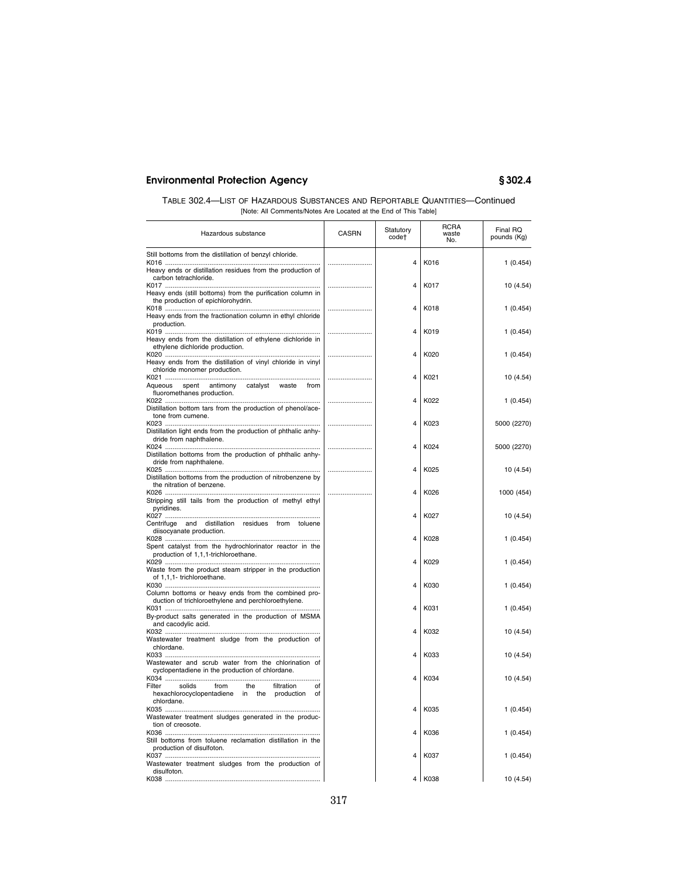| TABLE 302.4—LIST OF HAZARDOUS SUBSTANCES AND REPORTABLE QUANTITIES—Continued |
|------------------------------------------------------------------------------|
| [Note: All Comments/Notes Are Located at the End of This Table]              |

| Hazardous substance                                                                                                    | <b>CASRN</b> | Statutory<br>code <sup>+</sup> | <b>RCRA</b><br>waste<br>No. | Final RQ<br>pounds (Kg) |
|------------------------------------------------------------------------------------------------------------------------|--------------|--------------------------------|-----------------------------|-------------------------|
| Still bottoms from the distillation of benzyl chloride.                                                                |              |                                |                             |                         |
| Heavy ends or distillation residues from the production of<br>carbon tetrachloride.                                    |              | 4                              | K016                        | 1(0.454)                |
|                                                                                                                        |              | 4                              | K017                        | 10 (4.54)               |
| Heavy ends (still bottoms) from the purification column in<br>the production of epichlorohydrin.                       |              |                                |                             |                         |
|                                                                                                                        |              | $\overline{4}$                 | K018                        | 1(0.454)                |
| Heavy ends from the fractionation column in ethyl chloride                                                             |              |                                |                             |                         |
| production.                                                                                                            |              | 4                              | K019                        | 1(0.454)                |
| Heavy ends from the distillation of ethylene dichloride in<br>ethylene dichloride production.                          |              | 4                              |                             |                         |
| Heavy ends from the distillation of vinyl chloride in vinyl<br>chloride monomer production.                            |              |                                | K020                        | 1(0.454)                |
| spent antimony<br>Aqueous<br>catalyst waste<br>from                                                                    |              | 4                              | K021                        | 10 (4.54)               |
| fluoromethanes production.                                                                                             |              | 4                              | K022                        | 1(0.454)                |
| Distillation bottom tars from the production of phenol/ace-<br>tone from cumene.                                       |              |                                |                             |                         |
|                                                                                                                        |              | 4                              | K023                        | 5000 (2270)             |
| Distillation light ends from the production of phthalic anhy-<br>dride from naphthalene.                               |              | 4                              | K024                        | 5000 (2270)             |
| Distillation bottoms from the production of phthalic anhy-<br>dride from naphthalene.                                  |              |                                |                             |                         |
| Distillation bottoms from the production of nitrobenzene by<br>the nitration of benzene.                               |              | $\overline{\mathbf{A}}$        | K025                        | 10 (4.54)               |
| Stripping still tails from the production of methyl ethyl                                                              |              | 4                              | K026                        | 1000 (454)              |
| pyridines.<br>Centrifuge and distillation residues from toluene                                                        |              | 4                              | K027                        | 10 (4.54)               |
| diisocyanate production.                                                                                               |              | $\overline{\mathbf{A}}$        | K028                        | 1(0.454)                |
| Spent catalyst from the hydrochlorinator reactor in the<br>production of 1,1,1-trichloroethane.                        |              | 4                              | K029                        | 1(0.454)                |
| Waste from the product steam stripper in the production<br>of 1,1,1- trichloroethane.                                  |              | 4                              | K030                        | 1(0.454)                |
| Column bottoms or heavy ends from the combined pro-<br>duction of trichloroethylene and perchloroethylene.             |              |                                |                             |                         |
| By-product salts generated in the production of MSMA<br>and cacodylic acid.                                            |              | 4                              | K031                        | 1(0.454)                |
| Wastewater treatment sludge from the production of                                                                     |              | $\overline{4}$                 | K032                        | 10 (4.54)               |
| chlordane.<br>Wastewater and scrub water from the chlorination of                                                      |              | 4                              | K033                        | 10 (4.54)               |
| cyclopentadiene in the production of chlordane.                                                                        |              | 4                              | K034                        | 10 (4.54)               |
| Filter<br>solids<br>from<br>the<br>filtration<br>of<br>hexachlorocyclopentadiene in the<br>production of<br>chlordane. |              |                                |                             |                         |
| Wastewater treatment sludges generated in the produc-<br>tion of creosote.                                             |              | 4                              | K035                        | 1(0.454)                |
| Still bottoms from toluene reclamation distillation in the                                                             |              | 4                              | K036                        | 1(0.454)                |
| production of disulfoton.<br>Wastewater treatment sludges from the production of                                       |              | $\overline{\mathbf{A}}$        | K037                        | 1(0.454)                |
| disulfoton.                                                                                                            |              |                                | 4 K038                      | 10 (4.54)               |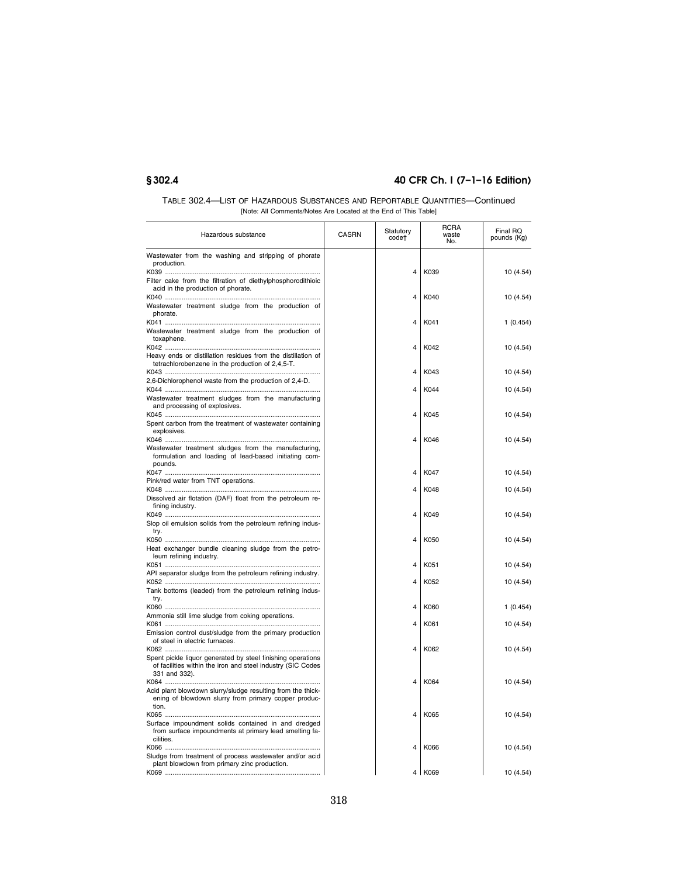| TABLE 302.4—LIST OF HAZARDOUS SUBSTANCES AND REPORTABLE QUANTITIES—Continued |
|------------------------------------------------------------------------------|
| [Note: All Comments/Notes Are Located at the End of This Table]              |

| Hazardous substance                                                                                                                         | CASRN | Statutory<br>code†      | RCRA<br>waste<br>No. | Final RQ<br>pounds (Kg) |
|---------------------------------------------------------------------------------------------------------------------------------------------|-------|-------------------------|----------------------|-------------------------|
| Wastewater from the washing and stripping of phorate<br>production.                                                                         |       | $\overline{4}$          | K039                 | 10 (4.54)               |
| Filter cake from the filtration of diethylphosphorodithioic<br>acid in the production of phorate.                                           |       |                         |                      |                         |
| Wastewater treatment sludge from the production of<br>phorate.                                                                              |       | 4                       | K040                 | 10 (4.54)               |
| Wastewater treatment sludge from the production of<br>toxaphene.                                                                            |       | $\overline{4}$          | K041                 | 1(0.454)                |
| Heavy ends or distillation residues from the distillation of                                                                                |       | 4                       | K042                 | 10 (4.54)               |
| tetrachlorobenzene in the production of 2,4,5-T.<br>2,6-Dichlorophenol waste from the production of 2,4-D.                                  |       | $\overline{4}$          | K043                 | 10 (4.54)               |
| Wastewater treatment sludges from the manufacturing                                                                                         |       | $\overline{4}$          | K044                 | 10 (4.54)               |
| and processing of explosives.<br>Spent carbon from the treatment of wastewater containing                                                   |       | $\overline{4}$          | K045                 | 10 (4.54)               |
| explosives.                                                                                                                                 |       | $\overline{4}$          | K046                 | 10 (4.54)               |
| Wastewater treatment sludges from the manufacturing,<br>formulation and loading of lead-based initiating com-<br>pounds.                    |       |                         |                      |                         |
| Pink/red water from TNT operations.                                                                                                         |       | 4                       | K047                 | 10 (4.54)               |
| Dissolved air flotation (DAF) float from the petroleum re-                                                                                  |       | $\overline{4}$          | K048                 | 10 (4.54)               |
| fining industry.<br>Slop oil emulsion solids from the petroleum refining indus-                                                             |       | $\overline{4}$          | K049                 | 10 (4.54)               |
| try.<br>Heat exchanger bundle cleaning sludge from the petro-<br>leum refining industry.                                                    |       | 4                       | K050                 | 10 (4.54)               |
| API separator sludge from the petroleum refining industry.                                                                                  |       | $\overline{4}$          | K051                 | 10 (4.54)               |
| Tank bottoms (leaded) from the petroleum refining indus-                                                                                    |       | $\overline{4}$          | K052                 | 10 (4.54)               |
| try.<br>Ammonia still lime sludge from coking operations.                                                                                   |       | $\overline{4}$          | K060                 | 1(0.454)                |
| Emission control dust/sludge from the primary production                                                                                    |       | $\overline{4}$          | K061                 | 10 (4.54)               |
| of steel in electric furnaces.                                                                                                              |       | $\overline{4}$          | K062                 | 10 (4.54)               |
| Spent pickle liquor generated by steel finishing operations<br>of facilities within the iron and steel industry (SIC Codes<br>331 and 332). |       |                         |                      |                         |
| Acid plant blowdown slurry/sludge resulting from the thick-<br>ening of blowdown slurry from primary copper produc-                         |       | $\overline{4}$          | K064                 | 10 (4.54)               |
| tion.<br>Surface impoundment solids contained in and dredged                                                                                |       | $\overline{4}$          | K065                 | 10 (4.54)               |
| from surface impoundments at primary lead smelting fa-<br>cilities.                                                                         |       | $\overline{\mathbf{A}}$ | K066                 | 10 (4.54)               |
| Sludge from treatment of process wastewater and/or acid<br>plant blowdown from primary zinc production.                                     |       |                         | 4   K069             | 10 (4.54)               |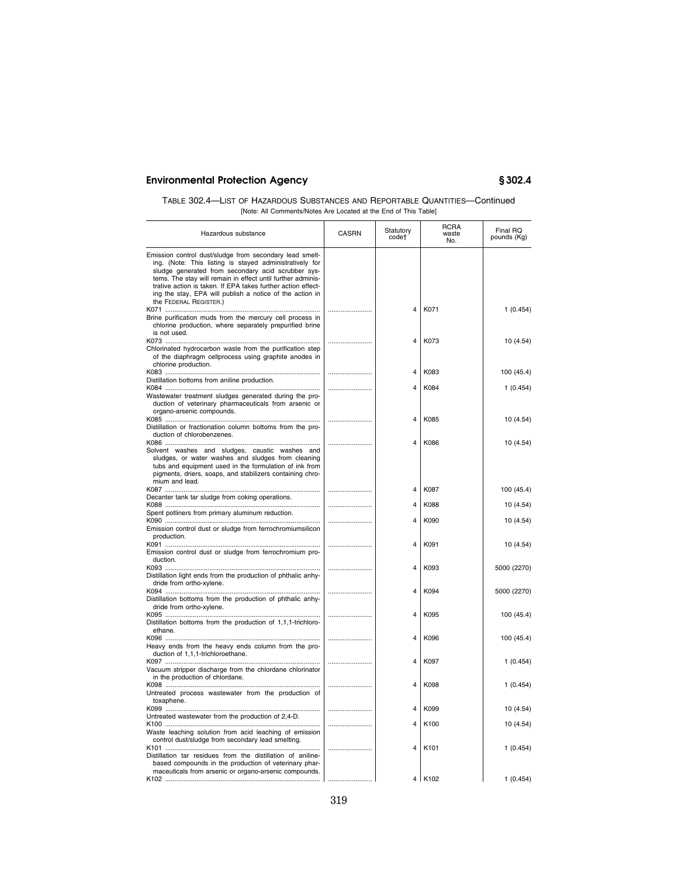| TABLE 302.4—LIST OF HAZARDOUS SUBSTANCES AND REPORTABLE QUANTITIES—Continued |
|------------------------------------------------------------------------------|
| [Note: All Comments/Notes Are Located at the End of This Table]              |

| Hazardous substance                                                                                                                                                                                                                                                                                                                                                                           | <b>CASRN</b> | Statutory<br>code†      | <b>RCRA</b><br>waste<br>No. | Final RQ<br>pounds (Kg) |
|-----------------------------------------------------------------------------------------------------------------------------------------------------------------------------------------------------------------------------------------------------------------------------------------------------------------------------------------------------------------------------------------------|--------------|-------------------------|-----------------------------|-------------------------|
| Emission control dust/sludge from secondary lead smelt-<br>ing. (Note: This listing is stayed administratively for<br>sludge generated from secondary acid scrubber sys-<br>tems. The stay will remain in effect until further adminis-<br>trative action is taken. If EPA takes further action effect-<br>ing the stay, EPA will publish a notice of the action in<br>the FEDERAL REGISTER.) |              |                         |                             |                         |
| Brine purification muds from the mercury cell process in<br>chlorine production, where separately prepurified brine                                                                                                                                                                                                                                                                           |              | 4                       | K071                        | 1(0.454)                |
| is not used.<br>Chlorinated hydrocarbon waste from the purification step<br>of the diaphragm cellprocess using graphite anodes in                                                                                                                                                                                                                                                             |              | 4                       | K073                        | 10 (4.54)               |
| chlorine production.                                                                                                                                                                                                                                                                                                                                                                          |              | 4                       | K083                        | 100 (45.4)              |
| Distillation bottoms from aniline production.<br>Wastewater treatment sludges generated during the pro-<br>duction of veterinary pharmaceuticals from arsenic or                                                                                                                                                                                                                              |              | $\overline{\mathbf{A}}$ | K084                        | 1(0.454)                |
| organo-arsenic compounds.<br>Distillation or fractionation column bottoms from the pro-<br>duction of chlorobenzenes.                                                                                                                                                                                                                                                                         |              | 4                       | K085                        | 10 (4.54)               |
| Solvent washes and sludges, caustic washes and<br>sludges, or water washes and sludges from cleaning<br>tubs and equipment used in the formulation of ink from<br>pigments, driers, soaps, and stabilizers containing chro-                                                                                                                                                                   |              | 4                       | K086                        | 10 (4.54)               |
| mium and lead.<br>Decanter tank tar sludge from coking operations.                                                                                                                                                                                                                                                                                                                            |              | 4                       | K087                        | 100 (45.4)              |
|                                                                                                                                                                                                                                                                                                                                                                                               |              | 4                       | K088                        | 10 (4.54)               |
| Spent potliners from primary aluminum reduction.<br>Emission control dust or sludge from ferrochromiumsilicon                                                                                                                                                                                                                                                                                 |              | 4                       | K090                        | 10 (4.54)               |
| production.<br>Emission control dust or sludge from ferrochromium pro-                                                                                                                                                                                                                                                                                                                        |              | $\overline{4}$          | K091                        | 10 (4.54)               |
| duction.<br>Distillation light ends from the production of phthalic anhy-                                                                                                                                                                                                                                                                                                                     |              | 4                       | K093                        | 5000 (2270)             |
| dride from ortho-xylene.<br>Distillation bottoms from the production of phthalic anhy-                                                                                                                                                                                                                                                                                                        |              | 4                       | K094                        | 5000 (2270)             |
| dride from ortho-xylene.<br>Distillation bottoms from the production of 1,1,1-trichloro-                                                                                                                                                                                                                                                                                                      |              | $\overline{\mathbf{A}}$ | K095                        | 100 (45.4)              |
| ethane.<br>Heavy ends from the heavy ends column from the pro-                                                                                                                                                                                                                                                                                                                                |              | $\overline{\mathbf{A}}$ | K096                        | 100 (45.4)              |
| duction of 1,1,1-trichloroethane.<br>Vacuum stripper discharge from the chlordane chlorinator                                                                                                                                                                                                                                                                                                 |              | 4                       | K097                        | 1(0.454)                |
| in the production of chlordane.<br>Untreated process wastewater from the production of                                                                                                                                                                                                                                                                                                        |              | 4                       | K098                        | 1(0.454)                |
| toxaphene.                                                                                                                                                                                                                                                                                                                                                                                    |              | 4                       | K099                        | 10 (4.54)               |
| Untreated wastewater from the production of 2,4-D.<br>Waste leaching solution from acid leaching of emission                                                                                                                                                                                                                                                                                  |              | 4                       | K100                        | 10 (4.54)               |
| control dust/sludge from secondary lead smelting.<br>Distillation tar residues from the distillation of aniline-                                                                                                                                                                                                                                                                              |              | 4                       | K101                        | 1(0.454)                |
| based compounds in the production of veterinary phar-<br>maceuticals from arsenic or organo-arsenic compounds.                                                                                                                                                                                                                                                                                |              |                         | 4 K102                      | 1(0.454)                |
|                                                                                                                                                                                                                                                                                                                                                                                               |              |                         |                             |                         |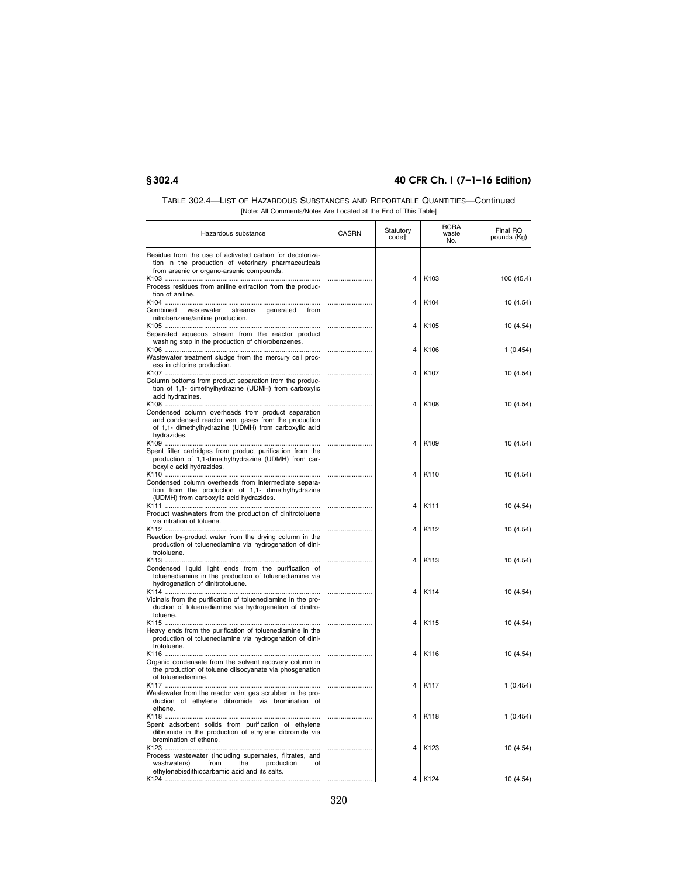| TABLE 302.4—LIST OF HAZARDOUS SUBSTANCES AND REPORTABLE QUANTITIES—Continued |
|------------------------------------------------------------------------------|
| [Note: All Comments/Notes Are Located at the End of This Table]              |

| Hazardous substance                                                                                                                                                                   | CASRN | Statutory<br>code† | <b>RCRA</b><br>waste<br>No. | Final RQ<br>pounds (Kg) |
|---------------------------------------------------------------------------------------------------------------------------------------------------------------------------------------|-------|--------------------|-----------------------------|-------------------------|
| Residue from the use of activated carbon for decoloriza-<br>tion in the production of veterinary pharmaceuticals<br>from arsenic or organo-arsenic compounds.                         |       |                    |                             |                         |
| Process residues from aniline extraction from the produc-<br>tion of aniline.                                                                                                         |       | 4                  | K103                        | 100 (45.4)              |
| Combined wastewater<br>streams<br>generated<br>from                                                                                                                                   |       | 4                  | K104                        | 10 (4.54)               |
| nitrobenzene/aniline production.<br>Separated aqueous stream from the reactor product                                                                                                 |       | 4                  | K105                        | 10 (4.54)               |
| washing step in the production of chlorobenzenes.<br>Wastewater treatment sludge from the mercury cell proc-                                                                          |       | 4                  | K106                        | 1(0.454)                |
| ess in chlorine production.<br>Column bottoms from product separation from the produc-                                                                                                |       | 4                  | K107                        | 10 (4.54)               |
| tion of 1,1- dimethylhydrazine (UDMH) from carboxylic<br>acid hydrazines.                                                                                                             |       |                    |                             |                         |
| Condensed column overheads from product separation<br>and condensed reactor vent gases from the production<br>of 1,1- dimethylhydrazine (UDMH) from carboxylic acid<br>hydrazides.    |       | 4                  | K108                        | 10 (4.54)               |
| Spent filter cartridges from product purification from the<br>production of 1,1-dimethylhydrazine (UDMH) from car-<br>boxylic acid hydrazides.                                        |       | 4                  | K109                        | 10 (4.54)               |
| Condensed column overheads from intermediate separa-<br>tion from the production of 1,1- dimethylhydrazine<br>(UDMH) from carboxylic acid hydrazides.                                 |       | 4                  | K110                        | 10 (4.54)               |
| Product washwaters from the production of dinitrotoluene<br>via nitration of toluene.                                                                                                 |       | 4                  | K111                        | 10 (4.54)               |
| Reaction by-product water from the drying column in the<br>production of toluenediamine via hydrogenation of dini-<br>trotoluene.                                                     |       | 4                  | K112                        | 10 (4.54)               |
| Condensed liquid light ends from the purification of<br>toluenediamine in the production of toluenediamine via<br>hydrogenation of dinitrotoluene.                                    |       | 4                  | K113                        | 10 (4.54)               |
| Vicinals from the purification of toluenediamine in the pro-<br>duction of toluenediamine via hydrogenation of dinitro-<br>toluene.                                                   |       | 4                  | K114                        | 10 (4.54)               |
| Heavy ends from the purification of toluenediamine in the<br>production of toluenediamine via hydrogenation of dini-<br>trotoluene.                                                   |       | 4                  | K115                        | 10 (4.54)               |
| Organic condensate from the solvent recovery column in<br>the production of toluene diisocyanate via phosgenation<br>of toluenediamine.                                               |       | 4                  | K116                        | 10 (4.54)               |
| Wastewater from the reactor vent gas scrubber in the pro-<br>duction of ethylene dibromide via bromination of                                                                         |       | 4                  | K117                        | 1(0.454)                |
| ethene.<br>Spent adsorbent solids from purification of ethylene<br>dibromide in the production of ethylene dibromide via                                                              |       | 4                  | K118                        | 1(0.454)                |
| bromination of ethene.<br>Process wastewater (including supernates, filtrates, and<br>from<br>the<br>production<br>washwaters)<br>of<br>ethylenebisdithiocarbamic acid and its salts. |       | 4                  | K <sub>123</sub>            | 10 (4.54)               |
|                                                                                                                                                                                       |       |                    | 4 K124                      | 10 (4.54)               |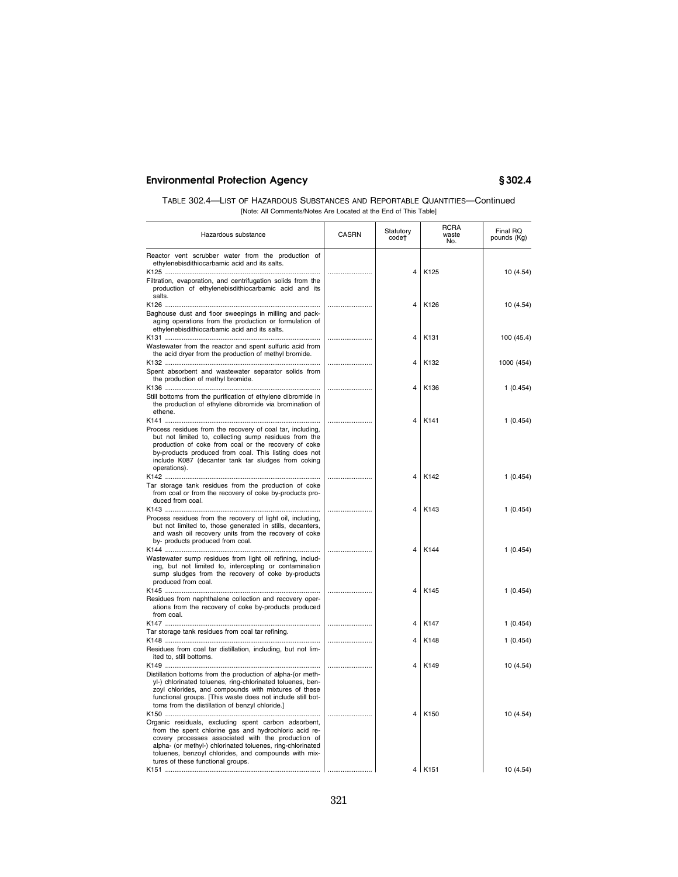| TABLE 302.4—LIST OF HAZARDOUS SUBSTANCES AND REPORTABLE QUANTITIES—Continued |  |
|------------------------------------------------------------------------------|--|
| [Note: All Comments/Notes Are Located at the End of This Table]              |  |

| Hazardous substance                                                                                                                                                                                                                                                                                                            | CASRN | Statutory<br>code†      | <b>RCRA</b><br>waste<br>No. | Final RQ<br>pounds (Kg) |
|--------------------------------------------------------------------------------------------------------------------------------------------------------------------------------------------------------------------------------------------------------------------------------------------------------------------------------|-------|-------------------------|-----------------------------|-------------------------|
| Reactor vent scrubber water from the production of<br>ethylenebisdithiocarbamic acid and its salts.<br>Filtration, evaporation, and centrifugation solids from the<br>production of ethylenebisdithiocarbamic acid and its                                                                                                     |       | 4                       | K125                        | 10 (4.54)               |
| salts.<br>Baghouse dust and floor sweepings in milling and pack-<br>aging operations from the production or formulation of<br>ethylenebisdithiocarbamic acid and its salts.                                                                                                                                                    |       | 4                       | K126                        | 10 (4.54)               |
| Wastewater from the reactor and spent sulfuric acid from<br>the acid dryer from the production of methyl bromide.                                                                                                                                                                                                              |       | 4                       | K <sub>131</sub>            | 100 (45.4)              |
| Spent absorbent and wastewater separator solids from<br>the production of methyl bromide.                                                                                                                                                                                                                                      |       | 4                       | K132                        | 1000 (454)              |
| Still bottoms from the purification of ethylene dibromide in<br>the production of ethylene dibromide via bromination of<br>ethene.                                                                                                                                                                                             |       | $\overline{\mathbf{A}}$ | K136                        | 1(0.454)                |
| Process residues from the recovery of coal tar, including,<br>but not limited to, collecting sump residues from the<br>production of coke from coal or the recovery of coke<br>by-products produced from coal. This listing does not<br>include K087 (decanter tank tar sludges from coking<br>operations).                    |       | 4                       | K141                        | 1(0.454)                |
| Tar storage tank residues from the production of coke<br>from coal or from the recovery of coke by-products pro-<br>duced from coal.                                                                                                                                                                                           |       | 4                       | K142                        | 1(0.454)                |
| Process residues from the recovery of light oil, including,<br>but not limited to, those generated in stills, decanters,<br>and wash oil recovery units from the recovery of coke<br>by- products produced from coal.                                                                                                          |       | 4                       | K143                        | 1(0.454)                |
| Wastewater sump residues from light oil refining, includ-<br>ing, but not limited to, intercepting or contamination<br>sump sludges from the recovery of coke by-products<br>produced from coal.                                                                                                                               |       | 4                       | K144                        | 1(0.454)                |
| Residues from naphthalene collection and recovery oper-<br>ations from the recovery of coke by-products produced<br>from coal.                                                                                                                                                                                                 |       | 4                       | K145                        | 1(0.454)                |
| Tar storage tank residues from coal tar refining.                                                                                                                                                                                                                                                                              |       | 4                       | K147                        | 1(0.454)                |
| Residues from coal tar distillation, including, but not lim-<br>ited to, still bottoms.                                                                                                                                                                                                                                        |       | 4                       | K148                        | 1(0.454)                |
| Distillation bottoms from the production of alpha-(or meth-<br>yl-) chlorinated toluenes, ring-chlorinated toluenes, ben-<br>zoyl chlorides, and compounds with mixtures of these<br>functional groups. [This waste does not include still bot-<br>toms from the distillation of benzyl chloride.]                             |       | 4                       | K149                        | 10 (4.54)               |
| Organic residuals, excluding spent carbon adsorbent,<br>from the spent chlorine gas and hydrochloric acid re-<br>covery processes associated with the production of<br>alpha- (or methyl-) chlorinated toluenes, ring-chlorinated<br>toluenes, benzoyl chlorides, and compounds with mix-<br>tures of these functional groups. |       | 4                       | K150                        | 10 (4.54)               |
|                                                                                                                                                                                                                                                                                                                                |       |                         | 4   K151                    | 10 (4.54)               |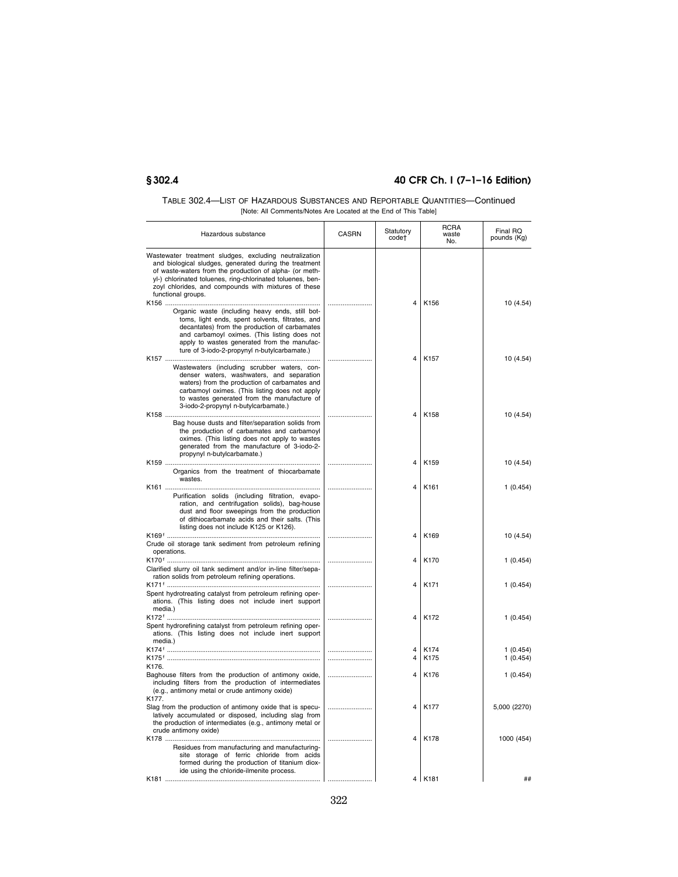| TABLE 302.4—LIST OF HAZARDOUS SUBSTANCES AND REPORTABLE QUANTITIES—Continued |
|------------------------------------------------------------------------------|
| [Note: All Comments/Notes Are Located at the End of This Table]              |

| Hazardous substance                                                                                                                                                                                                                                                                                                     | CASRN | Statutory<br>code†      | <b>RCRA</b><br>waste<br>No. | Final RQ<br>pounds (Kg) |
|-------------------------------------------------------------------------------------------------------------------------------------------------------------------------------------------------------------------------------------------------------------------------------------------------------------------------|-------|-------------------------|-----------------------------|-------------------------|
| Wastewater treatment sludges, excluding neutralization<br>and biological sludges, generated during the treatment<br>of waste-waters from the production of alpha- (or meth-<br>yl-) chlorinated toluenes, ring-chlorinated toluenes, ben-<br>zoyl chlorides, and compounds with mixtures of these<br>functional groups. |       |                         |                             |                         |
| Organic waste (including heavy ends, still bot-<br>toms, light ends, spent solvents, filtrates, and<br>decantates) from the production of carbamates<br>and carbamoyl oximes. (This listing does not<br>apply to wastes generated from the manufac-<br>ture of 3-iodo-2-propynyl n-butylcarbamate.)                     |       | 4                       | K156                        | 10 (4.54)               |
| Wastewaters (including scrubber waters, con-<br>denser waters, washwaters, and separation<br>waters) from the production of carbamates and<br>carbamoyl oximes. (This listing does not apply<br>to wastes generated from the manufacture of<br>3-iodo-2-propynyl n-butylcarbamate.)                                     |       | 4                       | K157                        | 10 (4.54)               |
| Bag house dusts and filter/separation solids from<br>the production of carbamates and carbamoyl<br>oximes. (This listing does not apply to wastes<br>generated from the manufacture of 3-iodo-2-                                                                                                                        |       | 4                       | K158                        | 10 (4.54)               |
| propynyl n-butylcarbamate.)<br>Organics from the treatment of thiocarbamate<br>wastes.                                                                                                                                                                                                                                  |       | 4                       | K <sub>159</sub>            | 10 (4.54)               |
| Purification solids (including filtration, evapo-<br>ration, and centrifugation solids), bag-house<br>dust and floor sweepings from the production<br>of dithiocarbamate acids and their salts. (This                                                                                                                   |       | 4                       | K161                        | 1(0.454)                |
| listing does not include K125 or K126).<br>Crude oil storage tank sediment from petroleum refining                                                                                                                                                                                                                      |       | 4                       | K169                        | 10 (4.54)               |
| operations.<br>Clarified slurry oil tank sediment and/or in-line filter/sepa-<br>ration solids from petroleum refining operations.                                                                                                                                                                                      |       | 4                       | K170                        | 1(0.454)                |
| Spent hydrotreating catalyst from petroleum refining oper-<br>ations. (This listing does not include inert support<br>media.)                                                                                                                                                                                           |       | 4                       | K171                        | 1(0.454)                |
| Spent hydrorefining catalyst from petroleum refining oper-<br>ations. (This listing does not include inert support<br>media.)                                                                                                                                                                                           |       | 4                       | K172                        | 1(0.454)                |
| K174 <sup>†</sup> ……………………………………………………………………………                                                                                                                                                                                                                                                                         |       | 4                       | K174                        | 1(0.454)                |
| K176.                                                                                                                                                                                                                                                                                                                   |       | 4                       | K175                        | 1(0.454)                |
| Baghouse filters from the production of antimony oxide,<br>including filters from the production of intermediates<br>(e.g., antimony metal or crude antimony oxide)<br>K <sub>177</sub>                                                                                                                                 |       | $\overline{\mathbf{A}}$ | K176                        | 1(0.454)                |
| Slag from the production of antimony oxide that is specu-<br>latively accumulated or disposed, including slag from<br>the production of intermediates (e.g., antimony metal or<br>crude antimony oxide)                                                                                                                 |       | $\overline{\mathbf{A}}$ | K177                        | 5,000 (2270)            |
| Residues from manufacturing and manufacturing-<br>site storage of ferric chloride from acids<br>formed during the production of titanium diox-<br>ide using the chloride-ilmenite process.                                                                                                                              |       | 4                       | K178                        | 1000 (454)              |
|                                                                                                                                                                                                                                                                                                                         |       |                         | 4   K181                    | ##                      |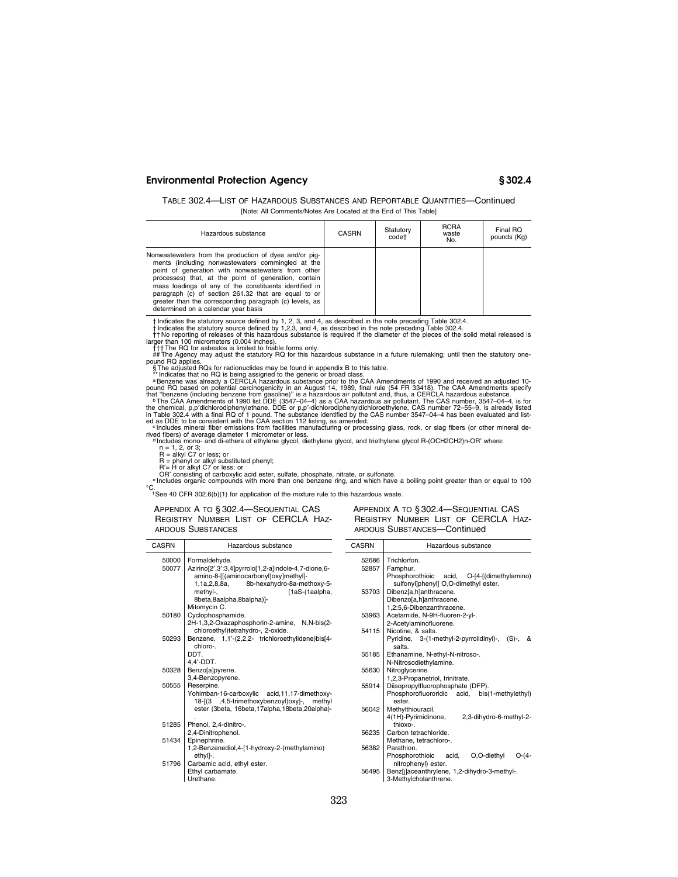TABLE 302.4—LIST OF HAZARDOUS SUBSTANCES AND REPORTABLE QUANTITIES—Continued [Note: All Comments/Notes Are Located at the End of This Table]

| Hazardous substance                                                                                                                                                                                                                                                                                                                                                                                                                           | <b>CASRN</b> | Statutory<br>code† | <b>RCRA</b><br>waste<br>No. | Final RQ<br>pounds (Kg) |
|-----------------------------------------------------------------------------------------------------------------------------------------------------------------------------------------------------------------------------------------------------------------------------------------------------------------------------------------------------------------------------------------------------------------------------------------------|--------------|--------------------|-----------------------------|-------------------------|
| Nonwastewaters from the production of dyes and/or pig-<br>ments (including nonwastewaters commingled at the<br>point of generation with nonwastewaters from other<br>processes) that, at the point of generation, contain<br>mass loadings of any of the constituents identified in<br>paragraph (c) of section 261.32 that are equal to or<br>greater than the corresponding paragraph (c) levels, as<br>determined on a calendar year basis |              |                    |                             |                         |

† Indicates the statutory source defined by 1, 2, 3, and 4, as described in the note preceding Table 302.4.<br>
Thickness the statutory source defined by 1,2,3, and 4, as described in the note preceding Table 302.4.<br>
This rep

S The adjusted RQs for radionuclides may be found in appendix B to this table.<br>
"Indicates that no RQ is being assigned to the generic or broad class.<br>
"Indicates that no RQ is being assigned to the generic or broad class

rived fibers) of average diameter 1 micrometer or less.<br>
"Includes mono- and di-ethers of ethylene glycol, diethylene glycol, and triethylene glycol R-(OCH2CH2)n-OR' where:<br>
n = 1, 2, or 3;<br>
n = 1, 2, or 3;<br>
R = alkyl C7 o

50000 Formaldehyde.

Mitomycin C. 50180 Cyclophosphamide.

chloro-. DDT. 4,4′-DDT. 50328 Benzo[a]pyrene. 3,4-Benzopyrene.

. 51285 Phenol, 2,4-dinitro-. 2,4-Dinitrophenol. 51434 Epinephrine.

ethyl]-. 51796 Carbamic acid, ethyl ester. Ethyl carbamate. Urethane.

50555 Reserpine.

CASRN Hazardous substance

8beta,8aalpha,8balpha)]-

°C. fSee 40 CFR 302.6(b)(1) for application of the mixture rule to this hazardous waste.

1,1a,2,8,8a, 8b-hexahydro-8a-methoxy-5-

APPENDIX A TO § 302.4—SEQUENTIAL CAS REGISTRY NUMBER LIST OF CERCLA HAZ-ARDOUS SUBSTANCES

50077 Azirino[2′,3′:3,4]pyrrolo[1,2-a]indole-4,7-dione,6 amino-8-[[(aminocarbonyl)oxy]methyl]-<br>1,1a,2,8,8a, 8b-hexahydro-8a-me

methyl-, [1aS-(1aalpha,

2H-1,3,2-Oxazaphosphorin-2-amine, N,N-bis(2 chloroethyl)tetrahydro-, 2-oxide. 50293 Benzene, 1,1′-(2,2,2- trichloroethylidene)bis[4-

> Yohimban-16-carboxylic acid,11,17-dimethoxy-18-[(3 ,4,5-trimethoxybenzoyl)oxy]-, methyl ester (3beta, 16beta,17alpha,18beta,20alpha)-

1,2-Benzenediol,4-[1-hydroxy-2-(methylamino)

| CASRN          | Hazardous substance                                                                             |
|----------------|-------------------------------------------------------------------------------------------------|
| 52686<br>52857 | Trichlorfon.<br>Famphur.                                                                        |
|                | Phosphorothioic acid, O-[4-[(dimethylamino)<br>sulfonyl]phenyl] O,O-dimethyl ester.             |
| 53703          | Dibenz[a,h]anthracene.<br>Dibenzo[a,h]anthracene.<br>1,2:5,6-Dibenzanthracene.                  |
| 53963          | Acetamide, N-9H-fluoren-2-yl-.<br>2-Acetylaminofluorene.                                        |
| 54115          | Nicotine, & salts.<br>Pyridine, 3-(1-methyl-2-pyrrolidinyl)-, (S)-,<br>୍ୟୁ<br>salts.            |
| 55185          | Ethanamine, N-ethyl-N-nitroso-.<br>N-Nitrosodiethylamine.                                       |
| 55630          | Nitroglycerine.<br>1,2,3-Propanetriol, trinitrate.                                              |
| 55914          | Diisopropylfluorophosphate (DFP).<br>Phosphorofluororidic acid,<br>bis(1-methylethyl)<br>ester. |
| 56042          | Methylthiouracil.<br>4(1H)-Pyrimidinone, 2,3-dihydro-6-methyl-2-<br>thioxo-.                    |
| 56235          | Carbon tetrachloride.<br>Methane, tetrachloro-.                                                 |
| 56382          | Parathion.<br>Phosphorothioic<br>O,O-diethyl<br>acid,<br>O-(4-<br>nitrophenyl) ester.           |
| 56495          | Benz[j]aceanthrylene, 1,2-dihydro-3-methyl-.<br>3-Methylcholanthrene.                           |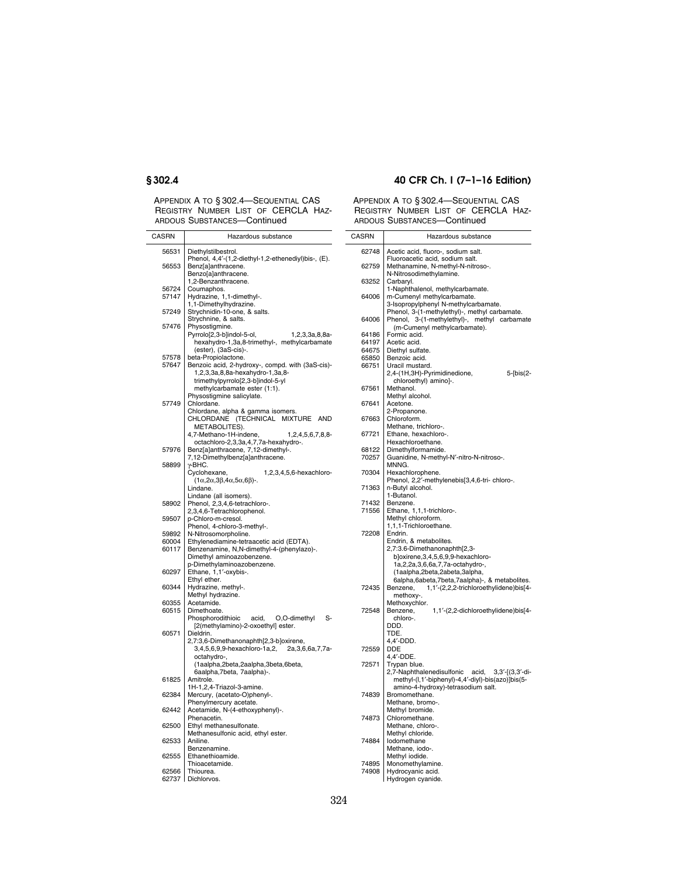APPENDIX A TO § 302.4—SEQUENTIAL CAS REGISTRY NUMBER LIST OF CERCLA HAZ-ARDOUS SUBSTANCES—Continued

## **§ 302.4 40 CFR Ch. I (7–1–16 Edition)**

| CASRN                   | Hazardous substance                                                                                                                                                                                              | CASRN                                    |
|-------------------------|------------------------------------------------------------------------------------------------------------------------------------------------------------------------------------------------------------------|------------------------------------------|
| 56531                   | Diethylstilbestrol.                                                                                                                                                                                              | 62748                                    |
| 56553                   | Phenol, 4,4'-(1,2-diethyl-1,2-ethenediyl)bis-, (E).<br>Benz[a]anthracene.<br>Benzo[a]anthracene.                                                                                                                 | 62759                                    |
| 56724                   | 1,2-Benzanthracene.                                                                                                                                                                                              | 63252                                    |
| 57147                   | Coumaphos.<br>Hydrazine, 1,1-dimethyl-.<br>1,1-Dimethylhydrazine.                                                                                                                                                | 64006                                    |
| 57249                   | Strychnidin-10-one, & salts.<br>Strychnine, & salts.                                                                                                                                                             | 64006                                    |
| 57476<br>57578<br>57647 | Physostigmine.<br>Pyrrolo[2,3-b]indol-5-ol,<br>1,2,3,3a,8,8a-<br>hexahydro-1,3a,8-trimethyl-, methylcarbamate<br>(ester), (3aS-cis)-.<br>beta-Propiolactone.<br>Benzoic acid, 2-hydroxy-, compd. with (3aS-cis)- | 64186<br>64197<br>64675<br>65850<br>6675 |
|                         | 1,2,3,3a,8,8a-hexahydro-1,3a,8-<br>trimethylpyrrolo[2,3-b]indol-5-yl                                                                                                                                             |                                          |
|                         | methylcarbamate ester (1:1).<br>Physostigmine salicylate.                                                                                                                                                        | 67561                                    |
| 57749                   | Chlordane.<br>Chlordane, alpha & gamma isomers.                                                                                                                                                                  | 67641                                    |
|                         | CHLORDANE (TECHNICAL MIXTURE<br>AND<br>METABOLITES).                                                                                                                                                             | 67663                                    |
|                         | 4,7-Methano-1H-indene,<br>1,2,4,5,6,7,8,8-<br>octachloro-2,3,3a,4,7,7a-hexahydro-.                                                                                                                               | 6772                                     |
| 57976                   | Benz[a]anthracene, 7,12-dimethyl-.<br>7,12-Dimethylbenz[a]anthracene.                                                                                                                                            | 68122<br>70257                           |
| 58899                   | γ-BHC.<br>1,2,3,4,5,6-hexachloro-<br>Cyclohexane,                                                                                                                                                                | 70304                                    |
|                         | $(1\alpha, 2\alpha, 3\beta, 4\alpha, 5\alpha, 6\beta)$ -.<br>Lindane.                                                                                                                                            | 71363                                    |
| 58902                   | Lindane (all isomers).<br>Phenol, 2,3,4,6-tetrachloro-.                                                                                                                                                          | 71432                                    |
| 59507                   | 2,3,4,6-Tetrachlorophenol.<br>p-Chloro-m-cresol.<br>Phenol, 4-chloro-3-methyl-.                                                                                                                                  | 71556                                    |
| 59892                   | N-Nitrosomorpholine.                                                                                                                                                                                             | 72208                                    |
| 60004<br>60117          | Ethylenediamine-tetraacetic acid (EDTA).<br>Benzenamine, N,N-dimethyl-4-(phenylazo)-.<br>Dimethyl aminoazobenzene.<br>p-Dimethylaminoazobenzene.                                                                 |                                          |
| 60297                   | Ethane, 1,1'-oxybis-.<br>Ethyl ether.                                                                                                                                                                            |                                          |
| 60344                   | Hydrazine, methyl-.<br>Methyl hydrazine.                                                                                                                                                                         | 72435                                    |
| 60355<br>60515          | Acetamide.<br>Dimethoate.<br>O,O-dimethyl<br>S-<br>Phosphorodithioic<br>acid,<br>[2(methylamino)-2-oxoethyl] ester.                                                                                              | 72548                                    |
| 60571                   | Dieldrin.<br>2,7:3,6-Dimethanonaphth[2,3-b]oxirene,<br>3,4,5,6,9,9-hexachloro-1a,2,<br>2a, 3, 6, 6a, 7, 7a-                                                                                                      | 72559                                    |
|                         | octahydro-,<br>(1aalpha,2beta,2aalpha,3beta,6beta,                                                                                                                                                               | 72571                                    |
| 61825                   | 6aalpha,7beta, 7aalpha)-.<br>Amitrole.                                                                                                                                                                           |                                          |
| 62384                   | 1H-1,2,4-Triazol-3-amine.<br>Mercury, (acetato-O)phenyl-.                                                                                                                                                        | 74839                                    |
| 62442                   | Phenylmercury acetate.<br>Acetamide, N-(4-ethoxyphenyl)-.                                                                                                                                                        |                                          |
| 62500                   | Phenacetin.<br>Ethyl methanesulfonate.                                                                                                                                                                           | 74873                                    |
| 62533                   | Methanesulfonic acid, ethyl ester.<br>Aniline.                                                                                                                                                                   | 74884                                    |
| 62555                   | Benzenamine.<br>Ethanethioamide.                                                                                                                                                                                 | 74895                                    |
| 62566                   | Thioacetamide.<br>Thiourea.<br>62737 Dichlorvos.                                                                                                                                                                 | 74908                                    |
|                         |                                                                                                                                                                                                                  |                                          |

| CASRN | Hazardous substance                                                                                                 |  |  |
|-------|---------------------------------------------------------------------------------------------------------------------|--|--|
| 62748 | Acetic acid, fluoro-, sodium salt.<br>Fluoroacetic acid, sodium salt.                                               |  |  |
| 62759 | Methanamine, N-methyl-N-nitroso-.<br>N-Nitrosodimethylamine.                                                        |  |  |
| 63252 | Carbaryl.<br>1-Naphthalenol, methylcarbamate.                                                                       |  |  |
| 64006 | m-Cumenyl methylcarbamate.<br>3-Isopropylphenyl N-methylcarbamate.<br>Phenol, 3-(1-methylethyl)-, methyl carbamate. |  |  |
| 64006 | 3-(1-methylethyl)-, methyl carbamate<br>Phenol,<br>(m-Cumenyl methylcarbamate).                                     |  |  |
| 64186 | Formic acid.                                                                                                        |  |  |
| 64197 | Acetic acid.                                                                                                        |  |  |
| 64675 | Diethyl sulfate.                                                                                                    |  |  |
| 65850 | Benzoic acid.                                                                                                       |  |  |
| 66751 | Uracil mustard.<br>2,4-(1H,3H)-Pyrimidinedione,<br>5-[bis(2-<br>chloroethyl) amino]-.                               |  |  |
| 67561 | Methanol.<br>Methyl alcohol.                                                                                        |  |  |
| 67641 | Acetone.<br>2-Propanone.                                                                                            |  |  |
| 67663 | Chloroform.<br>Methane, trichloro-.                                                                                 |  |  |
| 67721 | Ethane, hexachloro-.<br>Hexachloroethane.                                                                           |  |  |
| 68122 | Dimethylformamide.                                                                                                  |  |  |
| 70257 | Guanidine, N-methyl-N'-nitro-N-nitroso-.<br>MNNG.                                                                   |  |  |
| 70304 | Hexachlorophene.<br>Phenol, 2,2'-methylenebis[3,4,6-tri-chloro-.                                                    |  |  |
| 71363 | n-Butyl alcohol.<br>1-Butanol.                                                                                      |  |  |
| 71432 | Benzene.                                                                                                            |  |  |
| 71556 | Ethane, 1,1,1-trichloro-.<br>Methyl chloroform.                                                                     |  |  |
| 72208 | 1.1.1-Trichloroethane.<br>Endrin.                                                                                   |  |  |
|       | Endrin, & metabolites.<br>2,7:3.6-Dimethanonaphth[2,3-                                                              |  |  |
|       | b]oxirene, 3, 4, 5, 6, 9, 9-hexachloro-                                                                             |  |  |
|       | 1a,2,2a,3,6,6a,7,7a-octahydro-,                                                                                     |  |  |
|       | (1aalpha,2beta,2abeta,3alpha,                                                                                       |  |  |
|       | 6alpha,6abeta,7beta,7aalpha)-, & metabolites.                                                                       |  |  |
| 72435 | 1,1'-(2,2,2-trichloroethylidene)bis[4-<br>Benzene,<br>methoxy-.<br>Methoxychlor.                                    |  |  |
| 72548 | 1,1'-(2,2-dichloroethylidene)bis[4-<br>Benzene,                                                                     |  |  |
|       | chloro-.<br>DDD.                                                                                                    |  |  |
|       | TDE.                                                                                                                |  |  |
|       | 4,4'-DDD.                                                                                                           |  |  |
| 72559 | DDE                                                                                                                 |  |  |
| 72571 | 4,4'-DDE.<br>Trypan blue.                                                                                           |  |  |
|       | 2,7-Naphthalenedisulfonic<br>acid,<br>$3,3'-[(3,3'-di-$<br>methyl-(l,1'-biphenyl)-4,4'-diyl)-bis(azo)]bis(5-        |  |  |
|       | amino-4-hydroxy)-tetrasodium salt.                                                                                  |  |  |
| 74839 | Bromomethane.                                                                                                       |  |  |
|       | Methane, bromo-.                                                                                                    |  |  |
|       | Methyl bromide.                                                                                                     |  |  |
| 74873 | Chloromethane.                                                                                                      |  |  |
|       | Methane, chloro-.<br>Methyl chloride.                                                                               |  |  |
| 74884 | lodomethane                                                                                                         |  |  |
|       | Methane, iodo-.                                                                                                     |  |  |
|       | Methyl iodide.                                                                                                      |  |  |
| 74895 | Monomethylamine.                                                                                                    |  |  |
| 74908 | Hydrocyanic acid.                                                                                                   |  |  |
|       | Hydrogen cyanide.                                                                                                   |  |  |
|       |                                                                                                                     |  |  |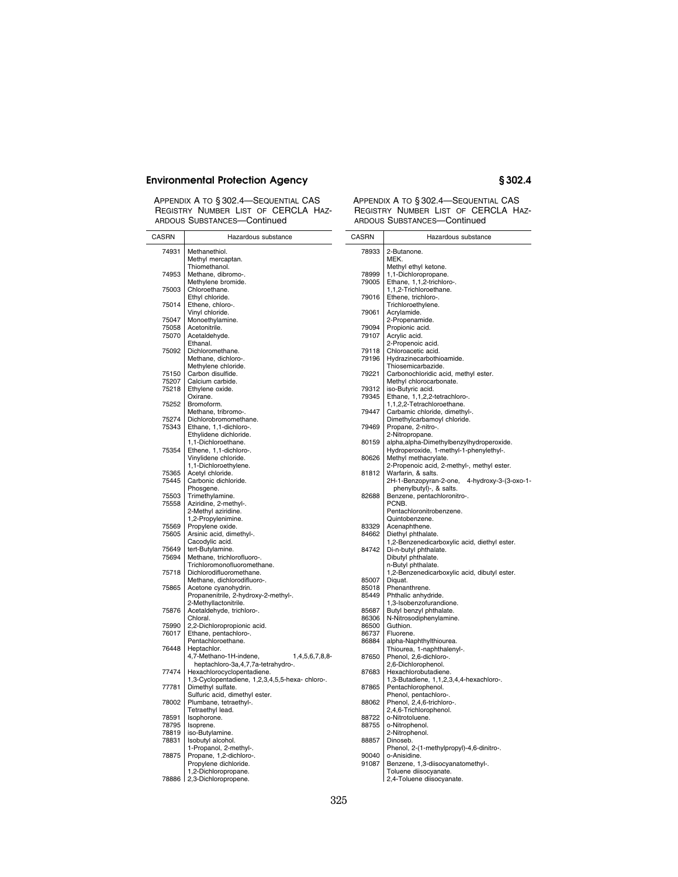APPENDIX A TO § 302.4—SEQUENTIAL CAS REGISTRY NUMBER LIST OF CERCLA HAZ-ARDOUS SUBSTANCES—Continued

| CASRN          | Hazardous substance                                                          | CASRN          |
|----------------|------------------------------------------------------------------------------|----------------|
| 74931          | Methanethiol.                                                                | 78933          |
|                | Methyl mercaptan.                                                            |                |
| 74953          | Thiomethanol.<br>Methane, dibromo-.                                          | 78999          |
|                | Methylene bromide.                                                           | 79005          |
| 75003          | Chloroethane.                                                                |                |
|                | Ethyl chloride.                                                              | 79016          |
| 75014          | Ethene, chloro-.<br>Vinyl chloride.                                          | 79061          |
| 75047          | Monoethylamine.                                                              |                |
| 75058          | Acetonitrile.                                                                | 79094          |
| 75070          | Acetaldehyde.<br>Ethanal.                                                    | 79107          |
| 75092          | Dichloromethane.                                                             | 79118          |
|                | Methane, dichloro-.                                                          | 79196          |
| 75150          | Methylene chloride.<br>Carbon disulfide.                                     | 79221          |
| 75207          | Calcium carbide.                                                             |                |
| 75218          | Ethylene oxide.                                                              | 79312          |
|                | Oxirane.                                                                     | 79345          |
| 75252          | Bromoform.<br>Methane, tribromo-.                                            | 79447          |
| 75274          | Dichlorobromomethane.                                                        |                |
| 75343          | Ethane, 1,1-dichloro-.                                                       | 79469          |
|                | Ethylidene dichloride.<br>1,1-Dichloroethane.                                | 80159          |
| 75354          | Ethene, 1,1-dichloro-.                                                       |                |
|                | Vinylidene chloride.                                                         | 80626          |
| 75365          | 1,1-Dichloroethylene.                                                        |                |
| 75445          | Acetyl chloride.<br>Carbonic dichloride.                                     | 81812          |
|                | Phosgene.                                                                    |                |
| 75503          | Trimethylamine.                                                              | 82688          |
| 75558          | Aziridine, 2-methyl-.<br>2-Methyl aziridine.                                 |                |
|                | 1,2-Propylenimine.                                                           |                |
| 75569          | Propylene oxide.                                                             | 83329          |
| 75605          | Arsinic acid, dimethyl-.<br>Cacodylic acid.                                  | 84662          |
| 75649          | tert-Butylamine.                                                             | 84742          |
| 75694          | Methane, trichlorofluoro-.                                                   |                |
| 75718          | Trichloromonofluoromethane.<br>Dichlorodifluoromethane.                      |                |
|                | Methane, dichlorodifluoro-.                                                  | 85007          |
| 75865          | Acetone cyanohydrin.                                                         | 85018          |
|                | Propanenitrile, 2-hydroxy-2-methyl-.                                         | 85449          |
| 75876          | 2-Methyllactonitrile.<br>Acetaldehyde, trichloro-.                           | 85687          |
|                | Chloral.                                                                     | 86306          |
| 75990          | 2,2-Dichloropropionic acid.                                                  | 86500          |
| 76017          | Ethane, pentachloro-.<br>Pentachloroethane.                                  | 86737<br>86884 |
| 76448          | Heptachlor.                                                                  |                |
|                | 4,7-Methano-1H-indene,<br>1,4,5,6,7,8,8-                                     | 87650          |
| 77474          | heptachloro-3a,4,7,7a-tetrahydro-.                                           | 87683          |
|                | Hexachlorocyclopentadiene.<br>1,3-Cyclopentadiene, 1,2,3,4,5,5-hexa-chloro-. |                |
| 77781          | Dimethyl sulfate.                                                            | 87865          |
|                | Sulfuric acid, dimethyl ester.                                               |                |
| 78002          | Plumbane, tetraethyl-.<br>Tetraethyl lead.                                   | 88062          |
| 78591          | Isophorone.                                                                  | 88722          |
| 78795          | Isoprene.                                                                    | 88755          |
| 78819<br>78831 | iso-Butylamine.<br>Isobutyl alcohol.                                         | 88857          |
|                | 1-Propanol, 2-methyl-.                                                       |                |
| 78875          | Propane, 1,2-dichloro-.                                                      | 90040          |
|                | Propylene dichloride.<br>1,2-Dichloropropane.                                | 91087          |
| 78886          | 2,3-Dichloropropene.                                                         |                |

| CASRN          | Hazardous substance                                                |
|----------------|--------------------------------------------------------------------|
| 78933          | 2-Butanone.                                                        |
|                | MEK.                                                               |
|                | Methyl ethyl ketone.                                               |
| 78999          | 1,1-Dichloropropane.                                               |
| 79005          | Ethane, 1,1,2-trichloro-.                                          |
|                | 1,1,2-Trichloroethane.                                             |
| 79016          | Ethene, trichloro-.<br>Trichloroethylene.                          |
| 79061          | Acrylamide.                                                        |
|                | 2-Propenamide.                                                     |
| 79094          | Propionic acid.                                                    |
| 79107          | Acrylic acid.                                                      |
|                | 2-Propenoic acid.                                                  |
| 79118<br>79196 | Chloroacetic acid.<br>Hydrazinecarbothioamide.                     |
|                | Thiosemicarbazide.                                                 |
| 79221          | Carbonochloridic acid, methyl ester.                               |
|                | Methyl chlorocarbonate.                                            |
| 79312          | iso-Butyric acid.                                                  |
| 79345          | Ethane, 1,1,2,2-tetrachloro-.                                      |
|                | 1,1,2,2-Tetrachloroethane.                                         |
| 79447          | Carbamic chloride, dimethyl-.<br>Dimethylcarbamoyl chloride.       |
| 79469          | Propane, 2-nitro-.                                                 |
|                | 2-Nitropropane.                                                    |
| 80159          | alpha,alpha-Dimethylbenzylhydroperoxide.                           |
|                | Hydroperoxide, 1-methyl-1-phenylethyl-.                            |
| 80626          | Methyl methacrylate.                                               |
| 81812          | 2-Propenoic acid, 2-methyl-, methyl ester.<br>Warfarin, & salts.   |
|                | 2H-1-Benzopyran-2-one,<br>4-hydroxy-3-(3-oxo-1-                    |
|                | phenylbutyl)-, & salts.                                            |
| 82688          | Benzene, pentachloronitro-.                                        |
|                | PCNB.                                                              |
|                | Pentachloronitrobenzene.                                           |
|                | Quintobenzene.                                                     |
| 83329          | Acenaphthene.                                                      |
| 84662          | Diethyl phthalate.<br>1,2-Benzenedicarboxylic acid, diethyl ester. |
| 84742          | Di-n-butyl phthalate.                                              |
|                | Dibutyl phthalate.                                                 |
|                | n-Butyl phthalate.                                                 |
|                | 1,2-Benzenedicarboxylic acid, dibutyl ester.                       |
| 85007          | Diquat.                                                            |
| 85018<br>85449 | Phenanthrene.<br>Phthalic anhydride.                               |
|                | 1,3-Isobenzofurandione.                                            |
| 85687          | Butyl benzyl phthalate.                                            |
| 86306          | N-Nitrosodiphenylamine.                                            |
| 86500          | Guthion.                                                           |
| 86737          | Fluorene.                                                          |
| 86884          | alpha-Naphthylthiourea.                                            |
| 87650          | Thiourea, 1-naphthalenyl-.<br>Phenol, 2,6-dichloro-.               |
|                | 2,6-Dichlorophenol.                                                |
| 87683          | Hexachlorobutadiene.                                               |
|                | 1,3-Butadiene, 1,1,2,3,4,4-hexachloro-.                            |
| 87865          | Pentachlorophenol.                                                 |
|                | Phenol, pentachloro-.                                              |
| 88062          | Phenol, 2,4,6-trichloro-.                                          |
| 88722          | 2,4,6-Trichlorophenol.<br>o-Nitrotoluene.                          |
| 88755          | o-Nitrophenol.                                                     |
|                | 2-Nitrophenol.                                                     |
| 88857          | Dinoseb.                                                           |
|                | Phenol, 2-(1-methylpropyl)-4,6-dinitro-.                           |
| 90040          | o-Anisidine.                                                       |
| 91087          | Benzene, 1,3-diisocyanatomethyl-.                                  |
|                | Toluene diisocyanate.<br>2,4-Toluene diisocyanate.                 |
|                |                                                                    |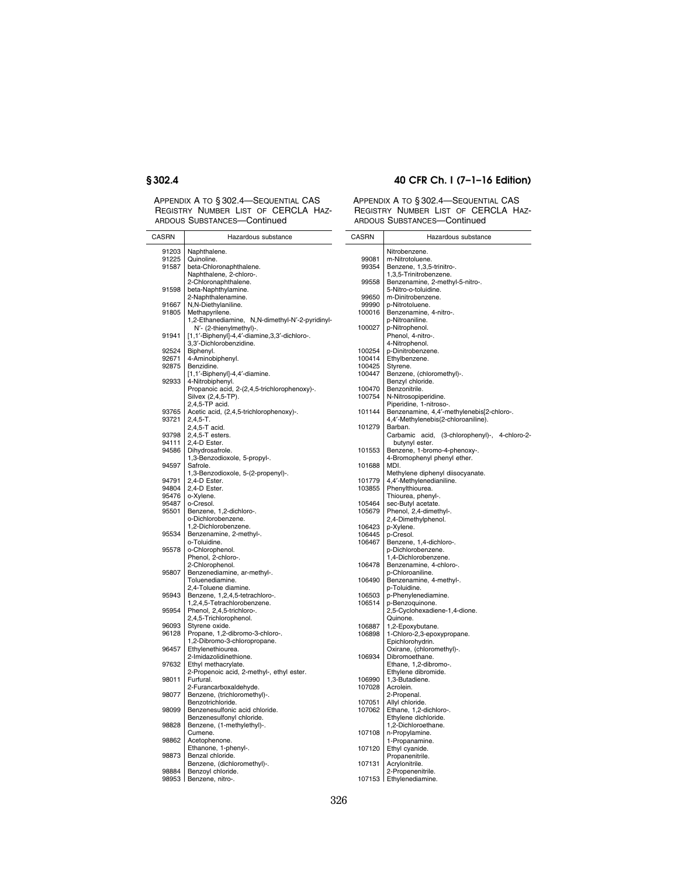L.  $\frac{1}{2}$ 

APPENDIX A TO § 302.4—SEQUENTIAL CAS REGISTRY NUMBER LIST OF CERCLA HAZ-ARDOUS SUBSTANCES-Continued

## **§ 302.4 40 CFR Ch. I (7–1–16 Edition)**

| CASRN | Hazardous substance                                 | CASRN  |
|-------|-----------------------------------------------------|--------|
| 91203 | Naphthalene.                                        |        |
| 91225 | Quinoline.                                          | 99081  |
| 91587 | beta-Chloronaphthalene.                             | 99354  |
|       | Naphthalene, 2-chloro-.                             |        |
|       | 2-Chloronaphthalene.                                | 99558  |
| 91598 | beta-Naphthylamine.                                 |        |
|       | 2-Naphthalenamine.                                  | 99650  |
| 91667 | N,N-Diethylaniline.                                 | 99990  |
| 91805 | Methapyrilene.                                      | 100016 |
|       | 1,2-Ethanediamine, N,N-dimethyl-N'-2-pyridinyl-     |        |
|       | N'- (2-thienylmethyl)-.                             | 100027 |
| 91941 | [1,1'-Biphenyl]-4,4'-diamine,3,3'-dichloro-.        |        |
|       | 3,3'-Dichlorobenzidine.                             |        |
| 92524 | Biphenyl.                                           | 100254 |
| 92671 | 4-Aminobiphenyl.                                    | 100414 |
| 92875 | Benzidine.                                          | 100425 |
|       | [1,1'-Biphenyl]-4,4'-diamine.                       | 100447 |
| 92933 | 4-Nitrobiphenyl.                                    |        |
|       | Propanoic acid, 2-(2,4,5-trichlorophenoxy)-.        | 100470 |
|       | Silvex (2,4,5-TP).                                  | 100754 |
|       | 2,4,5-TP acid.                                      |        |
| 93765 | Acetic acid, (2,4,5-trichlorophenoxy)-.             | 101144 |
| 93721 | $2,4,5-T.$                                          |        |
|       |                                                     | 101279 |
| 93798 | 2,4,5-T acid.<br>$2,4,5$ -T esters.                 |        |
| 94111 | 2,4-D Ester.                                        |        |
| 94586 | Dihydrosafrole.                                     | 101553 |
|       |                                                     |        |
| 94597 | 1,3-Benzodioxole, 5-propyl-.<br>Safrole.            | 101688 |
|       | 1,3-Benzodioxole, 5-(2-propenyl)-.                  |        |
| 94791 | 2,4-D Ester.                                        | 101779 |
| 94804 | 2,4-D Ester.                                        | 103855 |
| 95476 | o-Xylene.                                           |        |
| 95487 | o-Cresol.                                           | 105464 |
| 95501 | Benzene, 1,2-dichloro-.                             |        |
|       |                                                     | 105679 |
|       | o-Dichlorobenzene.<br>1,2-Dichlorobenzene.          | 106423 |
| 95534 | Benzenamine, 2-methyl-.                             | 106445 |
|       | o-Toluidine.                                        | 106467 |
| 95578 | o-Chlorophenol.                                     |        |
|       | Phenol, 2-chloro-.                                  |        |
|       | 2-Chlorophenol.                                     | 106478 |
| 95807 | Benzenediamine, ar-methyl-.                         |        |
|       | Toluenediamine.                                     | 106490 |
|       | 2,4-Toluene diamine.                                |        |
| 95943 | Benzene, 1,2,4,5-tetrachloro-.                      | 106503 |
|       | 1,2,4,5-Tetrachlorobenzene.                         | 106514 |
| 95954 | Phenol, 2,4,5-trichloro-.                           |        |
|       | 2,4,5-Trichlorophenol.                              |        |
| 96093 | Styrene oxide.                                      | 106887 |
| 96128 | Propane, 1,2-dibromo-3-chloro-.                     | 106898 |
|       | 1,2-Dibromo-3-chloropropane.                        |        |
| 96457 | Ethylenethiourea.                                   |        |
|       | 2-Imidazolidinethione.                              | 106934 |
| 97632 | Ethyl methacrylate.                                 |        |
|       | 2-Propenoic acid, 2-methyl-, ethyl ester.           |        |
| 98011 | Furfural.                                           | 106990 |
|       | 2-Furancarboxaldehyde.                              | 107028 |
| 98077 | Benzene, (trichloromethyl)-.                        |        |
|       |                                                     |        |
|       | Benzotrichloride.<br>Benzenesulfonic acid chloride. | 107051 |
| 98099 | Benzenesulfonyl chloride.                           | 107062 |
| 98828 |                                                     |        |
|       | Benzene, (1-methylethyl)-.<br>Cumene.               | 107108 |
| 98862 | Acetophenone.                                       |        |
|       | Ethanone, 1-phenyl-.                                | 107120 |
| 98873 |                                                     |        |
|       | Benzal chloride.                                    | 107131 |
| 98884 | Benzene, (dichloromethyl)-.<br>Benzoyl chloride.    |        |
|       | 98953   Benzene, nitro-.                            | 107153 |
|       |                                                     |        |

| CASRN  | Hazardous substance                                 |
|--------|-----------------------------------------------------|
|        |                                                     |
|        | Nitrobenzene.                                       |
| 99081  | m-Nitrotoluene.                                     |
| 99354  | Benzene, 1,3,5-trinitro-.                           |
|        | 1,3,5-Trinitrobenzene.                              |
| 99558  | Benzenamine, 2-methyl-5-nitro-.                     |
|        | 5-Nitro-o-toluidine.                                |
| 99650  | m-Dinitrobenzene.                                   |
| 99990  | p-Nitrotoluene.                                     |
| 100016 | Benzenamine, 4-nitro-.                              |
| 100027 | p-Nitroaniline.                                     |
|        | p-Nitrophenol.                                      |
|        | Phenol, 4-nitro-.                                   |
| 100254 | 4-Nitrophenol.                                      |
| 100414 | p-Dinitrobenzene.<br>Ethylbenzene.                  |
| 100425 | Styrene.                                            |
| 100447 | Benzene, (chloromethyl)-.                           |
|        | Benzyl chloride.                                    |
| 100470 | Benzonitrile.                                       |
| 100754 | N-Nitrosopiperidine.                                |
|        | Piperidine, 1-nitroso-.                             |
| 101144 | Benzenamine, 4,4'-methylenebis[2-chloro-.           |
|        | 4,4'-Methylenebis(2-chloroaniline).                 |
| 101279 | Barban.                                             |
|        | acid,<br>(3-chlorophenyl)-, 4-chloro-2-<br>Carbamic |
|        | butynyl ester.                                      |
| 101553 | Benzene, 1-bromo-4-phenoxy-.                        |
|        | 4-Bromophenyl phenyl ether.                         |
| 101688 | MDI.                                                |
|        | Methylene diphenyl diisocyanate.                    |
| 101779 | 4,4'-Methylenedianiline.                            |
| 103855 | Phenylthiourea.                                     |
|        | Thiourea, phenyl-.                                  |
| 105464 | sec-Butyl acetate.                                  |
| 105679 | Phenol, 2,4-dimethyl-.                              |
|        | 2,4-Dimethylphenol.                                 |
| 106423 | p-Xylene.                                           |
| 106445 | p-Cresol.                                           |
| 106467 | Benzene, 1,4-dichloro-.                             |
|        | p-Dichlorobenzene.                                  |
|        | 1,4-Dichlorobenzene.                                |
| 106478 | Benzenamine, 4-chloro-.                             |
| 106490 | p-Chloroaniline.                                    |
|        | Benzenamine, 4-methyl-.                             |
| 106503 | p-Toluidine.                                        |
| 106514 | p-Phenylenediamine.<br>p-Benzoquinone.              |
|        | 2,5-Cyclohexadiene-1,4-dione.                       |
|        | Quinone.                                            |
| 106887 | 1,2-Epoxybutane.                                    |
| 106898 | 1-Chloro-2,3-epoxypropane.                          |
|        | Epichlorohydrin.                                    |
|        | Oxirane, (chloromethyl)-.                           |
| 106934 | Dibromoethane.                                      |
|        | Ethane, 1,2-dibromo-.                               |
|        | Ethylene dibromide.                                 |
| 106990 | 1,3-Butadiene.                                      |
| 107028 | Acrolein.                                           |
|        | 2-Propenal.                                         |
| 107051 | Allyl chloride.                                     |
| 107062 | Ethane, 1,2-dichloro-.                              |
|        | Ethylene dichloride.                                |
|        | 1,2-Dichloroethane.                                 |
| 107108 | n-Propylamine.                                      |
|        | 1-Propanamine.                                      |
| 107120 | Ethyl cyanide.                                      |
|        | Propanenitrile.                                     |
| 107131 | Acrylonitrile.                                      |
|        | 2-Propenenitrile.                                   |
|        | 107153   Ethylenediamine.                           |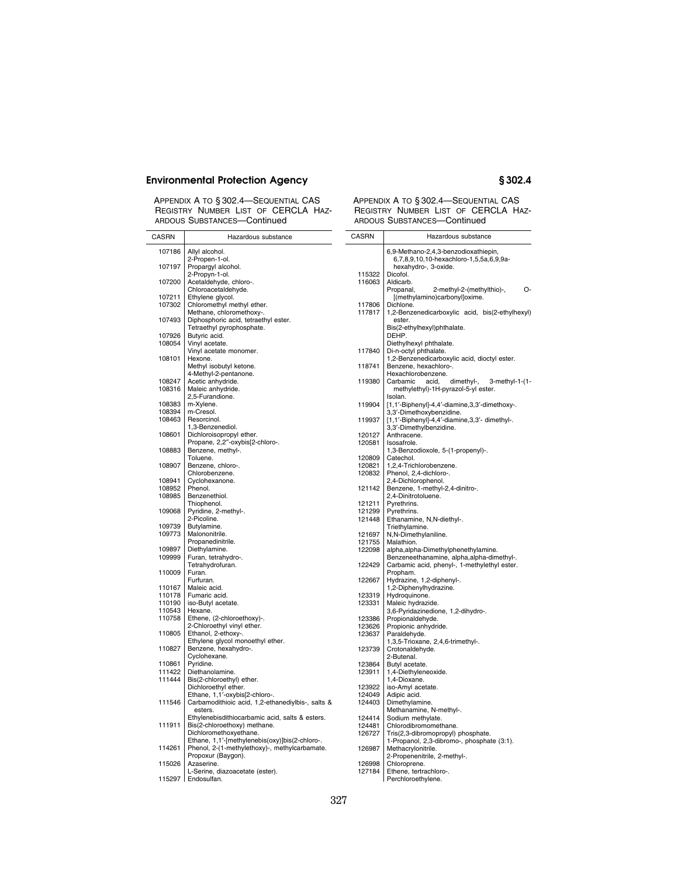| APPENDIX A TO §302.4-SEQUENTIAL CAS |  |  |  |
|-------------------------------------|--|--|--|
| REGISTRY NUMBER LIST OF CERCLA HAZ- |  |  |  |
| ARDOUS SUBSTANCES-Continued         |  |  |  |

| CASRN            | Hazardous substance                                                 | CASRN  | Hazardo                                      |
|------------------|---------------------------------------------------------------------|--------|----------------------------------------------|
| 107186           | Allyl alcohol.                                                      |        | 6,9-Methano-2,4,3-be                         |
|                  | 2-Propen-1-ol.                                                      |        | 6,7,8,9,10,10-hexac                          |
| 107197           | Propargyl alcohol.                                                  |        | hexahydro-, 3-oxide                          |
|                  | 2-Propyn-1-ol.                                                      | 115322 | Dicofol.<br>Aldicarb.                        |
| 107200           | Acetaldehyde, chloro-.<br>Chloroacetaldehyde.                       | 116063 | 2-metl<br>Propanal,                          |
| 107211           | Ethylene glycol.                                                    |        | [(methylamino)carbe                          |
| 107302           | Chloromethyl methyl ether.                                          | 117806 | Dichlone.                                    |
|                  | Methane, chloromethoxy-.                                            | 117817 | 1,2-Benzenedicarboxy                         |
| 107493           | Diphosphoric acid, tetraethyl ester.                                |        | ester.                                       |
|                  | Tetraethyl pyrophosphate.                                           |        | Bis(2-ethylhexyl)phtha                       |
| 107926           | Butyric acid.                                                       |        | DEHP.                                        |
| 108054           | Vinyl acetate.                                                      |        | Diethylhexyl phthalate                       |
|                  | Vinyl acetate monomer.                                              | 117840 | Di-n-octyl phthalate.                        |
| 108101           | Hexone.                                                             |        | 1,2-Benzenedicarboxy                         |
|                  | Methyl isobutyl ketone.                                             | 118741 | Benzene, hexachloro-                         |
|                  | 4-Methyl-2-pentanone.                                               |        | Hexachlorobenzene.                           |
| 108247           | Acetic anhydride.                                                   | 119380 | Carbamic<br>acid,                            |
| 108316           | Maleic anhydride.                                                   |        | methylethyl)-1H-pyr                          |
|                  | 2,5-Furandione.                                                     |        | Isolan.                                      |
| 108383           | m-Xylene.                                                           | 119904 | [1,1'-Biphenyl]-4,4'-dia                     |
| 108394           | m-Cresol.                                                           |        | 3,3'-Dimethoxybenzid                         |
| 108463           | Resorcinol.                                                         | 119937 | [1,1'-Biphenyl]-4,4'-dia                     |
|                  | 1,3-Benzenediol.                                                    |        | 3,3'-Dimethylbenzidin                        |
| 108601           | Dichloroisopropyl ether.                                            | 120127 | Anthracene.                                  |
| 108883           | Propane, 2,2"-oxybis[2-chloro-.                                     | 120581 | Isosafrole.                                  |
|                  | Benzene, methyl-.<br>Toluene.                                       | 120809 | 1,3-Benzodioxole, 5-(                        |
| 108907           | Benzene, chloro-.                                                   | 120821 | Catechol.<br>1,2,4-Trichlorobenzen           |
|                  | Chlorobenzene.                                                      | 120832 | Phenol, 2,4-dichloro-.                       |
| 108941           | Cyclohexanone.                                                      |        | 2,4-Dichlorophenol.                          |
| 108952           | Phenol.                                                             | 121142 | Benzene, 1-methyl-2,                         |
| 108985           | Benzenethiol.                                                       |        | 2,4-Dinitrotoluene.                          |
|                  | Thiophenol.                                                         | 121211 | Pyrethrins.                                  |
| 109068           | Pyridine, 2-methyl-.                                                | 121299 | Pyrethrins.                                  |
|                  | 2-Picoline.                                                         | 121448 | Ethanamine, N,N-diet                         |
| 109739           | Butylamine.                                                         |        | Triethylamine.                               |
| 109773           | Malononitrile.                                                      | 121697 | N,N-Dimethylaniline.                         |
|                  | Propanedinitrile.                                                   | 121755 | Malathion.                                   |
| 109897           | Diethylamine.                                                       | 122098 | alpha, alpha-Dimethylp                       |
| 109999           | Furan, tetrahydro-.                                                 |        | Benzeneethanamine,                           |
|                  | Tetrahydrofuran.                                                    | 122429 | Carbamic acid, pheny                         |
| 110009           | Furan.                                                              |        | Propham.                                     |
|                  | Furfuran.                                                           | 122667 | Hydrazine, 1,2-diphen                        |
| 110167<br>110178 | Maleic acid.<br>Fumaric acid.                                       | 123319 | 1,2-Diphenylhydrazine                        |
| 110190           | iso-Butyl acetate.                                                  | 123331 | Hydroquinone.<br>Maleic hydrazide.           |
| 110543           | Hexane.                                                             |        | 3,6-Pyridazinedione, 1                       |
| 110758           | Ethene, (2-chloroethoxy)-.                                          | 123386 | Propionaldehyde.                             |
|                  | 2-Chloroethyl vinyl ether.                                          | 123626 | Propionic anhydride.                         |
| 110805           | Ethanol, 2-ethoxy-.                                                 | 123637 | Paraldehyde.                                 |
|                  | Ethylene glycol monoethyl ether.                                    |        | 1,3,5-Trioxane, 2,4,6-                       |
| 110827           | Benzene, hexahydro-.                                                | 123739 | Crotonaldehyde.                              |
|                  | Cyclohexane.                                                        |        | 2-Butenal.                                   |
| 110861           | Pyridine.                                                           | 123864 | Butyl acetate.                               |
| 111422           | Diethanolamine.                                                     | 123911 | 1,4-Diethyleneoxide.                         |
| 111444           | Bis(2-chloroethyl) ether.                                           |        | 1,4-Dioxane.                                 |
|                  | Dichloroethyl ether.                                                | 123922 | iso-Amyl acetate.                            |
|                  | Ethane, 1,1'-oxybis[2-chloro-.                                      | 124049 | Adipic acid.                                 |
| 111546           | Carbamodithioic acid, 1,2-ethanediylbis-, salts &                   | 124403 | Dimethylamine.                               |
|                  | esters.                                                             |        | Methanamine, N-meth                          |
|                  | Ethylenebisdithiocarbamic acid, salts & esters.                     | 124414 | Sodium methylate.                            |
| 111911           | Bis(2-chloroethoxy) methane.                                        | 124481 | Chlorodibromomethan                          |
|                  | Dichloromethoxyethane.                                              | 126727 | Tris(2,3-dibromopropy                        |
| 114261           | Ethane, 1,1'-[methylenebis(oxy)]bis(2-chloro-.                      | 126987 | 1-Propanol, 2,3-dibror                       |
|                  | Phenol, 2-(1-methylethoxy)-, methylcarbamate.<br>Propoxur (Baygon). |        | Methacrylonitrile.<br>2-Propenenitrile, 2-me |
| 115026           | Azaserine.                                                          | 126998 | Chloroprene.                                 |
|                  | L-Serine, diazoacetate (ester).                                     | 127184 | Ethene, tertrachloro-.                       |
|                  | 115297 Endosulfan.                                                  |        | Perchloroethylene.                           |
|                  |                                                                     |        |                                              |

| CASRN  | Hazardous substance                                                                                 |
|--------|-----------------------------------------------------------------------------------------------------|
|        | 6,9-Methano-2,4,3-benzodioxathiepin,<br>6,7,8,9,10,10-hexachloro-1,5,5a,6,9,9a-                     |
| 115322 | hexahydro-, 3-oxide.<br>Dicofol.                                                                    |
| 116063 | Aldicarb.                                                                                           |
|        | 2-methyl-2-(methylthio)-,<br>О-<br>Propanal,<br>[(methylamino)carbonyl]oxime.                       |
| 117806 | Dichlone.                                                                                           |
| 117817 | 1,2-Benzenedicarboxylic acid, bis(2-ethylhexyl)                                                     |
|        | ester.<br>Bis(2-ethylhexyl)phthalate.<br>DEHP.                                                      |
| 117840 | Diethylhexyl phthalate.<br>Di-n-octyl phthalate.                                                    |
| 118741 | 1,2-Benzenedicarboxylic acid, dioctyl ester.<br>Benzene, hexachloro-.                               |
|        | Hexachlorobenzene.                                                                                  |
| 119380 | Carbamic<br>acid,<br>dimethyl-,<br>3-methyl-1-(1-<br>methylethyl)-1H-pyrazol-5-yl ester.<br>Isolan. |
| 119904 | [1,1'-Biphenyl]-4,4'-diamine,3,3'-dimethoxy-.<br>3,3'-Dimethoxybenzidine.                           |
| 119937 | [1,1'-Biphenyl]-4,4'-diamine,3,3'- dimethyl-.<br>3,3'-Dimethylbenzidine.                            |
| 120127 | Anthracene.                                                                                         |
| 120581 | Isosafrole.<br>1,3-Benzodioxole, 5-(1-propenyl)-.                                                   |
| 120809 | Catechol.                                                                                           |
| 120821 | 1,2,4-Trichlorobenzene.                                                                             |
| 120832 | Phenol, 2,4-dichloro-.                                                                              |
|        | 2,4-Dichlorophenol.                                                                                 |
| 121142 | Benzene, 1-methyl-2,4-dinitro-.                                                                     |
|        | 2,4-Dinitrotoluene.                                                                                 |
| 121211 | Pyrethrins.                                                                                         |
| 121299 | Pyrethrins.                                                                                         |
| 121448 | Ethanamine, N,N-diethyl-.                                                                           |
| 121697 | Triethylamine.<br>N,N-Dimethylaniline.                                                              |
| 121755 | Malathion.                                                                                          |
| 122098 | alpha, alpha-Dimethylphenethylamine.                                                                |
|        | Benzeneethanamine, alpha, alpha-dimethyl-.                                                          |
| 122429 | Carbamic acid, phenyl-, 1-methylethyl ester.                                                        |
|        | Propham.                                                                                            |
| 122667 | Hydrazine, 1,2-diphenyl-.                                                                           |
|        | 1,2-Diphenylhydrazine.                                                                              |
| 123319 | Hydroquinone.                                                                                       |
| 123331 | Maleic hydrazide.                                                                                   |
| 123386 | 3,6-Pyridazinedione, 1,2-dihydro-.                                                                  |
| 123626 | Propionaldehyde.<br>Propionic anhydride.                                                            |
| 123637 | Paraldehyde.                                                                                        |
|        | 1,3,5-Trioxane, 2,4,6-trimethyl-.                                                                   |
| 123739 | Crotonaldehyde.                                                                                     |
|        | 2-Butenal.                                                                                          |
| 123864 | Butyl acetate.                                                                                      |
| 123911 | 1,4-Diethyleneoxide.                                                                                |
|        | 1,4-Dioxane.                                                                                        |
| 123922 | iso-Amyl acetate.                                                                                   |
| 124049 | Adipic acid.                                                                                        |
| 124403 | Dimethylamine.                                                                                      |
|        | Methanamine, N-methyl-.                                                                             |
| 124414 | Sodium methylate.                                                                                   |
| 124481 | Chlorodibromomethane.                                                                               |
| 126727 | Tris(2,3-dibromopropyl) phosphate.                                                                  |
| 126987 | 1-Propanol, 2,3-dibromo-, phosphate (3:1).                                                          |
|        | Methacrylonitrile.                                                                                  |
| 126998 | 2-Propenenitrile, 2-methyl-.<br>Chloroprene.                                                        |
|        |                                                                                                     |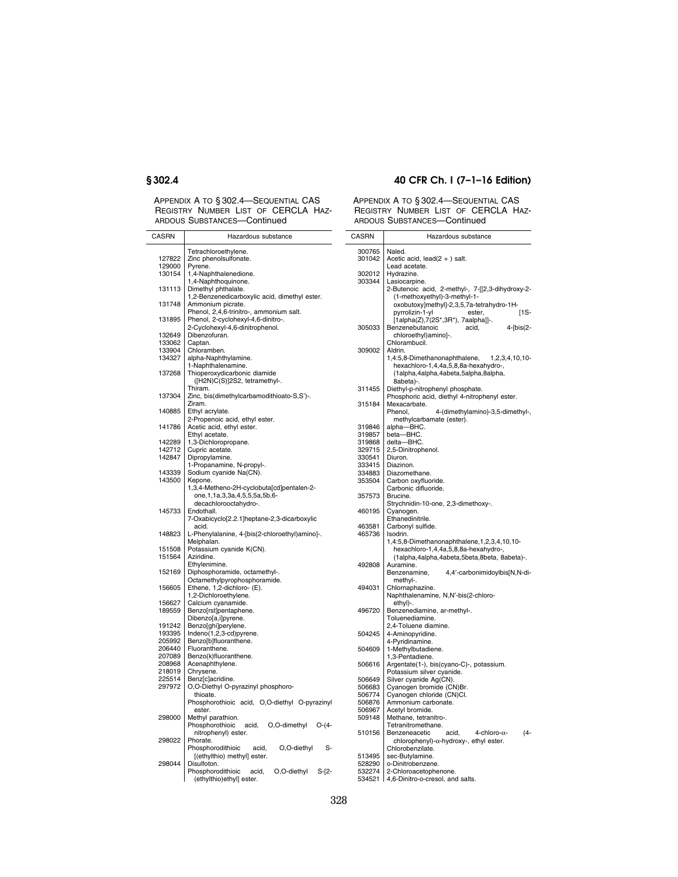APPENDIX A TO § 302.4—SEQUENTIAL CAS REGISTRY NUMBER LIST OF CERCLA HAZ-ARDOUS SUBSTANCES—Continued

## **§ 302.4 40 CFR Ch. I (7–1–16 Edition)**

| CASRN            | Hazardous substance                                                | CASRN  |                          |
|------------------|--------------------------------------------------------------------|--------|--------------------------|
|                  | Tetrachloroethylene.                                               | 300765 | Naled.                   |
| 127822           | Zinc phenolsulfonate.                                              | 301042 | Acetic acid              |
| 129000           | Pyrene.                                                            |        | Lead aceta               |
| 130154           | 1,4-Naphthalenedione.                                              | 302012 | Hydrazine.               |
|                  | 1,4-Naphthoquinone.                                                | 303344 | Lasiocarpir              |
| 131113           | Dimethyl phthalate.                                                |        | 2-Butenoic               |
| 131748           | 1,2-Benzenedicarboxylic acid, dimethyl ester.<br>Ammonium picrate. |        | (1-metho<br>oxobutox     |
|                  | Phenol, 2,4,6-trinitro-, ammonium salt.                            |        | pyrrolizin               |
| 131895           | Phenol, 2-cyclohexyl-4,6-dinitro-.                                 |        | [1alpha(2                |
|                  | 2-Cyclohexyl-4,6-dinitrophenol.                                    | 305033 | Benzenebu                |
| 132649           | Dibenzofuran.                                                      |        | chloroeth                |
| 133062           | Captan.                                                            |        | Chlorambu                |
| 133904           | Chloramben.                                                        | 309002 | Aldrin.                  |
| 134327           | alpha-Naphthylamine.                                               |        | 1,4:5,8-Din              |
|                  | 1-Naphthalenamine.                                                 |        | hexachlo                 |
| 137268           | Thioperoxydicarbonic diamide                                       |        | /1alpha,                 |
|                  | ([H2N)C(S)]2S2, tetramethyl-.                                      |        | 8abeta)-.                |
| 137304           | Thiram.                                                            | 311455 | Diethyl-p-n              |
|                  | Zinc, bis(dimethylcarbamodithioato-S,S')-.<br>Ziram.               | 315184 | Phosphoric<br>Mexacarba  |
| 140885           | Ethyl acrylate.                                                    |        | Phenol,                  |
|                  | 2-Propenoic acid, ethyl ester.                                     |        | methylca                 |
| 141786           | Acetic acid, ethyl ester.                                          | 319846 | alpha—BH                 |
|                  | Ethyl acetate.                                                     | 319857 | beta-BHC                 |
| 142289           | 1,3-Dichloropropane.                                               | 319868 | delta-BH0                |
| 142712           | Cupric acetate.                                                    | 329715 | 2,5-Dinitrop             |
| 142847           | Dipropylamine.                                                     | 330541 | Diuron.                  |
|                  | 1-Propanamine, N-propyl-.                                          | 333415 | Diazinon.                |
| 143339           | Sodium cyanide Na(CN).                                             | 334883 | Diazometh                |
| 143500           | Kepone.<br>1,3,4-Metheno-2H-cyclobuta[cd]pentalen-2-               | 353504 | Carbon oxy               |
|                  | one,1,1a,3,3a,4,5,5,5a,5b,6-                                       | 357573 | Carbonic d<br>Brucine.   |
|                  | decachlorooctahydro-.                                              |        | Strychnidin              |
| 145733           | Endothall.                                                         | 460195 | Cyanogen.                |
|                  | 7-Oxabicyclo[2.2.1]heptane-2,3-dicarboxylic                        |        | Ethanedinit              |
|                  | acid.                                                              | 463581 | Carbonyl s               |
| 148823           | L-Phenylalanine, 4-[bis(2-chloroethyl)amino]-.                     | 465736 | Isodrin.                 |
|                  | Melphalan.                                                         |        | 1,4:5,8-Din              |
| 151508           | Potassium cyanide K(CN).                                           |        | hexachlo                 |
| 151564           | Aziridine.                                                         |        | 4,falpha)                |
| 152169           | Ethylenimine.<br>Diphosphoramide, octamethyl-.                     | 492808 | Auramine.<br>Benzenami   |
|                  | Octamethylpyrophosphoramide.                                       |        | methyl-.                 |
| 156605           | Ethene, 1,2-dichloro- (E).                                         | 494031 | Chlornapha               |
|                  | 1,2-Dichloroethylene.                                              |        | Naphthaler               |
| 156627           | Calcium cyanamide.                                                 |        | ethyl)-.                 |
| 189559           | Benzo[rst]pentaphene.                                              | 496720 | Benzenedia               |
|                  | Dibenzo[a,i]pyrene.                                                |        | Toluenedia               |
| 191242           | Benzo[ghi]perylene.                                                |        | 2,4-Toluen               |
| 193395           | Indeno(1,2,3-cd)pyrene.                                            | 504245 | 4-Aminopy                |
| 205992           | Benzo[b]fluoranthene.                                              |        | 4-Pyridinan              |
| 206440<br>207089 | Fluoranthene.<br>Benzo(k)fluoranthene.                             | 504609 | 1-Methylbu               |
| 208968           | Acenaphthylene.                                                    | 506616 | 1,3-Pentad<br>Argentate( |
| 218019           | Chrysene.                                                          |        | Potassium                |
| 225514           | Benz[c]acridine.                                                   | 506649 | Silver cyan              |
| 297972           | O,O-Diethyl O-pyrazinyl phosphoro-                                 | 506683 | Cyanogen                 |
|                  | thioate.                                                           | 506774 | Cyanogen                 |
|                  | Phosphorothioic acid, O,O-diethyl O-pyrazinyl                      | 506876 | Ammonium                 |
|                  | ester.                                                             | 506967 | Acetyl bror              |
| 298000           | Methyl parathion.                                                  | 509148 | Methane, t               |
|                  | Phosphorothioic<br>acid,<br>O,O-dimethyl<br>O-(4-                  |        | Tetranitrom              |
| 298022           | nitrophenyl) ester.<br>Phorate.                                    | 510156 | Benzeneac                |
|                  | Phosphorodithioic<br>acid,<br>O,O-diethyl<br>s-                    |        | chloroph<br>Chlorobenz   |
|                  | [(ethylthio) methyl] ester.                                        | 513495 | sec-Butylar              |
| 298044           | Disulfoton.                                                        | 528290 | o-Dinitrobe              |
|                  | O,O-diethyl<br>Phosphorodithioic<br>acid,<br>$S - 2 -$             | 532274 | 2-Chloroac               |
|                  | (ethylthio)ethyl] ester.                                           |        | 534521 4,6-Dinitro-      |
|                  |                                                                    |        |                          |

| ASRN             | Hazardous substance                                                       |  |  |
|------------------|---------------------------------------------------------------------------|--|--|
| 300765           | Naled.                                                                    |  |  |
| 301042           | Acetic acid, lead( $2 +$ ) salt.                                          |  |  |
|                  | Lead acetate.                                                             |  |  |
| 302012           | Hydrazine.                                                                |  |  |
| 303344           | Lasiocarpine.                                                             |  |  |
|                  | 2-Butenoic acid, 2-methyl-, 7-[[2,3-dihydroxy-2-                          |  |  |
|                  | (1-methoxyethyl)-3-methyl-1-<br>oxobutoxy]methyl]-2,3,5,7a-tetrahydro-1H- |  |  |
|                  | $[1S-$<br>pyrrolizin-1-yl<br>ester,                                       |  |  |
|                  | [1alpha(Z),7(2S*,3R*), 7aalpha]]-.                                        |  |  |
| 305033           | Benzenebutanoic<br>$4$ - $bis(2-$<br>acid,                                |  |  |
|                  | chloroethyl)amino]-.                                                      |  |  |
|                  | Chlorambucil.                                                             |  |  |
| 309002           | Aldrin.<br>1,4:5,8-Dimethanonaphthalene,<br>1,2,3,4,10,10-                |  |  |
|                  | hexachloro-1,4,4a,5,8,8a-hexahydro-,                                      |  |  |
|                  | (1alpha,4alpha,4abeta,5alpha,8alpha,                                      |  |  |
|                  | 8abeta)-.                                                                 |  |  |
| 311455           | Diethyl-p-nitrophenyl phosphate.                                          |  |  |
|                  | Phosphoric acid, diethyl 4-nitrophenyl ester.                             |  |  |
| 315184           | Mexacarbate.<br>Phenol,<br>4-(dimethylamino)-3,5-dimethyl-,               |  |  |
|                  | methylcarbamate (ester).                                                  |  |  |
| 319846           | alpha—BHC.                                                                |  |  |
| 319857           | beta-BHC.                                                                 |  |  |
| 319868           | delta-BHC.                                                                |  |  |
| 329715<br>330541 | 2,5-Dinitrophenol.<br>Diuron.                                             |  |  |
| 333415           | Diazinon.                                                                 |  |  |
| 334883           | Diazomethane.                                                             |  |  |
| 353504           | Carbon oxyfluoride.                                                       |  |  |
|                  | Carbonic difluoride.                                                      |  |  |
| 357573           | Brucine.                                                                  |  |  |
| 460195           | Strychnidin-10-one, 2,3-dimethoxy-.<br>Cyanogen.                          |  |  |
|                  | Ethanedinitrile.                                                          |  |  |
| 463581           | Carbonyl sulfide.                                                         |  |  |
| 465736           | Isodrin.                                                                  |  |  |
|                  | 1,4:5,8-Dimethanonaphthalene, 1, 2, 3, 4, 10, 10-                         |  |  |
|                  | hexachloro-1,4,4a,5,8,8a-hexahydro-,                                      |  |  |
| 492808           | (1alpha,4alpha,4abeta,5beta,8beta, 8abeta)-.<br>Auramine.                 |  |  |
|                  | 4,4'-carbonimidoylbis[N,N-di-<br>Benzenamine,                             |  |  |
|                  | methyl-.                                                                  |  |  |
| 494031           | Chlornaphazine.                                                           |  |  |
|                  | Naphthalenamine, N,N'-bis(2-chloro-                                       |  |  |
| 496720           | ethyl)-.<br>Benzenediamine, ar-methyl-.                                   |  |  |
|                  | Toluenediamine.                                                           |  |  |
|                  | 2,4-Toluene diamine.                                                      |  |  |
| 504245           | 4-Aminopyridine.                                                          |  |  |
|                  | 4-Pyridinamine.                                                           |  |  |
| 504609           | 1-Methylbutadiene.                                                        |  |  |
| 506616           | 1,3-Pentadiene.<br>Argentate(1-), bis(cyano-C)-, potassium.               |  |  |
|                  | Potassium silver cyanide.                                                 |  |  |
| 506649           | Silver cyanide Ag(CN).                                                    |  |  |
| 506683           | Cyanogen bromide (CN)Br.                                                  |  |  |
| 506774           | Cyanogen chloride (CN)Cl.                                                 |  |  |
| 506876<br>506967 | Ammonium carbonate.<br>Acetyl bromide.                                    |  |  |
| 509148           | Methane, tetranitro-.                                                     |  |  |
|                  | Tetranitromethane.                                                        |  |  |
| 510156           | $(4 -$<br>acid,<br>4-chloro- $\alpha$ -<br>Benzeneacetic                  |  |  |
|                  | chlorophenyl)-α-hydroxy-, ethyl ester.                                    |  |  |
|                  | Chlorobenzilate.                                                          |  |  |
| 513495           | sec-Butylamine.                                                           |  |  |
| 528290<br>532274 | o-Dinitrobenzene.<br>2-Chloroacetophenone.                                |  |  |
| 534521           | 4,6-Dinitro-o-cresol, and salts.                                          |  |  |
|                  |                                                                           |  |  |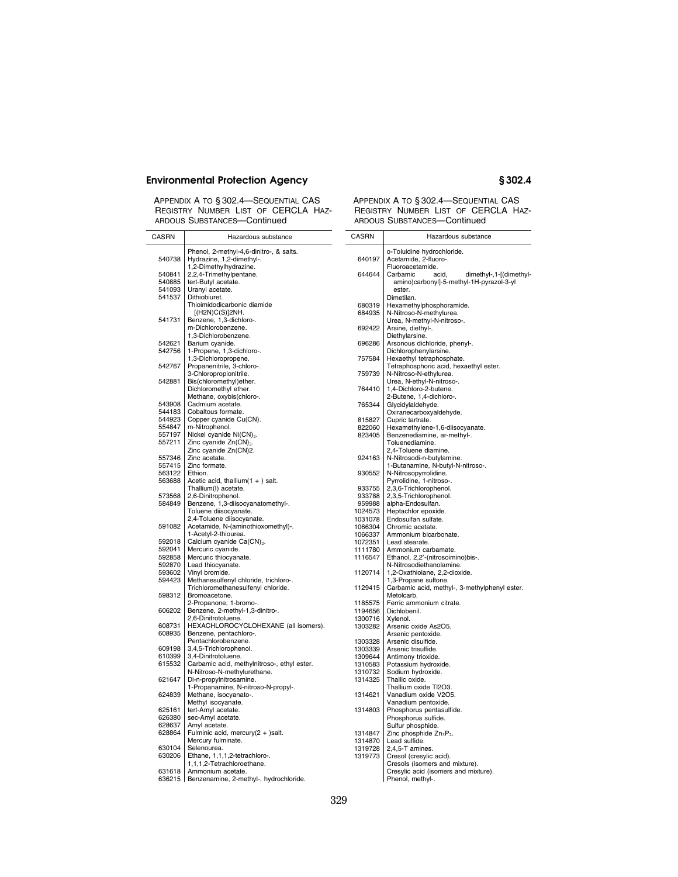l.

APPENDIX A TO § 302.4—SEQUENTIAL CAS REGISTRY NUMBER LIST OF CERCLA HAZ-ARDOUS SUBSTANCES—Continued

### APPENDIX A TO § 302.4—SEQUENTIAL CAS REGISTRY NUMBER LIST OF CERCLA HAZ-ARDOUS SUBSTANCES—Continued

| CASRN  | Hazardous substance                             | CASRN   | Hazardous substance                           |
|--------|-------------------------------------------------|---------|-----------------------------------------------|
|        | Phenol, 2-methyl-4,6-dinitro-, & salts.         |         | o-Toluidine hydrochloride.                    |
| 540738 | Hydrazine, 1,2-dimethyl-.                       | 640197  | Acetamide, 2-fluoro-.                         |
|        | 1,2-Dimethylhydrazine.                          |         | Fluoroacetamide.                              |
| 540841 | 2,2,4-Trimethylpentane.                         | 644644  | Carbamic<br>acid,<br>dimethyl-, 1-[(dimethyl- |
| 540885 | tert-Butyl acetate.                             |         | amino)carbonyl]-5-methyl-1H-pyrazol-3-yl      |
| 541093 | Uranyl acetate.                                 |         | ester.                                        |
| 541537 | Dithiobiuret.                                   |         | Dimetilan.                                    |
|        | Thioimidodicarbonic diamide                     | 680319  | Hexamethylphosphoramide.                      |
|        | [(H2N)C(S)]2NH.                                 | 684935  | N-Nitroso-N-methylurea.                       |
| 541731 | Benzene, 1,3-dichloro-.                         |         | Urea, N-methyl-N-nitroso-.                    |
|        | m-Dichlorobenzene.                              | 692422  | Arsine, diethyl-.                             |
|        | 1.3-Dichlorobenzene.                            |         | Diethylarsine.                                |
| 542621 | Barium cyanide.                                 | 696286  | Arsonous dichloride, phenyl-.                 |
| 542756 | 1-Propene, 1,3-dichloro-.                       |         | Dichlorophenylarsine.                         |
|        | 1,3-Dichloropropene.                            | 757584  | Hexaethyl tetraphosphate.                     |
| 542767 | Propanenitrile, 3-chloro-.                      |         | Tetraphosphoric acid, hexaethyl ester.        |
|        | 3-Chloropropionitrile.                          | 759739  | N-Nitroso-N-ethylurea.                        |
| 542881 | Bis(chloromethyl)ether.                         |         | Urea, N-ethyl-N-nitroso-.                     |
|        | Dichloromethyl ether.                           | 764410  | 1,4-Dichloro-2-butene.                        |
|        | Methane, oxybis(chloro-.                        |         | 2-Butene, 1,4-dichloro-.                      |
| 543908 | Cadmium acetate.                                | 765344  | Glycidylaldehyde.                             |
| 544183 | Cobaltous formate.                              |         | Oxiranecarboxyaldehyde.                       |
| 544923 | Copper cyanide Cu(CN).                          | 815827  | Cupric tartrate.                              |
| 554847 | m-Nitrophenol.                                  | 822060  | Hexamethylene-1,6-diisocyanate.               |
| 557197 | Nickel cyanide Ni(CN) <sub>2</sub> .            | 823405  | Benzenediamine, ar-methyl-.                   |
| 557211 | Zinc cyanide $Zn(CN)_2$ .                       |         | Toluenediamine.                               |
|        | Zinc cyanide Zn(CN)2.                           |         | 2,4-Toluene diamine.                          |
| 557346 | Zinc acetate.                                   | 924163  | N-Nitrosodi-n-butvlamine.                     |
| 557415 | Zinc formate.                                   |         | 1-Butanamine, N-butyl-N-nitroso-.             |
| 563122 | Ethion.                                         | 930552  | N-Nitrosopyrrolidine.                         |
| 563688 | Acetic acid, thallium $(1 + )$ salt.            |         | Pyrrolidine, 1-nitroso-.                      |
|        | Thallium(I) acetate.                            | 933755  | 2,3,6-Trichlorophenol.                        |
| 573568 | 2,6-Dinitrophenol.                              | 933788  | 2,3,5-Trichlorophenol.                        |
| 584849 | Benzene, 1,3-diisocyanatomethyl-.               | 959988  | alpha-Endosulfan.                             |
|        | Toluene diisocyanate.                           | 1024573 | Heptachlor epoxide.                           |
|        | 2,4-Toluene diisocyanate.                       | 1031078 | Endosulfan sulfate.                           |
| 591082 | Acetamide, N-(aminothioxomethyl)-.              | 1066304 | Chromic acetate.                              |
|        | 1-Acetyl-2-thiourea.                            | 1066337 | Ammonium bicarbonate.                         |
| 592018 | Calcium cyanide Ca(CN)2.                        | 1072351 | Lead stearate.                                |
| 592041 | Mercuric cyanide.                               | 1111780 | Ammonium carbamate.                           |
| 592858 | Mercuric thiocyanate.                           | 1116547 | Ethanol, 2,2'-(nitrosoimino)bis-.             |
| 592870 | Lead thiocyanate.                               |         | N-Nitrosodiethanolamine.                      |
| 593602 | Vinyl bromide.                                  | 1120714 | 1,2-Oxathiolane, 2,2-dioxide.                 |
| 594423 | Methanesulfenyl chloride, trichloro-.           |         | 1,3-Propane sultone.                          |
|        | Trichloromethanesulfenyl chloride.              | 1129415 | Carbamic acid, methyl-, 3-methylphenyl ester. |
| 598312 | Bromoacetone.                                   |         | Metolcarb.                                    |
|        | 2-Propanone, 1-bromo-.                          | 1185575 | Ferric ammonium citrate.                      |
| 606202 | Benzene, 2-methyl-1,3-dinitro-.                 | 1194656 | Dichlobenil.                                  |
|        | 2,6-Dinitrotoluene.                             | 1300716 | Xylenol.                                      |
| 608731 | HEXACHLOROCYCLOHEXANE (all isomers).            | 1303282 | Arsenic oxide As2O5.                          |
| 608935 | Benzene, pentachloro-.                          |         | Arsenic pentoxide.                            |
|        | Pentachlorobenzene.                             | 1303328 | Arsenic disulfide.                            |
| 609198 | 3,4,5-Trichlorophenol.                          | 1303339 | Arsenic trisulfide.                           |
| 610399 | 3,4-Dinitrotoluene.                             | 1309644 | Antimony trioxide.                            |
| 615532 | Carbamic acid, methylnitroso-, ethyl ester.     | 1310583 | Potassium hydroxide.                          |
|        | N-Nitroso-N-methylurethane.                     | 1310732 | Sodium hydroxide.                             |
| 621647 | Di-n-propylnitrosamine.                         | 1314325 | Thallic oxide.                                |
|        | 1-Propanamine, N-nitroso-N-propyl-.             |         | Thallium oxide TI2O3.                         |
| 624839 | Methane, isocyanato-.                           | 1314621 | Vanadium oxide V2O5.                          |
|        | Methyl isocyanate.                              |         | Vanadium pentoxide.                           |
| 625161 | tert-Amyl acetate.                              | 1314803 | Phosphorus pentasulfide.                      |
| 626380 | sec-Amyl acetate.                               |         | Phosphorus sulfide.                           |
| 628637 | Amyl acetate.                                   |         | Sulfur phosphide.                             |
| 628864 | Fulminic acid, mercury( $2 +$ )salt.            | 1314847 | Zinc phosphide $Zn_3P_2$ .                    |
|        | Mercury fulminate.                              | 1314870 | Lead sulfide.                                 |
| 630104 | Selenourea.                                     | 1319728 | 2,4,5-T amines.                               |
| 630206 | Ethane, 1,1,1,2-tetrachloro-.                   | 1319773 | Cresol (cresylic acid).                       |
|        | 1,1,1,2-Tetrachloroethane.                      |         | Cresols (isomers and mixture).                |
| 631618 | Ammonium acetate.                               |         | Cresylic acid (isomers and mixture).          |
|        | 636215   Benzenamine, 2-methyl-, hydrochloride. |         | Phenol, methyl-.                              |

## 329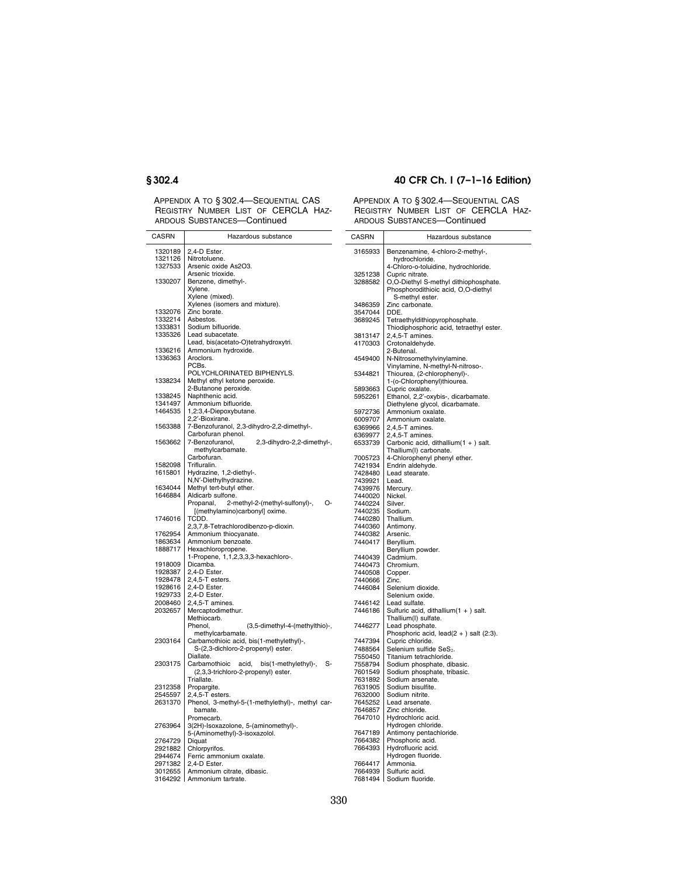APPENDIX A TO § 302.4—SEQUENTIAL CAS REGISTRY NUMBER LIST OF CERCLA HAZ-ARDOUS SUBSTANCES—Continued

## **§ 302.4 40 CFR Ch. I (7–1–16 Edition)**

| <b>CASRN</b>       | Hazardous substance                                                                      | CASRN              | Hazardous substance                                         |
|--------------------|------------------------------------------------------------------------------------------|--------------------|-------------------------------------------------------------|
| 1320189            | 2.4-D Ester.                                                                             | 3165933            | Benzenamine, 4-chloro-2-methyl-,                            |
| 1321126            | Nitrotoluene.                                                                            |                    | hydrochloride.                                              |
| 1327533            | Arsenic oxide As2O3.                                                                     |                    | 4-Chloro-o-toluidine, hydrochloride.                        |
|                    | Arsenic trioxide.                                                                        | 3251238            | Cupric nitrate.                                             |
| 1330207            | Benzene, dimethyl-.                                                                      | 3288582            | O,O-Diethyl S-methyl dithiophosphate.                       |
|                    | Xylene.                                                                                  |                    | Phosphorodithioic acid, O,O-diethyl                         |
|                    | Xylene (mixed).<br>Xylenes (isomers and mixture).                                        |                    | S-methyl ester.                                             |
| 1332076            | Zinc borate.                                                                             | 3486359<br>3547044 | Zinc carbonate.<br>DDE.                                     |
| 1332214            | Asbestos.                                                                                | 3689245            | Tetraethyldithiopyrophosphate.                              |
| 1333831            | Sodium bifluoride.                                                                       |                    | Thiodiphosphoric acid, tetraethyl ester.                    |
| 1335326            | Lead subacetate.                                                                         | 3813147            | 2,4,5-T amines.                                             |
|                    | Lead, bis(acetato-O)tetrahydroxytri.                                                     | 4170303            | Crotonaldehyde.                                             |
| 1336216            | Ammonium hydroxide.                                                                      |                    | 2-Butenal.                                                  |
| 1336363            | Aroclors.                                                                                | 4549400            | N-Nitrosomethylvinylamine.                                  |
|                    | PCBs.<br>POLYCHLORINATED BIPHENYLS.                                                      |                    | Vinylamine, N-methyl-N-nitroso-.                            |
| 1338234            | Methyl ethyl ketone peroxide.                                                            | 5344821            | Thiourea, (2-chlorophenyl)-.<br>1-(o-Chlorophenyl)thiourea. |
|                    | 2-Butanone peroxide.                                                                     | 5893663            | Cupric oxalate.                                             |
| 1338245            | Naphthenic acid.                                                                         | 5952261            | Ethanol, 2,2'-oxybis-, dicarbamate.                         |
| 1341497            | Ammonium bifluoride.                                                                     |                    | Diethylene glycol, dicarbamate.                             |
| 1464535            | 1,2:3,4-Diepoxybutane.                                                                   | 5972736            | Ammonium oxalate.                                           |
|                    | 2,2'-Bioxirane.                                                                          | 6009707            | Ammonium oxalate.                                           |
| 1563388            | 7-Benzofuranol, 2,3-dihydro-2,2-dimethyl-.                                               | 6369966            | 2,4,5-T amines.                                             |
|                    | Carbofuran phenol.                                                                       | 6369977            | $2,4,5$ -T amines.                                          |
| 1563662            | 7-Benzofuranol,<br>2,3-dihydro-2,2-dimethyl-,                                            | 6533739            | Carbonic acid, dithallium(1 + ) salt.                       |
|                    | methylcarbamate.<br>Carbofuran.                                                          |                    | Thallium(I) carbonate.                                      |
| 1582098            | Trifluralin.                                                                             | 7005723<br>7421934 | 4-Chlorophenyl phenyl ether.<br>Endrin aldehyde.            |
| 1615801            | Hydrazine, 1,2-diethyl-.                                                                 | 7428480            | Lead stearate.                                              |
|                    | N,N'-Diethylhydrazine.                                                                   | 7439921            | Lead.                                                       |
| 1634044            | Methyl tert-butyl ether.                                                                 | 7439976            | Mercury.                                                    |
| 1646884            | Aldicarb sulfone.                                                                        | 7440020            | Nickel.                                                     |
|                    | Propanal,<br>2-methyl-2-(methyl-sulfonyl)-,<br>О-                                        | 7440224            | Silver.                                                     |
|                    | [(methylamino)carbonyl] oxime.                                                           | 7440235            | Sodium.                                                     |
| 1746016            | TCDD.<br>2,3,7,8-Tetrachlorodibenzo-p-dioxin.                                            | 7440280            | Thallium.                                                   |
| 1762954            | Ammonium thiocyanate.                                                                    | 7440360<br>7440382 | Antimony.<br>Arsenic.                                       |
| 1863634            | Ammonium benzoate.                                                                       | 7440417            | Beryllium.                                                  |
| 1888717            | Hexachloropropene.                                                                       |                    | Beryllium powder.                                           |
|                    | 1-Propene, 1,1,2,3,3,3-hexachloro-.                                                      | 7440439            | Cadmium.                                                    |
| 1918009            | Dicamba.                                                                                 | 7440473            | Chromium.                                                   |
| 1928387            | 2.4-D Ester.                                                                             | 7440508            | Copper.                                                     |
| 1928478            | $2,4,5$ -T esters.                                                                       | 7440666            | Zinc.                                                       |
| 1928616<br>1929733 | 2,4-D Ester.<br>2,4-D Ester.                                                             | 7446084            | Selenium dioxide.                                           |
| 2008460            | $2,4,5$ -T amines.                                                                       | 7446142            | Selenium oxide.<br>Lead sulfate.                            |
| 2032657            | Mercaptodimethur.                                                                        | 7446186            | Sulfuric acid, dithallium $(1 + )$ salt.                    |
|                    | Methiocarb.                                                                              |                    | Thallium(I) sulfate.                                        |
|                    | Phenol.<br>(3,5-dimethyl-4-(methylthio)-,                                                | 7446277            | Lead phosphate.                                             |
|                    | methylcarbamate.                                                                         |                    | Phosphoric acid, $lead(2 + )$ salt (2:3).                   |
| 2303164            | Carbamothioic acid, bis(1-methylethyl)-,                                                 | 7447394            | Cupric chloride.                                            |
|                    | S-(2,3-dichloro-2-propenyl) ester.                                                       | 7488564            | Selenium sulfide SeS <sub>2</sub> .                         |
|                    | Diallate.                                                                                | 7550450            | Titanium tetrachloride.                                     |
| 2303175            | bis(1-methylethyl)-,<br>S-<br>Carbamothioic acid,<br>(2,3,3-trichloro-2-propenyl) ester. | 7558794<br>7601549 | Sodium phosphate, dibasic.<br>Sodium phosphate, tribasic.   |
|                    | Triallate.                                                                               | 7631892            | Sodium arsenate.                                            |
| 2312358            | Propargite.                                                                              | 7631905            | Sodium bisulfite.                                           |
| 2545597            | $2,4,5$ -T esters.                                                                       | 7632000            | Sodium nitrite.                                             |
| 2631370            | Phenol, 3-methyl-5-(1-methylethyl)-, methyl car-                                         | 7645252            | Lead arsenate.                                              |
|                    | bamate.                                                                                  | 7646857            | Zinc chloride.                                              |
|                    | Promecarb.                                                                               | 7647010            | Hydrochloric acid.                                          |
| 2763964            | 3(2H)-Isoxazolone, 5-(aminomethyl)-.                                                     |                    | Hydrogen chloride.                                          |
|                    | 5-(Aminomethyl)-3-isoxazolol.                                                            | 7647189            | Antimony pentachloride.                                     |
| 2764729            | Diguat                                                                                   | 7664382            | Phosphoric acid.                                            |
| 2921882<br>2944674 | Chlorpyrifos.<br>Ferric ammonium oxalate.                                                | 7664393            | Hydrofluoric acid.<br>Hydrogen fluoride.                    |
| 2971382            | 2,4-D Ester.                                                                             | 7664417            | Ammonia.                                                    |
| 3012655            | Ammonium citrate, dibasic.                                                               | 7664939            | Sulfuric acid.                                              |
|                    | 3164292 Ammonium tartrate.                                                               |                    | 7681494 Sodium fluoride.                                    |
|                    |                                                                                          |                    |                                                             |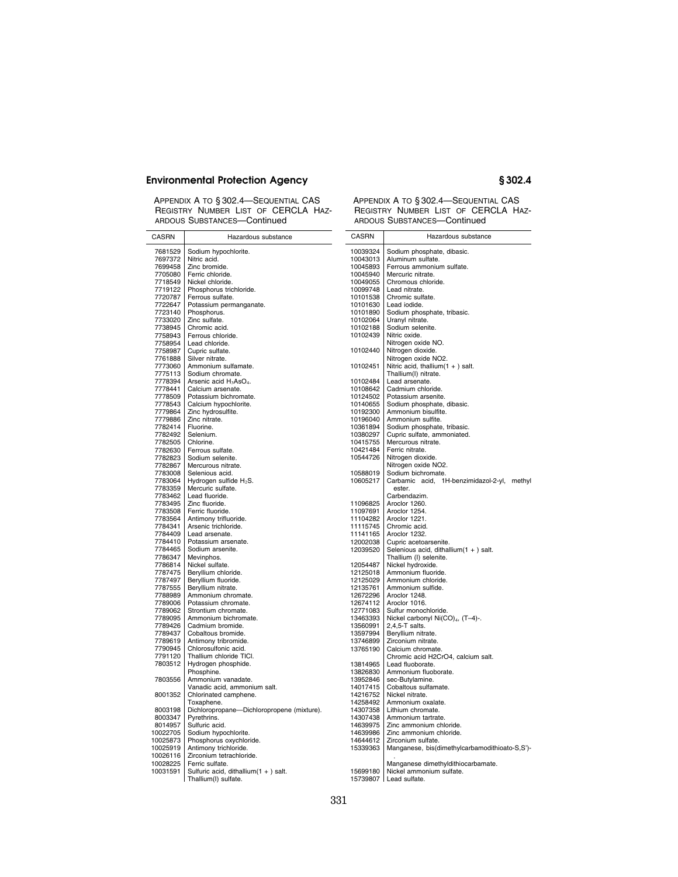APPENDIX A TO § 302.4—SEQUENTIAL CAS REGISTRY NUMBER LIST OF CERCLA HAZ-ARDOUS SUBSTANCES—Continued

| <b>CASRN</b>       | Hazardous substance                             | CASRN                | Hazardous substance                                     |
|--------------------|-------------------------------------------------|----------------------|---------------------------------------------------------|
| 7681529            | Sodium hypochlorite.                            | 10039324             | Sodium phosphate, dibasic.                              |
| 7697372            | Nitric acid.                                    | 10043013             | Aluminum sulfate.                                       |
| 7699458            | Zinc bromide.                                   | 10045893             | Ferrous ammonium sulfate.                               |
| 7705080            | Ferric chloride.                                | 10045940             | Mercuric nitrate.                                       |
| 7718549            | Nickel chloride.                                | 10049055             | Chromous chloride.                                      |
| 7719122            | Phosphorus trichloride.                         | 10099748             | Lead nitrate.                                           |
| 7720787            | Ferrous sulfate.                                | 10101538             | Chromic sulfate.                                        |
| 7722647            | Potassium permanganate.                         | 10101630             | Lead iodide.                                            |
| 7723140            | Phosphorus.                                     | 10101890             | Sodium phosphate, tribasic.                             |
| 7733020            | Zinc sulfate.                                   | 10102064             | Uranyl nitrate.                                         |
| 7738945            | Chromic acid.                                   | 10102188             | Sodium selenite.                                        |
| 7758943<br>7758954 | Ferrous chloride.<br>Lead chloride.             | 10102439             | Nitric oxide.<br>Nitrogen oxide NO.                     |
| 7758987            | Cupric sulfate.                                 | 10102440             | Nitrogen dioxide.                                       |
| 7761888            | Silver nitrate.                                 |                      | Nitrogen oxide NO2.                                     |
| 7773060            | Ammonium sulfamate.                             | 10102451             | Nitric acid, thallium $(1 + )$ salt.                    |
| 7775113            | Sodium chromate.                                |                      | Thallium(I) nitrate.                                    |
| 7778394            | Arsenic acid H <sub>3</sub> AsO <sub>4</sub> .  | 10102484             | Lead arsenate.                                          |
| 7778441            | Calcium arsenate.                               | 10108642             | Cadmium chloride.                                       |
| 7778509            | Potassium bichromate.                           | 10124502             | Potassium arsenite.                                     |
| 7778543            | Calcium hypochlorite.                           | 10140655             | Sodium phosphate, dibasic.                              |
| 7779864            | Zinc hydrosulfite.                              | 10192300             | Ammonium bisulfite.                                     |
| 7779886            | Zinc nitrate.                                   | 10196040             | Ammonium sulfite.                                       |
| 7782414            | Fluorine.                                       | 10361894             | Sodium phosphate, tribasic.                             |
| 7782492            | Selenium.                                       | 10380297             | Cupric sulfate, ammoniated.                             |
| 7782505            | Chlorine.                                       | 10415755             | Mercurous nitrate.                                      |
| 7782630            | Ferrous sulfate.                                | 10421484             | Ferric nitrate.                                         |
| 7782823            | Sodium selenite.                                | 10544726             | Nitrogen dioxide.                                       |
| 7782867            | Mercurous nitrate.                              |                      | Nitrogen oxide NO2.                                     |
| 7783008            | Selenious acid.                                 | 10588019             | Sodium bichromate.                                      |
| 7783064            | Hydrogen sulfide H <sub>2</sub> S.              | 10605217             | Carbamic acid, 1H-benzimidazol-2-yl, methyl             |
| 7783359            | Mercuric sulfate.                               |                      | ester.                                                  |
| 7783462            | Lead fluoride.                                  |                      | Carbendazim.                                            |
| 7783495            | Zinc fluoride.                                  | 11096825             | Aroclor 1260.                                           |
| 7783508<br>7783564 | Ferric fluoride.<br>Antimony trifluoride.       | 11097691<br>11104282 | Aroclor 1254.<br>Aroclor 1221.                          |
| 7784341            | Arsenic trichloride.                            | 11115745             | Chromic acid.                                           |
| 7784409            | Lead arsenate.                                  | 11141165             | Aroclor 1232.                                           |
| 7784410            | Potassium arsenate.                             | 12002038             | Cupric acetoarsenite.                                   |
| 7784465            | Sodium arsenite.                                | 12039520             | Selenious acid, dithallium $(1 + )$ salt.               |
| 7786347            | Mevinphos.                                      |                      | Thallium (I) selenite.                                  |
| 7786814            | Nickel sulfate.                                 | 12054487             | Nickel hydroxide.                                       |
| 7787475            | Beryllium chloride.                             | 12125018             | Ammonium fluoride.                                      |
| 7787497            | Beryllium fluoride.                             | 12125029             | Ammonium chloride.                                      |
| 7787555            | Beryllium nitrate.                              | 12135761             | Ammonium sulfide.                                       |
| 7788989            | Ammonium chromate.                              | 12672296             | Aroclor 1248.                                           |
| 7789006            | Potassium chromate.                             | 12674112             | Aroclor 1016.                                           |
| 7789062            | Strontium chromate.                             | 12771083             | Sulfur monochloride.                                    |
| 7789095            | Ammonium bichromate.                            | 13463393             | Nickel carbonyl Ni(CO) <sub>4</sub> , (T-4)-.           |
| 7789426            | Cadmium bromide.                                | 13560991             | 2,4,5-T salts.                                          |
| 7789437            | Cobaltous bromide.                              | 13597994             | Beryllium nitrate.                                      |
| 7789619            | Antimony tribromide.                            | 13746899             | Zirconium nitrate.                                      |
| 7790945<br>7791120 | Chlorosulfonic acid.<br>Thallium chloride TICI. | 13765190             | Calcium chromate.<br>Chromic acid H2CrO4, calcium salt. |
| 7803512            | Hydrogen phosphide.                             | 13814965             | Lead fluoborate.                                        |
|                    | Phosphine.                                      | 13826830             | Ammonium fluoborate.                                    |
| 7803556            | Ammonium vanadate.                              | 13952846             | sec-Butylamine.                                         |
|                    | Vanadic acid, ammonium salt.                    | 14017415             | Cobaltous sulfamate.                                    |
| 8001352            | Chlorinated camphene.                           | 14216752             | Nickel nitrate.                                         |
|                    | Toxaphene.                                      | 14258492             | Ammonium oxalate.                                       |
| 8003198            | Dichloropropane-Dichloropropene (mixture).      | 14307358             | Lithium chromate.                                       |
| 8003347            | Pyrethrins.                                     | 14307438             | Ammonium tartrate.                                      |
| 8014957            | Sulfuric acid.                                  | 14639975             | Zinc ammonium chloride.                                 |
| 10022705           | Sodium hypochlorite.                            | 14639986             | Zinc ammonium chloride.                                 |
| 10025873           | Phosphorus oxychloride.                         | 14644612             | Zirconium sulfate.                                      |
| 10025919           | Antimony trichloride.                           | 15339363             | Manganese, bis(dimethylcarbamodithioato-S,S')-          |
| 10026116           | Zirconium tetrachloride.                        |                      |                                                         |
| 10028225           | Ferric sulfate.                                 |                      | Manganese dimethyldithiocarbamate.                      |
| 10031591           | Sulfuric acid, dithallium $(1 + )$ salt.        | 15699180             | Nickel ammonium sulfate.                                |
|                    | Thallium(I) sulfate.                            |                      | 15739807   Lead sulfate.                                |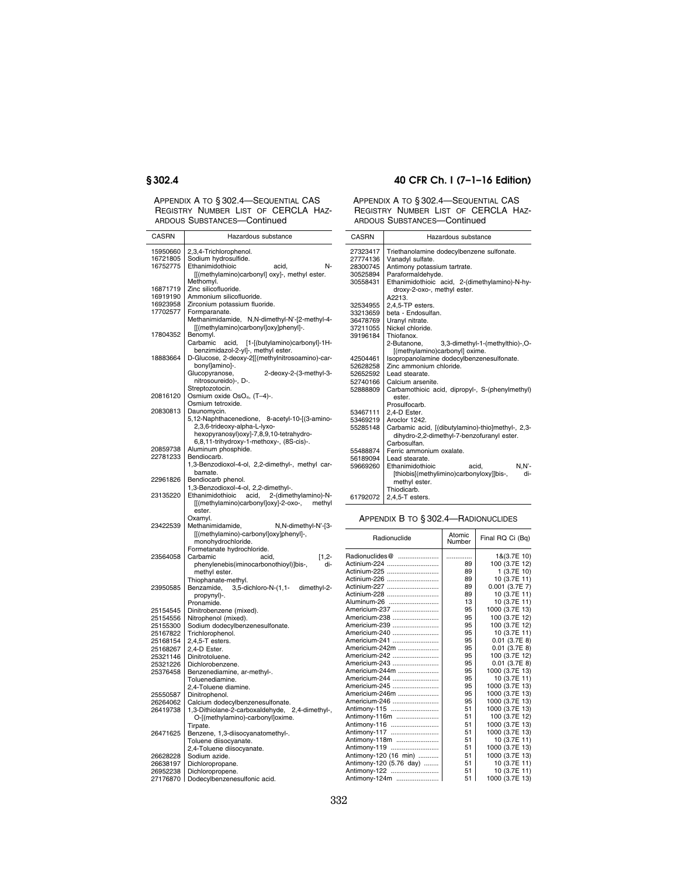l,

APPENDIX A TO § 302.4—SEQUENTIAL CAS REGISTRY NUMBER LIST OF CERCLA HAZ-ARDOUS SUBSTANCES—Continued

| CASRN                | Hazardous substance                                                                       |
|----------------------|-------------------------------------------------------------------------------------------|
| 15950660             | 2,3,4-Trichlorophenol.                                                                    |
| 16721805             | Sodium hydrosulfide.                                                                      |
| 16752775             | acid,<br>N-<br>Ethanimidothioic                                                           |
|                      | [[(methylamino)carbonyl] oxy]-, methyl ester.                                             |
| 16871719             | Methomyl.<br>Zinc silicofluoride.                                                         |
| 16919190             | Ammonium silicofluoride.                                                                  |
| 16923958             | Zirconium potassium fluoride.                                                             |
| 17702577             | Formparanate.                                                                             |
|                      | N, N-dimethyl-N'-[2-methyl-4-<br>Methanimidamide,                                         |
|                      | [[(methylamino)carbonyl]oxy]phenyl]-.                                                     |
| 17804352             | Benomyl.<br>[1-[(butylamino)carbonyl]-1H-<br>Carbamic<br>acid,                            |
|                      | benzimidazol-2-yl]-, methyl ester.                                                        |
| 18883664             | D-Glucose, 2-deoxy-2[[(methylnitrosoamino)-car-                                           |
|                      | bonyl]amino]-.                                                                            |
|                      | 2-deoxy-2-(3-methyl-3-<br>Glucopyranose,                                                  |
|                      | nitrosoureido)-, D-.                                                                      |
| 20816120             | Streptozotocin.<br>Osmium oxide OsO <sub>4</sub> , (T-4)-.                                |
|                      | Osmium tetroxide.                                                                         |
| 20830813             | Daunomycin.                                                                               |
|                      | 5,12-Naphthacenedione,<br>8-acetyl-10-[(3-amino-                                          |
|                      | 2,3,6-trideoxy-alpha-L-lyxo-                                                              |
|                      | hexopyranosyl)oxy]-7,8,9,10-tetrahydro-                                                   |
| 20859738             | 6,8,11-trihydroxy-1-methoxy-, (8S-cis)-.<br>Aluminum phosphide.                           |
| 22781233             | Bendiocarb.                                                                               |
|                      | 1,3-Benzodioxol-4-ol, 2,2-dimethyl-, methyl car-                                          |
|                      | bamate.                                                                                   |
| 22961826             | Bendiocarb phenol.                                                                        |
| 23135220             | 1,3-Benzodioxol-4-ol, 2,2-dimethyl-.<br>acid,<br>2-(dimethylamino)-N-<br>Ethanimidothioic |
|                      | [[(methylamino)carbonyl]oxy]-2-oxo-,<br>methyl                                            |
|                      | ester.                                                                                    |
|                      | Oxamyl.                                                                                   |
| 23422539             | N, N-dimethyl-N'-[3-<br>Methanimidamide,                                                  |
|                      | [[(methylamino)-carbonyl]oxy]phenyl]-,                                                    |
|                      | monohydrochloride.                                                                        |
| 23564058             | Formetanate hydrochloride.<br>$[1,2-$<br>Carbamic<br>acid,                                |
|                      | phenylenebis(iminocarbonothioyl)]bis-,<br>di-                                             |
|                      | methyl ester.                                                                             |
|                      | Thiophanate-methyl.                                                                       |
| 23950585             | 3,5-dichloro-N-(1,1-<br>dimethyl-2-<br>Benzamide,                                         |
|                      | propynyl)-.<br>Pronamide.                                                                 |
| 25154545             | Dinitrobenzene (mixed).                                                                   |
| 25154556             | Nitrophenol (mixed).                                                                      |
| 25155300             | Sodium dodecylbenzenesulfonate.                                                           |
| 25167822             | Trichlorophenol.                                                                          |
| 25168154             | $2,4,5$ -T esters.                                                                        |
| 25168267<br>25321146 | 2,4-D Ester.<br>Dinitrotoluene.                                                           |
| 25321226             | Dichlorobenzene.                                                                          |
| 25376458             | Benzenediamine, ar-methyl-.                                                               |
|                      | Toluenediamine.                                                                           |
|                      | 2,4-Toluene diamine.                                                                      |
| 25550587<br>26264062 | Dinitrophenol.                                                                            |
| 26419738             | Calcium dodecylbenzenesulfonate.<br>1,3-Dithiolane-2-carboxaldehyde,<br>2,4-dimethyl-,    |
|                      | O-[(methylamino)-carbonyl]oxime.                                                          |
|                      | Tirpate.                                                                                  |
| 26471625             | Benzene, 1,3-diisocyanatomethyl-.                                                         |
|                      | Toluene diisocyanate.                                                                     |
|                      | 2,4-Toluene diisocyanate.                                                                 |
| 26628228<br>26638197 | Sodium azide.<br>Dichloropropane.                                                         |
| 26952238             | Dichloropropene.                                                                          |
| 27176870             | Dodecylbenzenesulfonic acid.                                                              |

## **§ 302.4 40 CFR Ch. I (7–1–16 Edition)**

APPENDIX A TO § 302.4—SEQUENTIAL CAS REGISTRY NUMBER LIST OF CERCLA HAZ-ARDOUS SUBSTANCES—Continued

| CASRN    | Hazardous substance                                                                                                      |  |  |  |  |  |
|----------|--------------------------------------------------------------------------------------------------------------------------|--|--|--|--|--|
| 27323417 | Triethanolamine dodecylbenzene sulfonate.                                                                                |  |  |  |  |  |
| 27774136 | Vanadvl sulfate.                                                                                                         |  |  |  |  |  |
| 28300745 | Antimony potassium tartrate.                                                                                             |  |  |  |  |  |
| 30525894 | Paraformaldehyde.                                                                                                        |  |  |  |  |  |
| 30558431 | Ethanimidothioic acid, 2-(dimethylamino)-N-hy-<br>droxy-2-oxo-, methyl ester.<br>A2213.                                  |  |  |  |  |  |
| 32534955 | 2,4,5-TP esters.                                                                                                         |  |  |  |  |  |
| 33213659 | beta - Endosulfan.                                                                                                       |  |  |  |  |  |
| 36478769 | Uranyl nitrate.                                                                                                          |  |  |  |  |  |
| 37211055 | Nickel chloride.                                                                                                         |  |  |  |  |  |
| 39196184 | Thiofanox.                                                                                                               |  |  |  |  |  |
|          | 3,3-dimethyl-1-(methylthio)-,O-<br>2-Butanone.<br>[(methylamino)carbonyl] oxime.                                         |  |  |  |  |  |
| 42504461 | Isopropanolamine dodecylbenzenesulfonate.                                                                                |  |  |  |  |  |
| 52628258 | Zinc ammonium chloride                                                                                                   |  |  |  |  |  |
| 52652592 | Lead stearate.                                                                                                           |  |  |  |  |  |
| 52740166 | Calcium arsenite.                                                                                                        |  |  |  |  |  |
| 52888809 | Carbamothioic acid, dipropyl-, S-(phenylmethyl)<br>ester.<br>Prosulfocarb                                                |  |  |  |  |  |
| 53467111 | 2.4-D Ester.                                                                                                             |  |  |  |  |  |
| 53469219 | Aroclor 1242.                                                                                                            |  |  |  |  |  |
| 55285148 | Carbamic acid, [(dibutylamino)-thio]methyl-, 2,3-<br>dihydro-2,2-dimethyl-7-benzofuranyl ester.                          |  |  |  |  |  |
|          | Carbosulfan.                                                                                                             |  |  |  |  |  |
| 55488874 | Ferric ammonium oxalate.                                                                                                 |  |  |  |  |  |
| 56189094 | Lead stearate.                                                                                                           |  |  |  |  |  |
| 59669260 | $N.N'$ -<br>Ethanimidothioic<br>acid.<br>[thiobis](methylimino)carbonyloxy]]bis-,<br>di-<br>methyl ester.<br>Thiodicarb. |  |  |  |  |  |
| 61792072 | $2,4,5$ -T esters.                                                                                                       |  |  |  |  |  |
|          |                                                                                                                          |  |  |  |  |  |

## APPENDIX B TO § 302.4—RADIONUCLIDES

| Radionuclide            | Atomic<br>Number | Final RQ Ci (Bq) |
|-------------------------|------------------|------------------|
| Radionuclides@          | .                | 1&(3.7E 10)      |
| Actinium-224            | 89               | 100 (3.7E 12)    |
| Actinium-225            | 89               | 1 (3.7E 10)      |
|                         | 89               | 10 (3.7E 11)     |
| Actinium-227            | 89               | $0.001$ (3.7E 7) |
| Actinium-228            | 89               | 10 (3.7E 11)     |
| Aluminum-26             | 13               | 10 (3.7E 11)     |
| Americium-237           | 95               | 1000 (3.7E 13)   |
| Americium-238           | 95               | 100 (3.7E 12)    |
| Americium-239           | 95               | 100 (3.7E 12)    |
| Americium-240           | 95               | 10 (3.7E 11)     |
| Americium-241           | 95               | $0.01$ (3.7E 8)  |
| Americium-242m          | 95               | $0.01$ (3.7E 8)  |
| Americium-242           | 95               | 100 (3.7E 12)    |
| Americium-243           | 95               | $0.01$ (3.7E 8)  |
| Americium-244m          | 95               | 1000 (3.7E 13)   |
| Americium-244           | 95               | 10 (3.7E 11)     |
| Americium-245           | 95               | 1000 (3.7E 13)   |
| Americium-246m          | 95               | 1000 (3.7E 13)   |
| Americium-246           | 95               | 1000 (3.7E 13)   |
| Antimony-115            | 51               | 1000 (3.7E 13)   |
| Antimony-116m           | 51               | 100 (3.7E 12)    |
| Antimony-116            | 51               | 1000 (3.7E 13)   |
| Antimony-117            | 51               | 1000 (3.7E 13)   |
| Antimony-118m           | 51               | 10 (3.7E 11)     |
| Antimony-119            | 51               | 1000 (3.7E 13)   |
| Antimony-120 (16 min)   | 51               | 1000 (3.7E 13)   |
| Antimony-120 (5.76 day) | 51               | 10 (3.7E 11)     |
| Antimony-122            | 51               | 10 (3.7E 11)     |
| Antimony-124m           | 51               | 1000 (3.7E 13)   |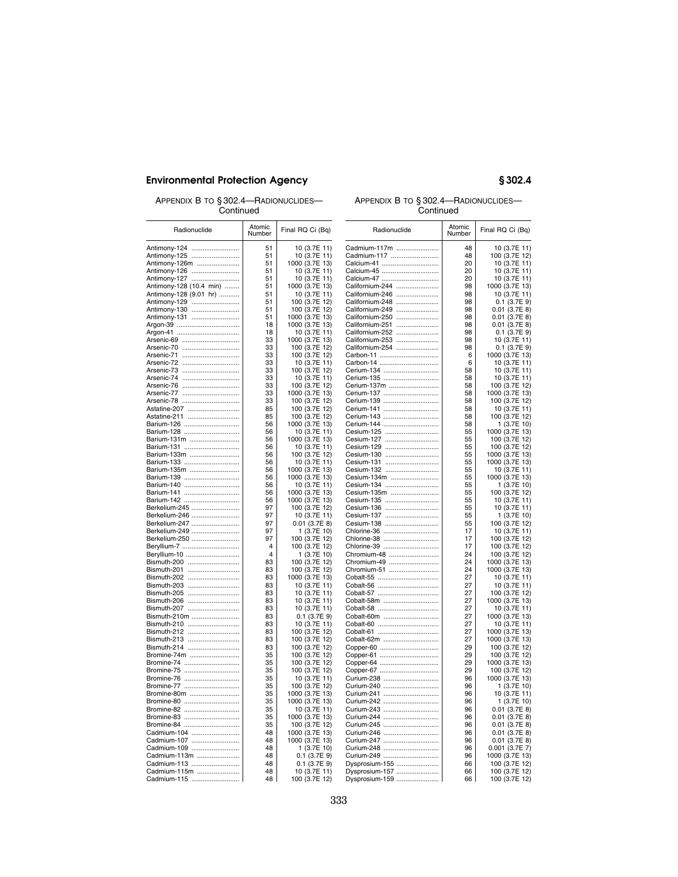APPENDIX B TO § 302.4—RADIONUCLIDES— **Continued** 

| Radionuclide             | Atomic<br>Number | Final RQ Ci (Bq)              | Radionuclide           | Atomic<br>Number | Final RQ Ci (Bq)               |
|--------------------------|------------------|-------------------------------|------------------------|------------------|--------------------------------|
| Antimony-124             | 51               | 10 (3.7E 11)                  | Cadmium-117m           | 48               | 10 (3.7E 11)                   |
| Antimony-125             | 51               | 10 (3.7E 11)                  | Cadmium-117            | 48               | 100 (3.7E 12)                  |
| Antimony-126m            | 51               | 1000 (3.7E 13)                | Calcium-41             | 20               | 10 (3.7E 11)                   |
| Antimony-126             | 51               | 10 (3.7E 11)                  | Calcium-45             | 20               | 10 (3.7E 11)                   |
| Antimony-127             | 51               | 10 (3.7E 11)                  | Calcium-47             | 20               | 10 (3.7E 11)                   |
| Antimony-128 (10.4 min)  | 51               | 1000 (3.7E 13)                | Californium-244        | 98               | 1000 (3.7E 13)                 |
| Antimony-128 (9.01 hr)   | 51               | 10 (3.7E 11)                  | Californium-246        | 98               | 10 (3.7E 11)                   |
| Antimony-129             | 51               | 100 (3.7E 12)                 | Californium-248        | 98               | $0.1$ (3.7E 9)                 |
| Antimony-130             | 51               | 100 (3.7E 12)                 | Californium-249        | 98               | $0.01$ (3.7E 8)                |
| Antimony-131             | 51               | 1000 (3.7E 13)                | Californium-250        | 98               | $0.01$ (3.7E 8)                |
| Argon-39                 | 18               | 1000 (3.7E 13)                | Californium-251        | 98               | $0.01$ (3.7E 8)                |
| Argon-41                 | 18               | 10 (3.7E 11)                  | Californium-252        | 98               | $0.1$ (3.7E 9)                 |
| Arsenic-69               | 33               | 1000 (3.7E 13)                | Californium-253        | 98               | 10 (3.7E 11)                   |
| Arsenic-70               | 33               | 100 (3.7E 12)                 | Californium-254        | 98               | $0.1$ (3.7E 9)                 |
| Arsenic-71<br>Arsenic-72 | 33<br>33         | 100 (3.7E 12)<br>10 (3.7E 11) | Carbon-11<br>Carbon-14 | 6<br>6           | 1000 (3.7E 13)<br>10 (3.7E 11) |
| Arsenic-73               | 33               | 100 (3.7E 12)                 | Cerium-134             | 58               | 10 (3.7E 11)                   |
| Arsenic-74               | 33               | 10 (3.7E 11)                  | Cerium-135             | 58               | 10 (3.7E 11)                   |
| Arsenic-76               | 33               | 100 (3.7E 12)                 | Cerium-137m            | 58               | 100 (3.7E 12)                  |
| Arsenic-77               | 33               | 1000 (3.7E 13)                | Cerium-137             | 58               | 1000 (3.7E 13)                 |
| Arsenic-78               | 33               | 100 (3.7E 12)                 | Cerium-139             | 58               | 100 (3.7E 12)                  |
| Astatine-207             | 85               | 100 (3.7E 12)                 | Cerium-141             | 58               | 10 (3.7E 11)                   |
| Astatine-211             | 85               | 100 (3.7E 12)                 | Cerium-143             | 58               | 100 (3.7E 12)                  |
| Barium-126               | 56               | 1000 (3.7E 13)                | Cerium-144             | 58               | 1 (3.7E 10)                    |
| Barium-128               | 56               | 10 (3.7E 11)                  | Cesium-125             | 55               | 1000 (3.7E 13)                 |
| Barium-131m              | 56               | 1000 (3.7E 13)                | Cesium-127             | 55               | 100 (3.7E 12)                  |
| Barium-131               | 56               | 10 (3.7E 11)                  | Cesium-129             | 55               | 100 (3.7E 12)                  |
| Barium-133m              | 56               | 100 (3.7E 12)                 | Cesium-130             | 55               | 1000 (3.7E 13)                 |
| Barium-133               | 56               | 10 (3.7E 11)                  | Cesium-131             | 55               | 1000 (3.7E 13)                 |
| Barium-135m              | 56               | 1000 (3.7E 13)                | Cesium-132             | 55               | 10 (3.7E 11)                   |
| Barium-139               | 56               | 1000 (3.7E 13)                | Cesium-134m            | 55               | 1000 (3.7E 13)                 |
| Barium-140               | 56               | 10 (3.7E 11)                  | Cesium-134             | 55               | 1 (3.7E 10)                    |
| Barium-141               | 56               | 1000 (3.7E 13)                | Cesium-135m            | 55               | 100 (3.7E 12)                  |
| Barium-142               | 56               | 1000 (3.7E 13)                | Cesium-135             | 55               | 10 (3.7E 11)                   |
| Berkelium-245            | 97               | 100 (3.7E 12)                 | Cesium-136             | 55               | 10 (3.7E 11)                   |
| Berkelium-246            | 97               | 10 (3.7E 11)                  | Cesium-137             | 55               | 1 (3.7E 10)                    |
| Berkelium-247            | 97               | $0.01$ (3.7E 8)               | Cesium-138             | 55               | 100 (3.7E 12)                  |
| Berkelium-249            | 97               | 1 (3.7E 10)                   | Chlorine-36            | 17               | 10 (3.7E 11)                   |
| Berkelium-250            | 97               | 100 (3.7E 12)                 | Chlorine-38            | 17               | 100 (3.7E 12)                  |
| Beryllium-7              | 4                | 100 (3.7E 12)                 | Chlorine-39            | 17               | 100 (3.7E 12)                  |
| Beryllium-10             | $\overline{4}$   | 1(3.7E10)                     | Chromium-48            | 24               | 100 (3.7E 12)                  |
| Bismuth-200              | 83               | 100 (3.7E 12)                 | Chromium-49            | 24               | 1000 (3.7E 13)                 |
| Bismuth-201              | 83               | 100 (3.7E 12)                 | Chromium-51            | 24               | 1000 (3.7E 13)                 |
| Bismuth-202              | 83               | 1000 (3.7E 13)                | Cobalt-55              | 27               | 10 (3.7E 11)                   |
| Bismuth-203              | 83               | 10 (3.7E 11)                  | Cobalt-56              | 27               | 10 (3.7E 11)                   |
| Bismuth-205              | 83               | 10 (3.7E 11)                  | Cobalt-57              | 27               | 100 (3.7E 12)                  |
| Bismuth-206              | 83               | 10 (3.7E 11)                  | Cobalt-58m             | 27               | 1000 (3.7E 13)                 |
| Bismuth-207              | 83               | 10 (3.7E 11)                  | Cobalt-58              | 27               | 10 (3.7E 11)                   |
| Bismuth-210m             | 83               | $0.1$ (3.7E 9)                | Cobalt-60m             | 27               | 1000 (3.7E 13)                 |
| Bismuth-210              | 83               | 10 (3.7E 11)                  | Cobalt-60              | 27               | 10 (3.7E 11)                   |
| Bismuth-212              | 83               | 100 (3.7E 12)                 | Cobalt-61              | 27               | 1000 (3.7E 13)                 |
| Bismuth-213              | 83               | 100 (3.7E 12)                 | Cobalt-62m             | 27               | 1000 (3.7E 13)                 |
| Bismuth-214              | 83               | 100 (3.7E 12)                 | Copper-60              | 29               | 100 (3.7E 12)                  |
| Bromine-74m              | 35               | 100 (3.7E 12)                 | Copper-61              | 29               | 100 (3.7E 12)                  |
| Bromine-74               | 35               | 100 (3.7E 12)                 | Copper-64              | 29               | 1000 (3.7E 13)                 |
| Bromine-75               | 35               | 100 (3.7E 12)                 | Copper-67              | 29               | 100 (3.7E 12)                  |
| Bromine-76               | 35               | 10 (3.7E 11)                  | Curium-238             | 96               | 1000 (3.7E 13)                 |
| Bromine-77               | 35               | 100 (3.7E 12)                 | Curium-240             | 96               | 1 (3.7E 10)                    |
| Bromine-80m              | 35               | 1000 (3.7E 13)                | Curium-241             | 96               | 10 (3.7E 11)                   |
| Bromine-80               | 35               | 1000 (3.7E 13)                | Curium-242             | 96               | 1 (3.7E 10)                    |
| Bromine-82               | 35               | 10 (3.7E 11)                  | Curium-243             | 96               | $0.01$ (3.7E 8)                |
| Bromine-83               | 35               | 1000 (3.7E 13)                | Curium-244             | 96               | $0.01$ (3.7E 8)                |
| Bromine-84               | 35               | 100 (3.7E 12)                 | Curium-245             | 96               | $0.01$ (3.7E 8)                |
| Cadmium-104              | 48               | 1000 (3.7E 13)                | Curium-246             | 96               | $0.01$ (3.7E 8)                |
| Cadmium-107              | 48               | 1000 (3.7E 13)                | Curium-247             | 96               | $0.01$ (3.7E 8)                |
| Cadmium-109              | 48               | 1 (3.7E 10)                   | Curium-248             | 96               | $0.001$ (3.7E 7)               |
| Cadmium-113m             | 48               | $0.1$ (3.7E 9)                | Curium-249             | 96               | 1000 (3.7E 13)                 |
| Cadmium-113              | 48<br>48         | $0.1$ (3.7E 9)                | Dysprosium-155         | 66<br>66         | 100 (3.7E 12)                  |
| Cadmium-115m             | 48               | 10 (3.7E 11)                  | Dysprosium-157         |                  | 100 (3.7E 12)                  |
| Cadmium-115              |                  | 100 (3.7E 12)                 | Dysprosium-159         | 66               | 100 (3.7E 12)                  |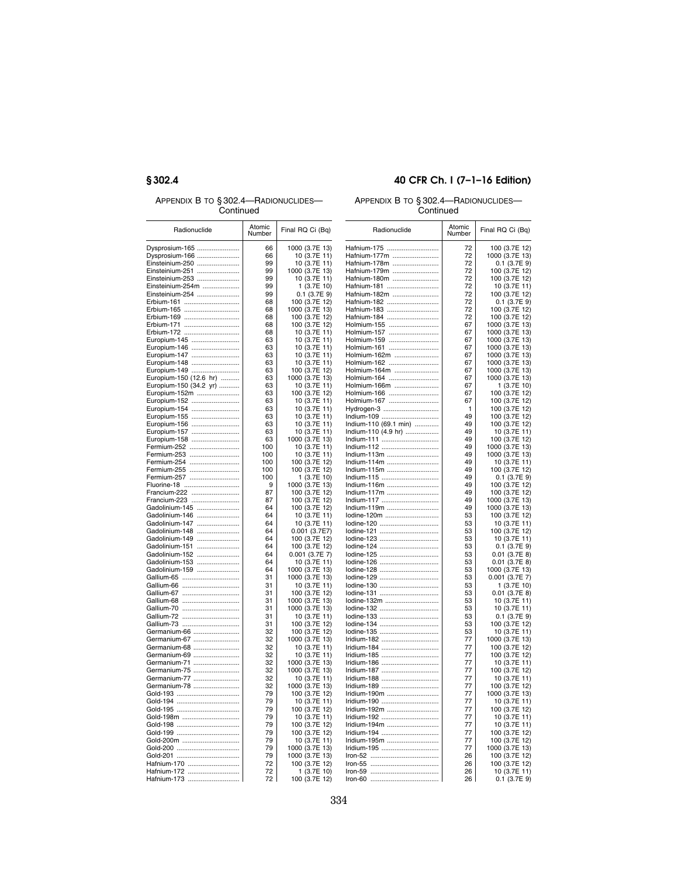APPENDIX B TO § 302.4—RADIONUCLIDES—

## **§ 302.4 40 CFR Ch. I (7–1–16 Edition)**

# APPENDIX B TO § 302.4—RADIONUCLIDES—

| Continued                   |                  |                                 | Continued                   |                  |                                 |
|-----------------------------|------------------|---------------------------------|-----------------------------|------------------|---------------------------------|
| Radionuclide                | Atomic<br>Number | Final RQ Ci (Bq)                | Radionuclide                | Atomic<br>Number | Final RQ Ci (Bq)                |
| Dysprosium-165              | 66               | 1000 (3.7E 13)                  | Hafnium-175                 | 72               | 100 (3.7E 12)                   |
| Dysprosium-166              | 66               | 10 (3.7E 11)                    | Hafnium-177m                | 72               | 1000 (3.7E 13)                  |
| Einsteinium-250             | 99               | 10 (3.7E 11)                    | Hafnium-178m                | 72               | $0.1$ (3.7E 9)                  |
| Einsteinium-251             | 99               | 1000 (3.7E 13)                  | Hafnium-179m                | 72               | 100 (3.7E 12)                   |
| Einsteinium-253             | 99               | 10 (3.7E 11)                    | Hafnium-180m                | 72               | 100 (3.7E 12)                   |
| Einsteinium-254m            | 99               | 1 (3.7E 10)                     | Hafnium-181                 | 72               | 10 (3.7E 11)                    |
| Einsteinium-254             | 99               | $0.1$ (3.7E 9)                  | Hafnium-182m                | 72               | 100 (3.7E 12)                   |
| Erbium-161                  | 68               | 100 (3.7E 12)                   | Hafnium-182                 | 72               | $0.1$ (3.7E 9)                  |
| Erbium-165                  | 68<br>68         | 1000 (3.7E 13)                  | Hafnium-183                 | 72<br>72         | 100 (3.7E 12)                   |
| Erbium-169<br>Erbium-171    | 68               | 100 (3.7E 12)<br>100 (3.7E 12)  | Hafnium-184<br>Holmium-155  | 67               | 100 (3.7E 12)<br>1000 (3.7E 13) |
| Erbium-172                  | 68               | 10 (3.7E 11)                    | Holmium-157                 | 67               | 1000 (3.7E 13)                  |
| Europium-145                | 63               | 10 (3.7E 11)                    | Holmium-159                 | 67               | 1000 (3.7E 13)                  |
| Europium-146                | 63               | 10 (3.7E 11)                    | Holmium-161                 | 67               | 1000 (3.7E 13)                  |
| Europium-147                | 63               | 10 (3.7E 11)                    | Holmium-162m                | 67               | 1000 (3.7E 13)                  |
| Europium-148                | 63               | 10 (3.7E 11)                    | Holmium-162                 | 67               | 1000 (3.7E 13)                  |
| Europium-149                | 63               | 100 (3.7E 12)                   | Holmium-164m                | 67               | 1000 (3.7E 13)                  |
| Europium-150 (12.6 hr)      | 63               | 1000 (3.7E 13)                  | Holmium-164                 | 67               | 1000 (3.7E 13)                  |
| Europium-150 (34.2 yr)      | 63               | 10 (3.7E 11)                    | Holmium-166m                | 67               | 1(3.7E10)                       |
| Europium-152m               | 63               | 100 (3.7E 12)                   | Holmium-166                 | 67               | 100 (3.7E 12)                   |
| Europium-152                | 63               | 10 (3.7E 11)                    | Holmium-167                 | 67               | 100 (3.7E 12)                   |
| Europium-154                | 63               | 10 (3.7E 11)                    | Hydrogen-3                  | 1                | 100 (3.7E 12)                   |
| Europium-155                | 63               | 10 (3.7E 11)                    | Indium-109                  | 49               | 100 (3.7E 12)                   |
| Europium-156                | 63               | 10 (3.7E 11)                    | Indium-110 (69.1 min)       | 49               | 100 (3.7E 12)                   |
| Europium-157                | 63               | 10 (3.7E 11)                    | Indium-110 (4.9 hr)         | 49               | 10 (3.7E 11)                    |
| Europium-158                | 63               | 1000 (3.7E 13)                  | Indium-111                  | 49               | 100 (3.7E 12)                   |
| Fermium-252                 | 100              | 10 (3.7E 11)                    | Indium-112                  | 49               | 1000 (3.7E 13)                  |
| Fermium-253                 | 100              | 10 (3.7E 11)                    | Indium-113m                 | 49               | 1000 (3.7E 13)                  |
| Fermium-254                 | 100              | 100 (3.7E 12)                   | Indium-114m                 | 49               | 10 (3.7E 11)                    |
| Fermium-255                 | 100<br>100       | 100 (3.7E 12)                   | Indium-115m                 | 49<br>49         | 100 (3.7E 12)                   |
| Fermium-257                 | 9                | 1 (3.7E 10)                     | Indium-115                  | 49               | $0.1$ (3.7E 9)                  |
| Fluorine-18<br>Francium-222 | 87               | 1000 (3.7E 13)<br>100 (3.7E 12) | Indium-116m<br>Indium-117m  | 49               | 100 (3.7E 12)<br>100 (3.7E 12)  |
| Francium-223                | 87               | 100 (3.7E 12)                   | Indium-117                  | 49               | 1000 (3.7E 13)                  |
| Gadolinium-145              | 64               | 100 (3.7E 12)                   | Indium-119m                 | 49               | 1000 (3.7E 13)                  |
| Gadolinium-146              | 64               | 10 (3.7E 11)                    | lodine-120m                 | 53               | 100 (3.7E 12)                   |
| Gadolinium-147              | 64               | 10 (3.7E 11)                    | lodine-120                  | 53               | 10 (3.7E 11)                    |
| Gadolinium-148              | 64               | $0.001$ (3.7E7)                 | lodine-121                  | 53               | 100 (3.7E 12)                   |
| Gadolinium-149              | 64               | 100 (3.7E 12)                   | lodine-123                  | 53               | 10 (3.7E 11)                    |
| Gadolinium-151              | 64               | 100 (3.7E 12)                   | lodine-124                  | 53               | $0.1$ (3.7E 9)                  |
| Gadolinium-152              | 64               | $0.001$ (3.7E 7)                | lodine-125                  | 53               | $0.01$ (3.7E 8)                 |
| Gadolinium-153              | 64               | 10 (3.7E 11)                    | lodine-126                  | 53               | $0.01$ (3.7E 8)                 |
| Gadolinium-159              | 64               | 1000 (3.7E 13)                  | lodine-128                  | 53               | 1000 (3.7E 13)                  |
| Gallium-65                  | 31               | 1000 (3.7E 13)                  | lodine-129                  | 53               | 0.001 (3.7E 7)                  |
| Gallium-66                  | 31               | 10 (3.7E 11)                    | lodine-130                  | 53               | 1 (3.7E 10)                     |
| Gallium-67                  | 31               | 100 (3.7E 12)                   | lodine-131                  | 53               | $0.01$ (3.7E 8)                 |
| Gallium-68                  | 31               | 1000 (3.7E 13)                  | lodine-132m                 | 53               | 10 (3.7E 11)                    |
| Gallium-70                  | 31               | 1000 (3.7E 13)                  | lodine-132                  | 53               | 10 (3.7E 11)                    |
| Gallium-72                  | 31               | 10 (3.7E 11)                    | lodine-133                  | 53               | $0.1$ (3.7E 9)                  |
| Gallium-73                  | 31               | 100 (3.7E 12)                   | lodine-134                  | 53               | 100 (3.7E 12)                   |
| Germanium-66                | 32               | 100 (3.7E 12)                   | lodine-135                  | 53               | 10 (3.7E 11)                    |
| Germanium-67                | 32               | 1000 (3.7E 13)                  | Iridium-182                 | 77               | 1000 (3.7E 13)                  |
| Germanium-68                | 32               | 10 (3.7E 11)                    | Iridium-184                 | 77               | 100 (3.7E 12)                   |
| Germanium-69                | 32               | 10 (3.7E 11)                    | Iridium-185                 | 77               | 100 (3.7E 12)                   |
| Germanium-71                | 32               | 1000 (3.7E 13)                  | Iridium-186                 | 77               | 10 (3.7E 11)                    |
| Germanium-75                | 32               | 1000 (3.7E 13)                  | Iridium-187                 | 77               | 100 (3.7E 12)                   |
| Germanium-77                | 32               | 10 (3.7E 11)                    | Iridium-188                 | 77               | 10 (3.7E 11)                    |
| Germanium-78                | 32               | 1000 (3.7E 13)                  | Iridium-189                 | 77               | 100 (3.7E 12)                   |
| Gold-193                    | 79               | 100 (3.7E 12)                   | Iridium-190m                | 77               | 1000 (3.7E 13)                  |
| Gold-194                    | 79               | 10 (3.7E 11)                    | Iridium-190                 | 77               | 10 (3.7E 11)                    |
| Gold-195                    | 79               | 100 (3.7E 12)                   | Iridium-192m                | 77               | 100 (3.7E 12)                   |
| Gold-198m                   | 79               | 10 (3.7E 11)                    | Iridium-192                 | 77               | 10 (3.7E 11)                    |
|                             | 79<br>79         | 100 (3.7E 12)<br>100 (3.7E 12)  | Iridium-194m<br>Iridium-194 | 77<br>77         | 10 (3.7E 11)<br>100 (3.7E 12)   |
| Gold-200m                   | 79               | 10 (3.7E 11)                    | Iridium-195m                | 77               | 100 (3.7E 12)                   |
|                             | 79               | 1000 (3.7E 13)                  | Iridium-195                 | 77               | 1000 (3.7E 13)                  |
| Gold-201                    | 79               | 1000 (3.7E 13)                  |                             | 26               | 100 (3.7E 12)                   |
| Hafnium-170                 | 72               | 100 (3.7E 12)                   |                             | 26               | 100 (3.7E 12)                   |
| Hafnium-172                 | 72               | 1(3.7E10)                       |                             | 26               | 10 (3.7E 11)                    |
|                             | 72               | 100 (3.7E 12)                   |                             | 26               | $0.1$ (3.7E 9)                  |
|                             |                  |                                 |                             |                  |                                 |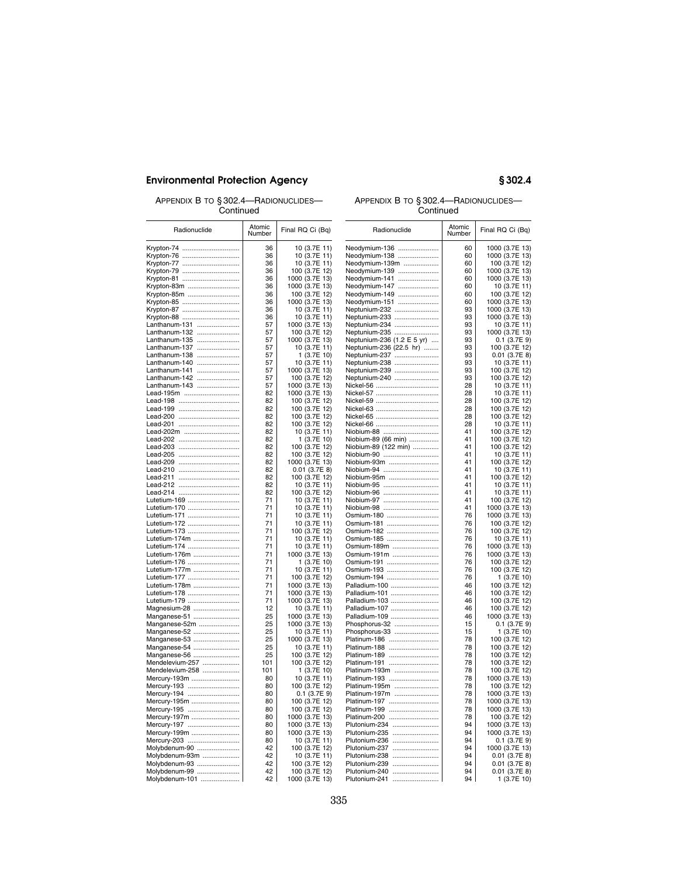APPENDIX B TO § 302.4—RADIONUCLIDES— **Continued** 

| Radionuclide                 | Atomic<br>Number | Final RQ Ci (Bq)                 | Radionuclide                   | Atomic<br>Number | Final RQ Ci (Bq)                 |
|------------------------------|------------------|----------------------------------|--------------------------------|------------------|----------------------------------|
| Krypton-74                   | 36               | 10 (3.7E 11)                     | Neodymium-136                  | 60               | 1000 (3.7E 13)                   |
| Krypton-76                   | 36               | 10 (3.7E 11)                     | Neodymium-138                  | 60               | 1000 (3.7E 13)                   |
| Krypton-77                   | 36               | 10 (3.7E 11)                     | Neodymium-139m                 | 60               | 100 (3.7E 12)                    |
| Krypton-79                   | 36               | 100 (3.7E 12)                    | Neodymium-139                  | 60               | 1000 (3.7E 13)                   |
| Krypton-81                   | 36               | 1000 (3.7E 13)                   | Neodymium-141                  | 60               | 1000 (3.7E 13)                   |
| Krypton-83m                  | 36               | 1000 (3.7E 13)                   | Neodymium-147                  | 60               | 10 (3.7E 11)                     |
| Krypton-85m                  | 36               | 100 (3.7E 12)                    | Neodymium-149                  | 60               | 100 (3.7E 12)                    |
| Krypton-85                   | 36<br>36         | 1000 (3.7E 13)                   | Neodymium-151                  | 60<br>93         | 1000 (3.7E 13)                   |
| Krypton-87<br>Krypton-88     | 36               | 10 (3.7E 11)<br>10 (3.7E 11)     | Neptunium-232<br>Neptunium-233 | 93               | 1000 (3.7E 13)<br>1000 (3.7E 13) |
| Lanthanum-131                | 57               | 1000 (3.7E 13)                   | Neptunium-234                  | 93               | 10 (3.7E 11)                     |
| Lanthanum-132                | 57               | 100 (3.7E 12)                    | Neptunium-235                  | 93               | 1000 (3.7E 13)                   |
| Lanthanum-135                | 57               | 1000 (3.7E 13)                   | Neptunium-236 (1.2 E 5 yr)     | 93               | $0.1$ (3.7E 9)                   |
| Lanthanum-137                | 57               | 10 (3.7E 11)                     | Neptunium-236 (22.5 hr)        | 93               | 100 (3.7E 12)                    |
| Lanthanum-138                | 57               | 1 (3.7E 10)                      | Neptunium-237                  | 93               | $0.01$ (3.7E 8)                  |
| Lanthanum-140                | 57               | 10 (3.7E 11)                     | Neptunium-238                  | 93               | 10 (3.7E 11)                     |
| Lanthanum-141                | 57               | 1000 (3.7E 13)                   | Neptunium-239                  | 93               | 100 (3.7E 12)                    |
| Lanthanum-142                | 57               | 100 (3.7E 12)                    | Neptunium-240                  | 93               | 100 (3.7E 12)                    |
| Lanthanum-143                | 57               | 1000 (3.7E 13)                   | Nickel-56                      | 28               | 10 (3.7E 11)                     |
| Lead-195m                    | 82               | 1000 (3.7E 13)                   | Nickel-57                      | 28               | 10 (3.7E 11)                     |
| Lead-198                     | 82<br>82         | 100 (3.7E 12)                    | Nickel-59                      | 28<br>28         | 100 (3.7E 12)                    |
| Lead-199<br>Lead-200         | 82               | 100 (3.7E 12)<br>100 (3.7E 12)   | Nickel-63<br>Nickel-65         | 28               | 100 (3.7E 12)<br>100 (3.7E 12)   |
| Lead-201                     | 82               | 100 (3.7E 12)                    |                                | 28               | 10 (3.7E 11)                     |
| Lead-202m                    | 82               | 10 (3.7E 11)                     | Niobium-88                     | 41               | 100 (3.7E 12)                    |
| Lead-202                     | 82               | 1 (3.7E 10)                      | Niobium-89 (66 min)            | 41               | 100 (3.7E 12)                    |
| Lead-203                     | 82               | 100 (3.7E 12)                    | Niobium-89 (122 min)           | 41               | 100 (3.7E 12)                    |
| Lead-205                     | 82               | 100 (3.7E 12)                    | Niobium-90                     | 41               | 10 (3.7E 11)                     |
| Lead-209                     | 82               | 1000 (3.7E 13)                   | Niobium-93m                    | 41               | 100 (3.7E 12)                    |
| Lead-210                     | 82               | $0.01$ (3.7E 8)                  | Niobium-94                     | 41               | 10 (3.7E 11)                     |
|                              | 82               | 100 (3.7E 12)                    | Niobium-95m                    | 41               | 100 (3.7E 12)                    |
| Lead-212                     | 82               | 10 (3.7E 11)                     | Niobium-95                     | 41               | 10 (3.7E 11)                     |
| Lead-214<br>Lutetium-169     | 82<br>71         | 100 (3.7E 12)                    | Niobium-96                     | 41<br>41         | 10 (3.7E 11)                     |
| Lutetium-170                 | 71               | 10 (3.7E 11)<br>10 (3.7E 11)     | Niobium-97<br>Niobium-98       | 41               | 100 (3.7E 12)<br>1000 (3.7E 13)  |
| Lutetium-171                 | 71               | 10 (3.7E 11)                     | Osmium-180                     | 76               | 1000 (3.7E 13)                   |
| Lutetium-172                 | 71               | 10 (3.7E 11)                     | Osmium-181                     | 76               | 100 (3.7E 12)                    |
| Lutetium-173                 | 71               | 100 (3.7E 12)                    | Osmium-182                     | 76               | 100 (3.7E 12)                    |
| Lutetium-174m                | 71               | 10 (3.7E 11)                     | Osmium-185                     | 76               | 10 (3.7E 11)                     |
| Lutetium-174                 | 71               | 10 (3.7E 11)                     | Osmium-189m                    | 76               | 1000 (3.7E 13)                   |
| Lutetium-176m                | 71               | 1000 (3.7E 13)                   | Osmium-191m                    | 76               | 1000 (3.7E 13)                   |
| Lutetium-176                 | 71               | 1 (3.7E 10)                      | Osmium-191                     | 76               | 100 (3.7E 12)                    |
| Lutetium-177m                | 71               | 10 (3.7E 11)                     | Osmium-193                     | 76               | 100 (3.7E 12)                    |
| Lutetium-177                 | 71               | 100 (3.7E 12)                    | Osmium-194                     | 76               | 1 (3.7E 10)                      |
| Lutetium-178m                | 71               | 1000 (3.7E 13)                   | Palladium-100                  | 46               | 100 (3.7E 12)                    |
| Lutetium-178                 | 71<br>71         | 1000 (3.7E 13)                   | Palladium-101                  | 46<br>46         | 100 (3.7E 12)                    |
| Lutetium-179<br>Magnesium-28 | 12               | 1000 (3.7E 13)<br>10 (3.7E 11)   | Palladium-103<br>Palladium-107 | 46               | 100 (3.7E 12)<br>100 (3.7E 12)   |
| Manganese-51                 | 25               | 1000 (3.7E 13)                   | Palladium-109                  | 46               | 1000 (3.7E 13)                   |
| Manganese-52m                | 25               | 1000 (3.7E 13)                   | Phosphorus-32                  | 15               | $0.1$ (3.7E 9)                   |
| Manganese-52                 | 25               | 10 (3.7E 11)                     | Phosphorus-33                  | 15               | 1 (3.7E 10)                      |
| Manganese-53                 | 25               | 1000 (3.7E 13)                   | Platinum-186                   | 78               | 100 (3.7E 12)                    |
| Manganese-54                 | 25               | 10 (3.7E 11)                     | Platinum-188                   | 78               | 100 (3.7E 12)                    |
| Manganese-56                 | 25               | 100 (3.7E 12)                    | Platinum-189                   | 78               | 100 (3.7E 12)                    |
| Mendelevium-257              | 101              | 100 (3.7E 12)                    | Platinum-191                   | 78               | 100 (3.7E 12)                    |
| Mendelevium-258              | 101              | 1 (3.7E 10)                      | Platinum-193m                  | 78               | 100 (3.7E 12)                    |
| Mercury-193m                 | 80               | 10 (3.7E 11)                     | Platinum-193                   | 78               | 1000 (3.7E 13)                   |
| Mercury-193                  | 80               | 100 (3.7E 12)                    | Platinum-195m                  | 78               | 100 (3.7E 12)                    |
| Mercury-194                  | 80               | $0.1$ (3.7E 9)                   | Platinum-197m                  | 78               | 1000 (3.7E 13)                   |
| Mercury-195m                 | 80               | 100 (3.7E 12)                    | Platinum-197                   | 78               | 1000 (3.7E 13)                   |
| Mercury-195                  | 80               | 100 (3.7E 12)                    | Platinum-199                   | 78               | 1000 (3.7E 13)                   |
| Mercury-197m                 | 80               | 1000 (3.7E 13)                   | Platinum-200                   | 78               | 100 (3.7E 12)                    |
| Mercury-197<br>Mercury-199m  | 80<br>80         | 1000 (3.7E 13)<br>1000 (3.7E 13) | Plutonium-234<br>Plutonium-235 | 94<br>94         | 1000 (3.7E 13)<br>1000 (3.7E 13) |
| Mercury-203                  | 80               | 10 (3.7E 11)                     | Plutonium-236                  | 94               | $0.1$ (3.7E 9)                   |
| Molybdenum-90                | 42               | 100 (3.7E 12)                    | Plutonium-237                  | 94               | 1000 (3.7E 13)                   |
| Molybdenum-93m               | 42               | 10 (3.7E 11)                     | Plutonium-238                  | 94               | $0.01$ (3.7E 8)                  |
| Molybdenum-93                | 42               | 100 (3.7E 12)                    | Plutonium-239                  | 94               | $0.01$ (3.7E 8)                  |
| Molybdenum-99                | 42               | 100 (3.7E 12)                    | Plutonium-240                  | 94               | $0.01$ (3.7E 8)                  |
| Molybdenum-101               | 42               | 1000 (3.7E 13)                   | Plutonium-241                  | 94               | 1 (3.7E 10)                      |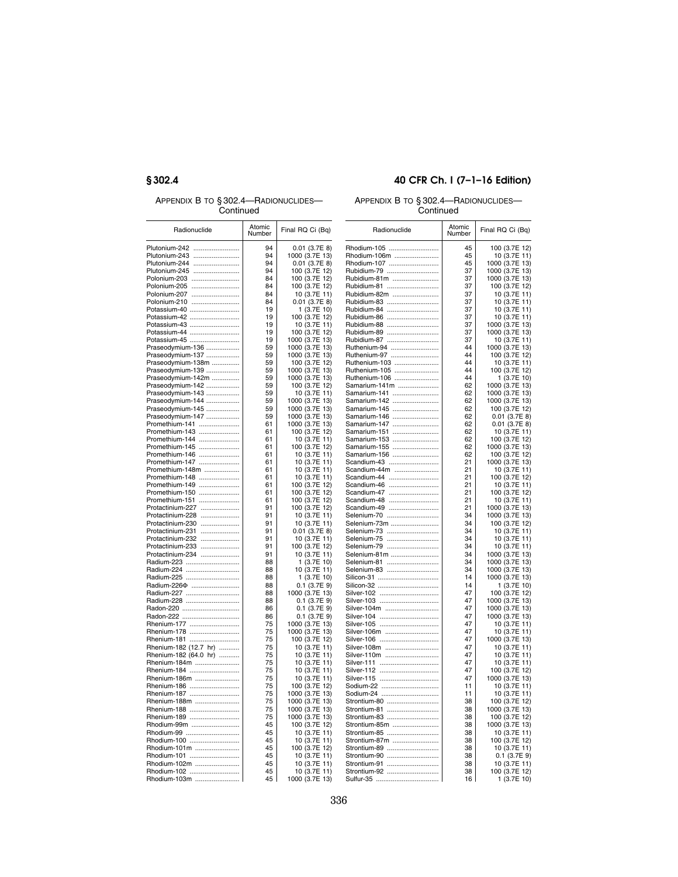APPENDIX B TO § 302.4—RADIONUCLIDES— **Continued** 

## **§ 302.4 40 CFR Ch. I (7–1–16 Edition)**

| Radionuclide                     | Atomic<br>Number | Final RQ Ci (Bq)              | Radionuclide                 | Atomic<br>Number | Final RQ Ci (Bq)                 |
|----------------------------------|------------------|-------------------------------|------------------------------|------------------|----------------------------------|
| Plutonium-242                    | 94               | $0.01$ (3.7E 8)               | Rhodium-105                  | 45               | 100 (3.7E 12)                    |
| Plutonium-243                    | 94               | 1000 (3.7E 13)                | Rhodium-106m                 | 45               | 10 (3.7E 11)                     |
| Plutonium-244                    | 94               | $0.01$ (3.7E 8)               | Rhodium-107                  | 45               | 1000 (3.7E 13)                   |
| Plutonium-245                    | 94               | 100 (3.7E 12)                 | Rubidium-79                  | 37               | 1000 (3.7E 13)                   |
| Polonium-203                     | 84               | 100 (3.7E 12)                 | Rubidium-81m                 | 37               | 1000 (3.7E 13)                   |
| Polonium-205                     | 84               | 100 (3.7E 12)                 | Rubidium-81                  | 37               | 100 (3.7E 12)                    |
| Polonium-207                     | 84               | 10 (3.7E 11)                  | Rubidium-82m                 | 37               | 10 (3.7E 11)                     |
| Polonium-210                     | 84               | $0.01$ (3.7E 8)               | Rubidium-83                  | 37               | 10 (3.7E 11)                     |
| Potassium-40                     | 19<br>19         | 1(3.7E10)                     | Rubidium-84                  | 37<br>37         | 10 (3.7E 11)                     |
| Potassium-42<br>Potassium-43     | 19               | 100 (3.7E 12)<br>10 (3.7E 11) | Rubidium-86<br>Rubidium-88   | 37               | 10 (3.7E 11)<br>1000 (3.7E 13)   |
| Potassium-44                     | 19               | 100 (3.7E 12)                 | Rubidium-89                  | 37               | 1000 (3.7E 13)                   |
| Potassium-45                     | 19               | 1000 (3.7E 13)                | Rubidium-87                  | 37               | 10 (3.7E 11)                     |
| Praseodymium-136                 | 59               | 1000 (3.7E 13)                | Ruthenium-94                 | 44               | 1000 (3.7E 13)                   |
| Praseodymium-137                 | 59               | 1000 (3.7E 13)                | Ruthenium-97                 | 44               | 100 (3.7E 12)                    |
| Praseodymium-138m                | 59               | 100 (3.7E 12)                 | Ruthenium-103                | 44               | 10 (3.7E 11)                     |
| Praseodymium-139                 | 59               | 1000 (3.7E 13)                | Ruthenium-105                | 44               | 100 (3.7E 12)                    |
| Praseodymium-142m                | 59               | 1000 (3.7E 13)                | Ruthenium-106                | 44               | 1(3.7E10)                        |
| Praseodymium-142                 | 59               | 100 (3.7E 12)                 | Samarium-141m                | 62               | 1000 (3.7E 13)                   |
| Praseodymium-143                 | 59               | 10 (3.7E 11)                  | Samarium-141                 | 62               | 1000 (3.7E 13)                   |
| Praseodymium-144                 | 59               | 1000 (3.7E 13)                | Samarium-142                 | 62               | 1000 (3.7E 13)                   |
| Praseodymium-145                 | 59               | 1000 (3.7E 13)                | Samarium-145                 | 62               | 100 (3.7E 12)                    |
| Praseodymium-147                 | 59               | 1000 (3.7E 13)                | Samarium-146                 | 62               | $0.01$ (3.7E 8)                  |
| Promethium-141                   | 61               | 1000 (3.7E 13)                | Samarium-147                 | 62               | $0.01$ (3.7E 8)                  |
| Promethium-143                   | 61               | 100 (3.7E 12)                 | Samarium-151                 | 62               | 10 (3.7E 11)                     |
| Promethium-144                   | 61<br>61         | 10 (3.7E 11)                  | Samarium-153                 | 62<br>62         | 100 (3.7E 12)                    |
| Promethium-145<br>Promethium-146 | 61               | 100 (3.7E 12)<br>10 (3.7E 11) | Samarium-155<br>Samarium-156 | 62               | 1000 (3.7E 13)<br>100 (3.7E 12)  |
| Promethium-147                   | 61               | 10 (3.7E 11)                  | Scandium-43                  | 21               | 1000 (3.7E 13)                   |
| Promethium-148m                  | 61               | 10 (3.7E 11)                  | Scandium-44m                 | 21               | 10 (3.7E 11)                     |
| Promethium-148                   | 61               | 10 (3.7E 11)                  | Scandium-44                  | 21               | 100 (3.7E 12)                    |
| Promethium-149                   | 61               | 100 (3.7E 12)                 | Scandium-46                  | 21               | 10 (3.7E 11)                     |
| Promethium-150                   | 61               | 100 (3.7E 12)                 | Scandium-47                  | 21               | 100 (3.7E 12)                    |
| Promethium-151                   | 61               | 100 (3.7E 12)                 | Scandium-48                  | 21               | 10 (3.7E 11)                     |
| Protactinium-227                 | 91               | 100 (3.7E 12)                 | Scandium-49                  | 21               | 1000 (3.7E 13)                   |
| Protactinium-228                 | 91               | 10 (3.7E 11)                  | Selenium-70                  | 34               | 1000 (3.7E 13)                   |
| Protactinium-230                 | 91               | 10 (3.7E 11)                  | Selenium-73m                 | 34               | 100 (3.7E 12)                    |
| Protactinium-231                 | 91               | $0.01$ (3.7E 8)               | Selenium-73                  | 34               | 10 (3.7E 11)                     |
| Protactinium-232                 | 91               | 10 (3.7E 11)                  | Selenium-75                  | 34               | 10 (3.7E 11)                     |
| Protactinium-233                 | 91<br>91         | 100 (3.7E 12)                 | Selenium-79                  | 34               | 10 (3.7E 11)                     |
| Protactinium-234<br>Radium-223   | 88               | 10 (3.7E 11)<br>1 (3.7E 10)   | Selenium-81m<br>Selenium-81  | 34<br>34         | 1000 (3.7E 13)<br>1000 (3.7E 13) |
| Radium-224                       | 88               | 10 (3.7E 11)                  | Selenium-83                  | 34               | 1000 (3.7E 13)                   |
| Radium-225                       | 88               | 1(3.7E10)                     | Silicon-31                   | 14               | 1000 (3.7E 13)                   |
| Radium-226 $\Phi$                | 88               | $0.1$ (3.7E 9)                | Silicon-32                   | 14               | 1 (3.7E 10)                      |
| Radium-227                       | 88               | 1000 (3.7E 13)                | Silver-102                   | 47               | 100 (3.7E 12)                    |
| Radium-228                       | 88               | $0.1$ (3.7E 9)                | Silver-103                   | 47               | 1000 (3.7E 13)                   |
| Radon-220                        | 86               | $0.1$ (3.7E 9)                | Silver-104m                  | 47               | 1000 (3.7E 13)                   |
| Radon-222                        | 86               | $0.1$ (3.7E 9)                | Silver-104                   | 47               | 1000 (3.7E 13)                   |
| Rhenium-177                      | 75               | 1000 (3.7E 13)                | Silver-105                   | 47               | 10 (3.7E 11)                     |
| Rhenium-178                      | 75               | 1000 (3.7E 13)                | Silver-106m                  | 47               | 10 (3.7E 11)                     |
| Rhenium-181                      | 75               | 100 (3.7E 12)                 | Silver-106                   | 47               | 1000 (3.7E 13)                   |
| Rhenium-182 (12.7 hr)            | 75               | 10 (3.7E 11)                  | Silver-108m                  | 47               | 10 (3.7E 11)                     |
| Rhenium-182 (64.0 hr)            | 75               | 10 (3.7E 11)                  | Silver-110m                  | 47               | 10 (3.7E 11)                     |
| Rhenium-184m                     | 75               | 10 (3.7E 11)                  | Silver-111                   | 47               | 10 (3.7E 11)                     |
| Rhenium-184<br>Rhenium-186m      | 75<br>75         | 10 (3.7E 11)                  | Silver-112                   | 47<br>47         | 100 (3.7E 12)                    |
| Rhenium-186                      | 75               | 10 (3.7E 11)<br>100 (3.7E 12) | Silver-115<br>Sodium-22      | 11               | 1000 (3.7E 13)<br>10 (3.7E 11)   |
| Rhenium-187                      | 75               | 1000 (3.7E 13)                | Sodium-24                    | 11               | 10 (3.7E 11)                     |
| Rhenium-188m                     | 75               | 1000 (3.7E 13)                | Strontium-80                 | 38               | 100 (3.7E 12)                    |
| Rhenium-188                      | 75               | 1000 (3.7E 13)                | Strontium-81                 | 38               | 1000 (3.7E 13)                   |
| Rhenium-189                      | 75               | 1000 (3.7E 13)                | Strontium-83                 | 38               | 100 (3.7E 12)                    |
| Rhodium-99m                      | 45               | 100 (3.7E 12)                 | Strontium-85m                | 38               | 1000 (3.7E 13)                   |
| Rhodium-99                       | 45               | 10 (3.7E 11)                  | Strontium-85                 | 38               | 10 (3.7E 11)                     |
| Rhodium-100                      | 45               | 10 (3.7E 11)                  | Strontium-87m                | 38               | 100 (3.7E 12)                    |
| Rhodium-101m                     | 45               | 100 (3.7E 12)                 | Strontium-89                 | 38               | 10 (3.7E 11)                     |
| Rhodium-101                      | 45               | 10 (3.7E 11)                  | Strontium-90                 | 38               | $0.1$ (3.7E 9)                   |
| Rhodium-102m                     | 45               | 10 (3.7E 11)                  | Strontium-91                 | 38               | 10 (3.7E 11)                     |
| Rhodium-102                      | 45               | 10 (3.7E 11)                  | Strontium-92                 | 38               | 100 (3.7E 12)                    |
| Rhodium-103m                     | 45               | 1000 (3.7E 13)                | Sulfur-35                    | 16               | 1 (3.7E 10)                      |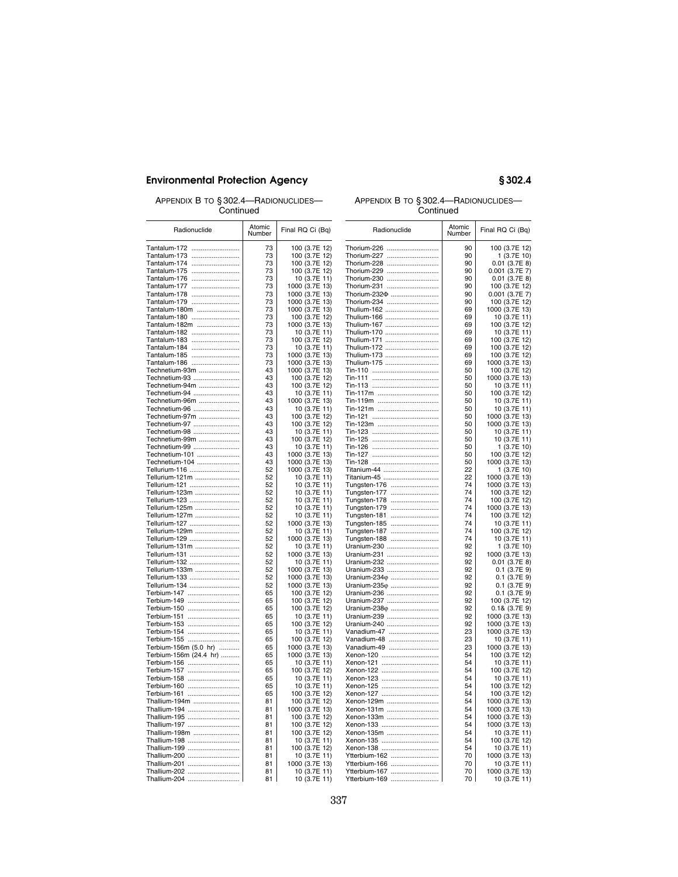APPENDIX B TO § 302.4—RADIONUCLIDES— **Continued** 

| Radionuclide                    | Atomic<br>Number | Final RQ Ci (Bq)               | Radionuclide          | Atomic<br>Number | Final RQ Ci (Bq)             |
|---------------------------------|------------------|--------------------------------|-----------------------|------------------|------------------------------|
| Tantalum-172                    | 73               | 100 (3.7E 12)                  | Thorium-226           | 90               | 100 (3.7E 12)                |
| Tantalum-173                    | 73               | 100 (3.7E 12)                  | Thorium-227           | 90               | 1 (3.7E 10)                  |
| Tantalum-174                    | 73               | 100 (3.7E 12)                  | Thorium-228           | 90               | $0.01$ (3.7E 8)              |
| Tantalum-175                    | 73               | 100 (3.7E 12)                  | Thorium-229           | 90               | $0.001$ (3.7E 7)             |
| Tantalum-176                    | 73               | 10 (3.7E 11)                   | Thorium-230           | 90               | $0.01$ (3.7E 8)              |
| Tantalum-177                    | 73               | 1000 (3.7E 13)                 | Thorium-231           | 90               | 100 (3.7E 12)                |
| Tantalum-178                    | 73               | 1000 (3.7E 13)                 | Thorium-232 $\Phi$    | 90               | $0.001$ (3.7E 7)             |
| Tantalum-179                    | 73               | 1000 (3.7E 13)                 | Thorium-234           | 90               | 100 (3.7E 12)                |
| Tantalum-180m                   | 73               | 1000 (3.7E 13)                 | Thulium-162           | 69               | 1000 (3.7E 13)               |
| Tantalum-180                    | 73               | 100 (3.7E 12)                  | Thulium-166           | 69               | 10 (3.7E 11)                 |
| Tantalum-182m                   | 73               | 1000 (3.7E 13)                 | Thulium-167           | 69               | 100 (3.7E 12)                |
| Tantalum-182                    | 73               | 10 (3.7E 11)                   | Thulium-170           | 69               | 10 (3.7E 11)                 |
| Tantalum-183                    | 73               | 100 (3.7E 12)                  | Thulium-171           | 69               | 100 (3.7E 12)                |
| Tantalum-184                    | 73               | 10 (3.7E 11)                   | Thulium-172           | 69               | 100 (3.7E 12)                |
| Tantalum-185                    | 73               | 1000 (3.7E 13)                 | Thulium-173           | 69               | 100 (3.7E 12)                |
| Tantalum-186                    | 73               | 1000 (3.7E 13)                 | Thulium-175           | 69               | 1000 (3.7E 13)               |
| Technetium-93m                  | 43               | 1000 (3.7E 13)                 |                       | 50               | 100 (3.7E 12)                |
| Technetium-93                   | 43               | 100 (3.7E 12)                  |                       | 50               | 1000 (3.7E 13)               |
| Technetium-94m                  | 43               | 100 (3.7E 12)                  |                       | 50               | 10 (3.7E 11)                 |
| Technetium-94                   | 43               | 10 (3.7E 11)                   | Tin-117m              | 50               | 100 (3.7E 12)                |
| Technetium-96m                  | 43               | 1000 (3.7E 13)                 | Tin-119m              | 50               | 10 (3.7E 11)                 |
| Technetium-96                   | 43               | 10 (3.7E 11)                   | Tin-121m              | 50               | 10 (3.7E 11)                 |
| Technetium-97m                  | 43               | 100 (3.7E 12)                  |                       | 50               | 1000 (3.7E 13)               |
| Technetium-97                   | 43               | 100 (3.7E 12)                  | Tin-123m              | 50               | 1000 (3.7E 13)               |
| Technetium-98<br>Technetium-99m | 43<br>43         | 10 (3.7E 11)                   |                       | 50<br>50         | 10 (3.7E 11)                 |
|                                 | 43               | 100 (3.7E 12)                  |                       | 50               | 10 (3.7E 11)                 |
| Technetium-99<br>Technetium-101 | 43               | 10 (3.7E 11)<br>1000 (3.7E 13) |                       | 50               | 1 (3.7E 10)<br>100 (3.7E 12) |
| Technetium-104                  | 43               | 1000 (3.7E 13)                 |                       | 50               | 1000 (3.7E 13)               |
| Tellurium-116                   | 52               | 1000 (3.7E 13)                 | Titanium-44           | 22               | 1 (3.7E 10)                  |
| Tellurium-121m                  | 52               | 10 (3.7E 11)                   | Titanium-45           | 22               | 1000 (3.7E 13)               |
| Tellurium-121                   | 52               | 10 (3.7E 11)                   | Tungsten-176          | 74               | 1000 (3.7E 13)               |
| Tellurium-123m                  | 52               | 10 (3.7E 11)                   | Tungsten-177          | 74               | 100 (3.7E 12)                |
| Tellurium-123                   | 52               | 10 (3.7E 11)                   | Tungsten-178          | 74               | 100 (3.7E 12)                |
| Tellurium-125m                  | 52               | 10 (3.7E 11)                   | Tungsten-179          | 74               | 1000 (3.7E 13)               |
| Tellurium-127m                  | 52               | 10 (3.7E 11)                   | Tungsten-181          | 74               | 100 (3.7E 12)                |
| Tellurium-127                   | 52               | 1000 (3.7E 13)                 | Tungsten-185          | 74               | 10 (3.7E 11)                 |
| Tellurium-129m                  | 52               | 10 (3.7E 11)                   | Tungsten-187          | 74               | 100 (3.7E 12)                |
| Tellurium-129                   | 52               | 1000 (3.7E 13)                 | Tungsten-188          | 74               | 10 (3.7E 11)                 |
| Tellurium-131m                  | 52               | 10 (3.7E 11)                   | Uranium-230           | 92               | 1 (3.7E 10)                  |
| Tellurium-131                   | 52               | 1000 (3.7E 13)                 | Uranium-231           | 92               | 1000 (3.7E 13)               |
| Tellurium-132                   | 52               | 10 (3.7E 11)                   | Uranium-232           | 92               | $0.01$ (3.7E 8)              |
| Tellurium-133m                  | 52               | 1000 (3.7E 13)                 | Uranium-233           | 92               | $0.1$ (3.7E 9)               |
| Tellurium-133                   | 52               | 1000 (3.7E 13)                 | Uranium-234 $\varphi$ | 92               | $0.1$ (3.7E 9)               |
| Tellurium-134                   | 52               | 1000 (3.7E 13)                 | Uranium-235 $\varphi$ | 92               | $0.1$ (3.7E 9)               |
| Terbium-147                     | 65               | 100 (3.7E 12)                  | Uranium-236           | 92               | $0.1$ (3.7E 9)               |
| Terbium-149                     | 65               | 100 (3.7E 12)                  | Uranium-237           | 92               | 100 (3.7E 12)                |
| Terbium-150                     | 65               | 100 (3.7E 12)                  | Uranium-238 $\varphi$ | 92               | $0.18$ (3.7E 9)              |
| Terbium-151                     | 65               | 10 (3.7E 11)                   | Uranium-239           | 92               | 1000 (3.7E 13)               |
| Terbium-153                     | 65               | 100 (3.7E 12)                  | Uranium-240           | 92               | 1000 (3.7E 13)               |
| Terbium-154                     | 65               | 10 (3.7E 11)                   | Vanadium-47           | 23               | 1000 (3.7E 13)               |
| Terbium-155                     | 65               | 100 (3.7E 12)                  | Vanadium-48           | 23               | 10 (3.7E 11)                 |
| Terbium-156m (5.0 hr)           | 65               | 1000 (3.7E 13)                 | Vanadium-49           | 23               | 1000 (3.7E 13)               |
| Terbium-156m (24.4 hr)          | 65               | 1000 (3.7E 13)                 | Xenon-120             | 54               | 100 (3.7E 12)                |
| Terbium-156                     | 65               | 10 (3.7E 11)                   | Xenon-121             | 54               | 10 (3.7E 11)                 |
| Terbium-157                     | 65               | 100 (3.7E 12)                  | Xenon-122             | 54               | 100 (3.7E 12)                |
| Terbium-158                     | 65               | 10 (3.7E 11)                   | Xenon-123             | 54               | 10 (3.7E 11)                 |
| Terbium-160                     | 65               | 10 (3.7E 11)                   | Xenon-125             | 54               | 100 (3.7E 12)                |
| Terbium-161                     | 65               | 100 (3.7E 12)                  | Xenon-127             | 54               | 100 (3.7E 12)                |
| Thallium-194m                   | 81               | 100 (3.7E 12)                  | Xenon-129m            | 54               | 1000 (3.7E 13)               |
| Thallium-194                    | 81               | 1000 (3.7E 13)                 | Xenon-131m            | 54               | 1000 (3.7E 13)               |
| Thallium-195                    | 81               | 100 (3.7E 12)                  | Xenon-133m            | 54               | 1000 (3.7E 13)               |
| Thallium-197                    | 81               | 100 (3.7E 12)                  | Xenon-133             | 54               | 1000 (3.7E 13)               |
| Thallium-198m                   | 81               | 100 (3.7E 12)                  | Xenon-135m            | 54               | 10 (3.7E 11)                 |
| Thallium-198                    | 81               | 10 (3.7E 11)                   | Xenon-135             | 54               | 100 (3.7E 12)                |
| Thallium-199                    | 81               | 100 (3.7E 12)                  | Xenon-138             | 54               | 10 (3.7E 11)                 |
| Thallium-200                    | 81               | 10 (3.7E 11)                   | Ytterbium-162         | 70               | 1000 (3.7E 13)               |
| Thallium-201                    | 81               | 1000 (3.7E 13)                 | Ytterbium-166         | 70               | 10 (3.7E 11)                 |
| Thallium-202                    | 81               | 10 (3.7E 11)                   | Ytterbium-167         | 70               | 1000 (3.7E 13)               |
| Thallium-204                    | 81               | 10 (3.7E 11)                   | Ytterbium-169         | 70               | 10 (3.7E 11)                 |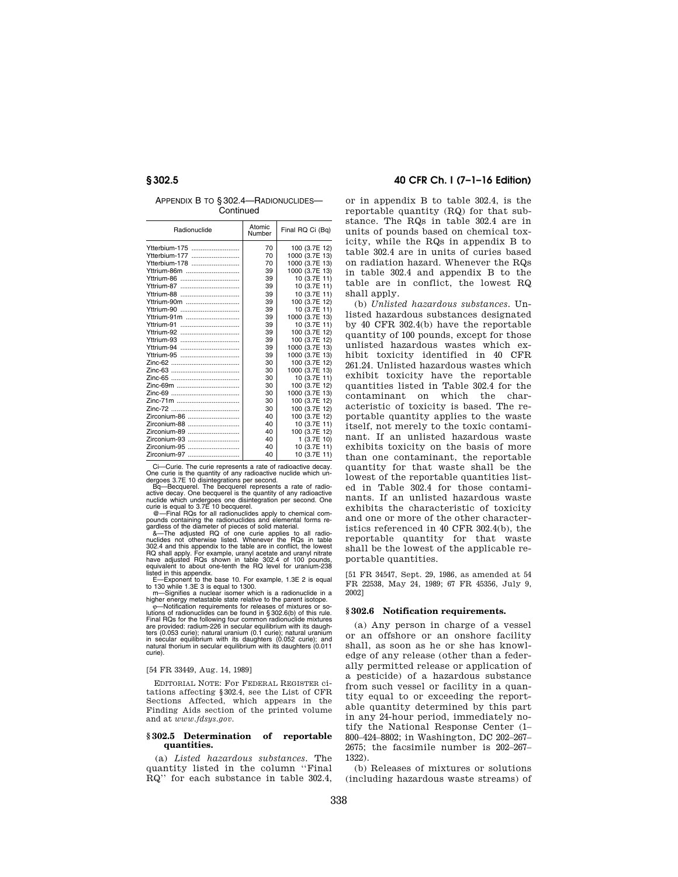APPENDIX B TO § 302.4—RADIONUCLIDES— **Continued** 

| Radionuclide  | Atomic<br>Number | Final RQ Ci (Bq) |
|---------------|------------------|------------------|
| Ytterbium-175 | 70               | 100 (3.7E 12)    |
| Ytterbium-177 | 70               | 1000 (3.7E 13)   |
| Ytterbium-178 | 70               | 1000 (3.7E 13)   |
| Yttrium-86m   | 39               | 1000 (3.7E 13)   |
| Yttrium-86    | 39               | 10 (3.7E 11)     |
| Yttrium-87    | 39               | 10 (3.7E 11)     |
| Yttrium-88    | 39               | 10 (3.7E 11)     |
| Yttrium-90m   | 39               | 100 (3.7E 12)    |
| Yttrium-90    | 39               | 10 (3.7E 11)     |
| Yttrium-91m   | 39               | 1000 (3.7E 13)   |
| Yttrium-91    | 39               | 10 (3.7E 11)     |
| Yttrium-92    | 39               | 100 (3.7E 12)    |
| Yttrium-93    | 39               | 100 (3.7E 12)    |
| Yttrium-94    | 39               | 1000 (3.7E 13)   |
| Yttrium-95    | 39               | 1000 (3.7E 13)   |
|               | 30               | 100 (3.7E 12)    |
|               | 30               | 1000 (3.7E 13)   |
|               | 30               | 10 (3.7E 11)     |
| Zinc-69m      | 30               | 100 (3.7E 12)    |
|               | 30               | 1000 (3.7E 13)   |
| Zinc-71m      | 30               | 100 (3.7E 12)    |
|               | 30               | 100 (3.7E 12)    |
| Zirconium-86  | 40               | 100 (3.7E 12)    |
| Zirconium-88  | 40               | 10 (3.7E 11)     |
| Zirconium-89  | 40               | 100 (3.7E 12)    |
| Zirconium-93  | 40               | 1(3.7E10)        |
| Zirconium-95  | 40               | 10 (3.7E 11)     |
| Zirconium-97  | 40               | 10 (3.7E 11)     |

Ci—Curie. The curie represents a rate of radioactive decay. One curie is the quantity of any radioactive nuclide which un-dergoes 3.7E 10 disintegrations per second.

Bq—Becquerel. The becquerel represents a rate of radio-active decay. One becquerel is the quantity of any radioactive nuclide which undergoes one disintegration per second. One curie is equal to 3.7E 10 becquerel.

@—Final RQs for all radionuclides apply to chemical com-pounds containing the radionuclides and elemental forms re-gardless of the diameter of pieces of solid material. &—The adjusted RQ of one curie applies to all radio-

nuclides not citerewise listed. Whenever the RQs in table<br>302.4 and this appendix to the table are in conflict, the lowest<br>RQ shall apply. For example, uranyl acetate and uranyl nitrate<br>have adjusted RQs shown in table 302

to 130 while 1.3E 3 is equal to 1300.<br>m—Signifies a nuclear isomer which is a radionuclide in a<br>higher energy metastable state relative to the parent isotope.<br> $\varphi$ —Notification requirements for releases of mixtures or so-

lutions of radionuclides can be found in § 302.6(b) of this rule. Final RQs for the following four common radionuclide mixtures are provided: radium-226 in secular equilibrium with its daughters (0.053 curie); natural uranium (0.1 curie); natural uranium<br>in secular equilibrium with its daughters (0.052 curie); and<br>natural thorium in secular equilibrium with its daughters (0.011 curie).

### [54 FR 33449, Aug. 14, 1989]

EDITORIAL NOTE: For FEDERAL REGISTER citations affecting §302.4, see the List of CFR Sections Affected, which appears in the Finding Aids section of the printed volume and at *www.fdsys.gov.* 

### **§ 302.5 Determination of reportable quantities.**

(a) *Listed hazardous substances.* The quantity listed in the column ''Final RQ'' for each substance in table 302.4,

## **§ 302.5 40 CFR Ch. I (7–1–16 Edition)**

or in appendix B to table 302.4, is the reportable quantity (RQ) for that substance. The RQs in table 302.4 are in units of pounds based on chemical toxicity, while the RQs in appendix B to table 302.4 are in units of curies based on radiation hazard. Whenever the RQs in table 302.4 and appendix B to the table are in conflict, the lowest RQ shall apply.

(b) *Unlisted hazardous substances.* Unlisted hazardous substances designated by 40 CFR 302.4(b) have the reportable quantity of 100 pounds, except for those unlisted hazardous wastes which exhibit toxicity identified in 40 CFR 261.24. Unlisted hazardous wastes which exhibit toxicity have the reportable quantities listed in Table 302.4 for the contaminant on which the characteristic of toxicity is based. The reportable quantity applies to the waste itself, not merely to the toxic contaminant. If an unlisted hazardous waste exhibits toxicity on the basis of more than one contaminant, the reportable quantity for that waste shall be the lowest of the reportable quantities listed in Table 302.4 for those contaminants. If an unlisted hazardous waste exhibits the characteristic of toxicity and one or more of the other characteristics referenced in 40 CFR 302.4(b), the reportable quantity for that waste shall be the lowest of the applicable reportable quantities.

[51 FR 34547, Sept. 29, 1986, as amended at 54 FR 22538, May 24, 1989; 67 FR 45356, July 9, 2002]

### **§ 302.6 Notification requirements.**

(a) Any person in charge of a vessel or an offshore or an onshore facility shall, as soon as he or she has knowledge of any release (other than a federally permitted release or application of a pesticide) of a hazardous substance from such vessel or facility in a quantity equal to or exceeding the reportable quantity determined by this part in any 24-hour period, immediately notify the National Response Center (1– 800–424–8802; in Washington, DC 202–267– 2675; the facsimile number is 202–267– 1322).

(b) Releases of mixtures or solutions (including hazardous waste streams) of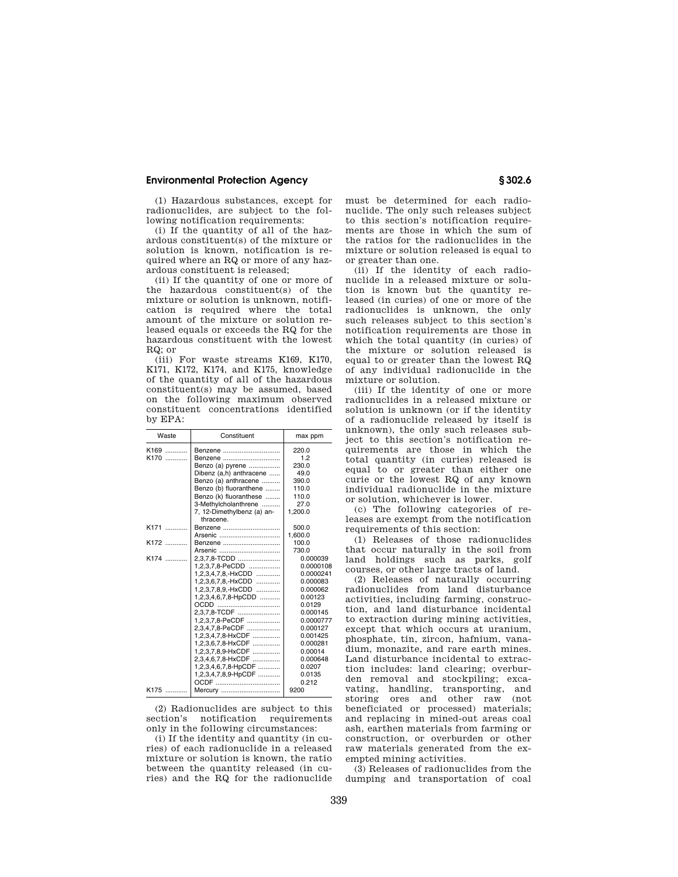(1) Hazardous substances, except for radionuclides, are subject to the following notification requirements:

(i) If the quantity of all of the hazardous constituent(s) of the mixture or solution is known, notification is required where an RQ or more of any hazardous constituent is released;

(ii) If the quantity of one or more of the hazardous constituent(s) of the mixture or solution is unknown, notification is required where the total amount of the mixture or solution released equals or exceeds the RQ for the hazardous constituent with the lowest RQ; or

(iii) For waste streams K169, K170, K171, K172, K174, and K175, knowledge of the quantity of all of the hazardous constituent(s) may be assumed, based on the following maximum observed constituent concentrations identified by EPA:

| Waste  | Constituent                | max ppm   |
|--------|----------------------------|-----------|
| K169   | Benzene                    | 220.0     |
| K170   | Benzene                    | 1.2       |
|        | Benzo (a) pyrene           | 230.0     |
|        | Dibenz (a,h) anthracene    | 49.0      |
|        | Benzo (a) anthracene       | 390.0     |
|        | Benzo (b) fluoranthene     | 110.0     |
|        | Benzo (k) fluoranthese     | 110.0     |
|        | 3-Methylcholanthrene       | 27.0      |
|        | 7, 12-Dimethylbenz (a) an- | 1,200.0   |
|        | thracene.                  |           |
| K171   |                            | 500.0     |
|        | Arsenic                    | 1,600.0   |
| K172   | Benzene                    | 100.0     |
|        | Arsenic                    | 730.0     |
| K174   | 2,3,7,8-TCDD               | 0.000039  |
|        | 1,2,3,7,8-PeCDD            | 0.0000108 |
|        | 1,2,3,4,7,8,-HxCDD         | 0.0000241 |
|        | 1,2,3,6,7,8,-HxCDD         | 0.000083  |
|        | 1,2,3,7,8,9,-HxCDD         | 0.000062  |
|        | 1,2,3,4,6,7,8-HpCDD        | 0.00123   |
|        |                            | 0.0129    |
|        | 2,3,7,8-TCDF               | 0.000145  |
|        | 1,2,3,7,8-PeCDF            | 0.0000777 |
|        | 2,3,4,7,8-PeCDF            | 0.000127  |
|        | 1,2,3,4,7,8-HxCDF          | 0.001425  |
|        | 1,2,3,6,7,8-HxCDF          | 0.000281  |
|        | 1,2,3,7,8,9-HxCDF          | 0.00014   |
|        | 2,3,4,6,7,8-HxCDF          | 0.000648  |
|        | 1,2,3,4,6,7,8-HpCDF        | 0.0207    |
|        | 1,2,3,4,7,8,9-HpCDF        | 0.0135    |
|        |                            | 0.212     |
| $K175$ | Mercury                    | 9200      |

(2) Radionuclides are subject to this section's notification requirements only in the following circumstances:

(i) If the identity and quantity (in curies) of each radionuclide in a released mixture or solution is known, the ratio between the quantity released (in curies) and the RQ for the radionuclide must be determined for each radionuclide. The only such releases subject to this section's notification requirements are those in which the sum of the ratios for the radionuclides in the mixture or solution released is equal to or greater than one.

(ii) If the identity of each radionuclide in a released mixture or solution is known but the quantity released (in curies) of one or more of the radionuclides is unknown, the only such releases subject to this section's notification requirements are those in which the total quantity (in curies) of the mixture or solution released is equal to or greater than the lowest RQ of any individual radionuclide in the mixture or solution.

(iii) If the identity of one or more radionuclides in a released mixture or solution is unknown (or if the identity of a radionuclide released by itself is unknown), the only such releases subject to this section's notification requirements are those in which the total quantity (in curies) released is equal to or greater than either one curie or the lowest RQ of any known individual radionuclide in the mixture or solution, whichever is lower.

(c) The following categories of releases are exempt from the notification requirements of this section:

(1) Releases of those radionuclides that occur naturally in the soil from land holdings such as parks, golf courses, or other large tracts of land.

(2) Releases of naturally occurring radionuclides from land disturbance activities, including farming, construction, and land disturbance incidental to extraction during mining activities, except that which occurs at uranium, phosphate, tin, zircon, hafnium, vanadium, monazite, and rare earth mines. Land disturbance incidental to extraction includes: land clearing; overburden removal and stockpiling; excavating, handling, transporting, and storing ores and other raw (not beneficiated or processed) materials; and replacing in mined-out areas coal ash, earthen materials from farming or construction, or overburden or other raw materials generated from the exempted mining activities.

(3) Releases of radionuclides from the dumping and transportation of coal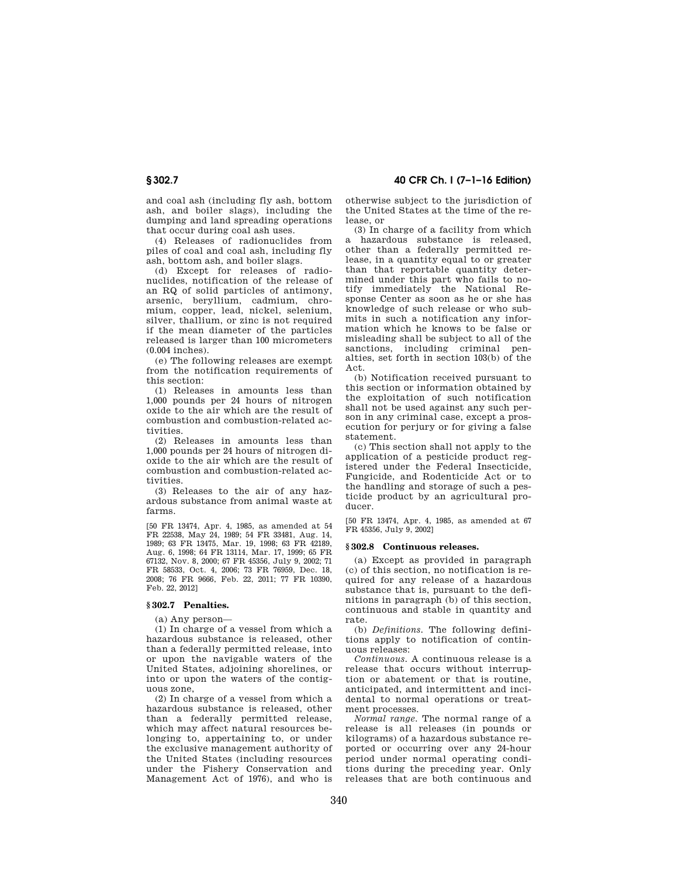and coal ash (including fly ash, bottom ash, and boiler slags), including the dumping and land spreading operations that occur during coal ash uses.

(4) Releases of radionuclides from piles of coal and coal ash, including fly ash, bottom ash, and boiler slags.

(d) Except for releases of radionuclides, notification of the release of an RQ of solid particles of antimony, arsenic, beryllium, cadmium, chromium, copper, lead, nickel, selenium, silver, thallium, or zinc is not required if the mean diameter of the particles released is larger than 100 micrometers (0.004 inches).

(e) The following releases are exempt from the notification requirements of this section:

(1) Releases in amounts less than 1,000 pounds per 24 hours of nitrogen oxide to the air which are the result of combustion and combustion-related activities.

(2) Releases in amounts less than 1,000 pounds per 24 hours of nitrogen dioxide to the air which are the result of combustion and combustion-related activities.

(3) Releases to the air of any hazardous substance from animal waste at farms.

[50 FR 13474, Apr. 4, 1985, as amended at 54 FR 22538, May 24, 1989; 54 FR 33481, Aug. 14, 1989; 63 FR 13475, Mar. 19, 1998; 63 FR 42189, Aug. 6, 1998; 64 FR 13114, Mar. 17, 1999; 65 FR 67132, Nov. 8, 2000; 67 FR 45356, July 9, 2002; 71 FR 58533, Oct. 4, 2006; 73 FR 76959, Dec. 18, 2008; 76 FR 9666, Feb. 22, 2011; 77 FR 10390, Feb. 22, 2012]

### **§ 302.7 Penalties.**

(a) Any person—

(1) In charge of a vessel from which a hazardous substance is released, other than a federally permitted release, into or upon the navigable waters of the United States, adjoining shorelines, or into or upon the waters of the contiguous zone,

(2) In charge of a vessel from which a hazardous substance is released, other than a federally permitted release, which may affect natural resources belonging to, appertaining to, or under the exclusive management authority of the United States (including resources under the Fishery Conservation and Management Act of 1976), and who is

**§ 302.7 40 CFR Ch. I (7–1–16 Edition)** 

otherwise subject to the jurisdiction of the United States at the time of the release, or

(3) In charge of a facility from which a hazardous substance is released, other than a federally permitted release, in a quantity equal to or greater than that reportable quantity determined under this part who fails to notify immediately the National Response Center as soon as he or she has knowledge of such release or who submits in such a notification any information which he knows to be false or misleading shall be subject to all of the sanctions, including criminal penalties, set forth in section 103(b) of the Act.

(b) Notification received pursuant to this section or information obtained by the exploitation of such notification shall not be used against any such person in any criminal case, except a prosecution for perjury or for giving a false statement.

(c) This section shall not apply to the application of a pesticide product registered under the Federal Insecticide, Fungicide, and Rodenticide Act or to the handling and storage of such a pesticide product by an agricultural producer.

[50 FR 13474, Apr. 4, 1985, as amended at 67 FR 45356, July 9, 2002]

### **§ 302.8 Continuous releases.**

(a) Except as provided in paragraph (c) of this section, no notification is required for any release of a hazardous substance that is, pursuant to the definitions in paragraph (b) of this section, continuous and stable in quantity and rate.

(b) *Definitions.* The following definitions apply to notification of continuous releases:

*Continuous.* A continuous release is a release that occurs without interruption or abatement or that is routine, anticipated, and intermittent and incidental to normal operations or treatment processes.

*Normal range.* The normal range of a release is all releases (in pounds or kilograms) of a hazardous substance reported or occurring over any 24-hour period under normal operating conditions during the preceding year. Only releases that are both continuous and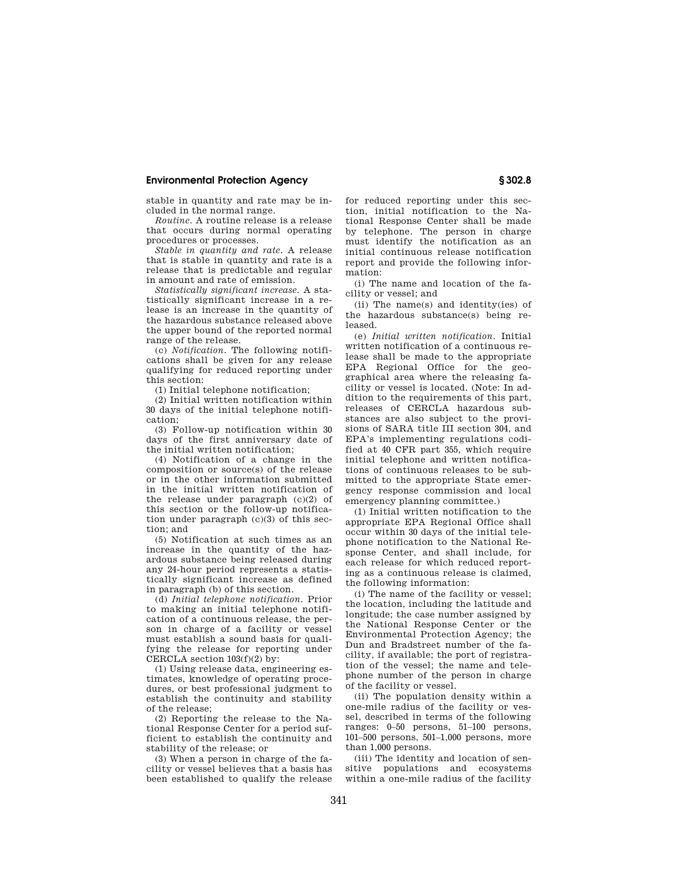stable in quantity and rate may be included in the normal range.

*Routine.* A routine release is a release that occurs during normal operating procedures or processes.

*Stable in quantity and rate.* A release that is stable in quantity and rate is a release that is predictable and regular in amount and rate of emission.

*Statistically significant increase.* A statistically significant increase in a release is an increase in the quantity of the hazardous substance released above the upper bound of the reported normal range of the release.

(c) *Notification.* The following notifications shall be given for any release qualifying for reduced reporting under this section:

(1) Initial telephone notification;

(2) Initial written notification within 30 days of the initial telephone notification;

(3) Follow-up notification within 30 days of the first anniversary date of the initial written notification;

(4) Notification of a change in the composition or source(s) of the release or in the other information submitted in the initial written notification of the release under paragraph (c)(2) of this section or the follow-up notification under paragraph  $(c)(3)$  of this section; and

(5) Notification at such times as an increase in the quantity of the hazardous substance being released during any 24-hour period represents a statistically significant increase as defined in paragraph (b) of this section.

(d) *Initial telephone notification.* Prior to making an initial telephone notification of a continuous release, the person in charge of a facility or vessel must establish a sound basis for qualifying the release for reporting under CERCLA section 103(f)(2) by:

(1) Using release data, engineering estimates, knowledge of operating procedures, or best professional judgment to establish the continuity and stability of the release;

(2) Reporting the release to the National Response Center for a period sufficient to establish the continuity and stability of the release; or

(3) When a person in charge of the facility or vessel believes that a basis has been established to qualify the release for reduced reporting under this section, initial notification to the National Response Center shall be made by telephone. The person in charge must identify the notification as an initial continuous release notification report and provide the following information:

(i) The name and location of the facility or vessel; and

(ii) The name(s) and identity(ies) of the hazardous substance(s) being released.

(e) *Initial written notification.* Initial written notification of a continuous release shall be made to the appropriate EPA Regional Office for the geographical area where the releasing facility or vessel is located. (Note: In addition to the requirements of this part, releases of CERCLA hazardous substances are also subject to the provisions of SARA title III section 304, and EPA's implementing regulations codified at 40 CFR part 355, which require initial telephone and written notifications of continuous releases to be submitted to the appropriate State emergency response commission and local emergency planning committee.)

(1) Initial written notification to the appropriate EPA Regional Office shall occur within 30 days of the initial telephone notification to the National Response Center, and shall include, for each release for which reduced reporting as a continuous release is claimed, the following information:

(i) The name of the facility or vessel; the location, including the latitude and longitude; the case number assigned by the National Response Center or the Environmental Protection Agency; the Dun and Bradstreet number of the facility, if available; the port of registration of the vessel; the name and telephone number of the person in charge of the facility or vessel.

(ii) The population density within a one-mile radius of the facility or vessel, described in terms of the following ranges: 0–50 persons, 51–100 persons, 101–500 persons, 501–1,000 persons, more than 1,000 persons.

(iii) The identity and location of sensitive populations and ecosystems within a one-mile radius of the facility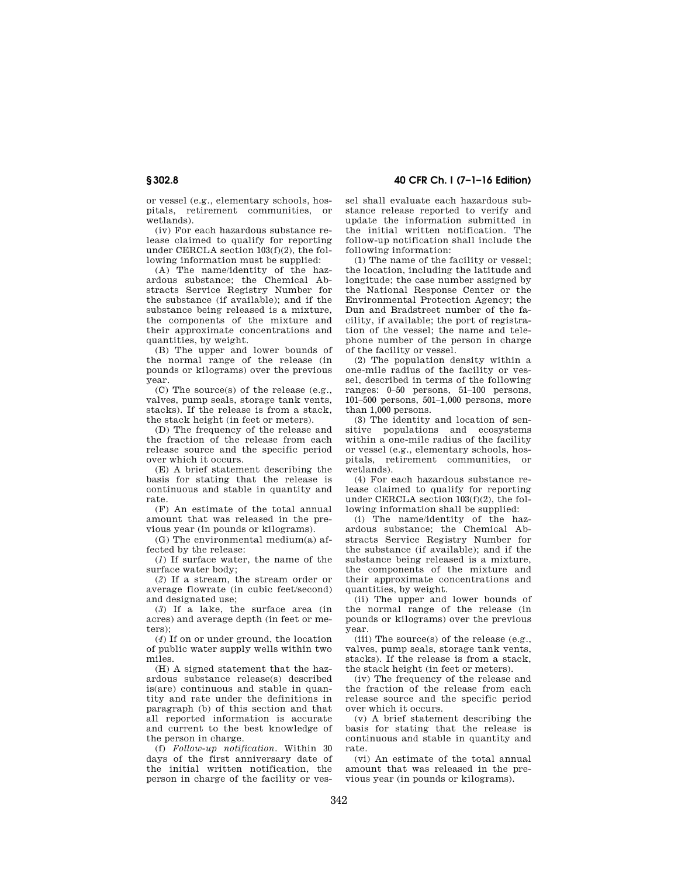or vessel (e.g., elementary schools, hospitals, retirement communities, or wetlands).

(iv) For each hazardous substance release claimed to qualify for reporting under CERCLA section 103(f)(2), the following information must be supplied:

(A) The name/identity of the hazardous substance; the Chemical Abstracts Service Registry Number for the substance (if available); and if the substance being released is a mixture, the components of the mixture and their approximate concentrations and quantities, by weight.

(B) The upper and lower bounds of the normal range of the release (in pounds or kilograms) over the previous year.

(C) The source(s) of the release (e.g., valves, pump seals, storage tank vents, stacks). If the release is from a stack, the stack height (in feet or meters).

(D) The frequency of the release and the fraction of the release from each release source and the specific period over which it occurs.

(E) A brief statement describing the basis for stating that the release is continuous and stable in quantity and rate.

(F) An estimate of the total annual amount that was released in the previous year (in pounds or kilograms).

(G) The environmental medium(a) affected by the release:

(*1*) If surface water, the name of the surface water body;

(*2*) If a stream, the stream order or average flowrate (in cubic feet/second) and designated use;

(*3*) If a lake, the surface area (in acres) and average depth (in feet or meters);

(*4*) If on or under ground, the location of public water supply wells within two miles.

(H) A signed statement that the hazardous substance release(s) described is(are) continuous and stable in quantity and rate under the definitions in paragraph (b) of this section and that all reported information is accurate and current to the best knowledge of the person in charge.

(f) *Follow-up notification.* Within 30 days of the first anniversary date of the initial written notification, the person in charge of the facility or ves-

**§ 302.8 40 CFR Ch. I (7–1–16 Edition)** 

sel shall evaluate each hazardous substance release reported to verify and update the information submitted in the initial written notification. The follow-up notification shall include the following information:

(1) The name of the facility or vessel; the location, including the latitude and longitude; the case number assigned by the National Response Center or the Environmental Protection Agency; the Dun and Bradstreet number of the facility, if available; the port of registration of the vessel; the name and telephone number of the person in charge of the facility or vessel.

(2) The population density within a one-mile radius of the facility or vessel, described in terms of the following ranges: 0–50 persons, 51–100 persons, 101–500 persons, 501–1,000 persons, more than 1,000 persons.

(3) The identity and location of sensitive populations and ecosystems within a one-mile radius of the facility or vessel (e.g., elementary schools, hospitals, retirement communities, or wetlands).

(4) For each hazardous substance release claimed to qualify for reporting under CERCLA section 103(f)(2), the following information shall be supplied:

(i) The name/identity of the hazardous substance; the Chemical Abstracts Service Registry Number for the substance (if available); and if the substance being released is a mixture, the components of the mixture and their approximate concentrations and quantities, by weight.

(ii) The upper and lower bounds of the normal range of the release (in pounds or kilograms) over the previous year.

(iii) The source(s) of the release (e.g., valves, pump seals, storage tank vents, stacks). If the release is from a stack, the stack height (in feet or meters).

(iv) The frequency of the release and the fraction of the release from each release source and the specific period over which it occurs.

(v) A brief statement describing the basis for stating that the release is continuous and stable in quantity and rate.

(vi) An estimate of the total annual amount that was released in the previous year (in pounds or kilograms).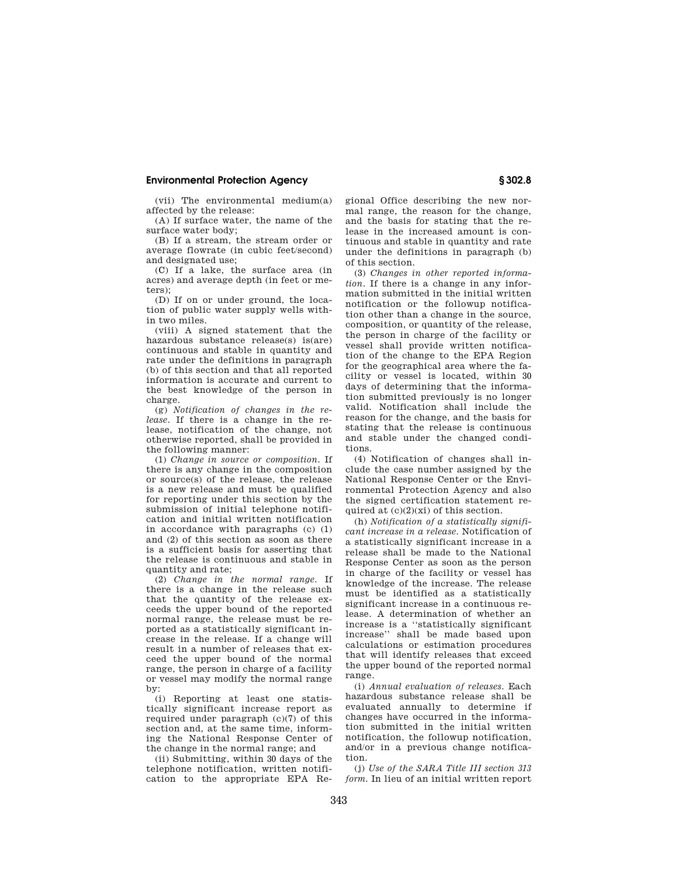(vii) The environmental medium(a) affected by the release:

(A) If surface water, the name of the surface water body;

(B) If a stream, the stream order or average flowrate (in cubic feet/second) and designated use;

(C) If a lake, the surface area (in acres) and average depth (in feet or meters);

(D) If on or under ground, the location of public water supply wells within two miles.

(viii) A signed statement that the hazardous substance release(s) is(are) continuous and stable in quantity and rate under the definitions in paragraph (b) of this section and that all reported information is accurate and current to the best knowledge of the person in charge.

(g) *Notification of changes in the release.* If there is a change in the release, notification of the change, not otherwise reported, shall be provided in the following manner:

(1) *Change in source or composition.* If there is any change in the composition or source(s) of the release, the release is a new release and must be qualified for reporting under this section by the submission of initial telephone notification and initial written notification in accordance with paragraphs (c) (1) and (2) of this section as soon as there is a sufficient basis for asserting that the release is continuous and stable in quantity and rate;

(2) *Change in the normal range.* If there is a change in the release such that the quantity of the release exceeds the upper bound of the reported normal range, the release must be reported as a statistically significant increase in the release. If a change will result in a number of releases that exceed the upper bound of the normal range, the person in charge of a facility or vessel may modify the normal range by:

(i) Reporting at least one statistically significant increase report as required under paragraph  $(c)(7)$  of this section and, at the same time, informing the National Response Center of the change in the normal range; and

(ii) Submitting, within 30 days of the telephone notification, written notification to the appropriate EPA Regional Office describing the new normal range, the reason for the change, and the basis for stating that the release in the increased amount is continuous and stable in quantity and rate under the definitions in paragraph (b) of this section.

(3) *Changes in other reported information.* If there is a change in any information submitted in the initial written notification or the followup notification other than a change in the source, composition, or quantity of the release, the person in charge of the facility or vessel shall provide written notification of the change to the EPA Region for the geographical area where the facility or vessel is located, within 30 days of determining that the information submitted previously is no longer valid. Notification shall include the reason for the change, and the basis for stating that the release is continuous and stable under the changed conditions.

(4) Notification of changes shall include the case number assigned by the National Response Center or the Environmental Protection Agency and also the signed certification statement required at  $(c)(2)(xi)$  of this section.

(h) *Notification of a statistically significant increase in a release.* Notification of a statistically significant increase in a release shall be made to the National Response Center as soon as the person in charge of the facility or vessel has knowledge of the increase. The release must be identified as a statistically significant increase in a continuous release. A determination of whether an increase is a ''statistically significant increase'' shall be made based upon calculations or estimation procedures that will identify releases that exceed the upper bound of the reported normal range.

(i) *Annual evaluation of releases.* Each hazardous substance release shall be evaluated annually to determine if changes have occurred in the information submitted in the initial written notification, the followup notification, and/or in a previous change notification.

(j) *Use of the SARA Title III section 313 form.* In lieu of an initial written report